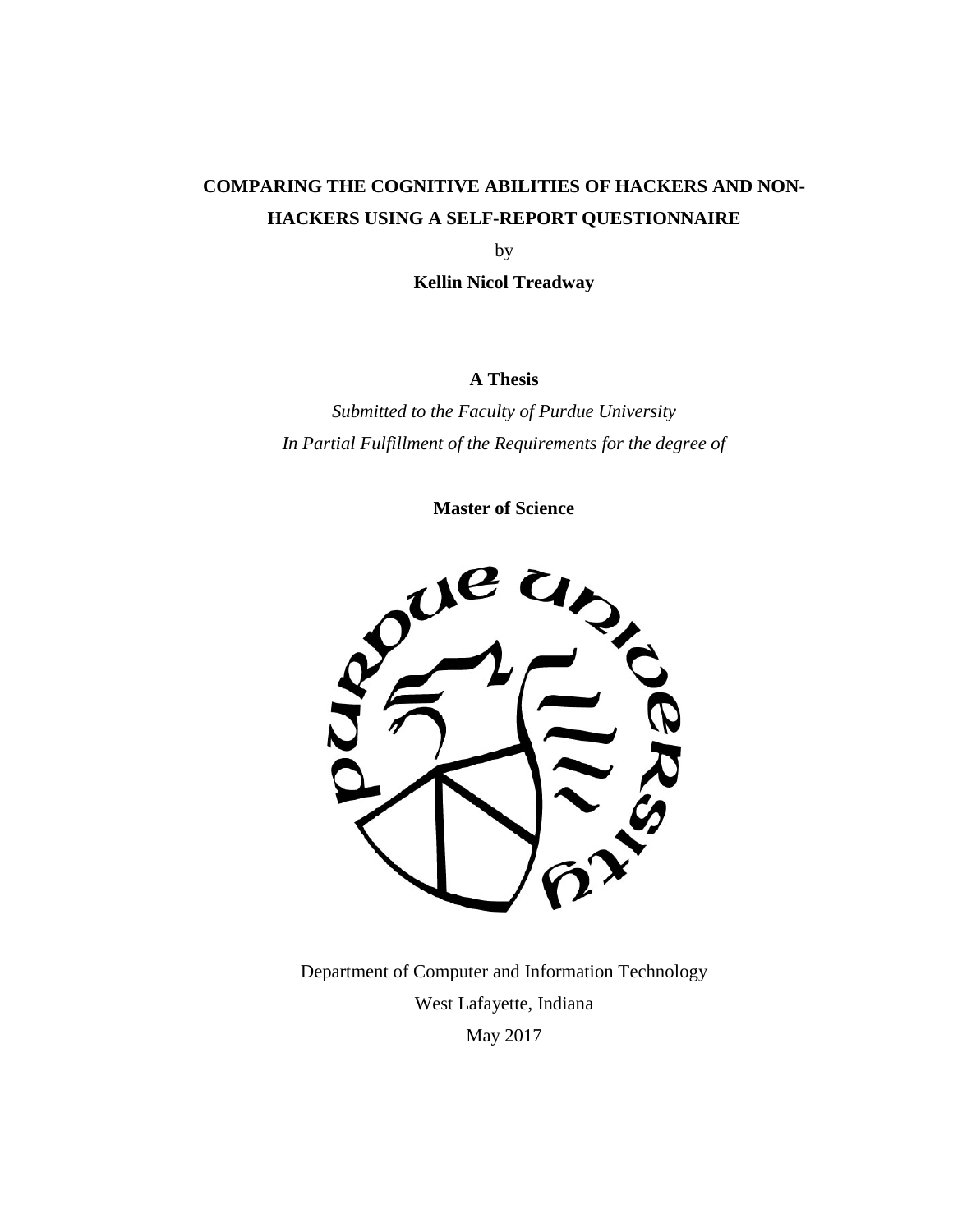# **COMPARING THE COGNITIVE ABILITIES OF HACKERS AND NON-HACKERS USING A SELF-REPORT QUESTIONNAIRE**

by

**Kellin Nicol Treadway**

**A Thesis**

*Submitted to the Faculty of Purdue University In Partial Fulfillment of the Requirements for the degree of*

**Master of Science**



Department of Computer and Information Technology West Lafayette, Indiana May 2017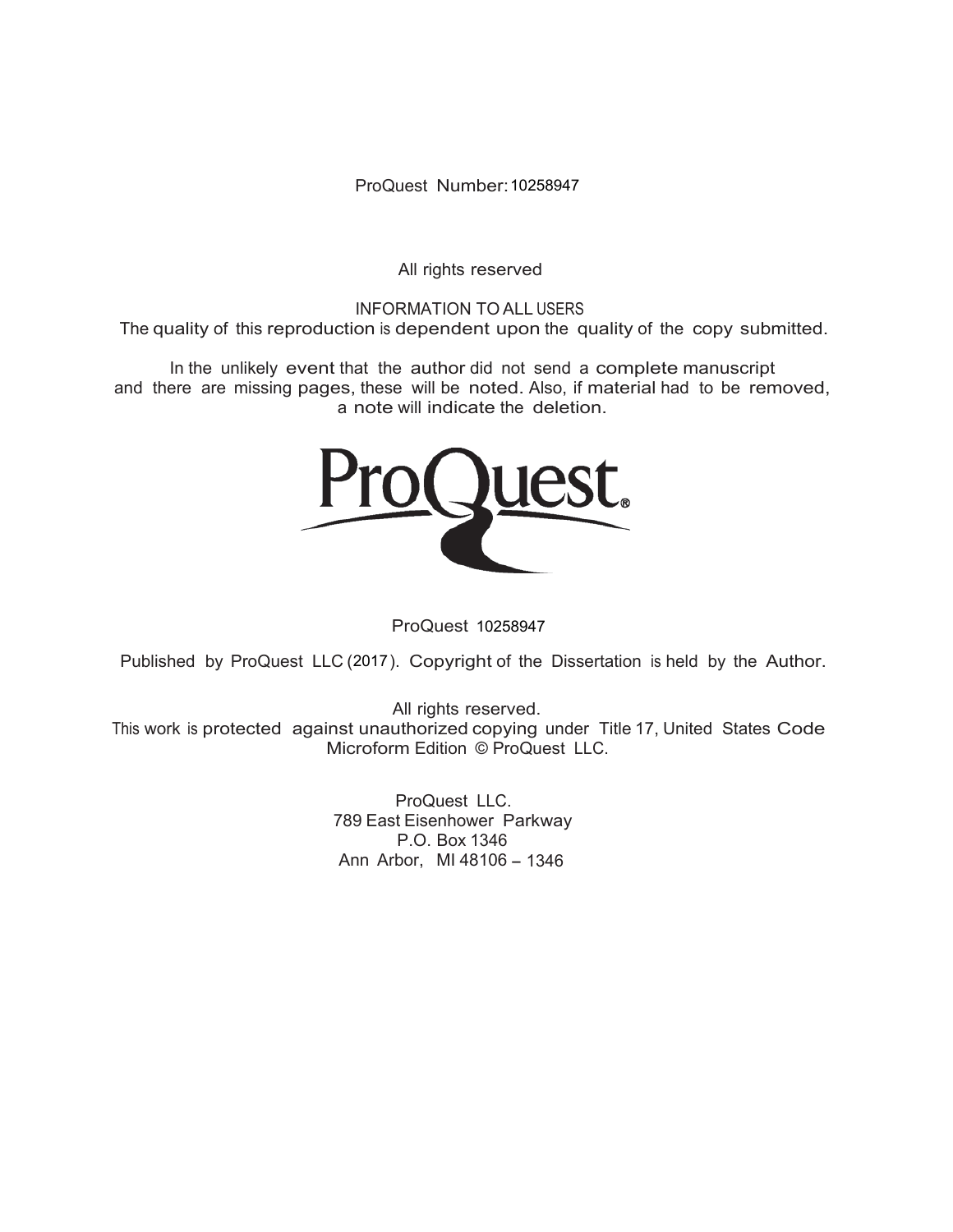ProQuest Number: 10258947

All rights reserved

INFORMATION TO ALL USERS The quality of this reproduction is dependent upon the quality of the copy submitted.

In the unlikely event that the author did not send a complete manuscript and there are missing pages, these will be noted. Also, if material had to be removed, a note will indicate the deletion.



ProQuest 10258947

Published by ProQuest LLC (2017). Copyright of the Dissertation is held by the Author.

All rights reserved. This work is protected against unauthorized copying under Title 17, United States Code Microform Edition © ProQuest LLC.

> ProQuest LLC. 789 East Eisenhower Parkway P.O. Box 1346 Ann Arbor, MI 48106 - 1346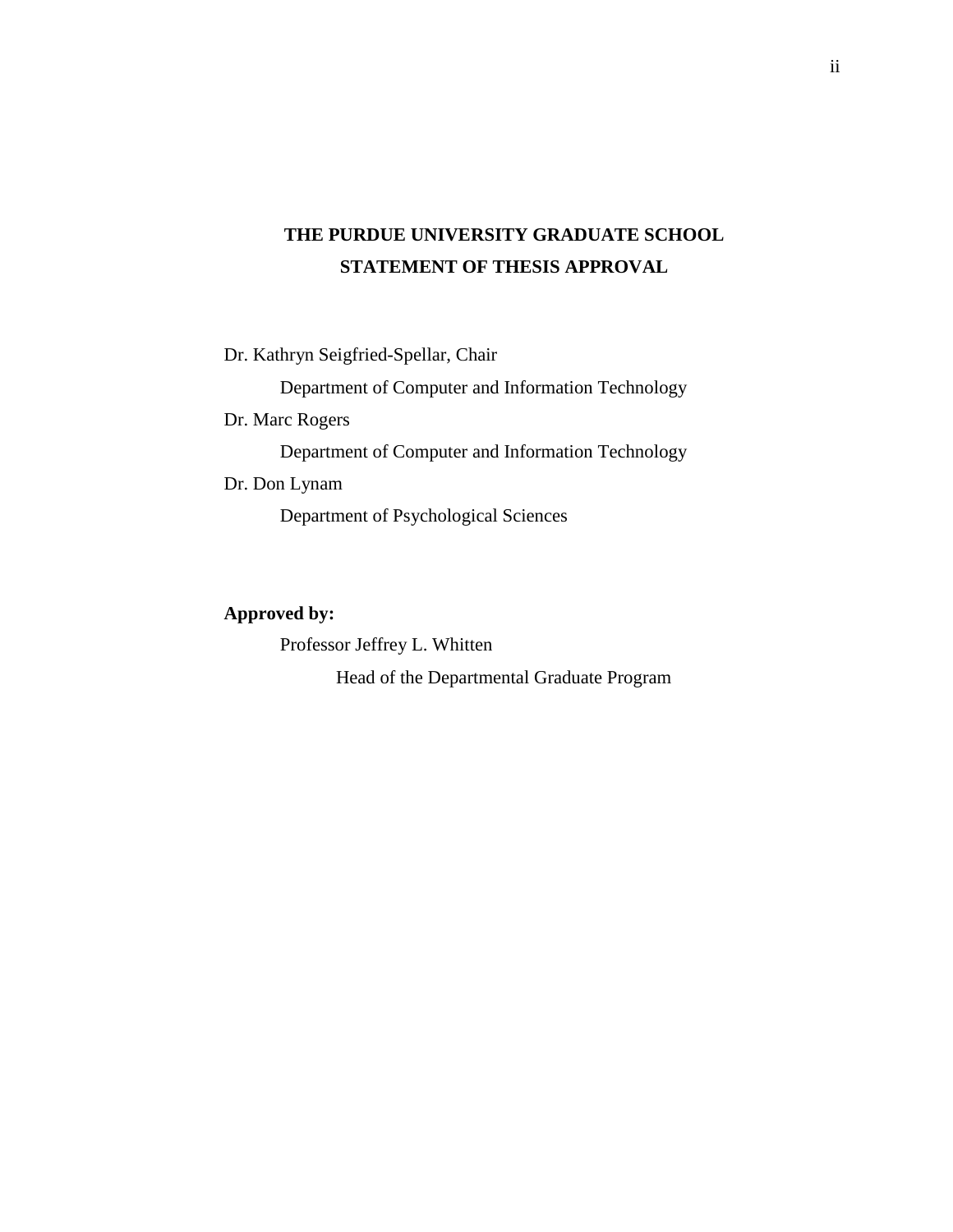# **THE PURDUE UNIVERSITY GRADUATE SCHOOL STATEMENT OF THESIS APPROVAL**

Dr. Kathryn Seigfried-Spellar, Chair Department of Computer and Information Technology Dr. Marc Rogers Department of Computer and Information Technology Dr. Don Lynam

Department of Psychological Sciences

## **Approved by:**

Professor Jeffrey L. Whitten Head of the Departmental Graduate Program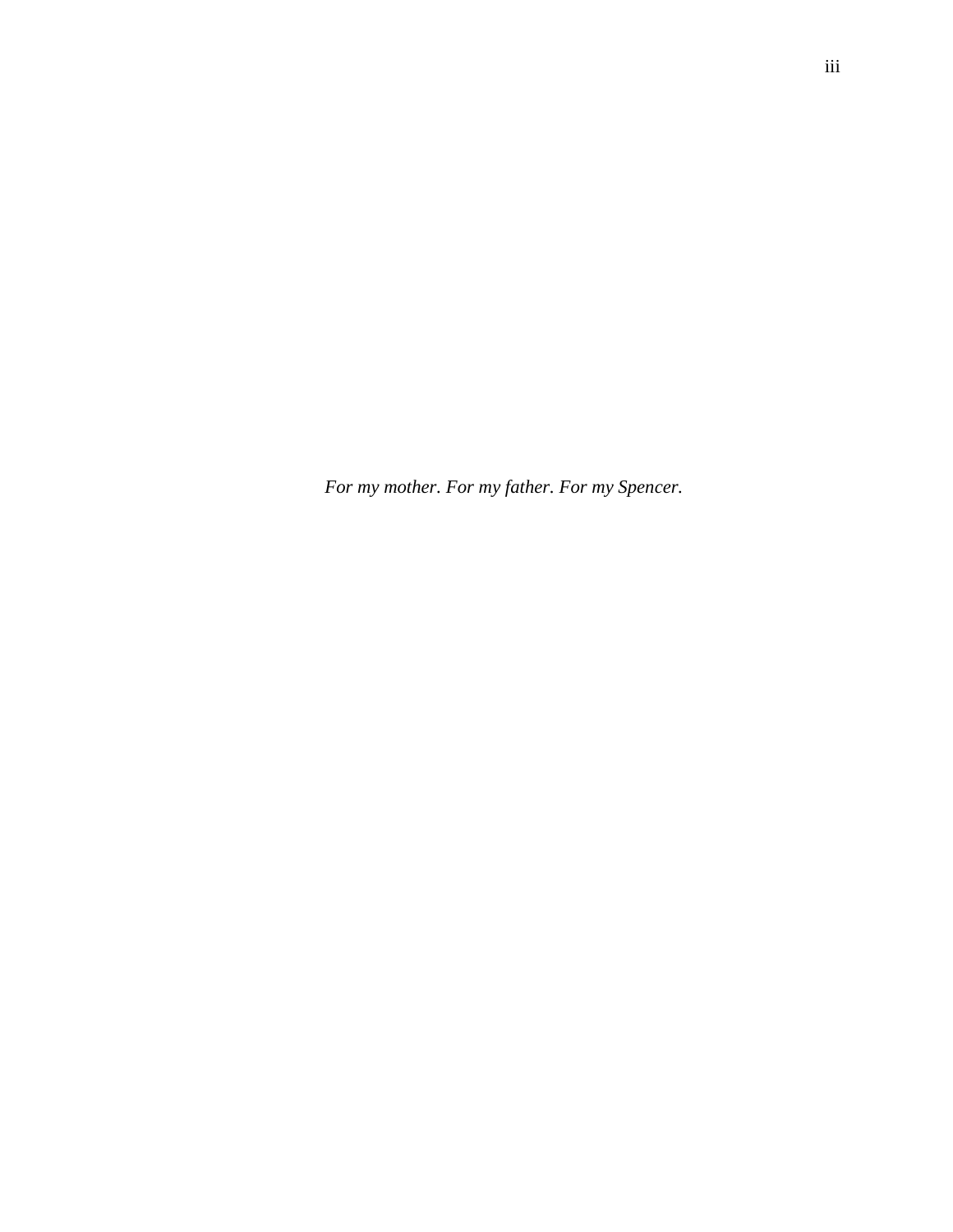*For my mother. For my father. For my Spencer.*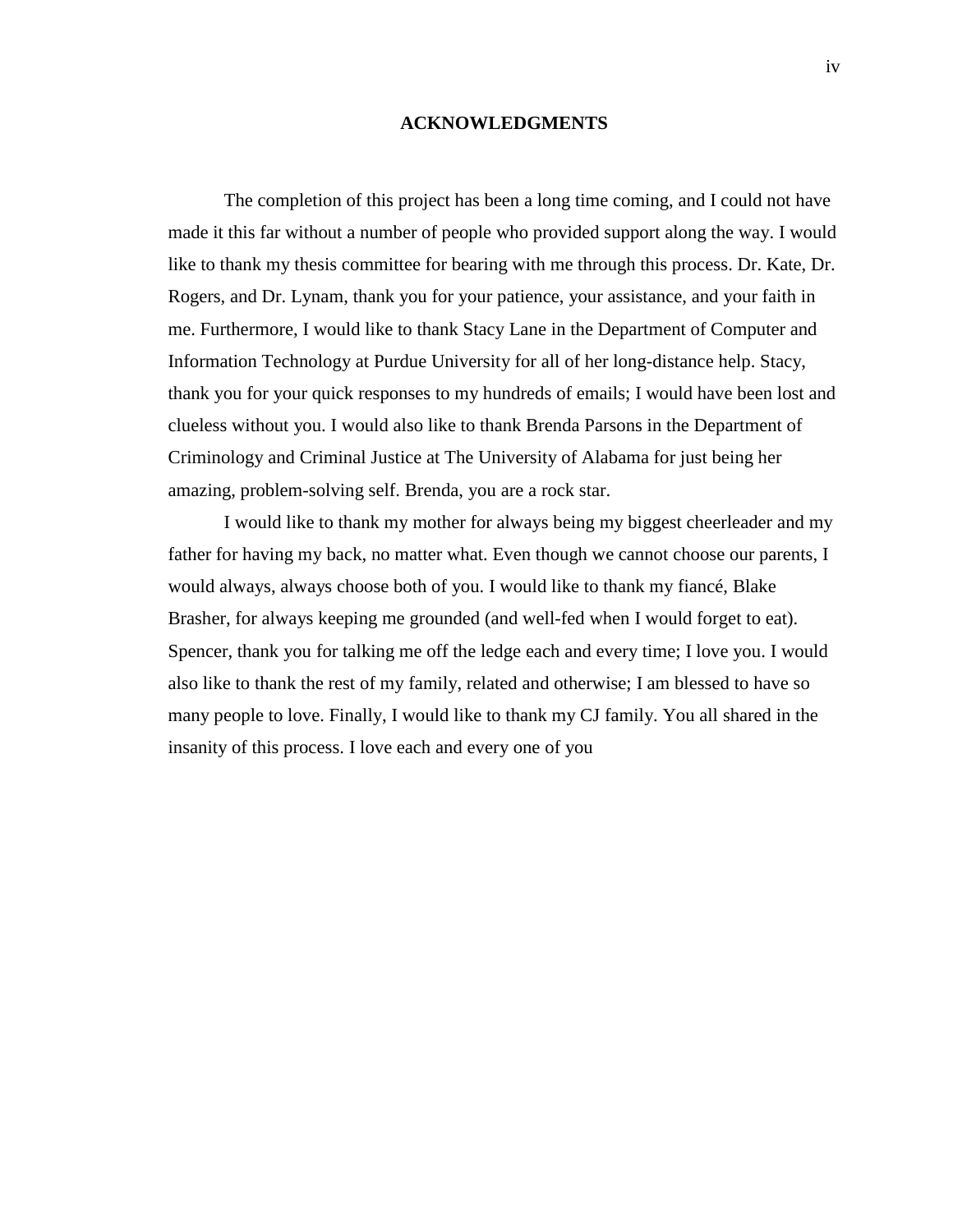#### **ACKNOWLEDGMENTS**

The completion of this project has been a long time coming, and I could not have made it this far without a number of people who provided support along the way. I would like to thank my thesis committee for bearing with me through this process. Dr. Kate, Dr. Rogers, and Dr. Lynam, thank you for your patience, your assistance, and your faith in me. Furthermore, I would like to thank Stacy Lane in the Department of Computer and Information Technology at Purdue University for all of her long-distance help. Stacy, thank you for your quick responses to my hundreds of emails; I would have been lost and clueless without you. I would also like to thank Brenda Parsons in the Department of Criminology and Criminal Justice at The University of Alabama for just being her amazing, problem-solving self. Brenda, you are a rock star.

I would like to thank my mother for always being my biggest cheerleader and my father for having my back, no matter what. Even though we cannot choose our parents, I would always, always choose both of you. I would like to thank my fiancé, Blake Brasher, for always keeping me grounded (and well-fed when I would forget to eat). Spencer, thank you for talking me off the ledge each and every time; I love you. I would also like to thank the rest of my family, related and otherwise; I am blessed to have so many people to love. Finally, I would like to thank my CJ family. You all shared in the insanity of this process. I love each and every one of you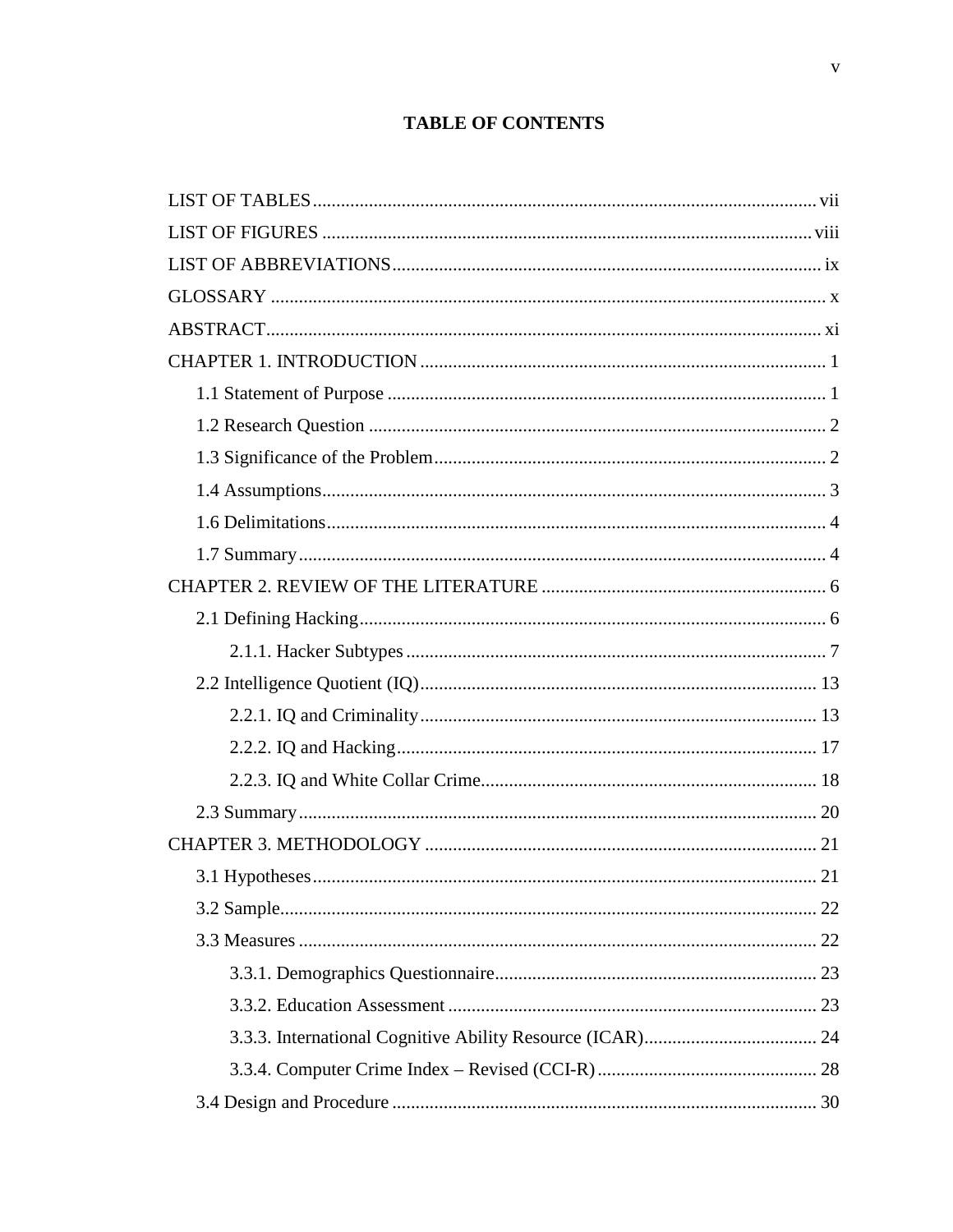# **TABLE OF CONTENTS**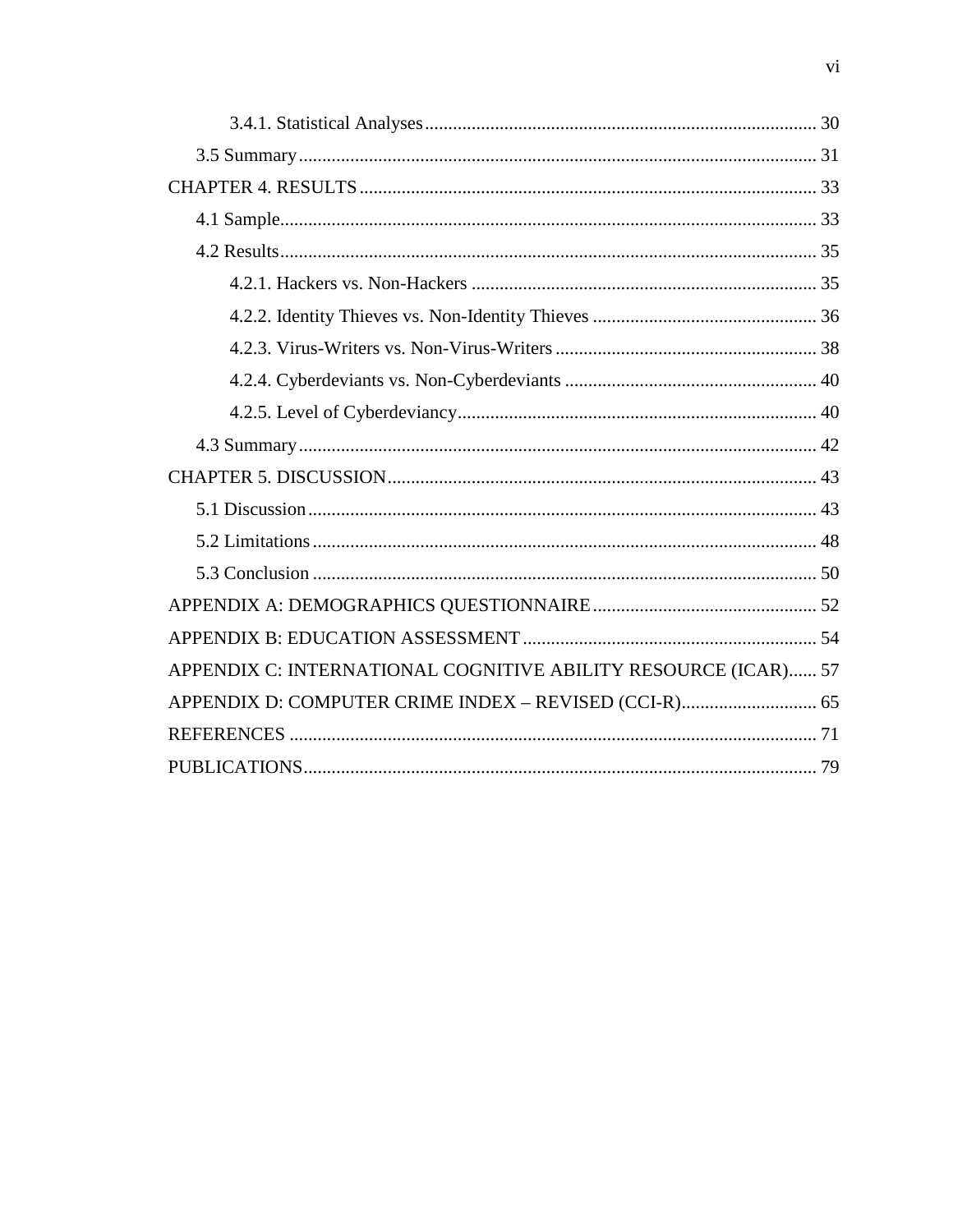| APPENDIX C: INTERNATIONAL COGNITIVE ABILITY RESOURCE (ICAR) 57 |
|----------------------------------------------------------------|
| APPENDIX D: COMPUTER CRIME INDEX - REVISED (CCI-R) 65          |
|                                                                |
|                                                                |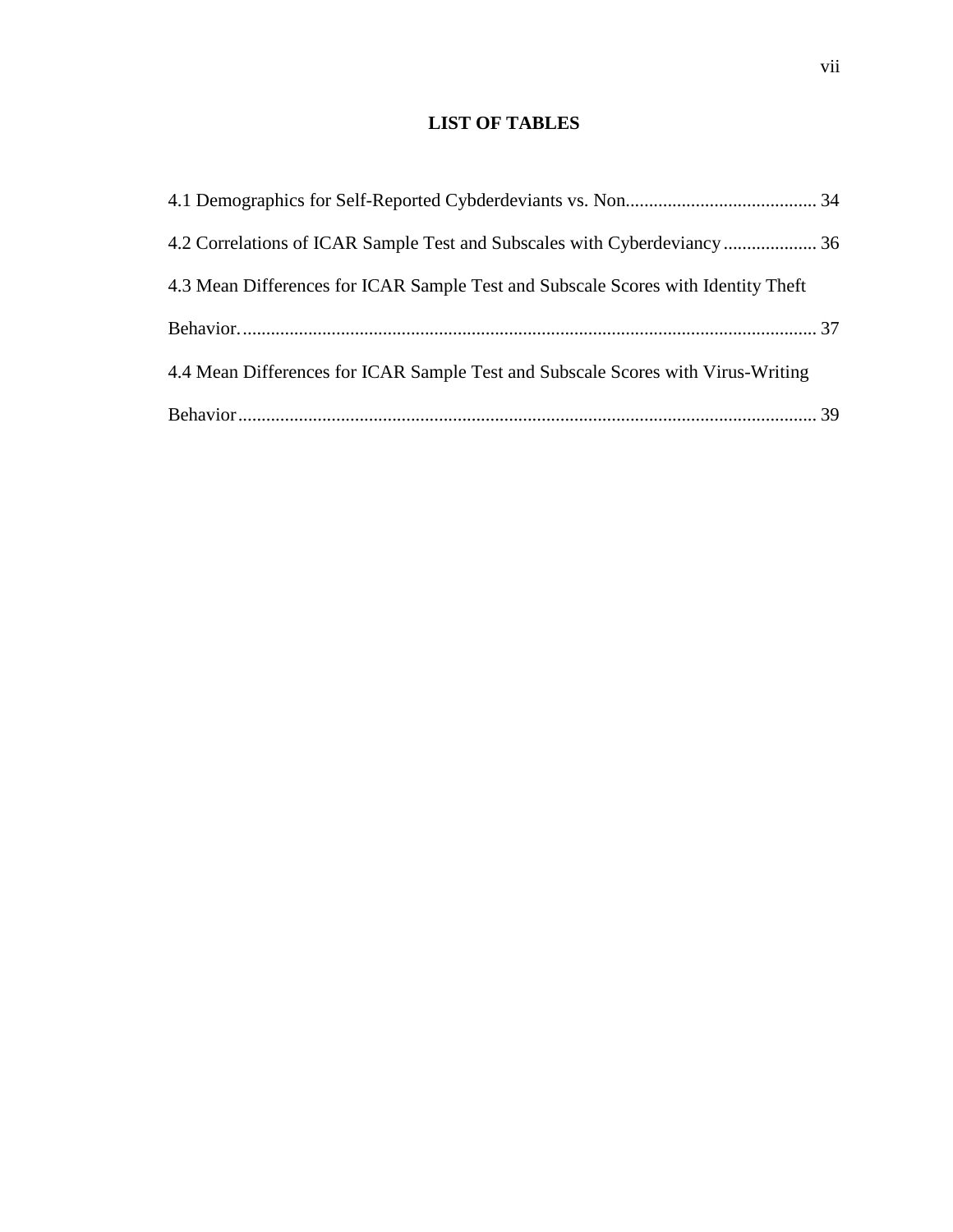## **LIST OF TABLES**

<span id="page-7-0"></span>

| 4.3 Mean Differences for ICAR Sample Test and Subscale Scores with Identity Theft |  |
|-----------------------------------------------------------------------------------|--|
|                                                                                   |  |
| 4.4 Mean Differences for ICAR Sample Test and Subscale Scores with Virus-Writing  |  |
|                                                                                   |  |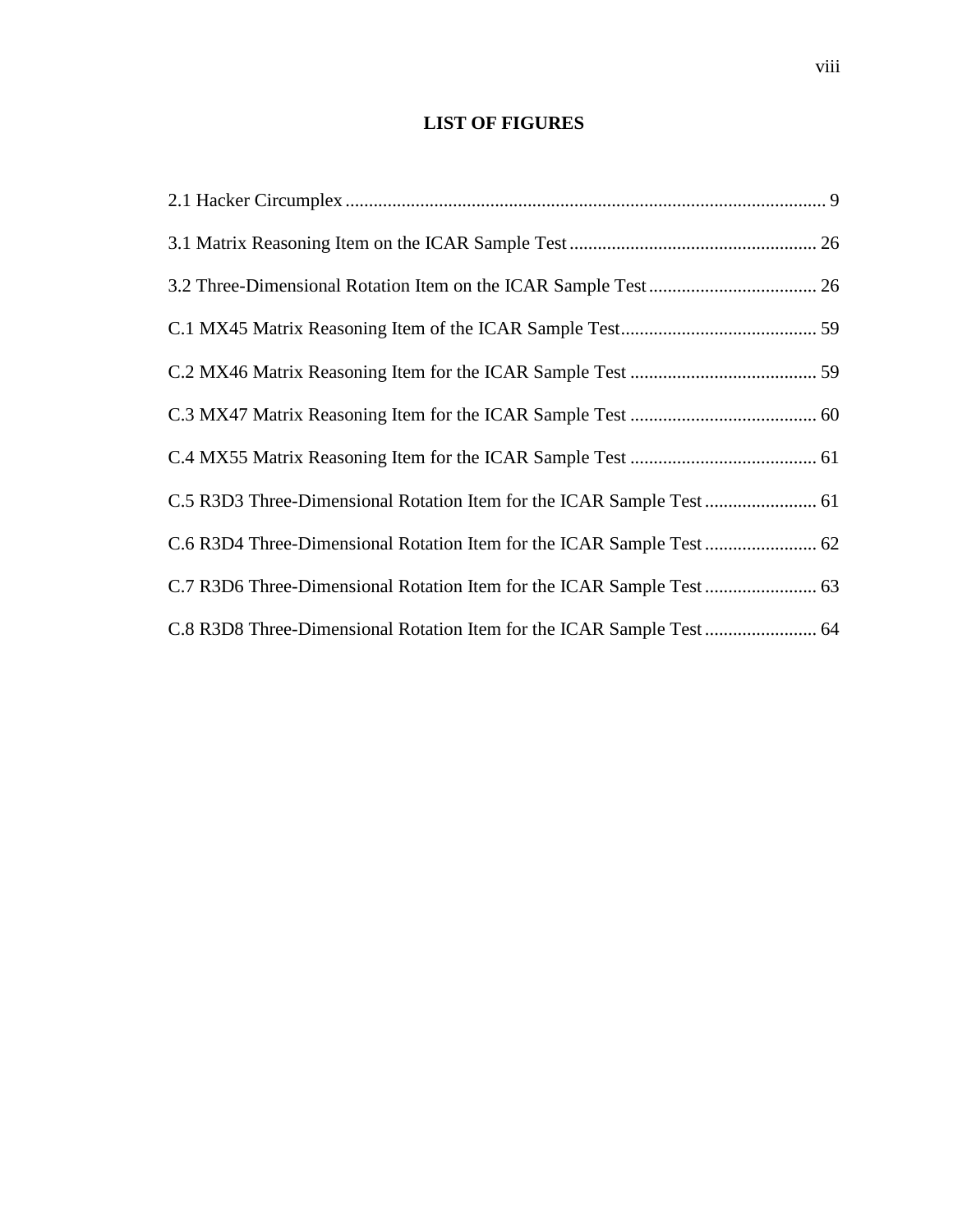## **LIST OF FIGURES**

<span id="page-8-0"></span>

| C.8 R3D8 Three-Dimensional Rotation Item for the ICAR Sample Test  64 |  |
|-----------------------------------------------------------------------|--|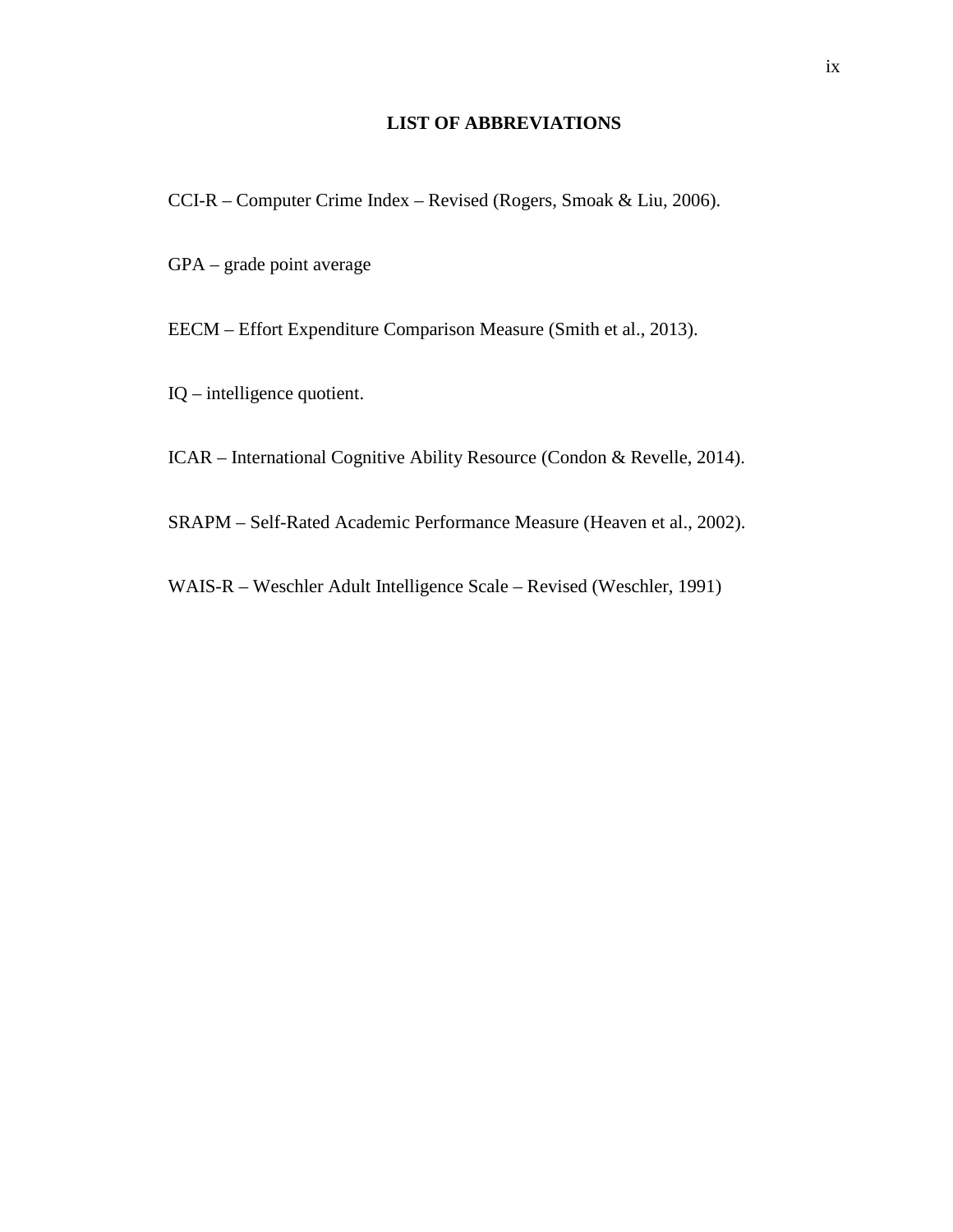## **LIST OF ABBREVIATIONS**

- <span id="page-9-0"></span>CCI-R – Computer Crime Index – Revised (Rogers, Smoak & Liu, 2006).
- GPA grade point average
- EECM Effort Expenditure Comparison Measure (Smith et al., 2013).
- IQ intelligence quotient.
- ICAR International Cognitive Ability Resource (Condon & Revelle, 2014).
- SRAPM Self-Rated Academic Performance Measure (Heaven et al., 2002).
- WAIS-R Weschler Adult Intelligence Scale Revised (Weschler, 1991)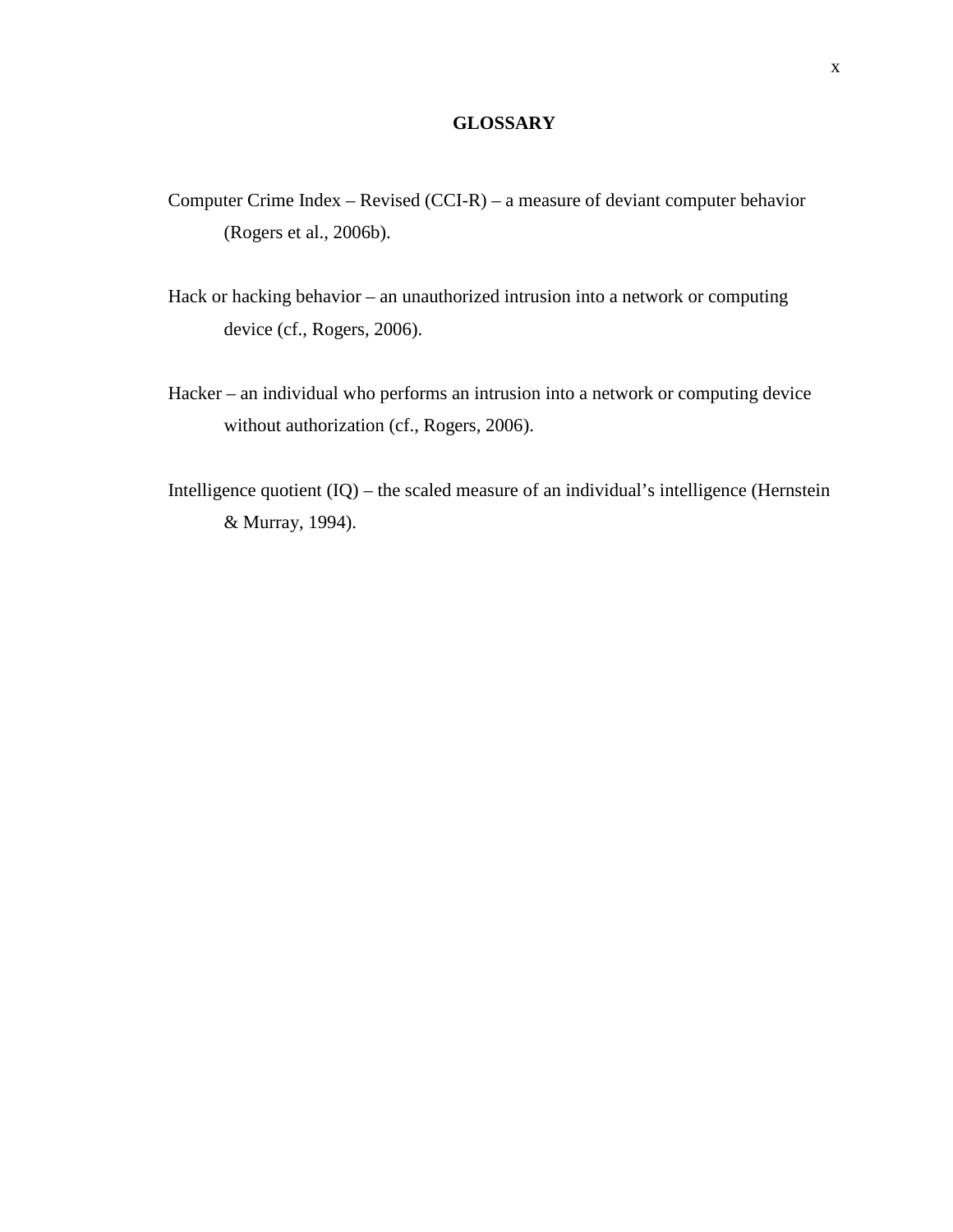## **GLOSSARY**

- <span id="page-10-0"></span>Computer Crime Index – Revised (CCI-R) – a measure of deviant computer behavior (Rogers et al., 2006b).
- Hack or hacking behavior an unauthorized intrusion into a network or computing device (cf., Rogers, 2006).
- Hacker an individual who performs an intrusion into a network or computing device without authorization (cf., Rogers, 2006).
- Intelligence quotient (IQ) the scaled measure of an individual's intelligence (Hernstein & Murray, 1994).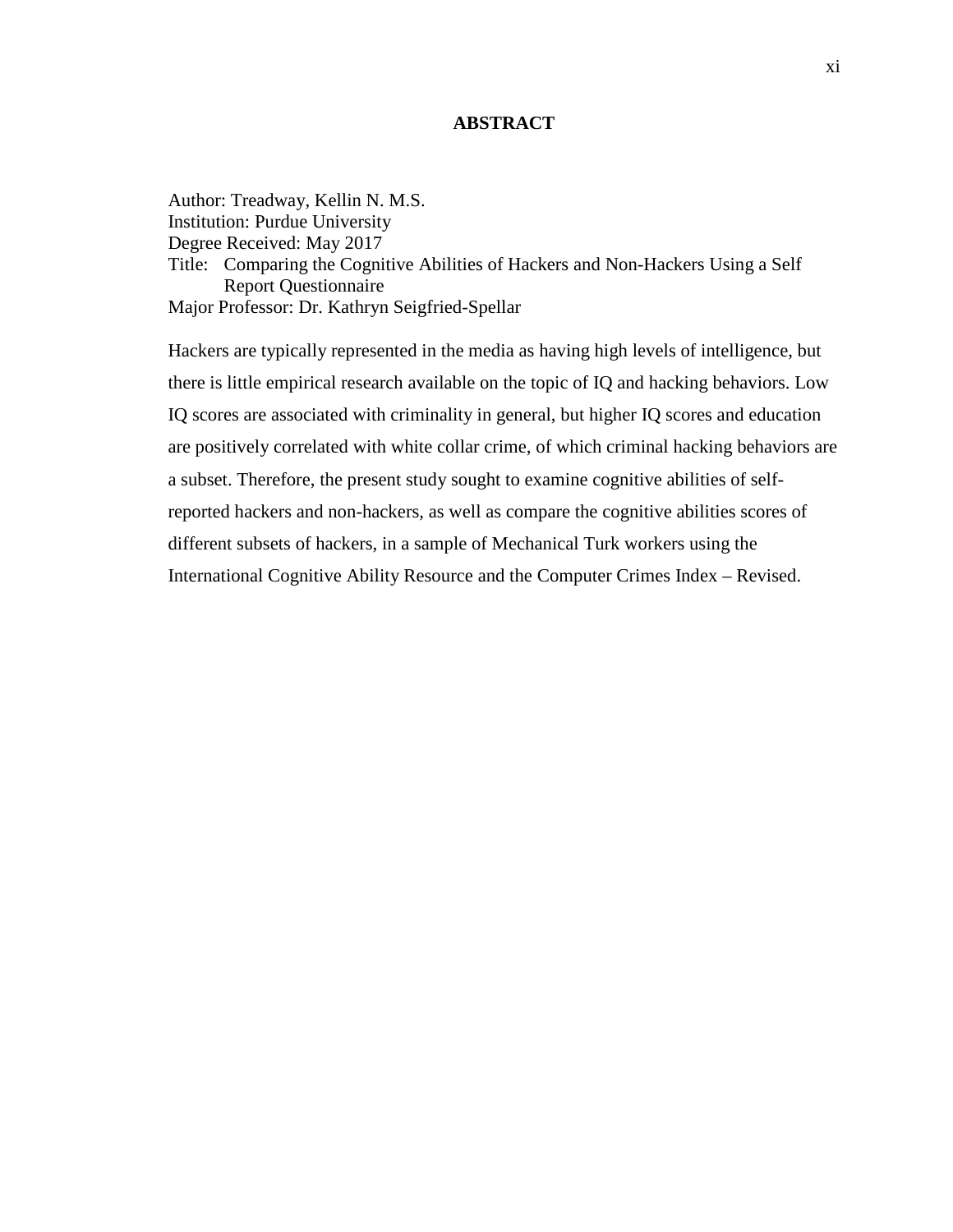## **ABSTRACT**

<span id="page-11-0"></span>Author: Treadway, Kellin N. M.S. Institution: Purdue University Degree Received: May 2017 Title: Comparing the Cognitive Abilities of Hackers and Non-Hackers Using a Self Report Questionnaire Major Professor: Dr. Kathryn Seigfried-Spellar

Hackers are typically represented in the media as having high levels of intelligence, but there is little empirical research available on the topic of IQ and hacking behaviors. Low IQ scores are associated with criminality in general, but higher IQ scores and education are positively correlated with white collar crime, of which criminal hacking behaviors are a subset. Therefore, the present study sought to examine cognitive abilities of selfreported hackers and non-hackers, as well as compare the cognitive abilities scores of different subsets of hackers, in a sample of Mechanical Turk workers using the International Cognitive Ability Resource and the Computer Crimes Index – Revised.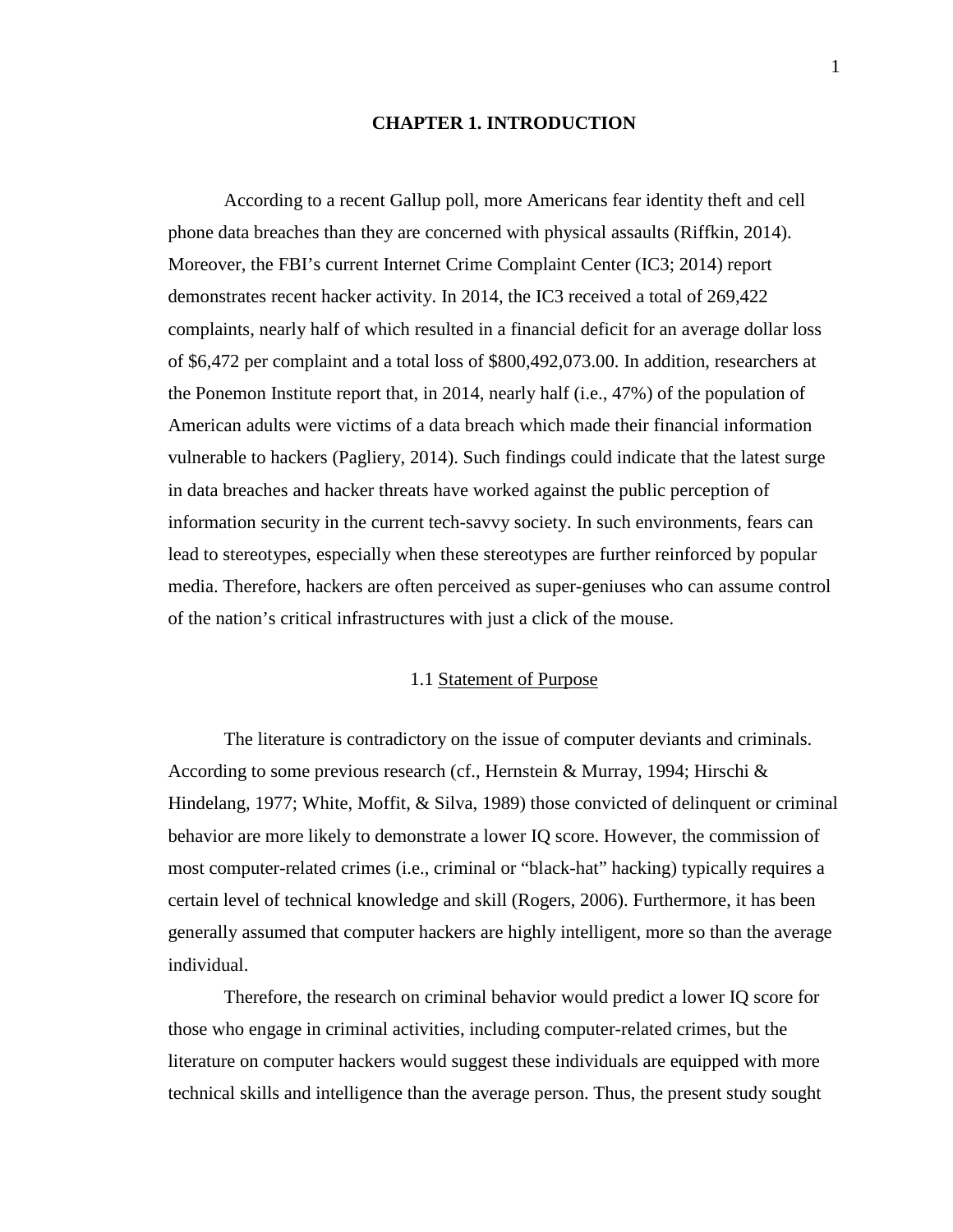### **CHAPTER 1. INTRODUCTION**

<span id="page-12-0"></span>According to a recent Gallup poll, more Americans fear identity theft and cell phone data breaches than they are concerned with physical assaults (Riffkin, 2014). Moreover, the FBI's current Internet Crime Complaint Center (IC3; 2014) report demonstrates recent hacker activity. In 2014, the IC3 received a total of 269,422 complaints, nearly half of which resulted in a financial deficit for an average dollar loss of \$6,472 per complaint and a total loss of \$800,492,073.00. In addition, researchers at the Ponemon Institute report that, in 2014, nearly half (i.e., 47%) of the population of American adults were victims of a data breach which made their financial information vulnerable to hackers (Pagliery, 2014). Such findings could indicate that the latest surge in data breaches and hacker threats have worked against the public perception of information security in the current tech-savvy society. In such environments, fears can lead to stereotypes, especially when these stereotypes are further reinforced by popular media. Therefore, hackers are often perceived as super-geniuses who can assume control of the nation's critical infrastructures with just a click of the mouse.

## 1.1 Statement of Purpose

<span id="page-12-1"></span>The literature is contradictory on the issue of computer deviants and criminals. According to some previous research (cf., Hernstein & Murray, 1994; Hirschi & Hindelang, 1977; White, Moffit, & Silva, 1989) those convicted of delinquent or criminal behavior are more likely to demonstrate a lower IQ score. However, the commission of most computer-related crimes (i.e., criminal or "black-hat" hacking) typically requires a certain level of technical knowledge and skill (Rogers, 2006). Furthermore, it has been generally assumed that computer hackers are highly intelligent, more so than the average individual.

Therefore, the research on criminal behavior would predict a lower IQ score for those who engage in criminal activities, including computer-related crimes, but the literature on computer hackers would suggest these individuals are equipped with more technical skills and intelligence than the average person. Thus, the present study sought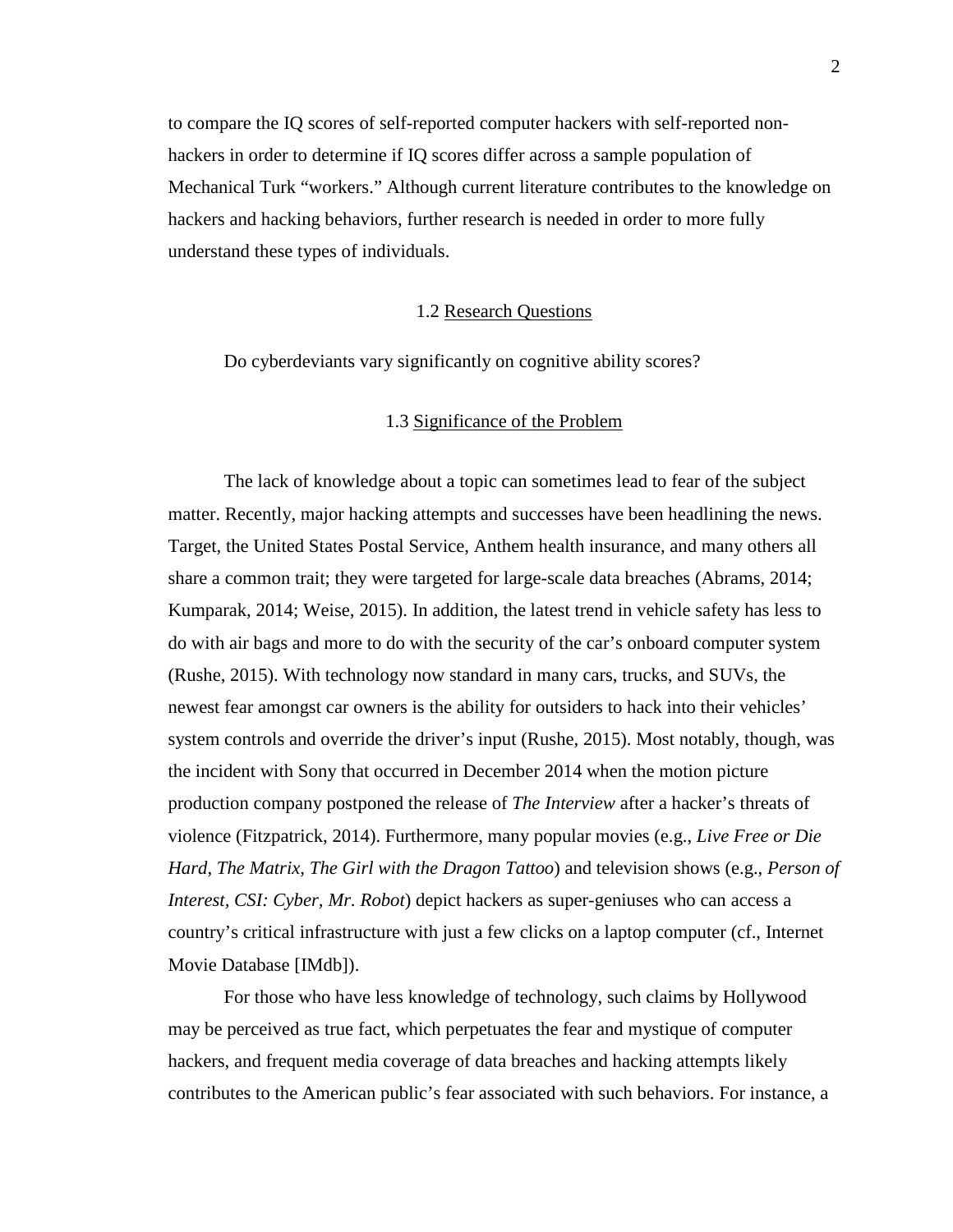to compare the IQ scores of self-reported computer hackers with self-reported nonhackers in order to determine if IQ scores differ across a sample population of Mechanical Turk "workers." Although current literature contributes to the knowledge on hackers and hacking behaviors, further research is needed in order to more fully understand these types of individuals.

#### 1.2 Research Questions

<span id="page-13-0"></span>Do cyberdeviants vary significantly on cognitive ability scores?

## 1.3 Significance of the Problem

<span id="page-13-1"></span>The lack of knowledge about a topic can sometimes lead to fear of the subject matter. Recently, major hacking attempts and successes have been headlining the news. Target, the United States Postal Service, Anthem health insurance, and many others all share a common trait; they were targeted for large-scale data breaches (Abrams, 2014; Kumparak, 2014; Weise, 2015). In addition, the latest trend in vehicle safety has less to do with air bags and more to do with the security of the car's onboard computer system (Rushe, 2015). With technology now standard in many cars, trucks, and SUVs, the newest fear amongst car owners is the ability for outsiders to hack into their vehicles' system controls and override the driver's input (Rushe, 2015). Most notably, though, was the incident with Sony that occurred in December 2014 when the motion picture production company postponed the release of *The Interview* after a hacker's threats of violence (Fitzpatrick, 2014). Furthermore, many popular movies (e.g., *Live Free or Die Hard*, *The Matrix, The Girl with the Dragon Tattoo*) and television shows (e.g., *Person of Interest, CSI: Cyber, Mr. Robot*) depict hackers as super-geniuses who can access a country's critical infrastructure with just a few clicks on a laptop computer (cf., Internet Movie Database [IMdb]).

For those who have less knowledge of technology, such claims by Hollywood may be perceived as true fact, which perpetuates the fear and mystique of computer hackers, and frequent media coverage of data breaches and hacking attempts likely contributes to the American public's fear associated with such behaviors. For instance, a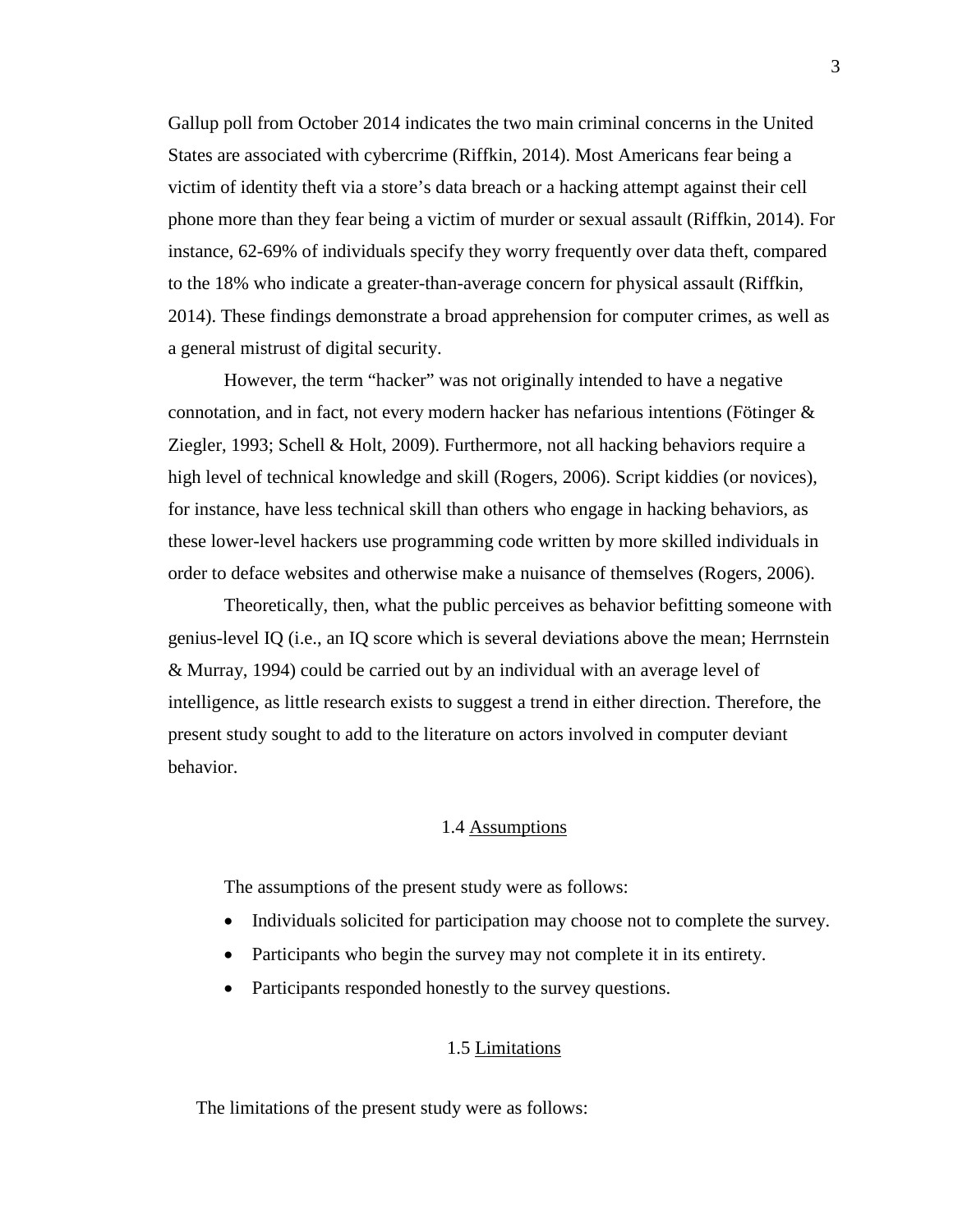Gallup poll from October 2014 indicates the two main criminal concerns in the United States are associated with cybercrime (Riffkin, 2014). Most Americans fear being a victim of identity theft via a store's data breach or a hacking attempt against their cell phone more than they fear being a victim of murder or sexual assault (Riffkin, 2014). For instance, 62-69% of individuals specify they worry frequently over data theft, compared to the 18% who indicate a greater-than-average concern for physical assault (Riffkin, 2014). These findings demonstrate a broad apprehension for computer crimes, as well as a general mistrust of digital security.

However, the term "hacker" was not originally intended to have a negative connotation, and in fact, not every modern hacker has nefarious intentions (Fötinger & Ziegler, 1993; Schell & Holt, 2009). Furthermore, not all hacking behaviors require a high level of technical knowledge and skill (Rogers, 2006). Script kiddies (or novices), for instance, have less technical skill than others who engage in hacking behaviors, as these lower-level hackers use programming code written by more skilled individuals in order to deface websites and otherwise make a nuisance of themselves (Rogers, 2006).

Theoretically, then, what the public perceives as behavior befitting someone with genius-level IQ (i.e., an IQ score which is several deviations above the mean; Herrnstein & Murray, 1994) could be carried out by an individual with an average level of intelligence, as little research exists to suggest a trend in either direction. Therefore, the present study sought to add to the literature on actors involved in computer deviant behavior.

## 1.4 Assumptions

<span id="page-14-0"></span>The assumptions of the present study were as follows:

- Individuals solicited for participation may choose not to complete the survey.
- Participants who begin the survey may not complete it in its entirety.
- Participants responded honestly to the survey questions.

## 1.5 Limitations

The limitations of the present study were as follows: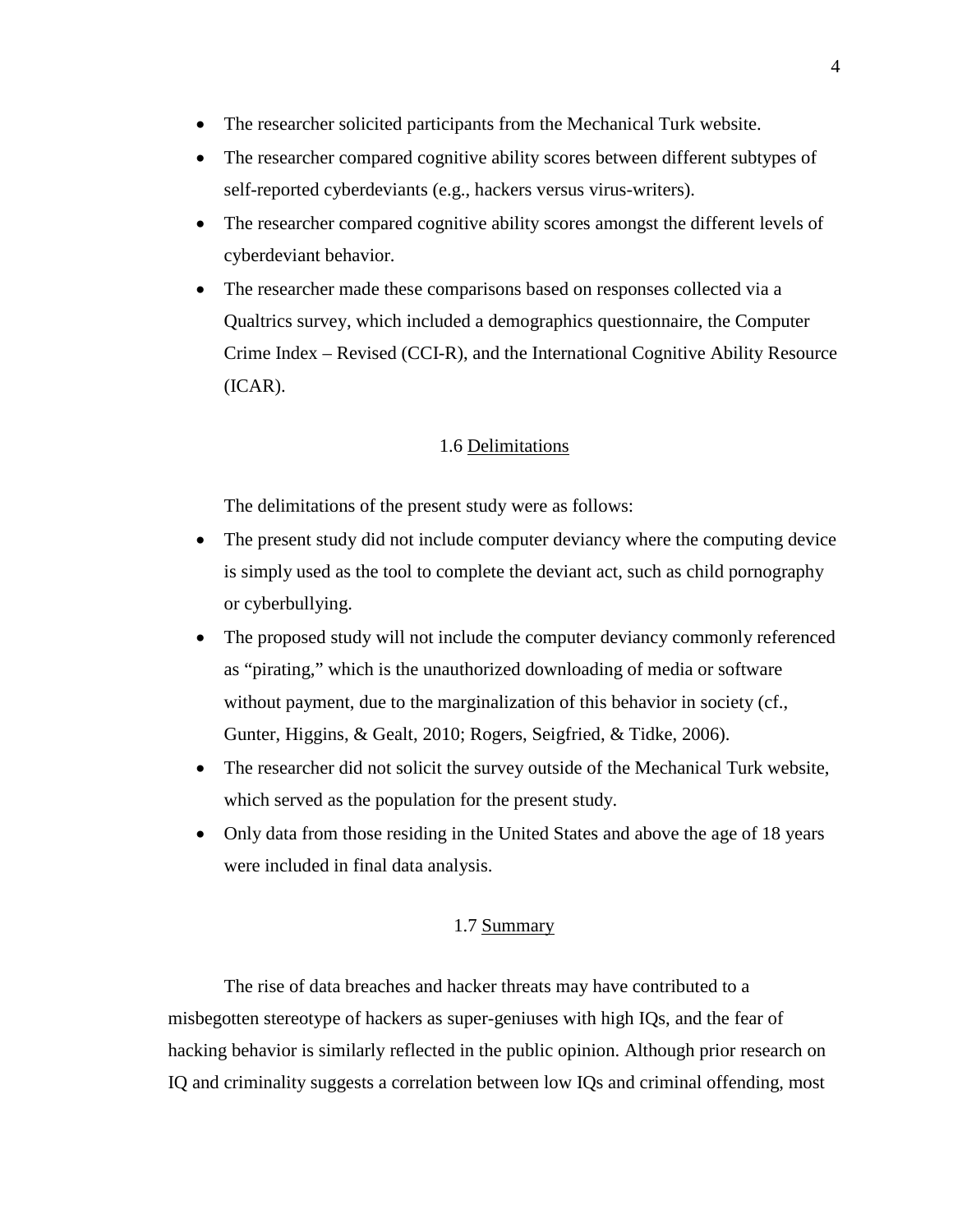- The researcher solicited participants from the Mechanical Turk website.
- The researcher compared cognitive ability scores between different subtypes of self-reported cyberdeviants (e.g., hackers versus virus-writers).
- The researcher compared cognitive ability scores amongst the different levels of cyberdeviant behavior.
- The researcher made these comparisons based on responses collected via a Qualtrics survey, which included a demographics questionnaire, the Computer Crime Index – Revised (CCI-R), and the International Cognitive Ability Resource (ICAR).

## 1.6 Delimitations

<span id="page-15-0"></span>The delimitations of the present study were as follows:

- The present study did not include computer deviancy where the computing device is simply used as the tool to complete the deviant act, such as child pornography or cyberbullying.
- The proposed study will not include the computer deviancy commonly referenced as "pirating," which is the unauthorized downloading of media or software without payment, due to the marginalization of this behavior in society (cf., Gunter, Higgins, & Gealt, 2010; Rogers, Seigfried, & Tidke, 2006).
- The researcher did not solicit the survey outside of the Mechanical Turk website, which served as the population for the present study.
- <span id="page-15-1"></span>• Only data from those residing in the United States and above the age of 18 years were included in final data analysis.

## 1.7 Summary

The rise of data breaches and hacker threats may have contributed to a misbegotten stereotype of hackers as super-geniuses with high IQs, and the fear of hacking behavior is similarly reflected in the public opinion. Although prior research on IQ and criminality suggests a correlation between low IQs and criminal offending, most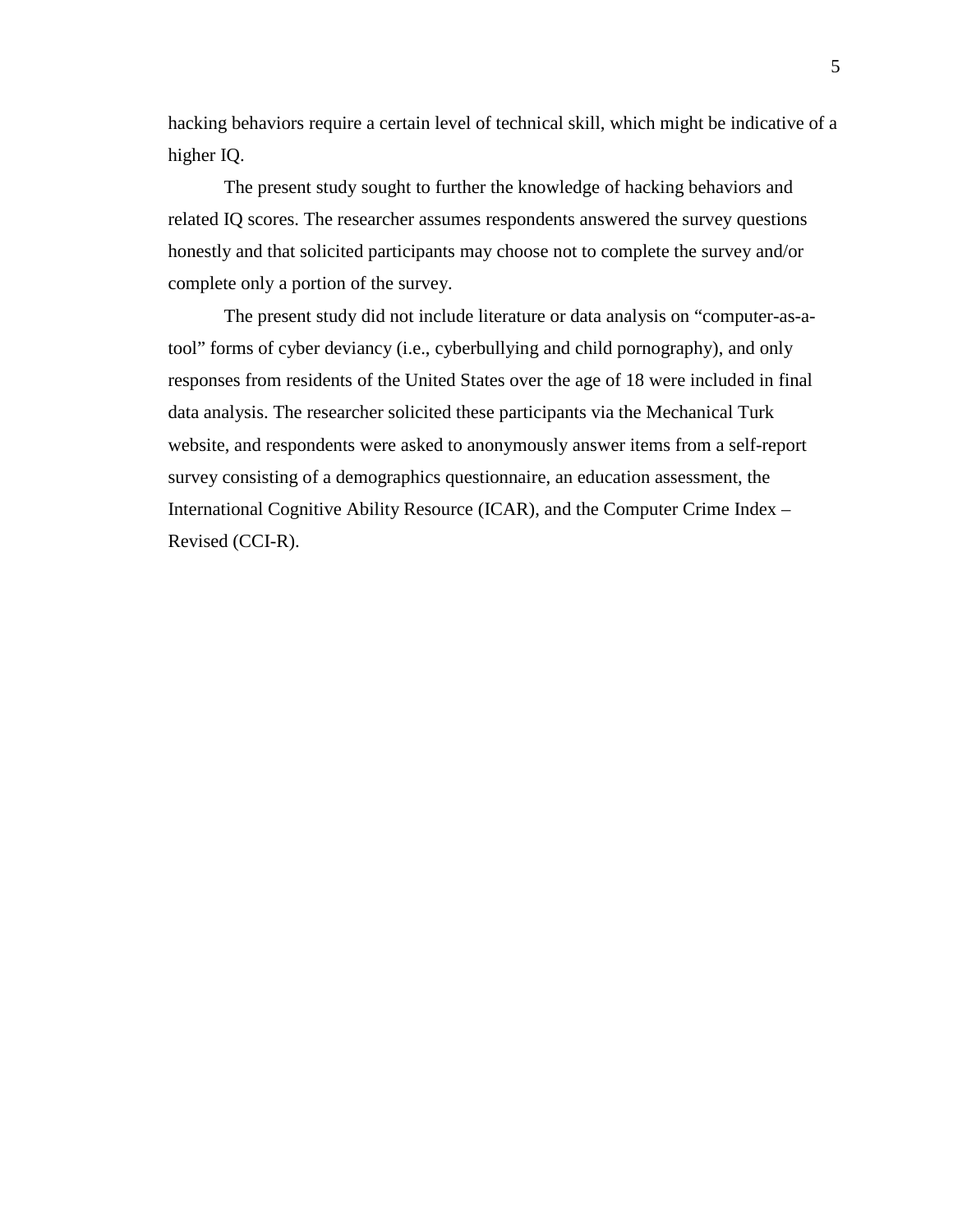hacking behaviors require a certain level of technical skill, which might be indicative of a higher IQ.

The present study sought to further the knowledge of hacking behaviors and related IQ scores. The researcher assumes respondents answered the survey questions honestly and that solicited participants may choose not to complete the survey and/or complete only a portion of the survey.

The present study did not include literature or data analysis on "computer-as-atool" forms of cyber deviancy (i.e., cyberbullying and child pornography), and only responses from residents of the United States over the age of 18 were included in final data analysis. The researcher solicited these participants via the Mechanical Turk website, and respondents were asked to anonymously answer items from a self-report survey consisting of a demographics questionnaire, an education assessment, the International Cognitive Ability Resource (ICAR), and the Computer Crime Index – Revised (CCI-R).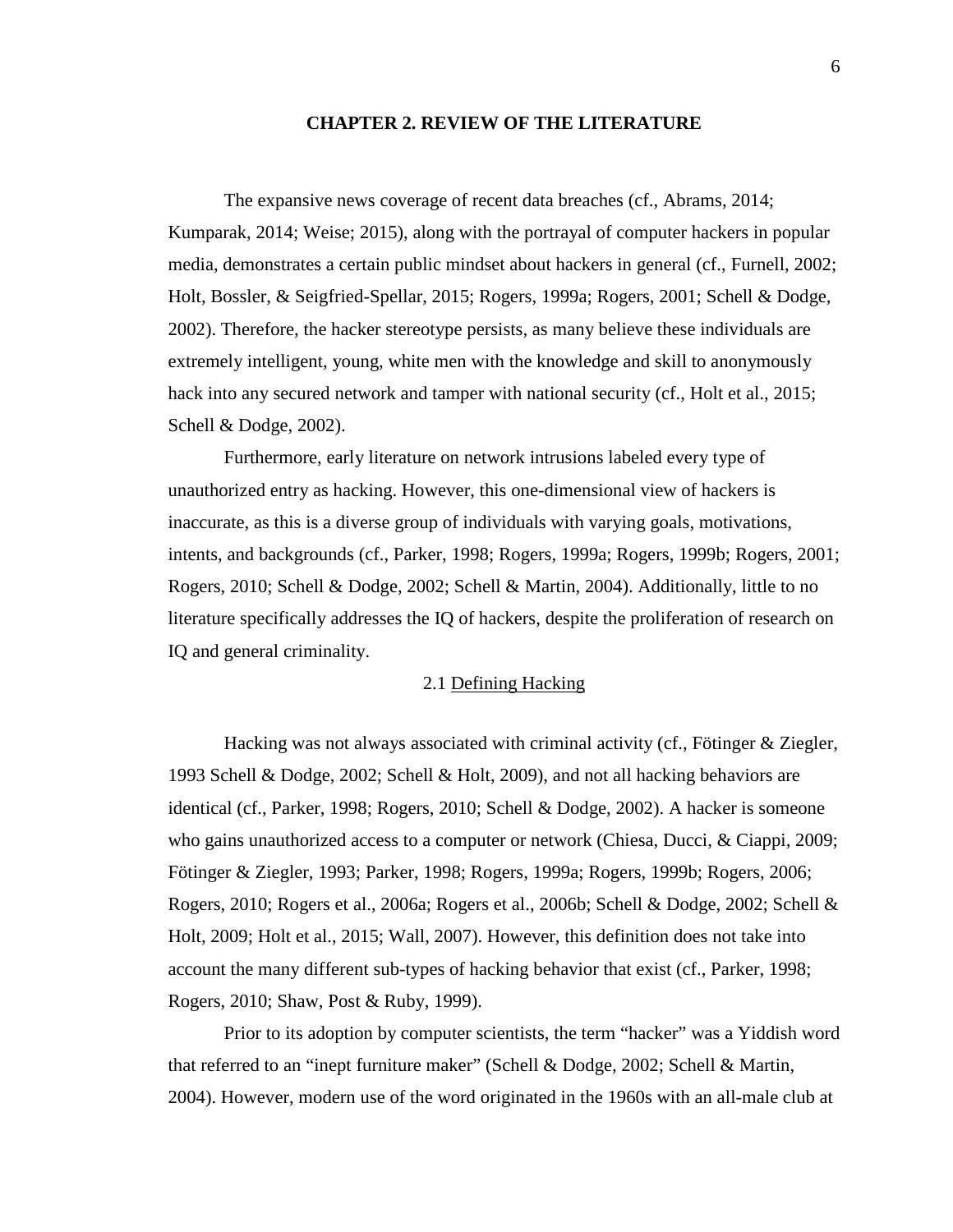#### **CHAPTER 2. REVIEW OF THE LITERATURE**

<span id="page-17-0"></span>The expansive news coverage of recent data breaches (cf., Abrams, 2014; Kumparak, 2014; Weise; 2015), along with the portrayal of computer hackers in popular media, demonstrates a certain public mindset about hackers in general (cf., Furnell, 2002; Holt, Bossler, & Seigfried-Spellar, 2015; Rogers, 1999a; Rogers, 2001; Schell & Dodge, 2002). Therefore, the hacker stereotype persists, as many believe these individuals are extremely intelligent, young, white men with the knowledge and skill to anonymously hack into any secured network and tamper with national security (cf., Holt et al., 2015; Schell & Dodge, 2002).

Furthermore, early literature on network intrusions labeled every type of unauthorized entry as hacking. However, this one-dimensional view of hackers is inaccurate, as this is a diverse group of individuals with varying goals, motivations, intents, and backgrounds (cf., Parker, 1998; Rogers, 1999a; Rogers, 1999b; Rogers, 2001; Rogers, 2010; Schell & Dodge, 2002; Schell & Martin, 2004). Additionally, little to no literature specifically addresses the IQ of hackers, despite the proliferation of research on IQ and general criminality.

## 2.1 Defining Hacking

<span id="page-17-1"></span>Hacking was not always associated with criminal activity (cf., Fötinger & Ziegler, 1993 Schell & Dodge, 2002; Schell & Holt, 2009), and not all hacking behaviors are identical (cf., Parker, 1998; Rogers, 2010; Schell & Dodge, 2002). A hacker is someone who gains unauthorized access to a computer or network (Chiesa, Ducci, & Ciappi, 2009; Fötinger & Ziegler, 1993; Parker, 1998; Rogers, 1999a; Rogers, 1999b; Rogers, 2006; Rogers, 2010; Rogers et al., 2006a; Rogers et al., 2006b; Schell & Dodge, 2002; Schell & Holt, 2009; Holt et al., 2015; Wall, 2007). However, this definition does not take into account the many different sub-types of hacking behavior that exist (cf., Parker, 1998; Rogers, 2010; Shaw, Post & Ruby, 1999).

Prior to its adoption by computer scientists, the term "hacker" was a Yiddish word that referred to an "inept furniture maker" (Schell & Dodge, 2002; Schell & Martin, 2004). However, modern use of the word originated in the 1960s with an all-male club at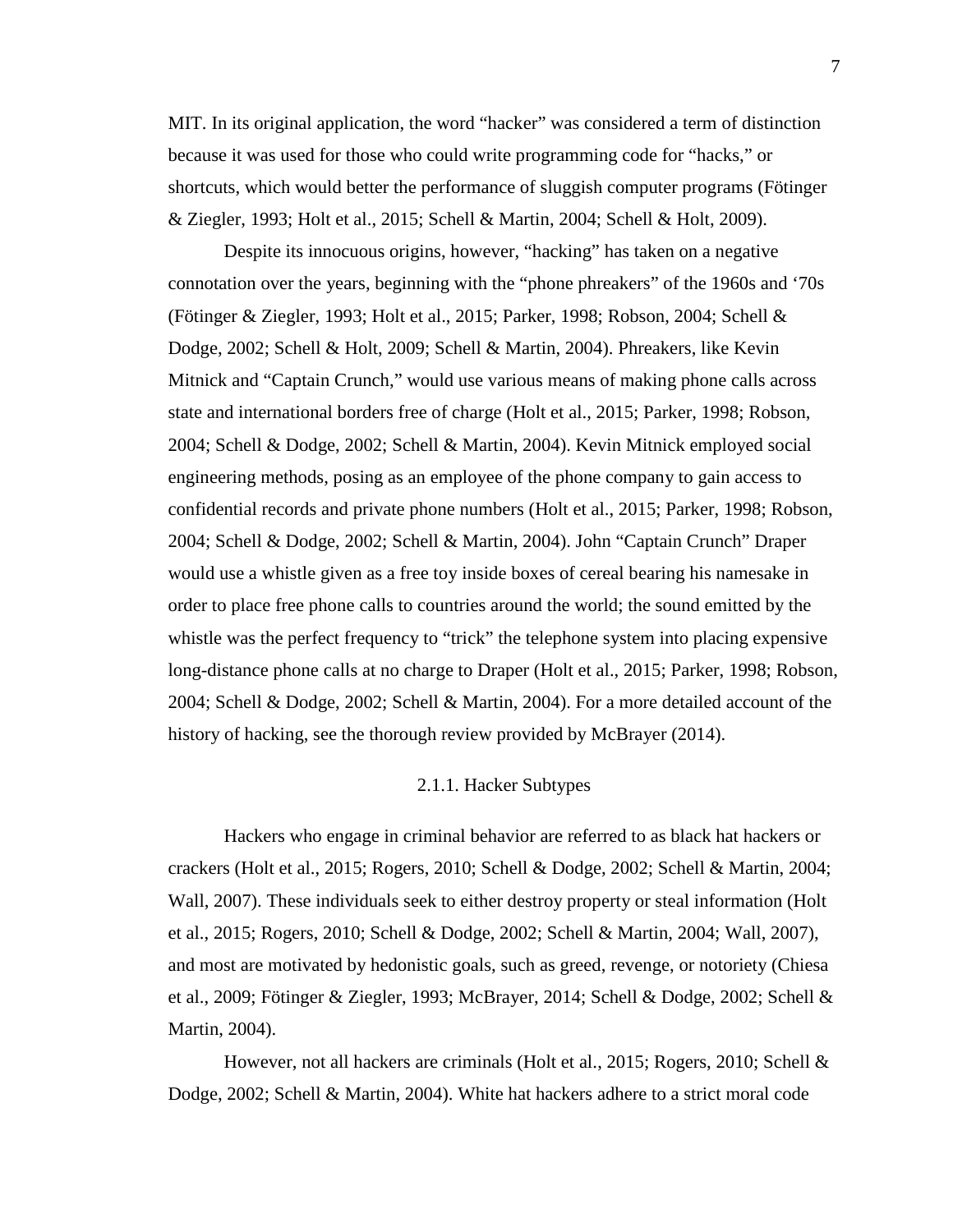MIT. In its original application, the word "hacker" was considered a term of distinction because it was used for those who could write programming code for "hacks," or shortcuts, which would better the performance of sluggish computer programs (Fötinger & Ziegler, 1993; Holt et al., 2015; Schell & Martin, 2004; Schell & Holt, 2009).

Despite its innocuous origins, however, "hacking" has taken on a negative connotation over the years, beginning with the "phone phreakers" of the 1960s and '70s (Fötinger & Ziegler, 1993; Holt et al., 2015; Parker, 1998; Robson, 2004; Schell & Dodge, 2002; Schell & Holt, 2009; Schell & Martin, 2004). Phreakers, like Kevin Mitnick and "Captain Crunch," would use various means of making phone calls across state and international borders free of charge (Holt et al., 2015; Parker, 1998; Robson, 2004; Schell & Dodge, 2002; Schell & Martin, 2004). Kevin Mitnick employed social engineering methods, posing as an employee of the phone company to gain access to confidential records and private phone numbers (Holt et al., 2015; Parker, 1998; Robson, 2004; Schell & Dodge, 2002; Schell & Martin, 2004). John "Captain Crunch" Draper would use a whistle given as a free toy inside boxes of cereal bearing his namesake in order to place free phone calls to countries around the world; the sound emitted by the whistle was the perfect frequency to "trick" the telephone system into placing expensive long-distance phone calls at no charge to Draper (Holt et al., 2015; Parker, 1998; Robson, 2004; Schell & Dodge, 2002; Schell & Martin, 2004). For a more detailed account of the history of hacking, see the thorough review provided by McBrayer (2014).

### 2.1.1. Hacker Subtypes

<span id="page-18-0"></span>Hackers who engage in criminal behavior are referred to as black hat hackers or crackers (Holt et al., 2015; Rogers, 2010; Schell & Dodge, 2002; Schell & Martin, 2004; Wall, 2007). These individuals seek to either destroy property or steal information (Holt et al., 2015; Rogers, 2010; Schell & Dodge, 2002; Schell & Martin, 2004; Wall, 2007), and most are motivated by hedonistic goals, such as greed, revenge, or notoriety (Chiesa et al., 2009; Fötinger & Ziegler, 1993; McBrayer, 2014; Schell & Dodge, 2002; Schell & Martin, 2004).

However, not all hackers are criminals (Holt et al., 2015; Rogers, 2010; Schell & Dodge, 2002; Schell & Martin, 2004). White hat hackers adhere to a strict moral code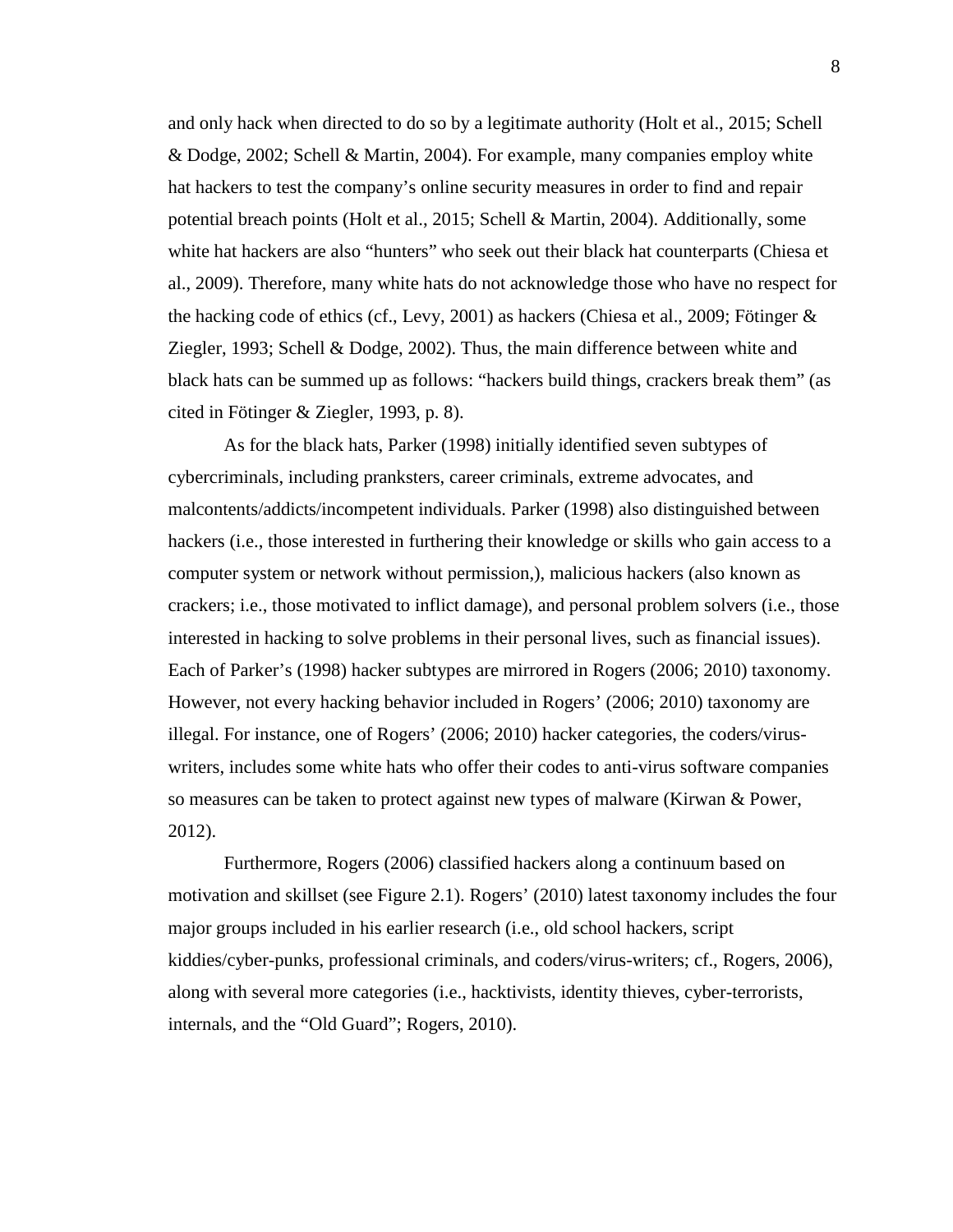and only hack when directed to do so by a legitimate authority (Holt et al., 2015; Schell & Dodge, 2002; Schell & Martin, 2004). For example, many companies employ white hat hackers to test the company's online security measures in order to find and repair potential breach points (Holt et al., 2015; Schell & Martin, 2004). Additionally, some white hat hackers are also "hunters" who seek out their black hat counterparts (Chiesa et al., 2009). Therefore, many white hats do not acknowledge those who have no respect for the hacking code of ethics (cf., Levy, 2001) as hackers (Chiesa et al., 2009; Fötinger & Ziegler, 1993; Schell & Dodge, 2002). Thus, the main difference between white and black hats can be summed up as follows: "hackers build things, crackers break them" (as cited in Fötinger & Ziegler, 1993, p. 8).

As for the black hats, Parker (1998) initially identified seven subtypes of cybercriminals, including pranksters, career criminals, extreme advocates, and malcontents/addicts/incompetent individuals. Parker (1998) also distinguished between hackers (i.e., those interested in furthering their knowledge or skills who gain access to a computer system or network without permission,), malicious hackers (also known as crackers; i.e., those motivated to inflict damage), and personal problem solvers (i.e., those interested in hacking to solve problems in their personal lives, such as financial issues). Each of Parker's (1998) hacker subtypes are mirrored in Rogers (2006; 2010) taxonomy. However, not every hacking behavior included in Rogers' (2006; 2010) taxonomy are illegal. For instance, one of Rogers' (2006; 2010) hacker categories, the coders/viruswriters, includes some white hats who offer their codes to anti-virus software companies so measures can be taken to protect against new types of malware (Kirwan & Power, 2012).

Furthermore, Rogers (2006) classified hackers along a continuum based on motivation and skillset (see Figure 2.1). Rogers' (2010) latest taxonomy includes the four major groups included in his earlier research (i.e., old school hackers, script kiddies/cyber-punks, professional criminals, and coders/virus-writers; cf., Rogers, 2006), along with several more categories (i.e., hacktivists, identity thieves, cyber-terrorists, internals, and the "Old Guard"; Rogers, 2010).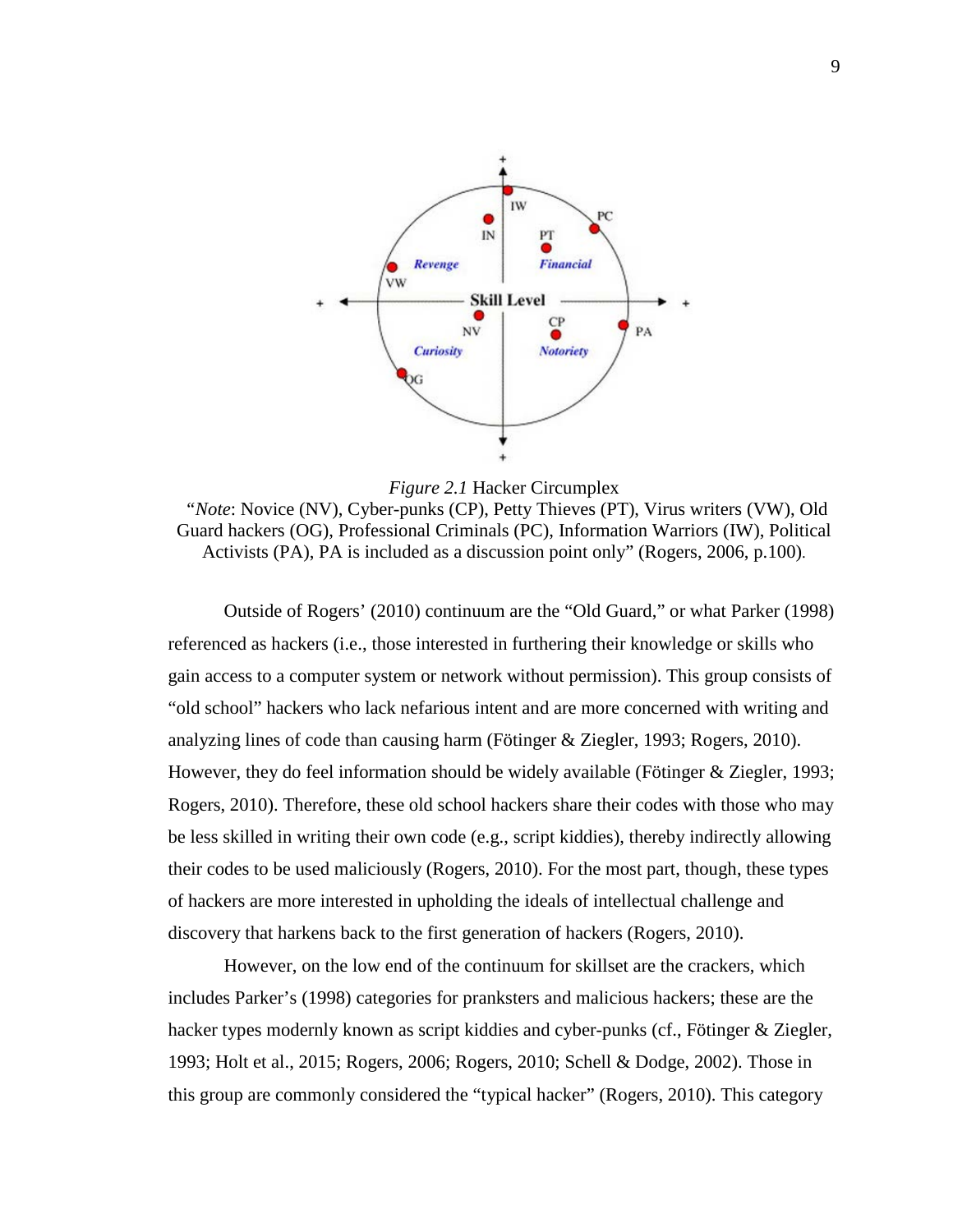

<span id="page-20-0"></span>*Figure 2.1* Hacker Circumplex *"Note*: Novice (NV), Cyber-punks (CP), Petty Thieves (PT), Virus writers (VW), Old Guard hackers (OG), Professional Criminals (PC), Information Warriors (IW), Political Activists (PA), PA is included as a discussion point only" (Rogers, 2006, p.100).

Outside of Rogers' (2010) continuum are the "Old Guard," or what Parker (1998) referenced as hackers (i.e., those interested in furthering their knowledge or skills who gain access to a computer system or network without permission). This group consists of "old school" hackers who lack nefarious intent and are more concerned with writing and analyzing lines of code than causing harm (Fötinger & Ziegler, 1993; Rogers, 2010). However, they do feel information should be widely available (Fötinger & Ziegler, 1993; Rogers, 2010). Therefore, these old school hackers share their codes with those who may be less skilled in writing their own code (e.g., script kiddies), thereby indirectly allowing their codes to be used maliciously (Rogers, 2010). For the most part, though, these types of hackers are more interested in upholding the ideals of intellectual challenge and discovery that harkens back to the first generation of hackers (Rogers, 2010).

However, on the low end of the continuum for skillset are the crackers, which includes Parker's (1998) categories for pranksters and malicious hackers; these are the hacker types modernly known as script kiddies and cyber-punks (cf., Fötinger & Ziegler, 1993; Holt et al., 2015; Rogers, 2006; Rogers, 2010; Schell & Dodge, 2002). Those in this group are commonly considered the "typical hacker" (Rogers, 2010). This category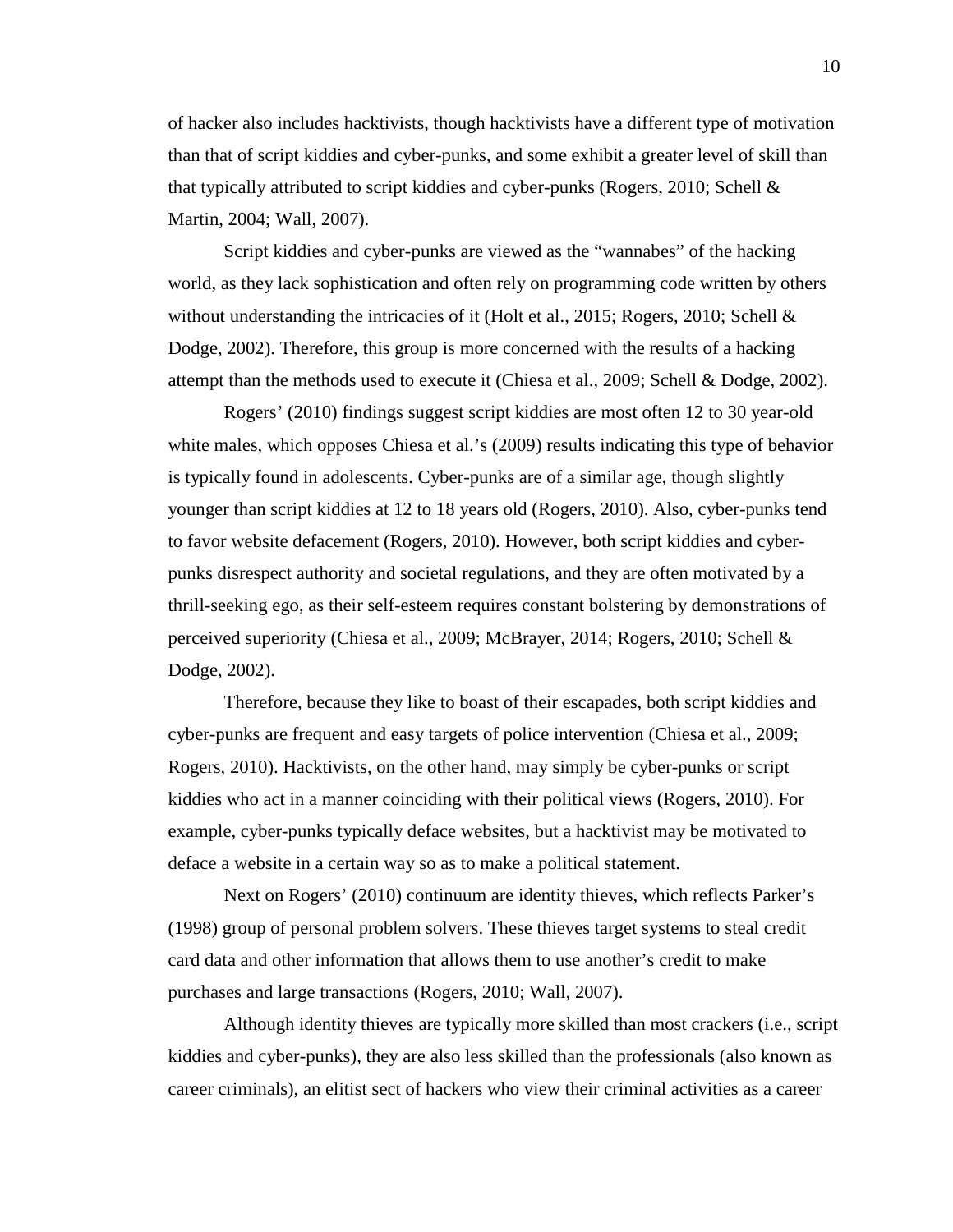of hacker also includes hacktivists, though hacktivists have a different type of motivation than that of script kiddies and cyber-punks, and some exhibit a greater level of skill than that typically attributed to script kiddies and cyber-punks (Rogers, 2010; Schell & Martin, 2004; Wall, 2007).

Script kiddies and cyber-punks are viewed as the "wannabes" of the hacking world, as they lack sophistication and often rely on programming code written by others without understanding the intricacies of it (Holt et al., 2015; Rogers, 2010; Schell & Dodge, 2002). Therefore, this group is more concerned with the results of a hacking attempt than the methods used to execute it (Chiesa et al., 2009; Schell & Dodge, 2002).

Rogers' (2010) findings suggest script kiddies are most often 12 to 30 year-old white males, which opposes Chiesa et al.'s (2009) results indicating this type of behavior is typically found in adolescents. Cyber-punks are of a similar age, though slightly younger than script kiddies at 12 to 18 years old (Rogers, 2010). Also, cyber-punks tend to favor website defacement (Rogers, 2010). However, both script kiddies and cyberpunks disrespect authority and societal regulations, and they are often motivated by a thrill-seeking ego, as their self-esteem requires constant bolstering by demonstrations of perceived superiority (Chiesa et al., 2009; McBrayer, 2014; Rogers, 2010; Schell & Dodge, 2002).

Therefore, because they like to boast of their escapades, both script kiddies and cyber-punks are frequent and easy targets of police intervention (Chiesa et al., 2009; Rogers, 2010). Hacktivists, on the other hand, may simply be cyber-punks or script kiddies who act in a manner coinciding with their political views (Rogers, 2010). For example, cyber-punks typically deface websites, but a hacktivist may be motivated to deface a website in a certain way so as to make a political statement.

Next on Rogers' (2010) continuum are identity thieves, which reflects Parker's (1998) group of personal problem solvers. These thieves target systems to steal credit card data and other information that allows them to use another's credit to make purchases and large transactions (Rogers, 2010; Wall, 2007).

Although identity thieves are typically more skilled than most crackers (i.e., script kiddies and cyber-punks), they are also less skilled than the professionals (also known as career criminals), an elitist sect of hackers who view their criminal activities as a career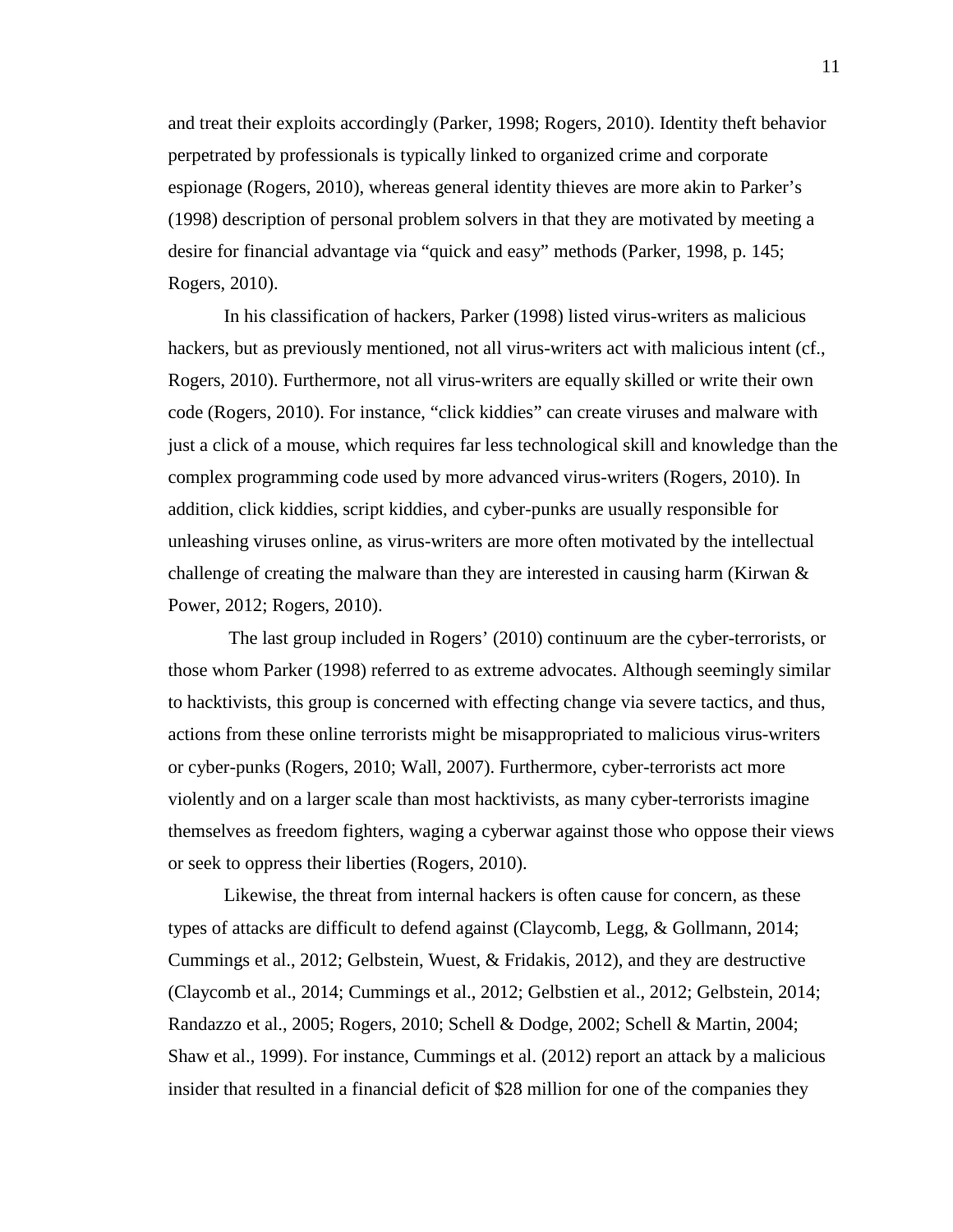and treat their exploits accordingly (Parker, 1998; Rogers, 2010). Identity theft behavior perpetrated by professionals is typically linked to organized crime and corporate espionage (Rogers, 2010), whereas general identity thieves are more akin to Parker's (1998) description of personal problem solvers in that they are motivated by meeting a desire for financial advantage via "quick and easy" methods (Parker, 1998, p. 145; Rogers, 2010).

In his classification of hackers, Parker (1998) listed virus-writers as malicious hackers, but as previously mentioned, not all virus-writers act with malicious intent (cf., Rogers, 2010). Furthermore, not all virus-writers are equally skilled or write their own code (Rogers, 2010). For instance, "click kiddies" can create viruses and malware with just a click of a mouse, which requires far less technological skill and knowledge than the complex programming code used by more advanced virus-writers (Rogers, 2010). In addition, click kiddies, script kiddies, and cyber-punks are usually responsible for unleashing viruses online, as virus-writers are more often motivated by the intellectual challenge of creating the malware than they are interested in causing harm (Kirwan  $\&$ Power, 2012; Rogers, 2010).

The last group included in Rogers' (2010) continuum are the cyber-terrorists, or those whom Parker (1998) referred to as extreme advocates. Although seemingly similar to hacktivists, this group is concerned with effecting change via severe tactics, and thus, actions from these online terrorists might be misappropriated to malicious virus-writers or cyber-punks (Rogers, 2010; Wall, 2007). Furthermore, cyber-terrorists act more violently and on a larger scale than most hacktivists, as many cyber-terrorists imagine themselves as freedom fighters, waging a cyberwar against those who oppose their views or seek to oppress their liberties (Rogers, 2010).

Likewise, the threat from internal hackers is often cause for concern, as these types of attacks are difficult to defend against (Claycomb, Legg, & Gollmann, 2014; Cummings et al., 2012; Gelbstein, Wuest, & Fridakis, 2012), and they are destructive (Claycomb et al., 2014; Cummings et al., 2012; Gelbstien et al., 2012; Gelbstein, 2014; Randazzo et al., 2005; Rogers, 2010; Schell & Dodge, 2002; Schell & Martin, 2004; Shaw et al., 1999). For instance, Cummings et al. (2012) report an attack by a malicious insider that resulted in a financial deficit of \$28 million for one of the companies they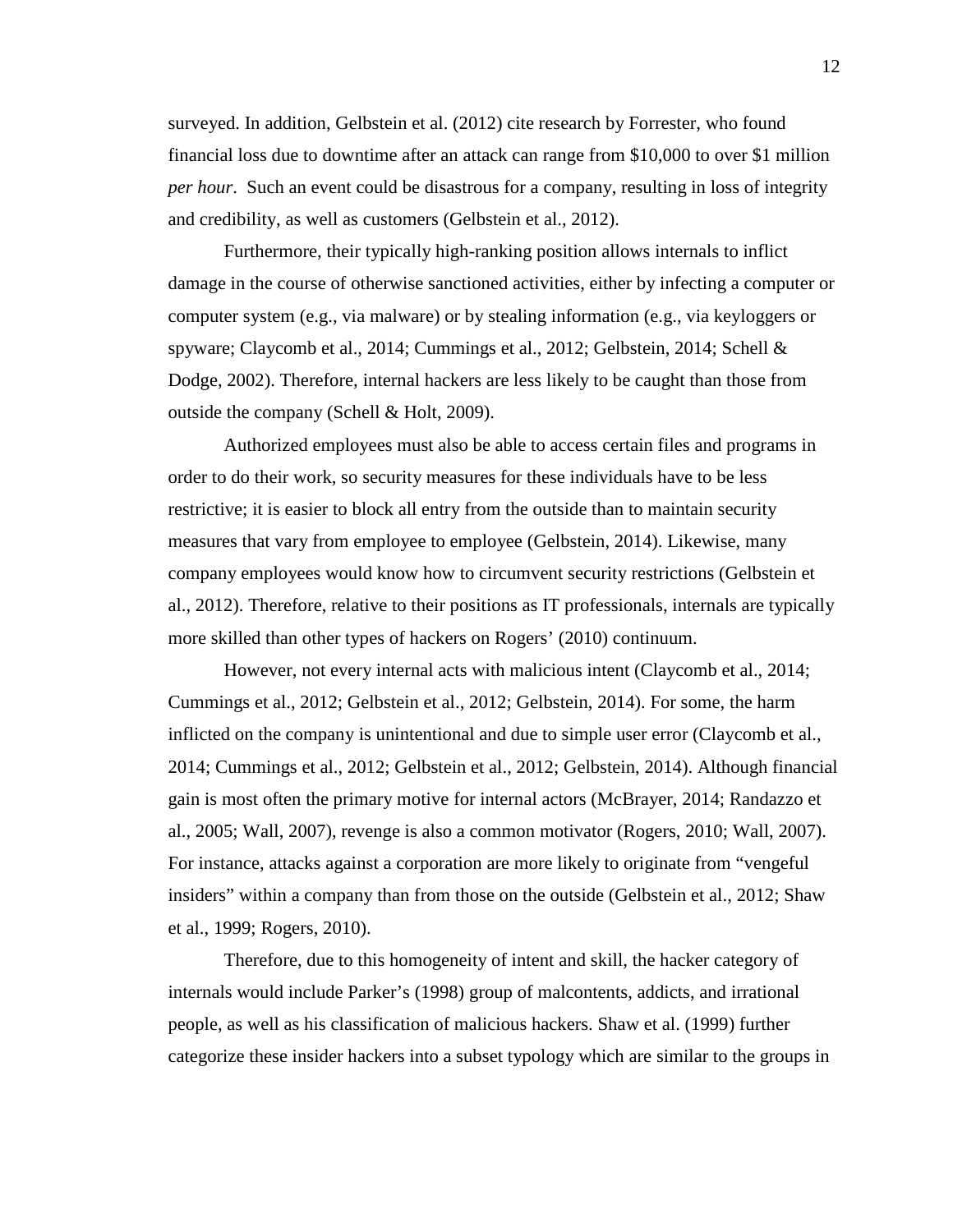surveyed. In addition, Gelbstein et al. (2012) cite research by Forrester, who found financial loss due to downtime after an attack can range from \$10,000 to over \$1 million *per hour*. Such an event could be disastrous for a company, resulting in loss of integrity and credibility, as well as customers (Gelbstein et al., 2012).

Furthermore, their typically high-ranking position allows internals to inflict damage in the course of otherwise sanctioned activities, either by infecting a computer or computer system (e.g., via malware) or by stealing information (e.g., via keyloggers or spyware; Claycomb et al., 2014; Cummings et al., 2012; Gelbstein, 2014; Schell & Dodge, 2002). Therefore, internal hackers are less likely to be caught than those from outside the company (Schell & Holt, 2009).

Authorized employees must also be able to access certain files and programs in order to do their work, so security measures for these individuals have to be less restrictive; it is easier to block all entry from the outside than to maintain security measures that vary from employee to employee (Gelbstein, 2014). Likewise, many company employees would know how to circumvent security restrictions (Gelbstein et al., 2012). Therefore, relative to their positions as IT professionals, internals are typically more skilled than other types of hackers on Rogers' (2010) continuum.

However, not every internal acts with malicious intent (Claycomb et al., 2014; Cummings et al., 2012; Gelbstein et al., 2012; Gelbstein, 2014). For some, the harm inflicted on the company is unintentional and due to simple user error (Claycomb et al., 2014; Cummings et al., 2012; Gelbstein et al., 2012; Gelbstein, 2014). Although financial gain is most often the primary motive for internal actors (McBrayer, 2014; Randazzo et al., 2005; Wall, 2007), revenge is also a common motivator (Rogers, 2010; Wall, 2007). For instance, attacks against a corporation are more likely to originate from "vengeful insiders" within a company than from those on the outside (Gelbstein et al., 2012; Shaw et al., 1999; Rogers, 2010).

Therefore, due to this homogeneity of intent and skill, the hacker category of internals would include Parker's (1998) group of malcontents, addicts, and irrational people, as well as his classification of malicious hackers. Shaw et al. (1999) further categorize these insider hackers into a subset typology which are similar to the groups in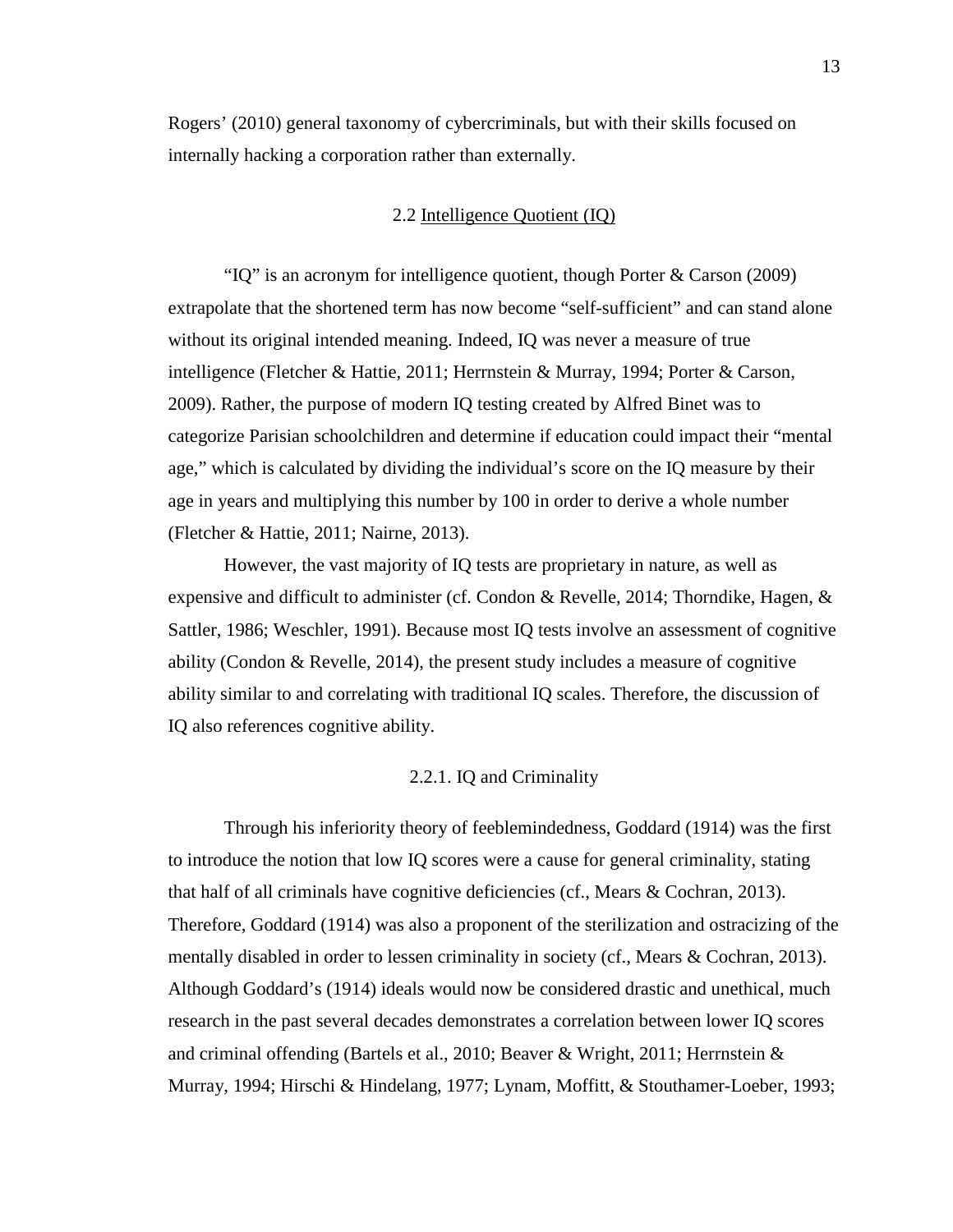<span id="page-24-0"></span>Rogers' (2010) general taxonomy of cybercriminals, but with their skills focused on internally hacking a corporation rather than externally.

## 2.2 Intelligence Quotient (IQ)

"IQ" is an acronym for intelligence quotient, though Porter & Carson (2009) extrapolate that the shortened term has now become "self-sufficient" and can stand alone without its original intended meaning. Indeed, IQ was never a measure of true intelligence (Fletcher & Hattie, 2011; Herrnstein & Murray, 1994; Porter & Carson, 2009). Rather, the purpose of modern IQ testing created by Alfred Binet was to categorize Parisian schoolchildren and determine if education could impact their "mental age," which is calculated by dividing the individual's score on the IQ measure by their age in years and multiplying this number by 100 in order to derive a whole number (Fletcher & Hattie, 2011; Nairne, 2013).

However, the vast majority of IQ tests are proprietary in nature, as well as expensive and difficult to administer (cf. Condon & Revelle, 2014; Thorndike, Hagen,  $\&$ Sattler, 1986; Weschler, 1991). Because most IQ tests involve an assessment of cognitive ability (Condon  $\&$  Revelle, 2014), the present study includes a measure of cognitive ability similar to and correlating with traditional IQ scales. Therefore, the discussion of IQ also references cognitive ability.

## 2.2.1. IQ and Criminality

<span id="page-24-1"></span>Through his inferiority theory of feeblemindedness, Goddard (1914) was the first to introduce the notion that low IQ scores were a cause for general criminality, stating that half of all criminals have cognitive deficiencies (cf., Mears & Cochran, 2013). Therefore, Goddard (1914) was also a proponent of the sterilization and ostracizing of the mentally disabled in order to lessen criminality in society (cf., Mears & Cochran, 2013). Although Goddard's (1914) ideals would now be considered drastic and unethical, much research in the past several decades demonstrates a correlation between lower IQ scores and criminal offending (Bartels et al., 2010; Beaver & Wright, 2011; Herrnstein & Murray, 1994; Hirschi & Hindelang, 1977; Lynam, Moffitt, & Stouthamer-Loeber, 1993;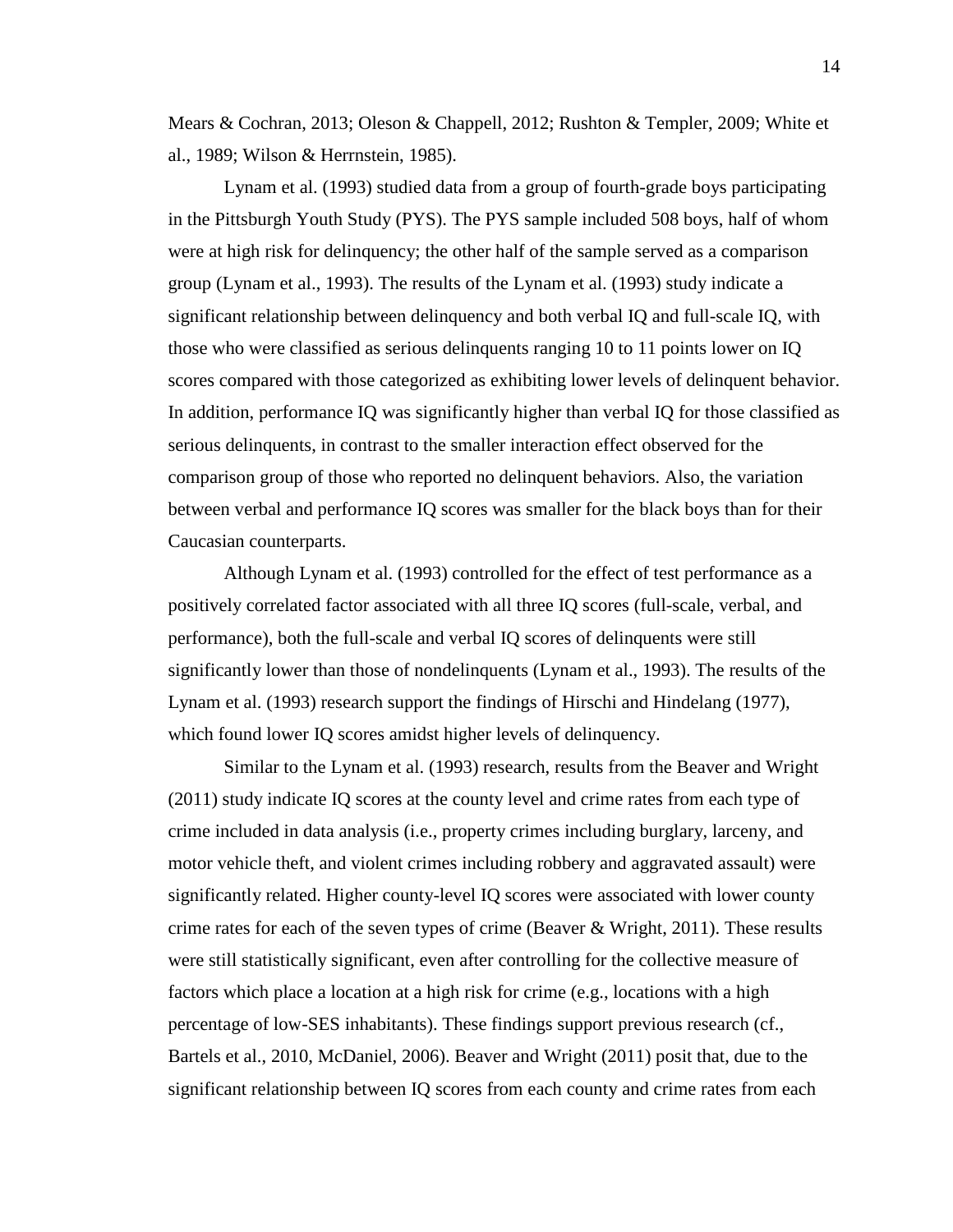Mears & Cochran, 2013; Oleson & Chappell, 2012; Rushton & Templer, 2009; White et al., 1989; Wilson & Herrnstein, 1985).

Lynam et al. (1993) studied data from a group of fourth-grade boys participating in the Pittsburgh Youth Study (PYS). The PYS sample included 508 boys, half of whom were at high risk for delinquency; the other half of the sample served as a comparison group (Lynam et al., 1993). The results of the Lynam et al. (1993) study indicate a significant relationship between delinquency and both verbal IQ and full-scale IQ, with those who were classified as serious delinquents ranging 10 to 11 points lower on IQ scores compared with those categorized as exhibiting lower levels of delinquent behavior. In addition, performance IQ was significantly higher than verbal IQ for those classified as serious delinquents, in contrast to the smaller interaction effect observed for the comparison group of those who reported no delinquent behaviors. Also, the variation between verbal and performance IQ scores was smaller for the black boys than for their Caucasian counterparts.

Although Lynam et al. (1993) controlled for the effect of test performance as a positively correlated factor associated with all three IQ scores (full-scale, verbal, and performance), both the full-scale and verbal IQ scores of delinquents were still significantly lower than those of nondelinquents (Lynam et al., 1993). The results of the Lynam et al. (1993) research support the findings of Hirschi and Hindelang (1977), which found lower IQ scores amidst higher levels of delinquency.

Similar to the Lynam et al. (1993) research, results from the Beaver and Wright (2011) study indicate IQ scores at the county level and crime rates from each type of crime included in data analysis (i.e., property crimes including burglary, larceny, and motor vehicle theft, and violent crimes including robbery and aggravated assault) were significantly related. Higher county-level IQ scores were associated with lower county crime rates for each of the seven types of crime (Beaver  $\&$  Wright, 2011). These results were still statistically significant, even after controlling for the collective measure of factors which place a location at a high risk for crime (e.g., locations with a high percentage of low-SES inhabitants). These findings support previous research (cf., Bartels et al., 2010, McDaniel, 2006). Beaver and Wright (2011) posit that, due to the significant relationship between IQ scores from each county and crime rates from each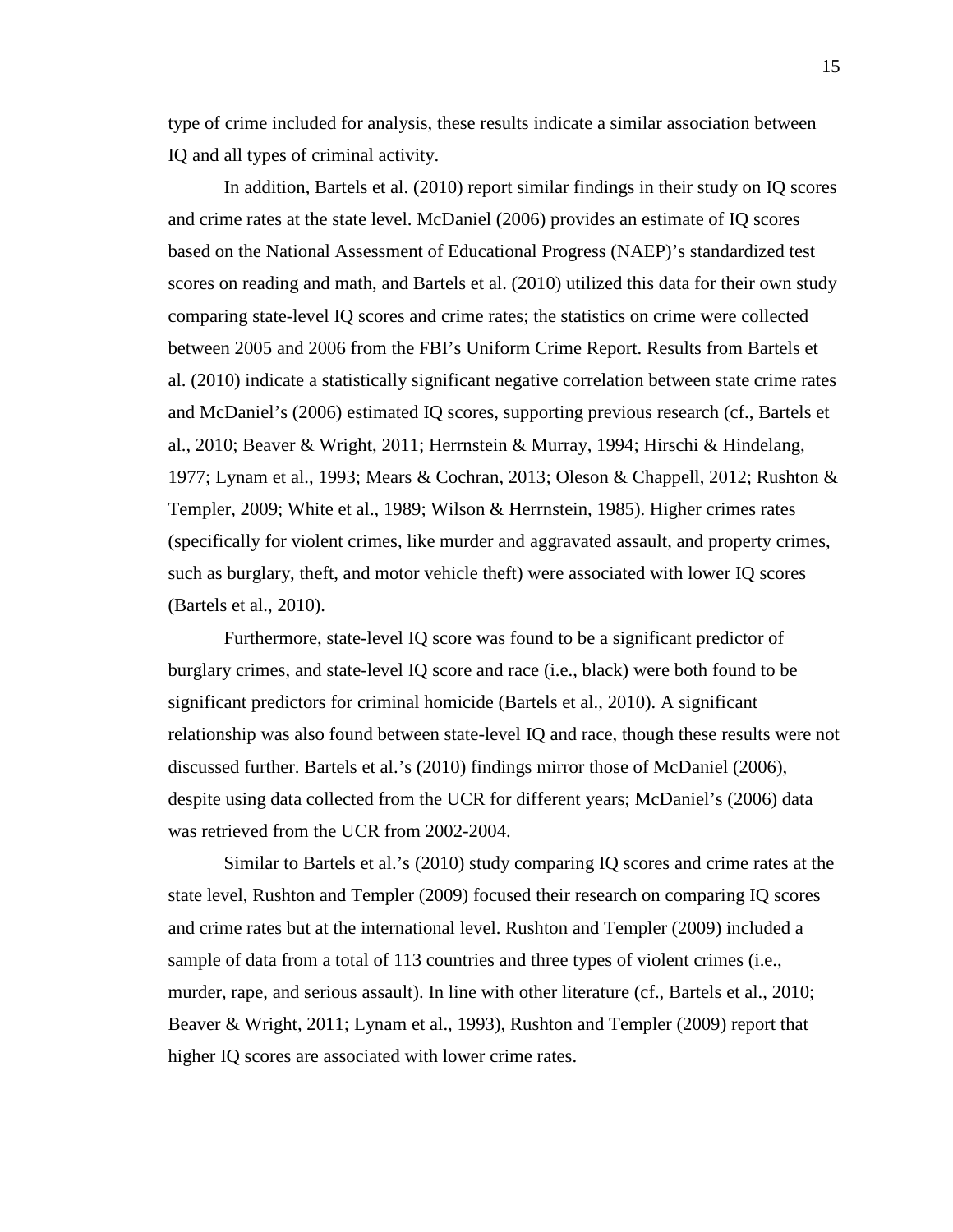type of crime included for analysis, these results indicate a similar association between IQ and all types of criminal activity.

In addition, Bartels et al. (2010) report similar findings in their study on IQ scores and crime rates at the state level. McDaniel (2006) provides an estimate of IQ scores based on the National Assessment of Educational Progress (NAEP)'s standardized test scores on reading and math, and Bartels et al. (2010) utilized this data for their own study comparing state-level IQ scores and crime rates; the statistics on crime were collected between 2005 and 2006 from the FBI's Uniform Crime Report. Results from Bartels et al. (2010) indicate a statistically significant negative correlation between state crime rates and McDaniel's (2006) estimated IQ scores, supporting previous research (cf., Bartels et al., 2010; Beaver & Wright, 2011; Herrnstein & Murray, 1994; Hirschi & Hindelang, 1977; Lynam et al., 1993; Mears & Cochran, 2013; Oleson & Chappell, 2012; Rushton & Templer, 2009; White et al., 1989; Wilson & Herrnstein, 1985). Higher crimes rates (specifically for violent crimes, like murder and aggravated assault, and property crimes, such as burglary, theft, and motor vehicle theft) were associated with lower IQ scores (Bartels et al., 2010).

Furthermore, state-level IQ score was found to be a significant predictor of burglary crimes, and state-level IQ score and race (i.e., black) were both found to be significant predictors for criminal homicide (Bartels et al., 2010). A significant relationship was also found between state-level IQ and race, though these results were not discussed further. Bartels et al.'s (2010) findings mirror those of McDaniel (2006), despite using data collected from the UCR for different years; McDaniel's (2006) data was retrieved from the UCR from 2002-2004.

Similar to Bartels et al.'s (2010) study comparing IQ scores and crime rates at the state level, Rushton and Templer (2009) focused their research on comparing IQ scores and crime rates but at the international level. Rushton and Templer (2009) included a sample of data from a total of 113 countries and three types of violent crimes (i.e., murder, rape, and serious assault). In line with other literature (cf., Bartels et al., 2010; Beaver & Wright, 2011; Lynam et al., 1993), Rushton and Templer (2009) report that higher IQ scores are associated with lower crime rates.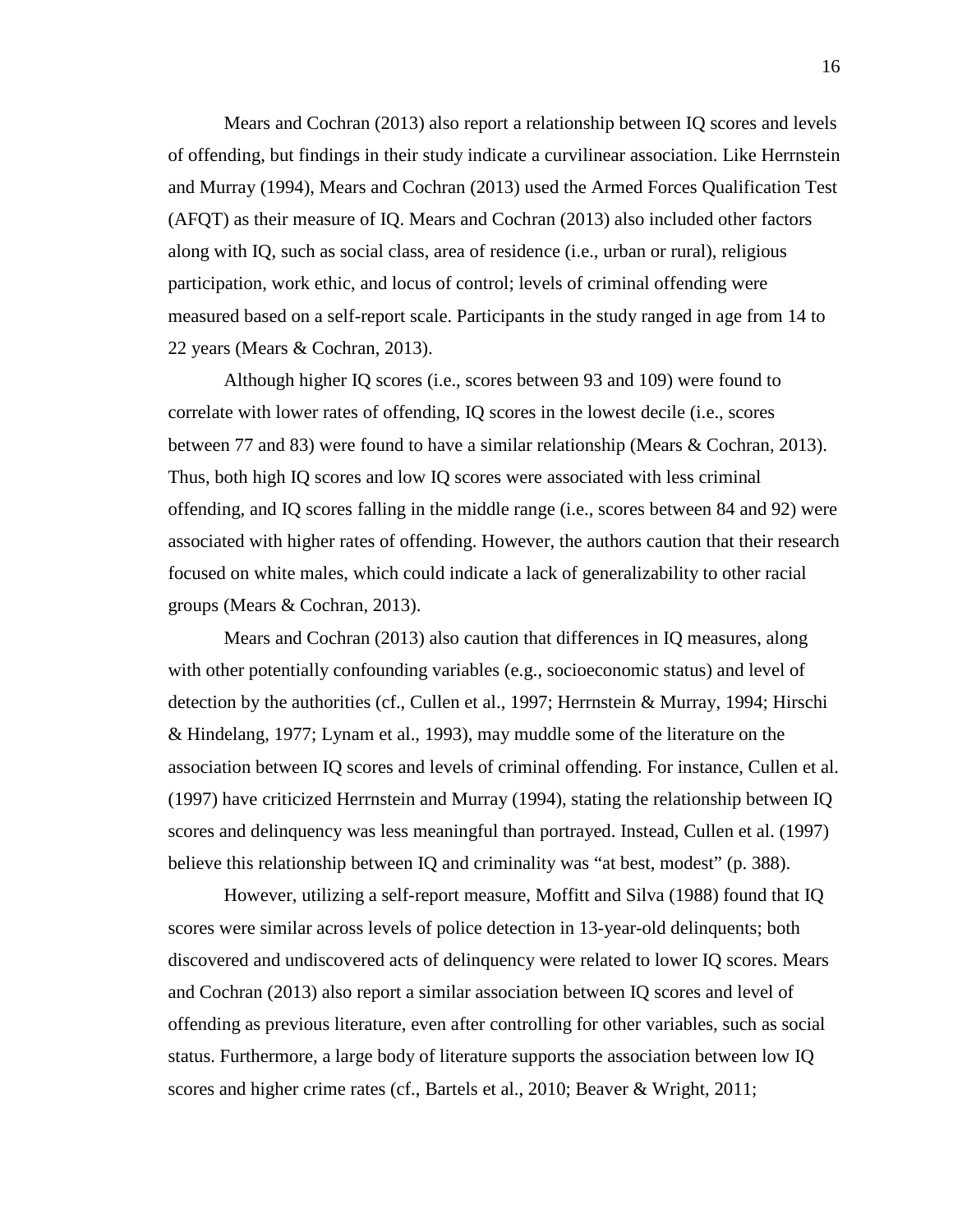Mears and Cochran (2013) also report a relationship between IQ scores and levels of offending, but findings in their study indicate a curvilinear association. Like Herrnstein and Murray (1994), Mears and Cochran (2013) used the Armed Forces Qualification Test (AFQT) as their measure of IQ. Mears and Cochran (2013) also included other factors along with IQ, such as social class, area of residence (i.e., urban or rural), religious participation, work ethic, and locus of control; levels of criminal offending were measured based on a self-report scale. Participants in the study ranged in age from 14 to 22 years (Mears & Cochran, 2013).

Although higher IQ scores (i.e., scores between 93 and 109) were found to correlate with lower rates of offending, IQ scores in the lowest decile (i.e., scores between 77 and 83) were found to have a similar relationship (Mears & Cochran, 2013). Thus, both high IQ scores and low IQ scores were associated with less criminal offending, and IQ scores falling in the middle range (i.e., scores between 84 and 92) were associated with higher rates of offending. However, the authors caution that their research focused on white males, which could indicate a lack of generalizability to other racial groups (Mears & Cochran, 2013).

Mears and Cochran (2013) also caution that differences in IQ measures, along with other potentially confounding variables (e.g., socioeconomic status) and level of detection by the authorities (cf., Cullen et al., 1997; Herrnstein & Murray, 1994; Hirschi & Hindelang, 1977; Lynam et al., 1993), may muddle some of the literature on the association between IQ scores and levels of criminal offending. For instance, Cullen et al. (1997) have criticized Herrnstein and Murray (1994), stating the relationship between IQ scores and delinquency was less meaningful than portrayed. Instead, Cullen et al. (1997) believe this relationship between IQ and criminality was "at best, modest" (p. 388).

However, utilizing a self-report measure, Moffitt and Silva (1988) found that IQ scores were similar across levels of police detection in 13-year-old delinquents; both discovered and undiscovered acts of delinquency were related to lower IQ scores. Mears and Cochran (2013) also report a similar association between IQ scores and level of offending as previous literature, even after controlling for other variables, such as social status. Furthermore, a large body of literature supports the association between low IQ scores and higher crime rates (cf., Bartels et al., 2010; Beaver & Wright, 2011;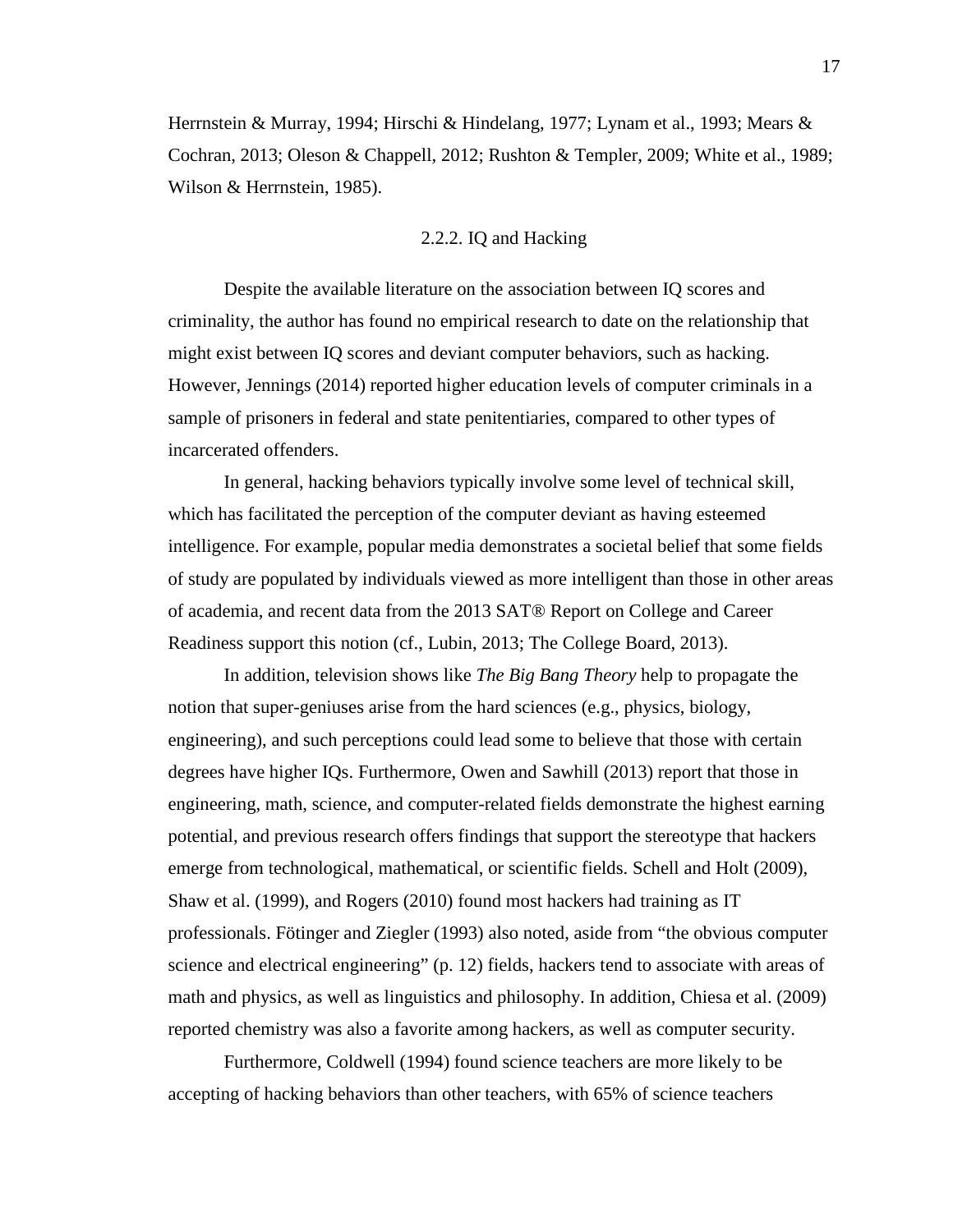Herrnstein & Murray, 1994; Hirschi & Hindelang, 1977; Lynam et al., 1993; Mears & Cochran, 2013; Oleson & Chappell, 2012; Rushton & Templer, 2009; White et al., 1989; Wilson & Herrnstein, 1985).

#### 2.2.2. IQ and Hacking

<span id="page-28-0"></span>Despite the available literature on the association between IQ scores and criminality, the author has found no empirical research to date on the relationship that might exist between IQ scores and deviant computer behaviors, such as hacking. However, Jennings (2014) reported higher education levels of computer criminals in a sample of prisoners in federal and state penitentiaries, compared to other types of incarcerated offenders.

In general, hacking behaviors typically involve some level of technical skill, which has facilitated the perception of the computer deviant as having esteemed intelligence. For example, popular media demonstrates a societal belief that some fields of study are populated by individuals viewed as more intelligent than those in other areas of academia, and recent data from the 2013 SAT® Report on College and Career Readiness support this notion (cf., Lubin, 2013; The College Board, 2013).

In addition, television shows like *The Big Bang Theory* help to propagate the notion that super-geniuses arise from the hard sciences (e.g., physics, biology, engineering), and such perceptions could lead some to believe that those with certain degrees have higher IQs. Furthermore, Owen and Sawhill (2013) report that those in engineering, math, science, and computer-related fields demonstrate the highest earning potential, and previous research offers findings that support the stereotype that hackers emerge from technological, mathematical, or scientific fields. Schell and Holt (2009), Shaw et al. (1999), and Rogers (2010) found most hackers had training as IT professionals. Fötinger and Ziegler (1993) also noted, aside from "the obvious computer science and electrical engineering" (p. 12) fields, hackers tend to associate with areas of math and physics, as well as linguistics and philosophy. In addition, Chiesa et al. (2009) reported chemistry was also a favorite among hackers, as well as computer security.

Furthermore, Coldwell (1994) found science teachers are more likely to be accepting of hacking behaviors than other teachers, with 65% of science teachers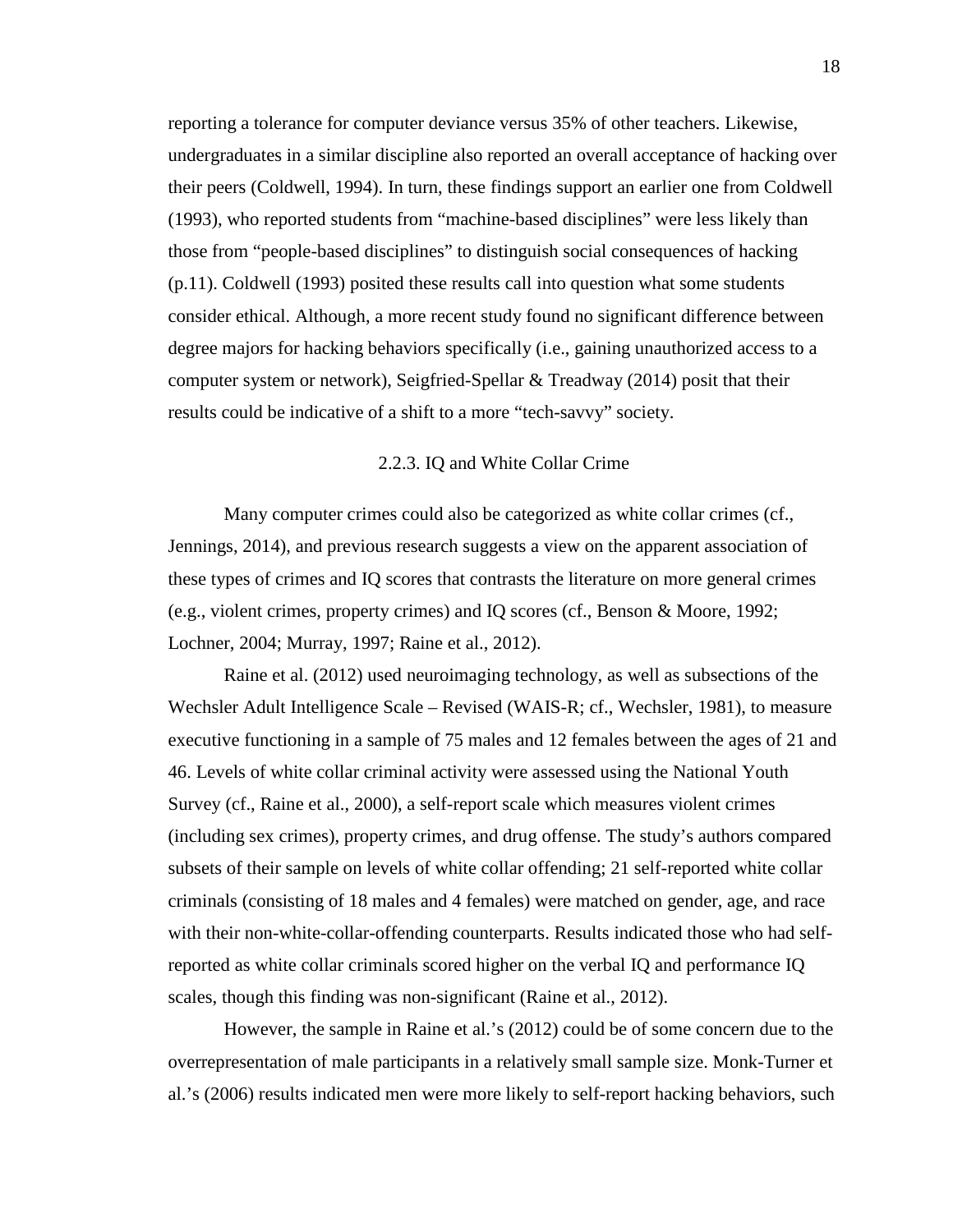reporting a tolerance for computer deviance versus 35% of other teachers. Likewise, undergraduates in a similar discipline also reported an overall acceptance of hacking over their peers (Coldwell, 1994). In turn, these findings support an earlier one from Coldwell (1993), who reported students from "machine-based disciplines" were less likely than those from "people-based disciplines" to distinguish social consequences of hacking (p.11). Coldwell (1993) posited these results call into question what some students consider ethical. Although, a more recent study found no significant difference between degree majors for hacking behaviors specifically (i.e., gaining unauthorized access to a computer system or network), Seigfried-Spellar & Treadway (2014) posit that their results could be indicative of a shift to a more "tech-savvy" society.

## 2.2.3. IQ and White Collar Crime

<span id="page-29-0"></span>Many computer crimes could also be categorized as white collar crimes (cf., Jennings, 2014), and previous research suggests a view on the apparent association of these types of crimes and IQ scores that contrasts the literature on more general crimes (e.g., violent crimes, property crimes) and IQ scores (cf., Benson & Moore, 1992; Lochner, 2004; Murray, 1997; Raine et al., 2012).

Raine et al. (2012) used neuroimaging technology, as well as subsections of the Wechsler Adult Intelligence Scale – Revised (WAIS-R; cf., Wechsler, 1981), to measure executive functioning in a sample of 75 males and 12 females between the ages of 21 and 46. Levels of white collar criminal activity were assessed using the National Youth Survey (cf., Raine et al., 2000), a self-report scale which measures violent crimes (including sex crimes), property crimes, and drug offense. The study's authors compared subsets of their sample on levels of white collar offending; 21 self-reported white collar criminals (consisting of 18 males and 4 females) were matched on gender, age, and race with their non-white-collar-offending counterparts. Results indicated those who had selfreported as white collar criminals scored higher on the verbal IQ and performance IQ scales, though this finding was non-significant (Raine et al., 2012).

However, the sample in Raine et al.'s (2012) could be of some concern due to the overrepresentation of male participants in a relatively small sample size. Monk-Turner et al.'s (2006) results indicated men were more likely to self-report hacking behaviors, such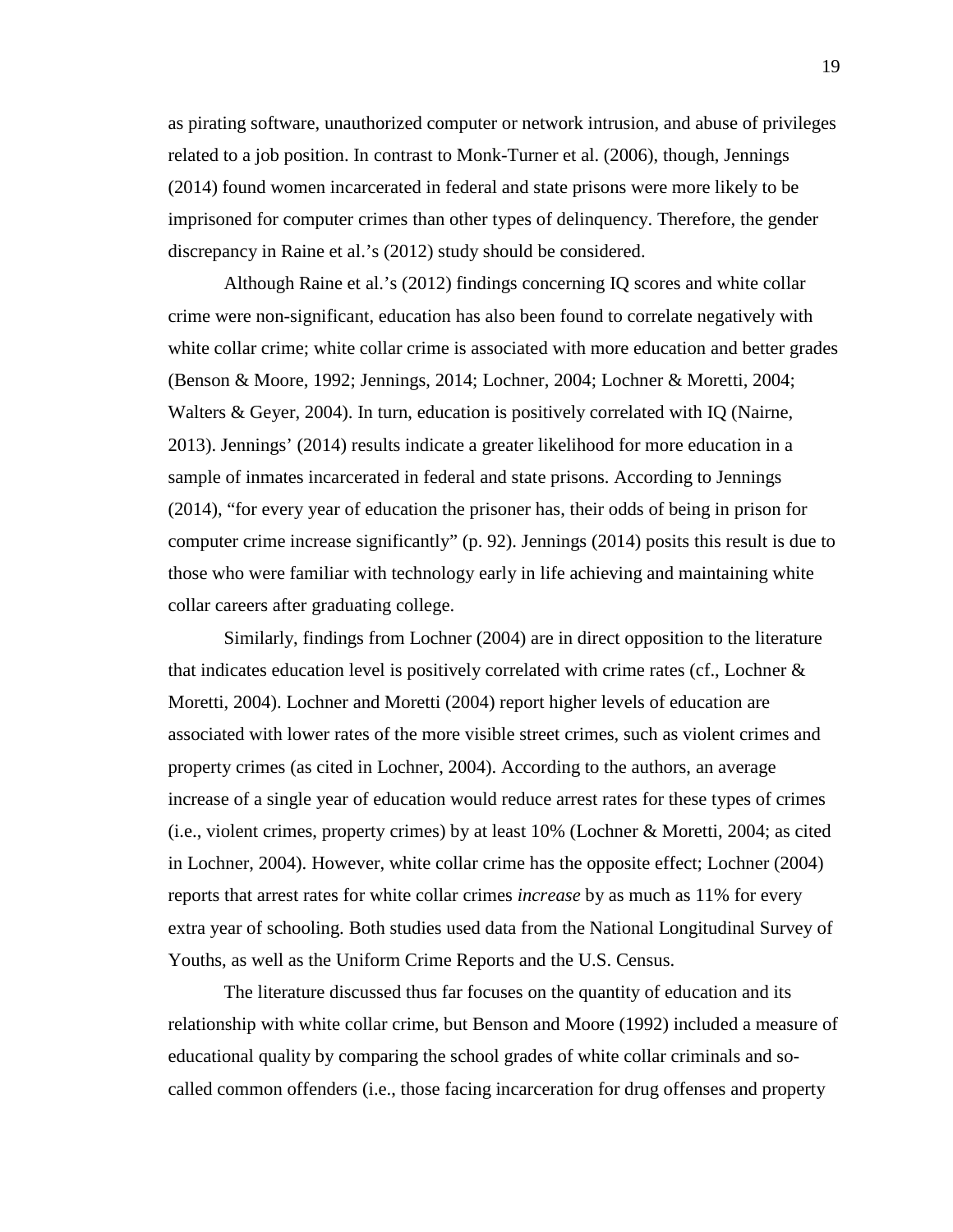as pirating software, unauthorized computer or network intrusion, and abuse of privileges related to a job position. In contrast to Monk-Turner et al. (2006), though, Jennings (2014) found women incarcerated in federal and state prisons were more likely to be imprisoned for computer crimes than other types of delinquency. Therefore, the gender discrepancy in Raine et al.'s (2012) study should be considered.

Although Raine et al.'s (2012) findings concerning IQ scores and white collar crime were non-significant, education has also been found to correlate negatively with white collar crime; white collar crime is associated with more education and better grades (Benson & Moore, 1992; Jennings, 2014; Lochner, 2004; Lochner & Moretti, 2004; Walters & Geyer, 2004). In turn, education is positively correlated with IQ (Nairne, 2013). Jennings' (2014) results indicate a greater likelihood for more education in a sample of inmates incarcerated in federal and state prisons. According to Jennings (2014), "for every year of education the prisoner has, their odds of being in prison for computer crime increase significantly" (p. 92). Jennings (2014) posits this result is due to those who were familiar with technology early in life achieving and maintaining white collar careers after graduating college.

Similarly, findings from Lochner (2004) are in direct opposition to the literature that indicates education level is positively correlated with crime rates (cf., Lochner  $\&$ Moretti, 2004). Lochner and Moretti (2004) report higher levels of education are associated with lower rates of the more visible street crimes, such as violent crimes and property crimes (as cited in Lochner, 2004). According to the authors, an average increase of a single year of education would reduce arrest rates for these types of crimes (i.e., violent crimes, property crimes) by at least 10% (Lochner & Moretti, 2004; as cited in Lochner, 2004). However, white collar crime has the opposite effect; Lochner (2004) reports that arrest rates for white collar crimes *increase* by as much as 11% for every extra year of schooling. Both studies used data from the National Longitudinal Survey of Youths, as well as the Uniform Crime Reports and the U.S. Census.

The literature discussed thus far focuses on the quantity of education and its relationship with white collar crime, but Benson and Moore (1992) included a measure of educational quality by comparing the school grades of white collar criminals and socalled common offenders (i.e., those facing incarceration for drug offenses and property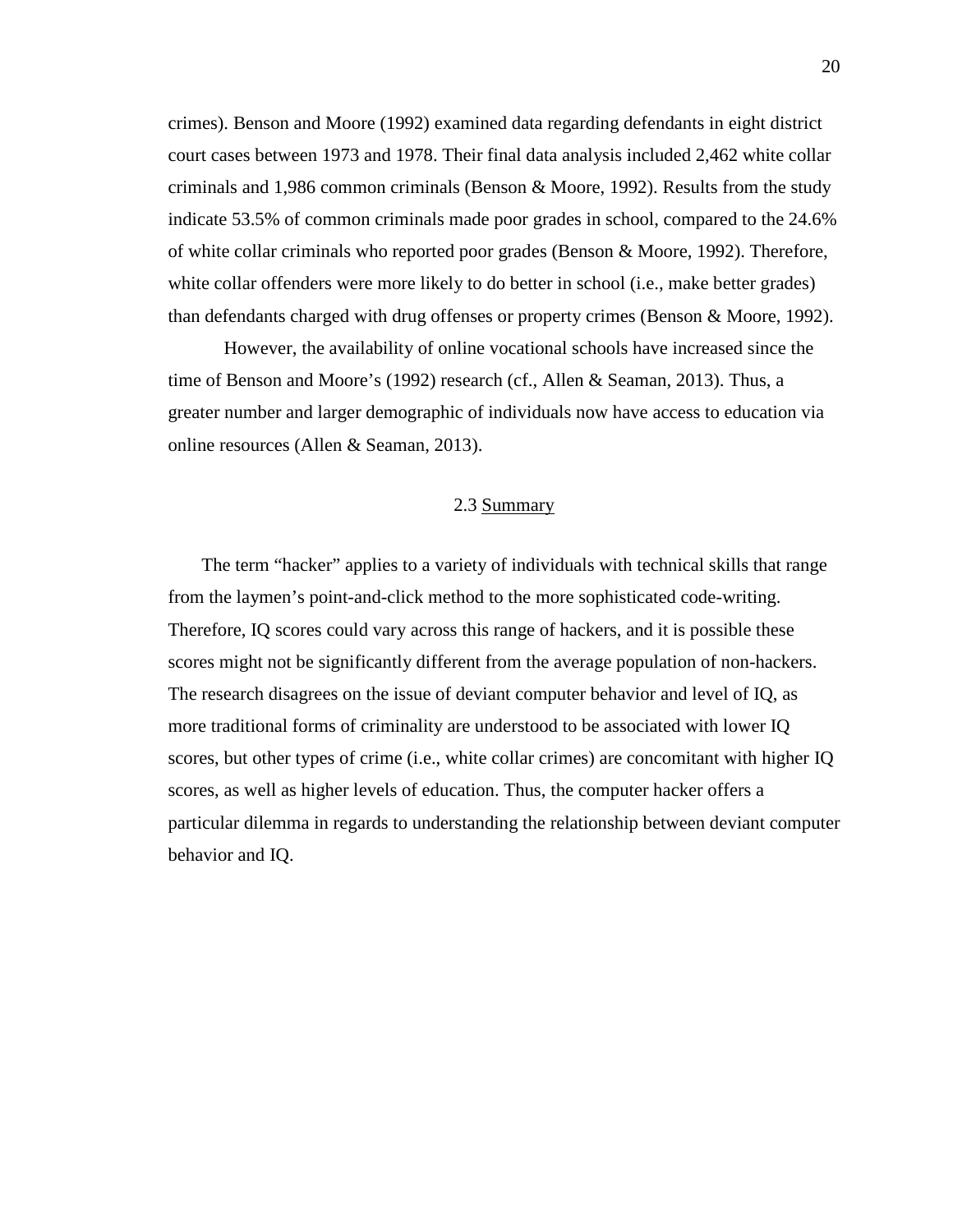crimes). Benson and Moore (1992) examined data regarding defendants in eight district court cases between 1973 and 1978. Their final data analysis included 2,462 white collar criminals and 1,986 common criminals (Benson & Moore, 1992). Results from the study indicate 53.5% of common criminals made poor grades in school, compared to the 24.6% of white collar criminals who reported poor grades (Benson & Moore, 1992). Therefore, white collar offenders were more likely to do better in school (i.e., make better grades) than defendants charged with drug offenses or property crimes (Benson & Moore, 1992).

However, the availability of online vocational schools have increased since the time of Benson and Moore's (1992) research (cf., Allen & Seaman, 2013). Thus, a greater number and larger demographic of individuals now have access to education via online resources (Allen & Seaman, 2013).

## 2.3 Summary

<span id="page-31-0"></span>The term "hacker" applies to a variety of individuals with technical skills that range from the laymen's point-and-click method to the more sophisticated code-writing. Therefore, IQ scores could vary across this range of hackers, and it is possible these scores might not be significantly different from the average population of non-hackers. The research disagrees on the issue of deviant computer behavior and level of IQ, as more traditional forms of criminality are understood to be associated with lower IQ scores, but other types of crime (i.e., white collar crimes) are concomitant with higher IQ scores, as well as higher levels of education. Thus, the computer hacker offers a particular dilemma in regards to understanding the relationship between deviant computer behavior and IQ.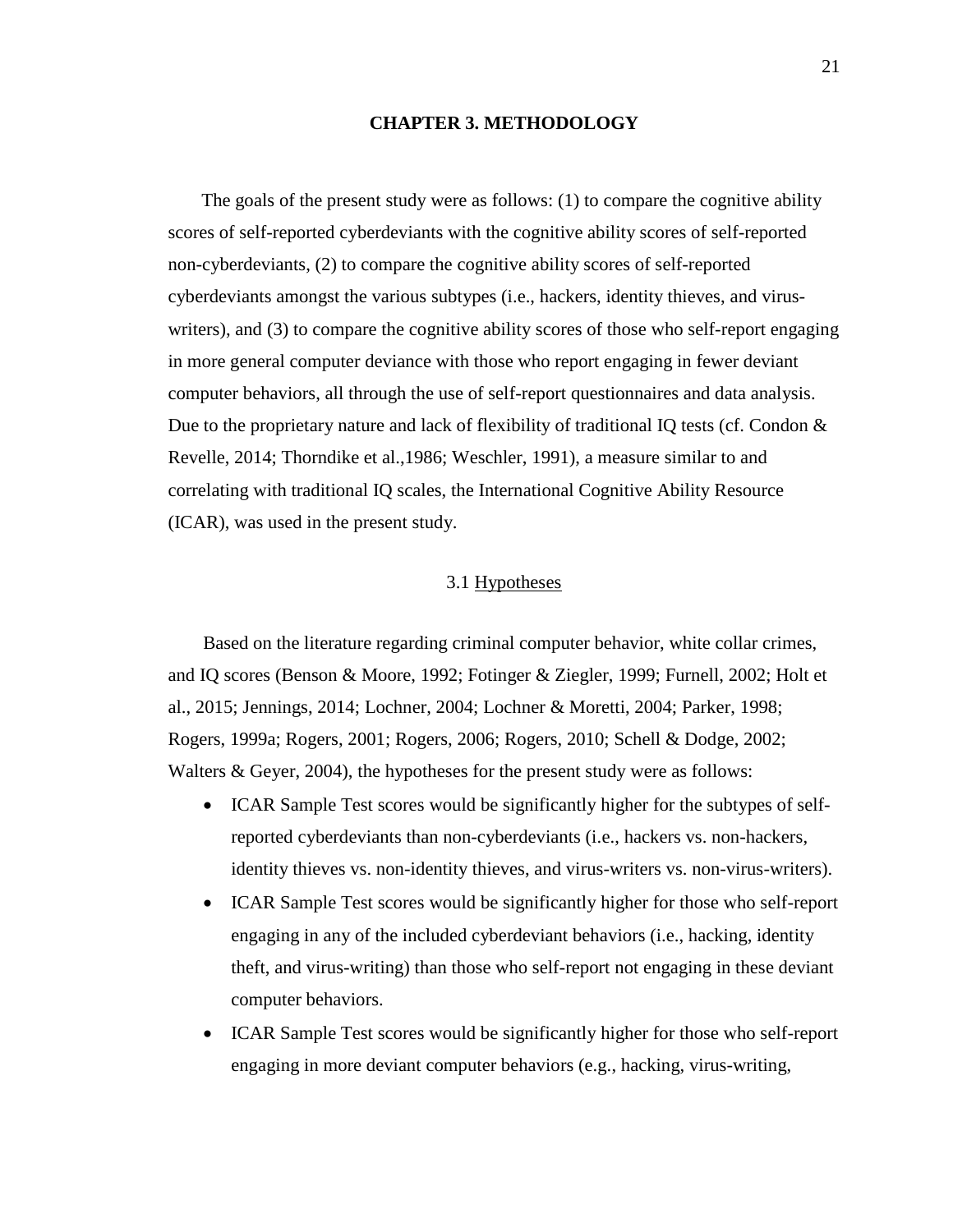### **CHAPTER 3. METHODOLOGY**

<span id="page-32-0"></span>The goals of the present study were as follows: (1) to compare the cognitive ability scores of self-reported cyberdeviants with the cognitive ability scores of self-reported non-cyberdeviants, (2) to compare the cognitive ability scores of self-reported cyberdeviants amongst the various subtypes (i.e., hackers, identity thieves, and viruswriters), and (3) to compare the cognitive ability scores of those who self-report engaging in more general computer deviance with those who report engaging in fewer deviant computer behaviors, all through the use of self-report questionnaires and data analysis. Due to the proprietary nature and lack of flexibility of traditional IQ tests (cf. Condon  $\&$ Revelle, 2014; Thorndike et al.,1986; Weschler, 1991), a measure similar to and correlating with traditional IQ scales, the International Cognitive Ability Resource (ICAR), was used in the present study.

## 3.1 Hypotheses

<span id="page-32-1"></span>Based on the literature regarding criminal computer behavior, white collar crimes, and IQ scores (Benson & Moore, 1992; Fotinger & Ziegler, 1999; Furnell, 2002; Holt et al., 2015; Jennings, 2014; Lochner, 2004; Lochner & Moretti, 2004; Parker, 1998; Rogers, 1999a; Rogers, 2001; Rogers, 2006; Rogers, 2010; Schell & Dodge, 2002; Walters & Geyer, 2004), the hypotheses for the present study were as follows:

- ICAR Sample Test scores would be significantly higher for the subtypes of selfreported cyberdeviants than non-cyberdeviants (i.e., hackers vs. non-hackers, identity thieves vs. non-identity thieves, and virus-writers vs. non-virus-writers).
- ICAR Sample Test scores would be significantly higher for those who self-report engaging in any of the included cyberdeviant behaviors (i.e., hacking, identity theft, and virus-writing) than those who self-report not engaging in these deviant computer behaviors.
- ICAR Sample Test scores would be significantly higher for those who self-report engaging in more deviant computer behaviors (e.g., hacking, virus-writing,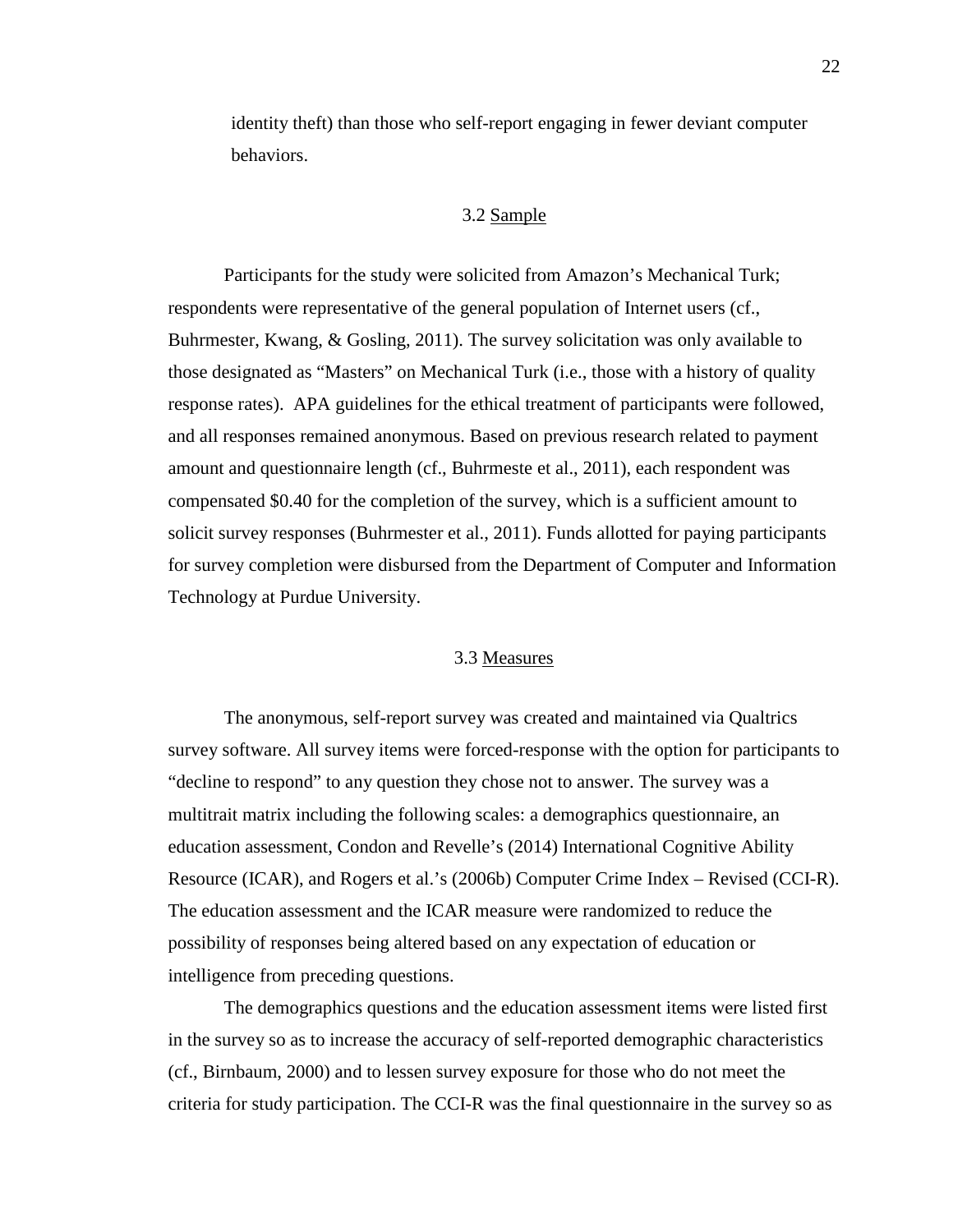<span id="page-33-0"></span>identity theft) than those who self-report engaging in fewer deviant computer behaviors.

## 3.2 Sample

Participants for the study were solicited from Amazon's Mechanical Turk; respondents were representative of the general population of Internet users (cf., Buhrmester, Kwang, & Gosling, 2011). The survey solicitation was only available to those designated as "Masters" on Mechanical Turk (i.e., those with a history of quality response rates). APA guidelines for the ethical treatment of participants were followed, and all responses remained anonymous. Based on previous research related to payment amount and questionnaire length (cf., Buhrmeste et al., 2011), each respondent was compensated \$0.40 for the completion of the survey, which is a sufficient amount to solicit survey responses (Buhrmester et al., 2011). Funds allotted for paying participants for survey completion were disbursed from the Department of Computer and Information Technology at Purdue University.

## 3.3 Measures

<span id="page-33-1"></span>The anonymous, self-report survey was created and maintained via Qualtrics survey software. All survey items were forced-response with the option for participants to "decline to respond" to any question they chose not to answer. The survey was a multitrait matrix including the following scales: a demographics questionnaire, an education assessment, Condon and Revelle's (2014) International Cognitive Ability Resource (ICAR), and Rogers et al.'s (2006b) Computer Crime Index – Revised (CCI-R). The education assessment and the ICAR measure were randomized to reduce the possibility of responses being altered based on any expectation of education or intelligence from preceding questions.

The demographics questions and the education assessment items were listed first in the survey so as to increase the accuracy of self-reported demographic characteristics (cf., Birnbaum, 2000) and to lessen survey exposure for those who do not meet the criteria for study participation. The CCI-R was the final questionnaire in the survey so as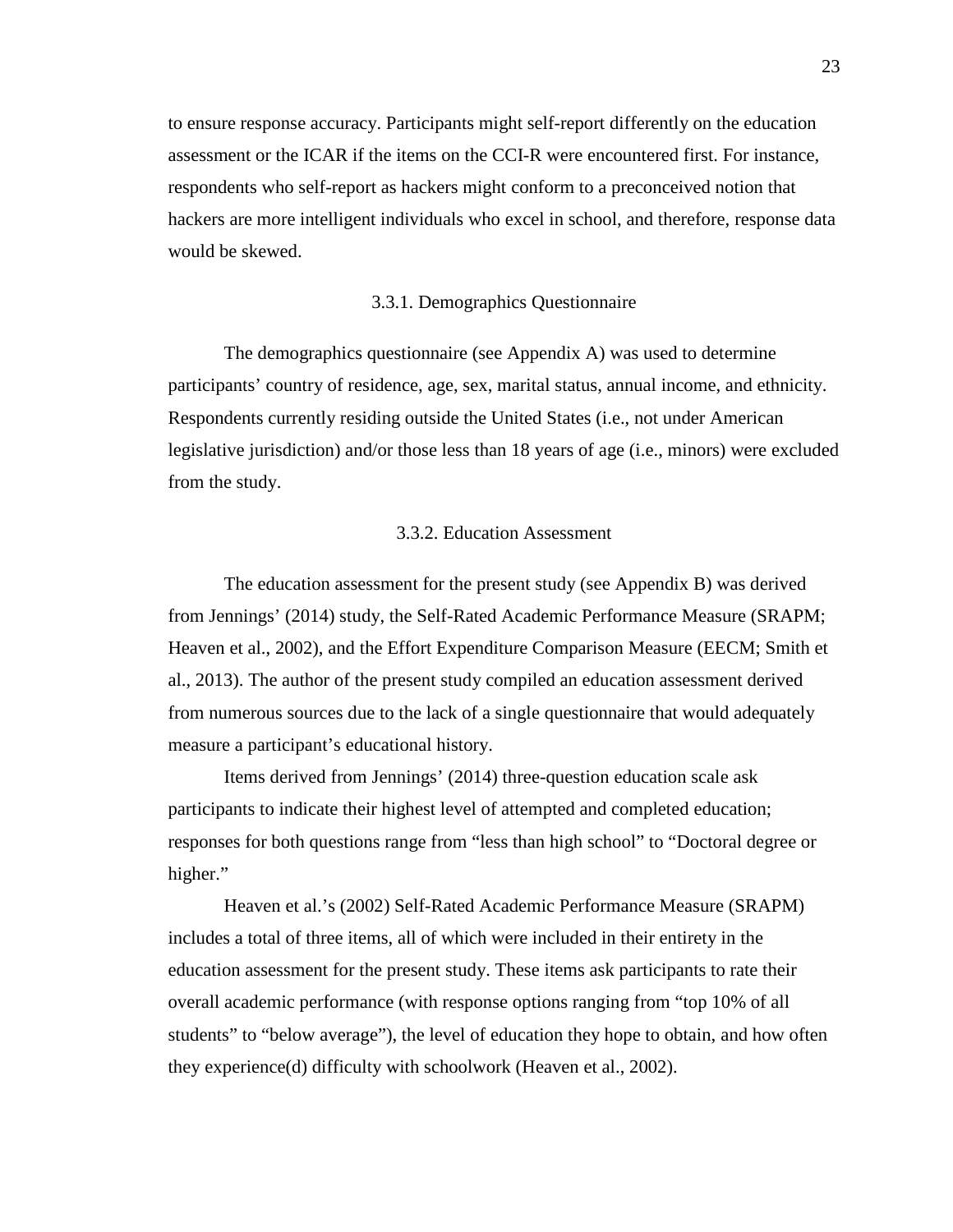to ensure response accuracy. Participants might self-report differently on the education assessment or the ICAR if the items on the CCI-R were encountered first. For instance, respondents who self-report as hackers might conform to a preconceived notion that hackers are more intelligent individuals who excel in school, and therefore, response data would be skewed.

#### 3.3.1. Demographics Questionnaire

<span id="page-34-0"></span>The demographics questionnaire (see Appendix A) was used to determine participants' country of residence, age, sex, marital status, annual income, and ethnicity. Respondents currently residing outside the United States (i.e., not under American legislative jurisdiction) and/or those less than 18 years of age (i.e., minors) were excluded from the study.

#### 3.3.2. Education Assessment

<span id="page-34-1"></span>The education assessment for the present study (see Appendix B) was derived from Jennings' (2014) study, the Self-Rated Academic Performance Measure (SRAPM; Heaven et al., 2002), and the Effort Expenditure Comparison Measure (EECM; Smith et al., 2013). The author of the present study compiled an education assessment derived from numerous sources due to the lack of a single questionnaire that would adequately measure a participant's educational history.

Items derived from Jennings' (2014) three-question education scale ask participants to indicate their highest level of attempted and completed education; responses for both questions range from "less than high school" to "Doctoral degree or higher."

Heaven et al.'s (2002) Self-Rated Academic Performance Measure (SRAPM) includes a total of three items, all of which were included in their entirety in the education assessment for the present study. These items ask participants to rate their overall academic performance (with response options ranging from "top 10% of all students" to "below average"), the level of education they hope to obtain, and how often they experience(d) difficulty with schoolwork (Heaven et al., 2002).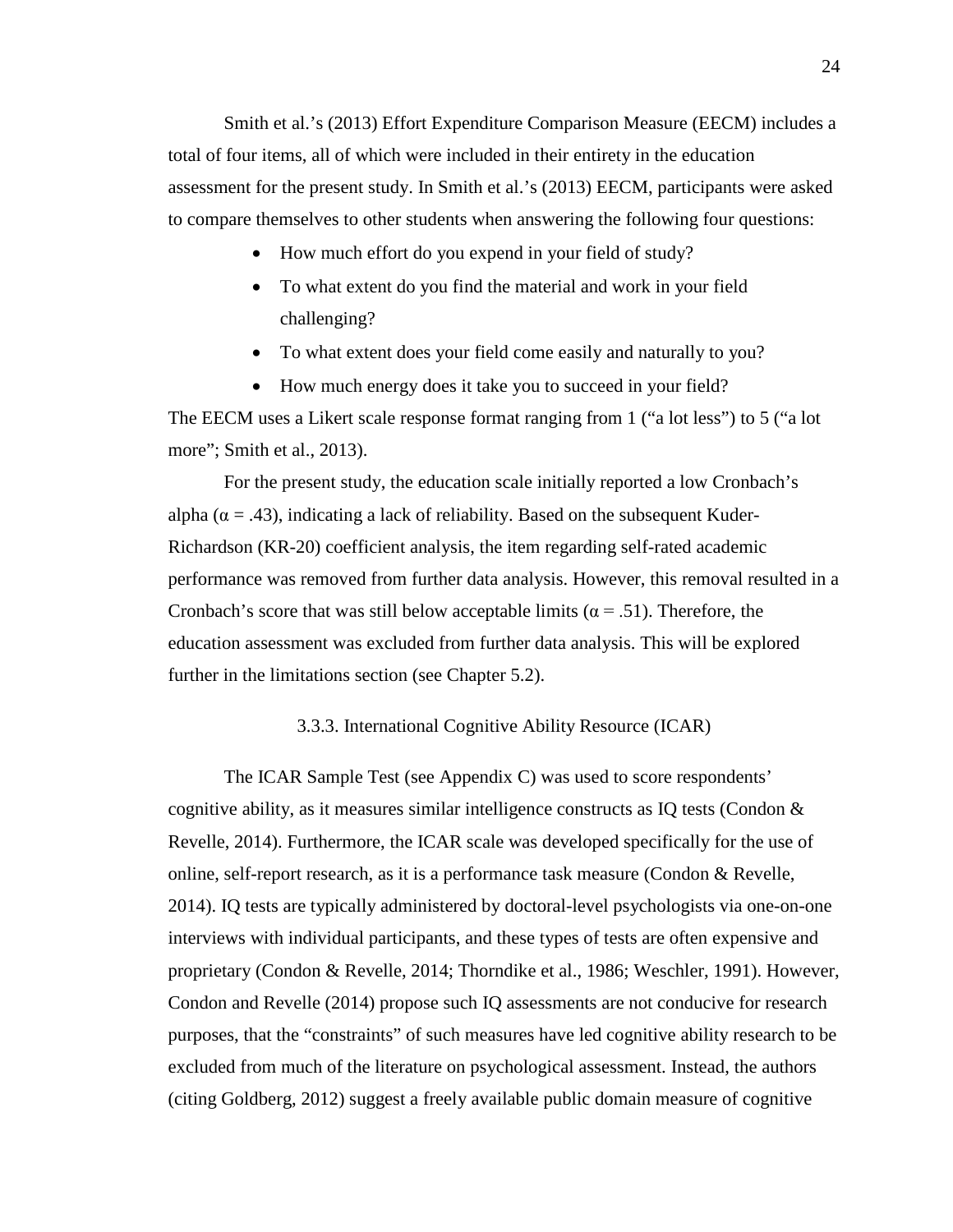Smith et al.'s (2013) Effort Expenditure Comparison Measure (EECM) includes a total of four items, all of which were included in their entirety in the education assessment for the present study. In Smith et al.'s (2013) EECM, participants were asked to compare themselves to other students when answering the following four questions:

- How much effort do you expend in your field of study?
- To what extent do you find the material and work in your field challenging?
- To what extent does your field come easily and naturally to you?
- How much energy does it take you to succeed in your field?

The EECM uses a Likert scale response format ranging from 1 ("a lot less") to 5 ("a lot more"; Smith et al., 2013).

For the present study, the education scale initially reported a low Cronbach's alpha ( $\alpha$  = .43), indicating a lack of reliability. Based on the subsequent Kuder-Richardson (KR-20) coefficient analysis, the item regarding self-rated academic performance was removed from further data analysis. However, this removal resulted in a Cronbach's score that was still below acceptable limits ( $\alpha$  = .51). Therefore, the education assessment was excluded from further data analysis. This will be explored further in the limitations section (see Chapter 5.2).

## 3.3.3. International Cognitive Ability Resource (ICAR)

<span id="page-35-0"></span>The ICAR Sample Test (see Appendix C) was used to score respondents' cognitive ability, as it measures similar intelligence constructs as IQ tests (Condon  $\&$ Revelle, 2014). Furthermore, the ICAR scale was developed specifically for the use of online, self-report research, as it is a performance task measure (Condon & Revelle, 2014). IQ tests are typically administered by doctoral-level psychologists via one-on-one interviews with individual participants, and these types of tests are often expensive and proprietary (Condon & Revelle, 2014; Thorndike et al., 1986; Weschler, 1991). However, Condon and Revelle (2014) propose such IQ assessments are not conducive for research purposes, that the "constraints" of such measures have led cognitive ability research to be excluded from much of the literature on psychological assessment. Instead, the authors (citing Goldberg, 2012) suggest a freely available public domain measure of cognitive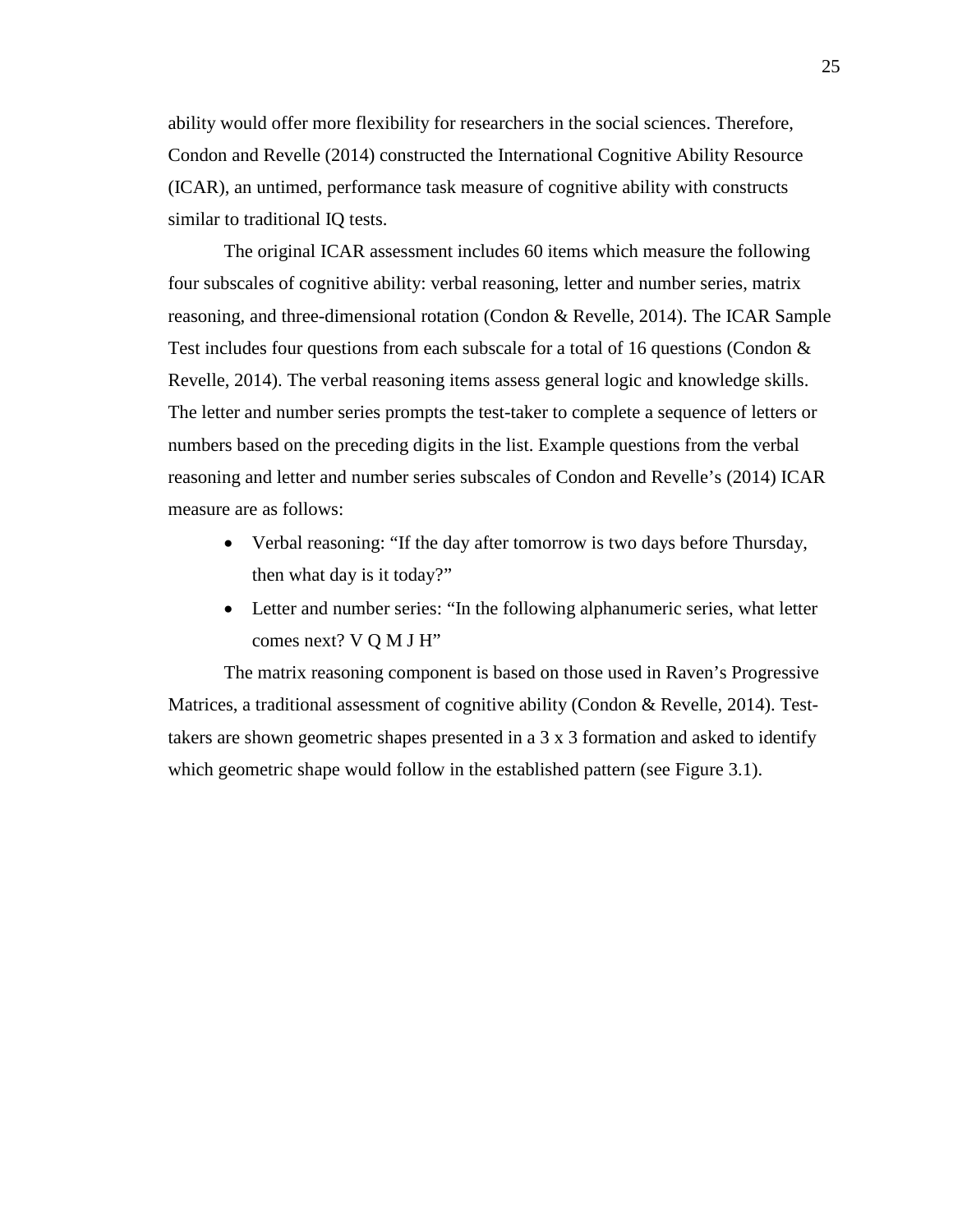ability would offer more flexibility for researchers in the social sciences. Therefore, Condon and Revelle (2014) constructed the International Cognitive Ability Resource (ICAR), an untimed, performance task measure of cognitive ability with constructs similar to traditional IQ tests.

The original ICAR assessment includes 60 items which measure the following four subscales of cognitive ability: verbal reasoning, letter and number series, matrix reasoning, and three-dimensional rotation (Condon & Revelle, 2014). The ICAR Sample Test includes four questions from each subscale for a total of 16 questions (Condon  $\&$ Revelle, 2014). The verbal reasoning items assess general logic and knowledge skills. The letter and number series prompts the test-taker to complete a sequence of letters or numbers based on the preceding digits in the list. Example questions from the verbal reasoning and letter and number series subscales of Condon and Revelle's (2014) ICAR measure are as follows:

- Verbal reasoning: "If the day after tomorrow is two days before Thursday, then what day is it today?"
- Letter and number series: "In the following alphanumeric series, what letter comes next? V Q M J H"

The matrix reasoning component is based on those used in Raven's Progressive Matrices, a traditional assessment of cognitive ability (Condon & Revelle, 2014). Testtakers are shown geometric shapes presented in a 3 x 3 formation and asked to identify which geometric shape would follow in the established pattern (see Figure 3.1).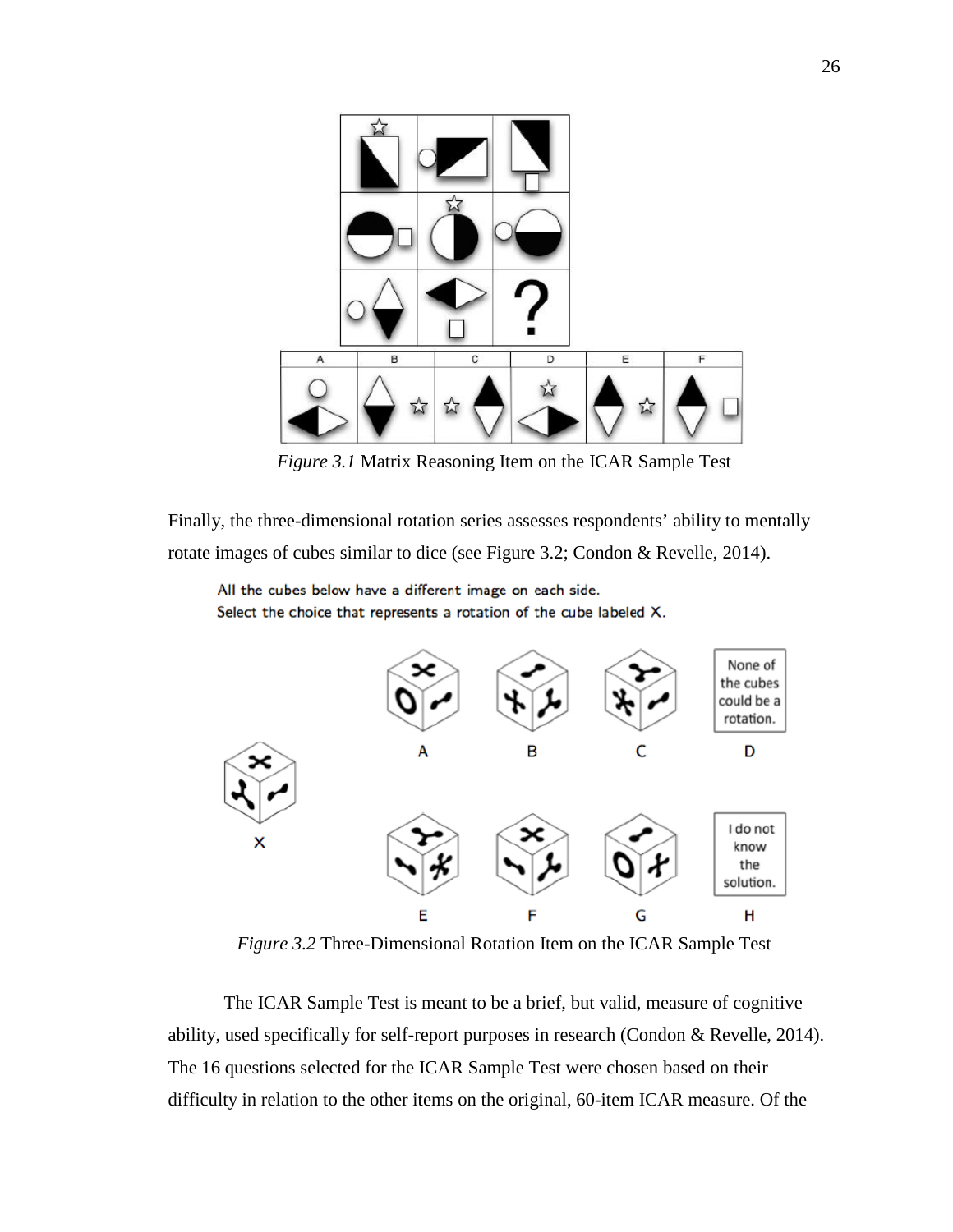

*Figure 3.1* Matrix Reasoning Item on the ICAR Sample Test

Finally, the three-dimensional rotation series assesses respondents' ability to mentally rotate images of cubes similar to dice (see Figure 3.2; Condon & Revelle, 2014).

All the cubes below have a different image on each side. Select the choice that represents a rotation of the cube labeled X.



*Figure 3.2* Three-Dimensional Rotation Item on the ICAR Sample Test

The ICAR Sample Test is meant to be a brief, but valid, measure of cognitive ability, used specifically for self-report purposes in research (Condon & Revelle, 2014). The 16 questions selected for the ICAR Sample Test were chosen based on their difficulty in relation to the other items on the original, 60-item ICAR measure. Of the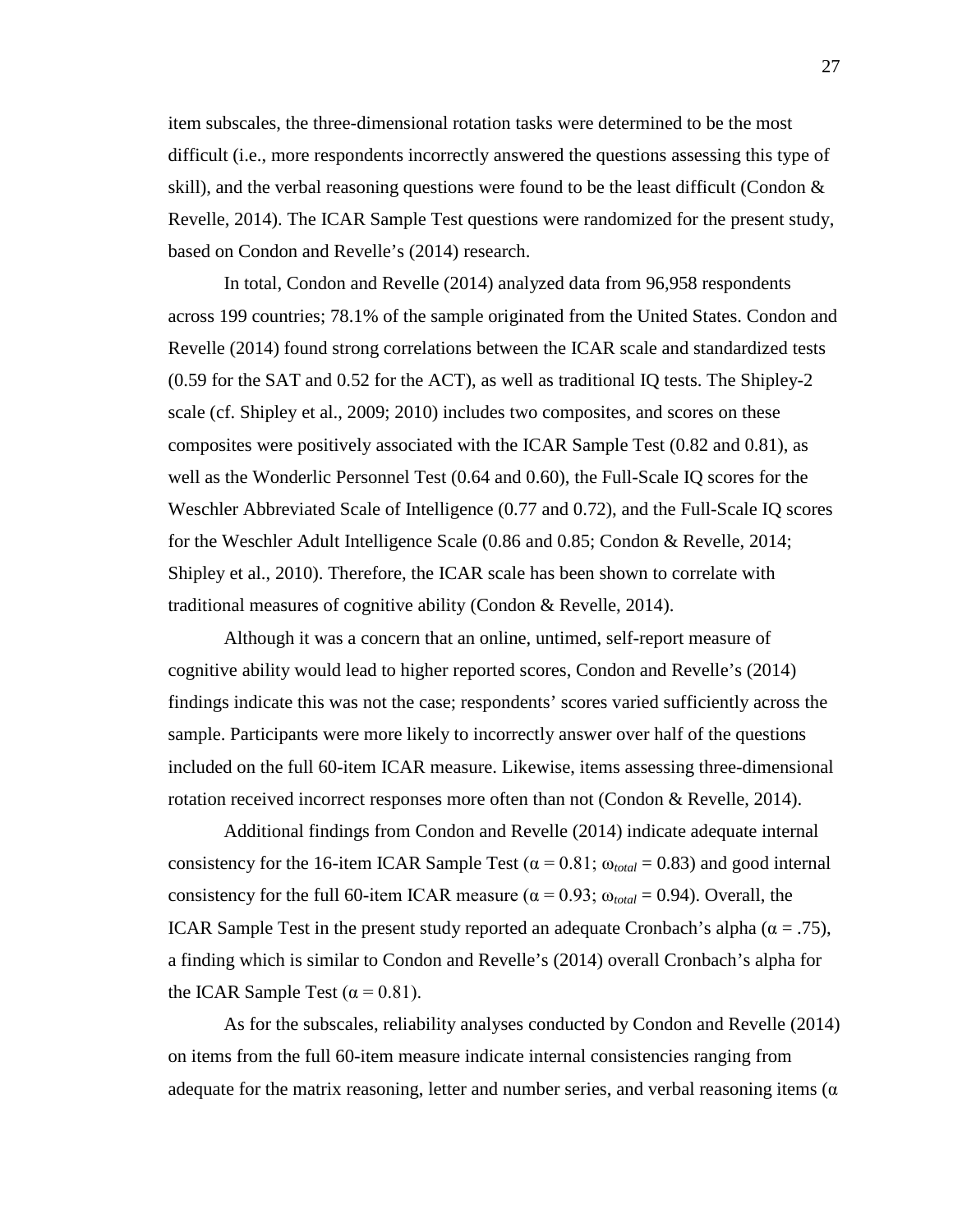item subscales, the three-dimensional rotation tasks were determined to be the most difficult (i.e., more respondents incorrectly answered the questions assessing this type of skill), and the verbal reasoning questions were found to be the least difficult (Condon & Revelle, 2014). The ICAR Sample Test questions were randomized for the present study, based on Condon and Revelle's (2014) research.

In total, Condon and Revelle (2014) analyzed data from 96,958 respondents across 199 countries; 78.1% of the sample originated from the United States. Condon and Revelle (2014) found strong correlations between the ICAR scale and standardized tests (0.59 for the SAT and 0.52 for the ACT), as well as traditional IQ tests. The Shipley-2 scale (cf. Shipley et al., 2009; 2010) includes two composites, and scores on these composites were positively associated with the ICAR Sample Test (0.82 and 0.81), as well as the Wonderlic Personnel Test (0.64 and 0.60), the Full-Scale IQ scores for the Weschler Abbreviated Scale of Intelligence (0.77 and 0.72), and the Full-Scale IQ scores for the Weschler Adult Intelligence Scale (0.86 and 0.85; Condon & Revelle, 2014; Shipley et al., 2010). Therefore, the ICAR scale has been shown to correlate with traditional measures of cognitive ability (Condon & Revelle, 2014).

Although it was a concern that an online, untimed, self-report measure of cognitive ability would lead to higher reported scores, Condon and Revelle's (2014) findings indicate this was not the case; respondents' scores varied sufficiently across the sample. Participants were more likely to incorrectly answer over half of the questions included on the full 60-item ICAR measure. Likewise, items assessing three-dimensional rotation received incorrect responses more often than not (Condon & Revelle, 2014).

Additional findings from Condon and Revelle (2014) indicate adequate internal consistency for the 16-item ICAR Sample Test ( $\alpha$  = 0.81;  $\omega_{total}$  = 0.83) and good internal consistency for the full 60-item ICAR measure ( $\alpha$  = 0.93;  $\omega_{total}$  = 0.94). Overall, the ICAR Sample Test in the present study reported an adequate Cronbach's alpha ( $\alpha = .75$ ), a finding which is similar to Condon and Revelle's (2014) overall Cronbach's alpha for the ICAR Sample Test ( $\alpha$  = 0.81).

As for the subscales, reliability analyses conducted by Condon and Revelle (2014) on items from the full 60-item measure indicate internal consistencies ranging from adequate for the matrix reasoning, letter and number series, and verbal reasoning items  $(\alpha$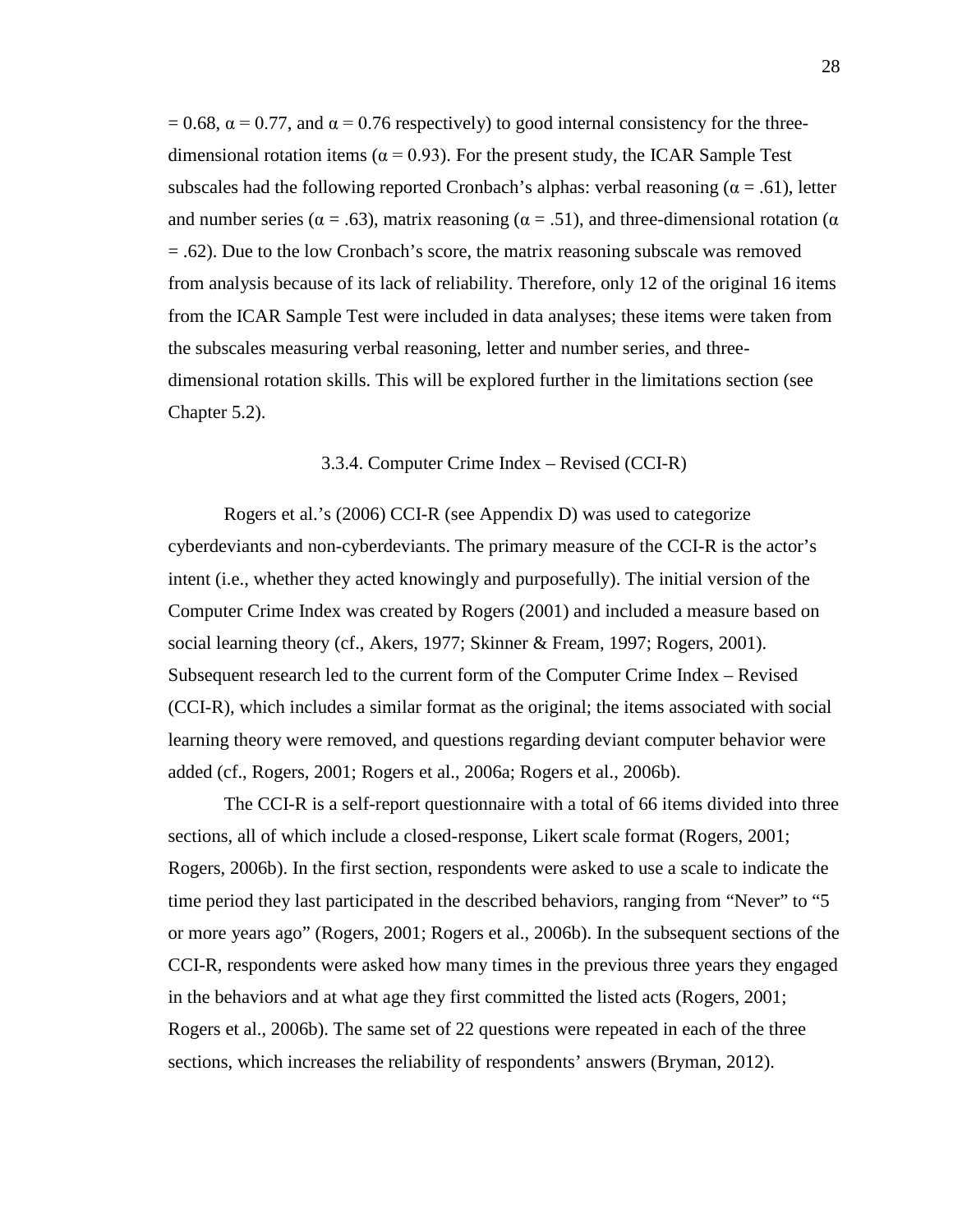$= 0.68$ ,  $\alpha = 0.77$ , and  $\alpha = 0.76$  respectively) to good internal consistency for the threedimensional rotation items ( $\alpha$  = 0.93). For the present study, the ICAR Sample Test subscales had the following reported Cronbach's alphas: verbal reasoning ( $\alpha = .61$ ), letter and number series ( $\alpha = .63$ ), matrix reasoning ( $\alpha = .51$ ), and three-dimensional rotation ( $\alpha$ = .62). Due to the low Cronbach's score, the matrix reasoning subscale was removed from analysis because of its lack of reliability. Therefore, only 12 of the original 16 items from the ICAR Sample Test were included in data analyses; these items were taken from the subscales measuring verbal reasoning, letter and number series, and threedimensional rotation skills. This will be explored further in the limitations section (see Chapter 5.2).

### 3.3.4. Computer Crime Index – Revised (CCI-R)

Rogers et al.'s (2006) CCI-R (see Appendix D) was used to categorize cyberdeviants and non-cyberdeviants. The primary measure of the CCI-R is the actor's intent (i.e., whether they acted knowingly and purposefully). The initial version of the Computer Crime Index was created by Rogers (2001) and included a measure based on social learning theory (cf., Akers, 1977; Skinner & Fream, 1997; Rogers, 2001). Subsequent research led to the current form of the Computer Crime Index – Revised (CCI-R), which includes a similar format as the original; the items associated with social learning theory were removed, and questions regarding deviant computer behavior were added (cf., Rogers, 2001; Rogers et al., 2006a; Rogers et al., 2006b).

The CCI-R is a self-report questionnaire with a total of 66 items divided into three sections, all of which include a closed-response, Likert scale format (Rogers, 2001; Rogers, 2006b). In the first section, respondents were asked to use a scale to indicate the time period they last participated in the described behaviors, ranging from "Never" to "5 or more years ago" (Rogers, 2001; Rogers et al., 2006b). In the subsequent sections of the CCI-R, respondents were asked how many times in the previous three years they engaged in the behaviors and at what age they first committed the listed acts (Rogers, 2001; Rogers et al., 2006b). The same set of 22 questions were repeated in each of the three sections, which increases the reliability of respondents' answers (Bryman, 2012).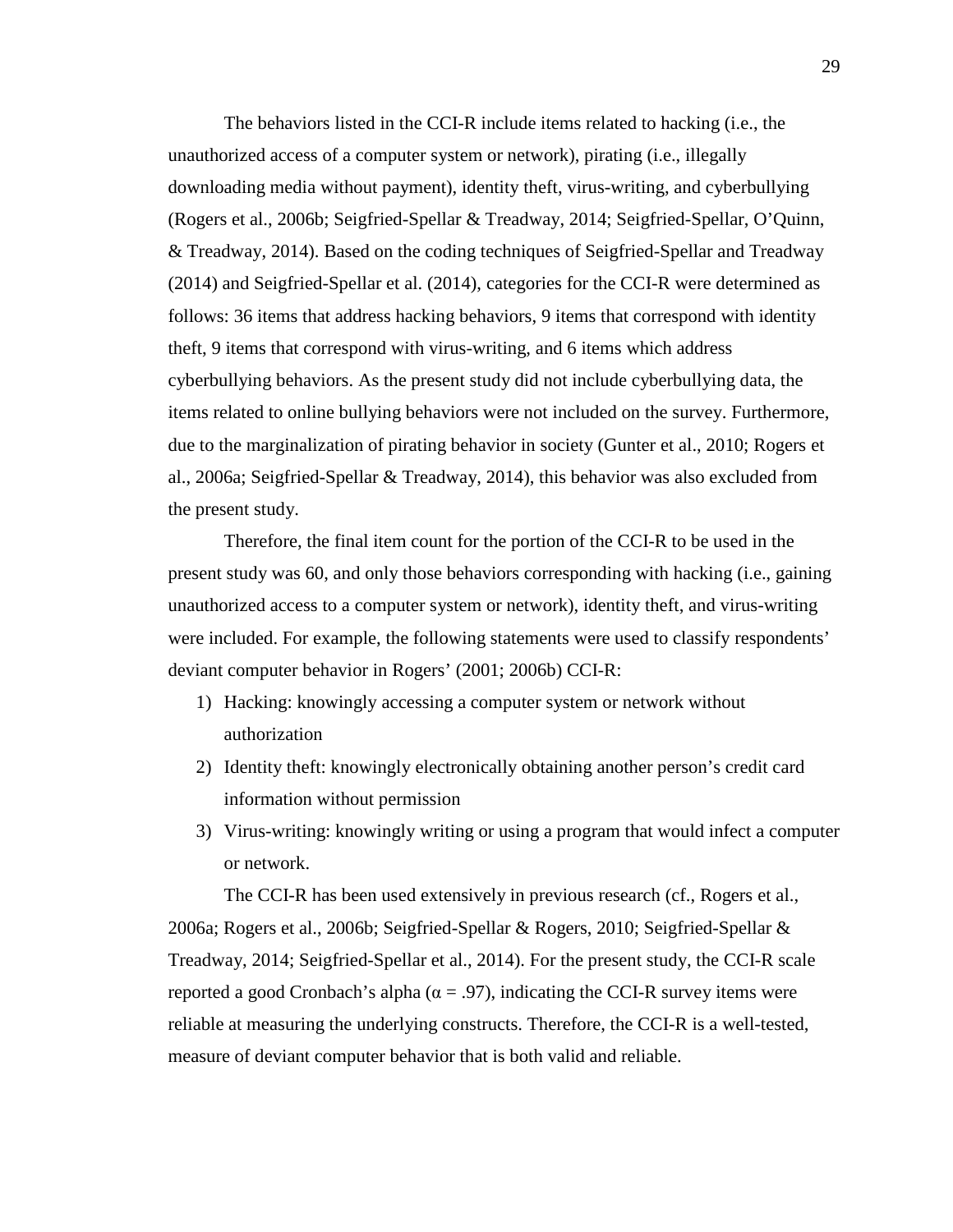The behaviors listed in the CCI-R include items related to hacking (i.e., the unauthorized access of a computer system or network), pirating (i.e., illegally downloading media without payment), identity theft, virus-writing, and cyberbullying (Rogers et al., 2006b; Seigfried-Spellar & Treadway, 2014; Seigfried-Spellar, O'Quinn, & Treadway, 2014). Based on the coding techniques of Seigfried-Spellar and Treadway (2014) and Seigfried-Spellar et al. (2014), categories for the CCI-R were determined as follows: 36 items that address hacking behaviors, 9 items that correspond with identity theft, 9 items that correspond with virus-writing, and 6 items which address cyberbullying behaviors. As the present study did not include cyberbullying data, the items related to online bullying behaviors were not included on the survey. Furthermore, due to the marginalization of pirating behavior in society (Gunter et al., 2010; Rogers et al., 2006a; Seigfried-Spellar & Treadway, 2014), this behavior was also excluded from the present study.

Therefore, the final item count for the portion of the CCI-R to be used in the present study was 60, and only those behaviors corresponding with hacking (i.e., gaining unauthorized access to a computer system or network), identity theft, and virus-writing were included. For example, the following statements were used to classify respondents' deviant computer behavior in Rogers' (2001; 2006b) CCI-R:

- 1) Hacking: knowingly accessing a computer system or network without authorization
- 2) Identity theft: knowingly electronically obtaining another person's credit card information without permission
- 3) Virus-writing: knowingly writing or using a program that would infect a computer or network.

The CCI-R has been used extensively in previous research (cf., Rogers et al., 2006a; Rogers et al., 2006b; Seigfried-Spellar & Rogers, 2010; Seigfried-Spellar & Treadway, 2014; Seigfried-Spellar et al., 2014). For the present study, the CCI-R scale reported a good Cronbach's alpha ( $\alpha = .97$ ), indicating the CCI-R survey items were reliable at measuring the underlying constructs. Therefore, the CCI-R is a well-tested, measure of deviant computer behavior that is both valid and reliable.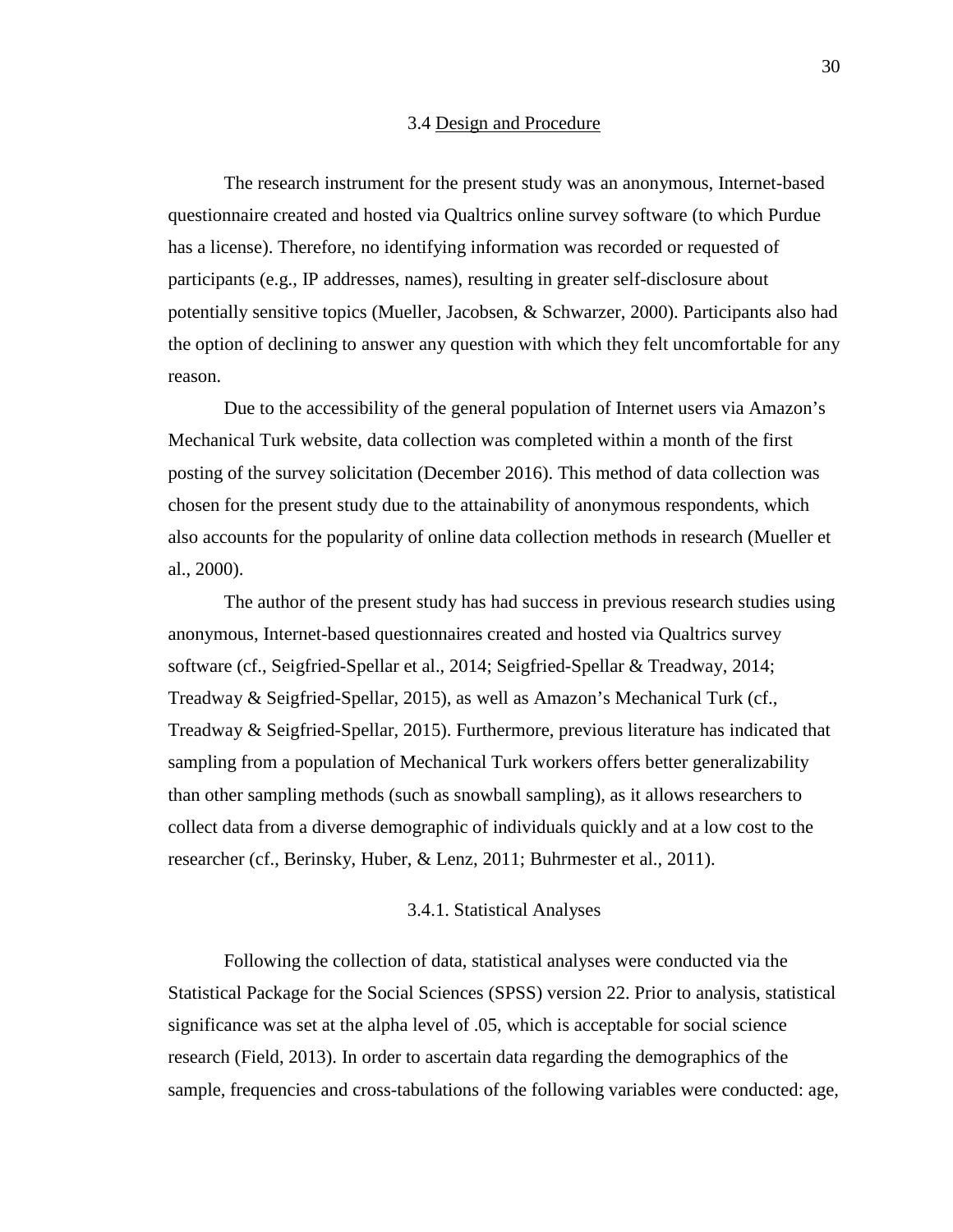#### 3.4 Design and Procedure

The research instrument for the present study was an anonymous, Internet-based questionnaire created and hosted via Qualtrics online survey software (to which Purdue has a license). Therefore, no identifying information was recorded or requested of participants (e.g., IP addresses, names), resulting in greater self-disclosure about potentially sensitive topics (Mueller, Jacobsen, & Schwarzer, 2000). Participants also had the option of declining to answer any question with which they felt uncomfortable for any reason.

Due to the accessibility of the general population of Internet users via Amazon's Mechanical Turk website, data collection was completed within a month of the first posting of the survey solicitation (December 2016). This method of data collection was chosen for the present study due to the attainability of anonymous respondents, which also accounts for the popularity of online data collection methods in research (Mueller et al., 2000).

The author of the present study has had success in previous research studies using anonymous, Internet-based questionnaires created and hosted via Qualtrics survey software (cf., Seigfried-Spellar et al., 2014; Seigfried-Spellar & Treadway, 2014; Treadway & Seigfried-Spellar, 2015), as well as Amazon's Mechanical Turk (cf., Treadway & Seigfried-Spellar, 2015). Furthermore, previous literature has indicated that sampling from a population of Mechanical Turk workers offers better generalizability than other sampling methods (such as snowball sampling), as it allows researchers to collect data from a diverse demographic of individuals quickly and at a low cost to the researcher (cf., Berinsky, Huber, & Lenz, 2011; Buhrmester et al., 2011).

### 3.4.1. Statistical Analyses

Following the collection of data, statistical analyses were conducted via the Statistical Package for the Social Sciences (SPSS) version 22. Prior to analysis, statistical significance was set at the alpha level of .05, which is acceptable for social science research (Field, 2013). In order to ascertain data regarding the demographics of the sample, frequencies and cross-tabulations of the following variables were conducted: age,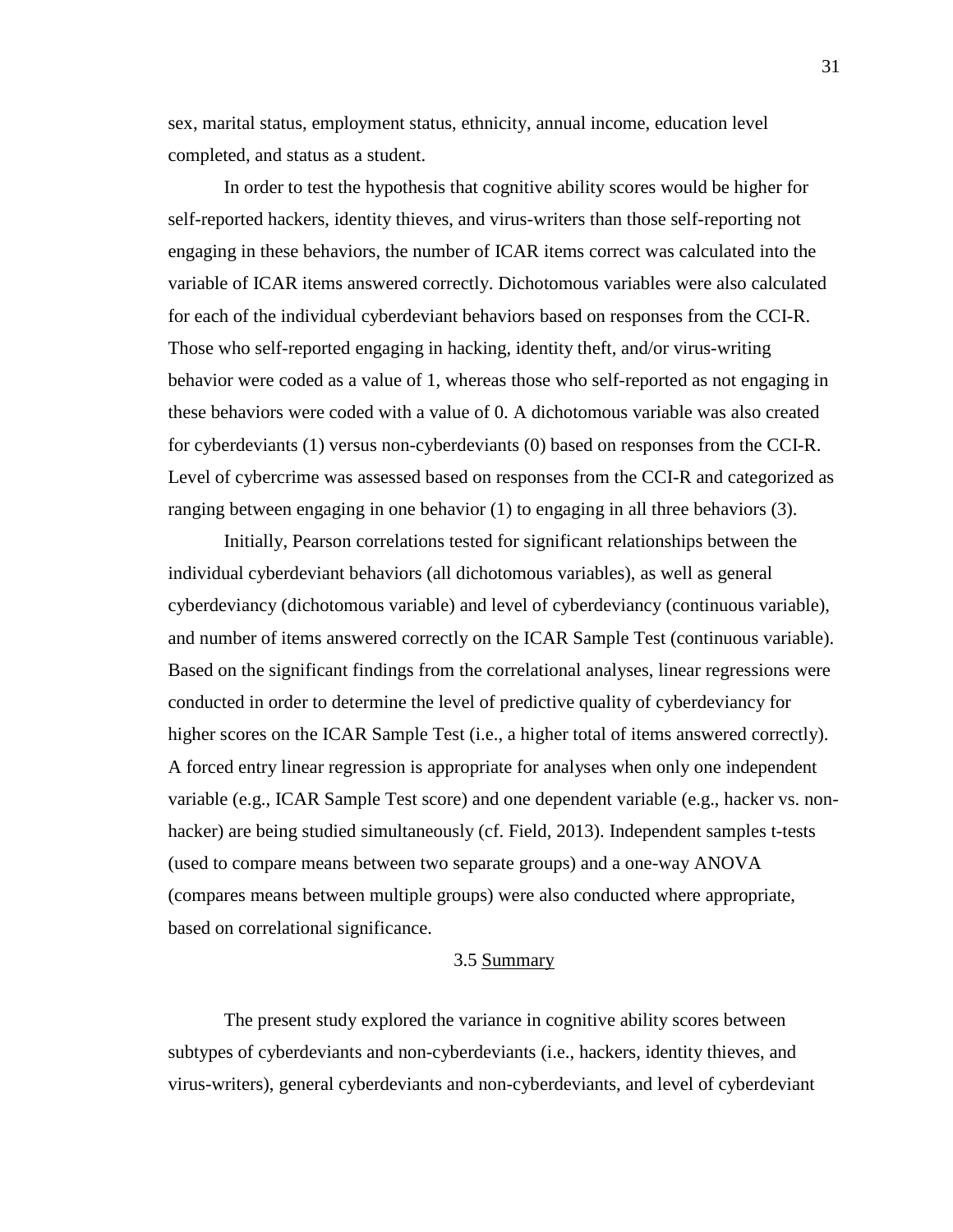sex, marital status, employment status, ethnicity, annual income, education level completed, and status as a student.

In order to test the hypothesis that cognitive ability scores would be higher for self-reported hackers, identity thieves, and virus-writers than those self-reporting not engaging in these behaviors, the number of ICAR items correct was calculated into the variable of ICAR items answered correctly. Dichotomous variables were also calculated for each of the individual cyberdeviant behaviors based on responses from the CCI-R. Those who self-reported engaging in hacking, identity theft, and/or virus-writing behavior were coded as a value of 1, whereas those who self-reported as not engaging in these behaviors were coded with a value of 0. A dichotomous variable was also created for cyberdeviants (1) versus non-cyberdeviants (0) based on responses from the CCI-R. Level of cybercrime was assessed based on responses from the CCI-R and categorized as ranging between engaging in one behavior (1) to engaging in all three behaviors (3).

Initially, Pearson correlations tested for significant relationships between the individual cyberdeviant behaviors (all dichotomous variables), as well as general cyberdeviancy (dichotomous variable) and level of cyberdeviancy (continuous variable), and number of items answered correctly on the ICAR Sample Test (continuous variable). Based on the significant findings from the correlational analyses, linear regressions were conducted in order to determine the level of predictive quality of cyberdeviancy for higher scores on the ICAR Sample Test (i.e., a higher total of items answered correctly). A forced entry linear regression is appropriate for analyses when only one independent variable (e.g., ICAR Sample Test score) and one dependent variable (e.g., hacker vs. nonhacker) are being studied simultaneously (cf. Field, 2013). Independent samples t-tests (used to compare means between two separate groups) and a one-way ANOVA (compares means between multiple groups) were also conducted where appropriate, based on correlational significance.

#### 3.5 Summary

The present study explored the variance in cognitive ability scores between subtypes of cyberdeviants and non-cyberdeviants (i.e., hackers, identity thieves, and virus-writers), general cyberdeviants and non-cyberdeviants, and level of cyberdeviant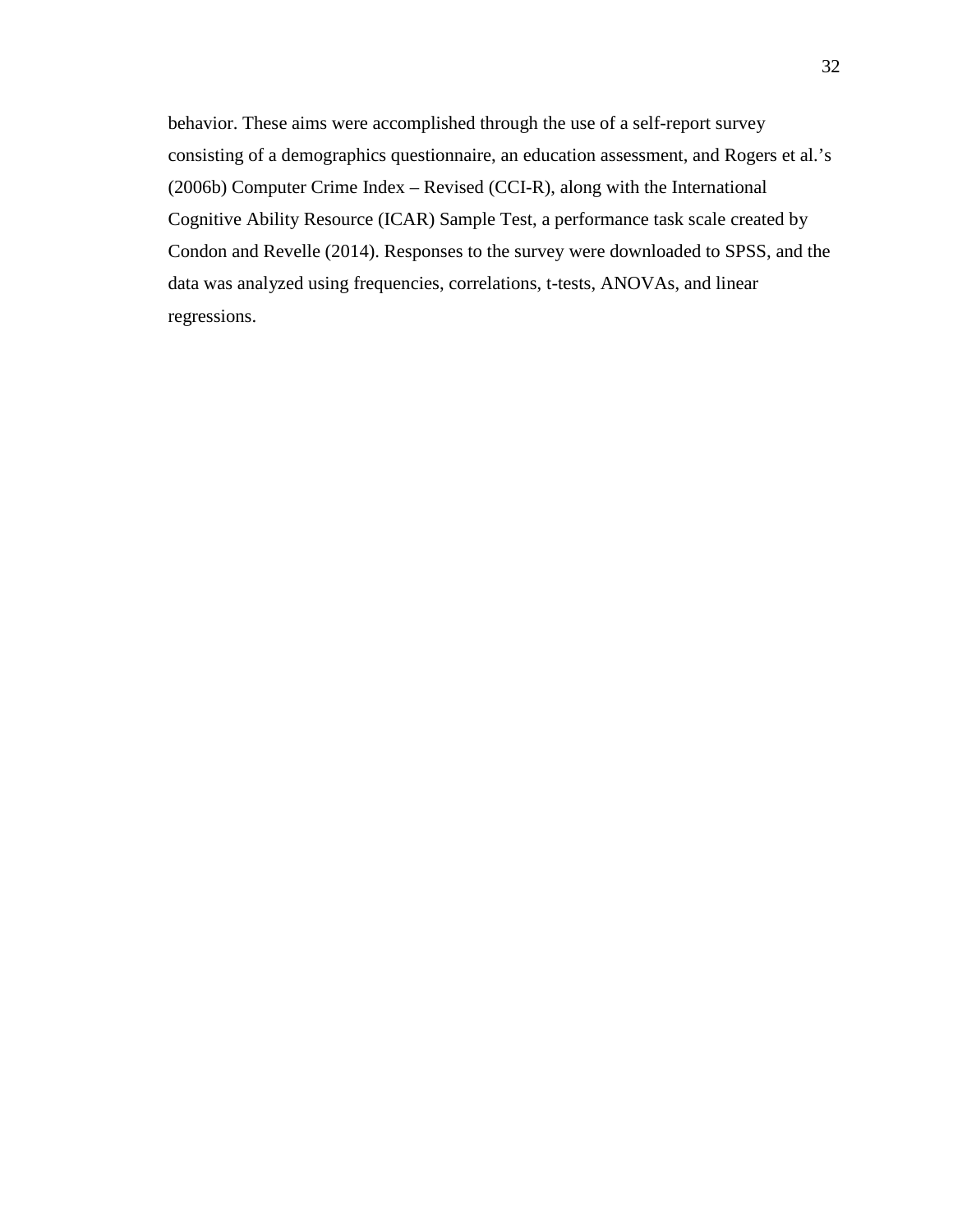behavior. These aims were accomplished through the use of a self-report survey consisting of a demographics questionnaire, an education assessment, and Rogers et al.'s (2006b) Computer Crime Index – Revised (CCI-R), along with the International Cognitive Ability Resource (ICAR) Sample Test, a performance task scale created by Condon and Revelle (2014). Responses to the survey were downloaded to SPSS, and the data was analyzed using frequencies, correlations, t-tests, ANOVAs, and linear regressions.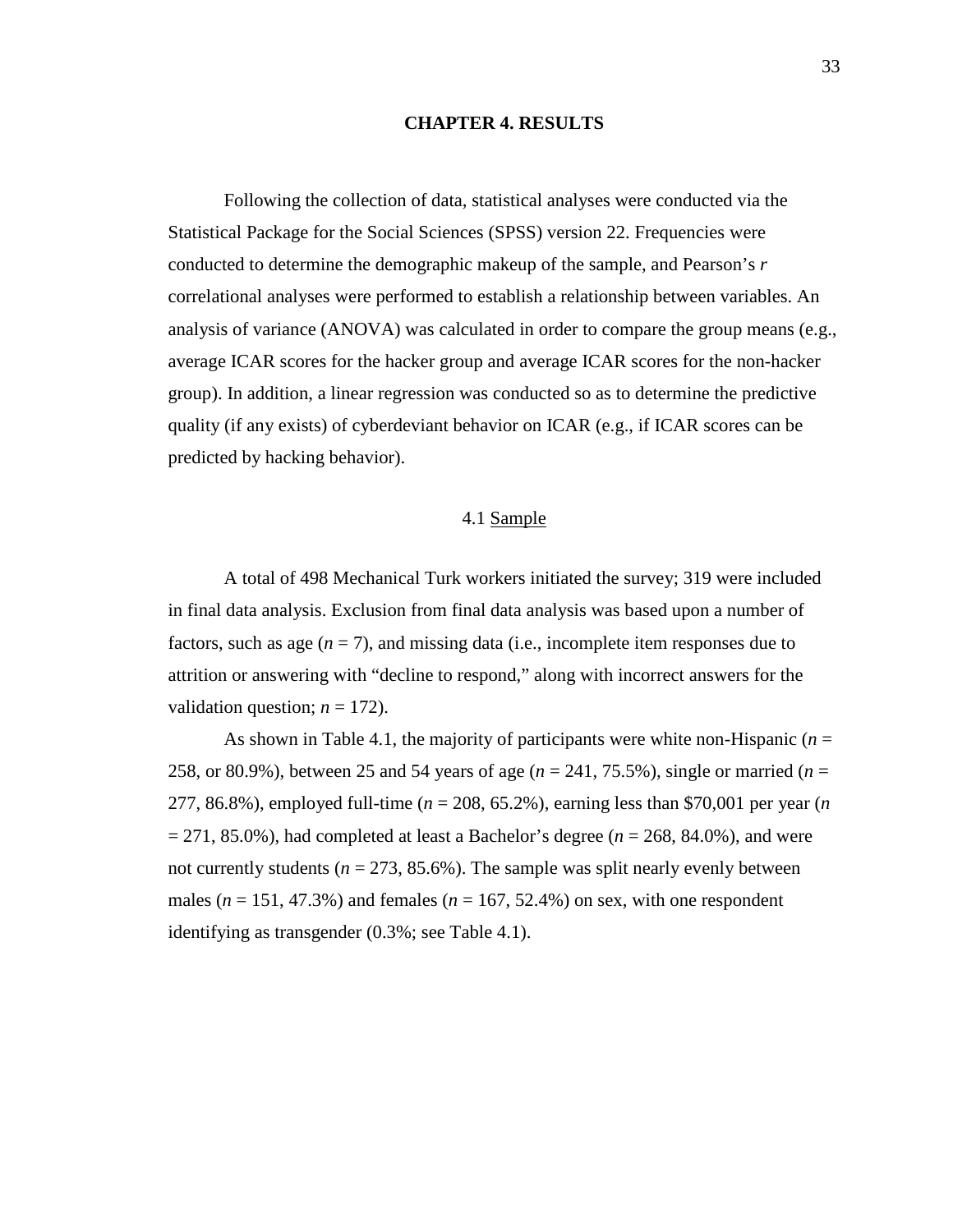#### **CHAPTER 4. RESULTS**

Following the collection of data, statistical analyses were conducted via the Statistical Package for the Social Sciences (SPSS) version 22. Frequencies were conducted to determine the demographic makeup of the sample, and Pearson's *r* correlational analyses were performed to establish a relationship between variables. An analysis of variance (ANOVA) was calculated in order to compare the group means (e.g., average ICAR scores for the hacker group and average ICAR scores for the non-hacker group). In addition, a linear regression was conducted so as to determine the predictive quality (if any exists) of cyberdeviant behavior on ICAR (e.g., if ICAR scores can be predicted by hacking behavior).

### 4.1 Sample

A total of 498 Mechanical Turk workers initiated the survey; 319 were included in final data analysis. Exclusion from final data analysis was based upon a number of factors, such as age  $(n = 7)$ , and missing data (i.e., incomplete item responses due to attrition or answering with "decline to respond," along with incorrect answers for the validation question;  $n = 172$ ).

As shown in Table 4.1, the majority of participants were white non-Hispanic (*n* = 258, or 80.9%), between 25 and 54 years of age (*n* = 241, 75.5%), single or married (*n* = 277, 86.8%), employed full-time (*n* = 208, 65.2%), earning less than \$70,001 per year (*n*   $= 271, 85.0\%$ ), had completed at least a Bachelor's degree ( $n = 268, 84.0\%$ ), and were not currently students ( $n = 273, 85.6\%$ ). The sample was split nearly evenly between males ( $n = 151, 47.3\%$ ) and females ( $n = 167, 52.4\%$ ) on sex, with one respondent identifying as transgender (0.3%; see Table 4.1).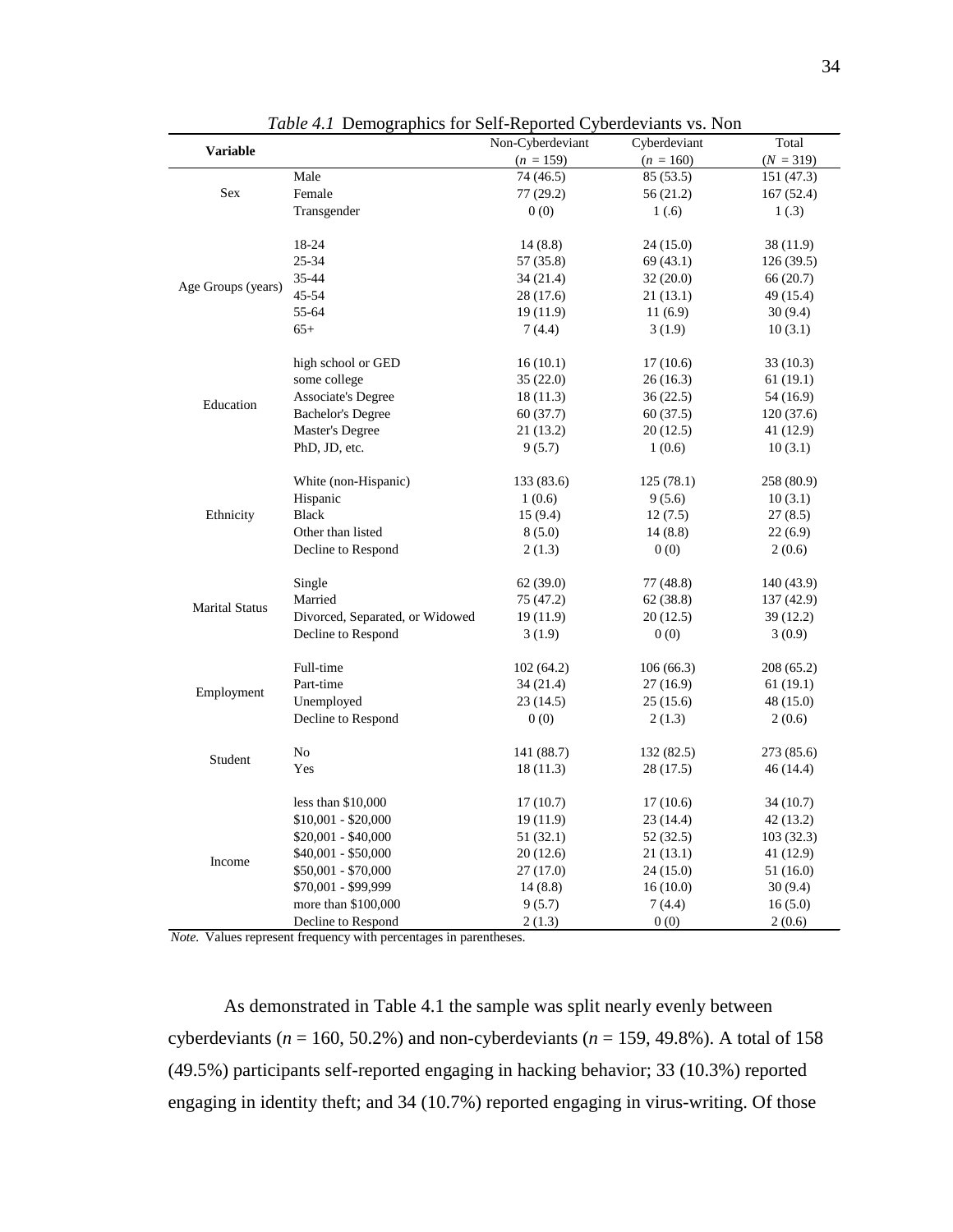|                       |                                 | $\frac{1}{2}$<br>Non-Cyberdeviant | Cyberdeviant | Total       |
|-----------------------|---------------------------------|-----------------------------------|--------------|-------------|
| <b>Variable</b>       |                                 | $(n = 159)$                       | $(n = 160)$  | $(N = 319)$ |
| Sex                   | Male                            | 74 (46.5)                         | 85 (53.5)    | 151 (47.3)  |
|                       | Female                          | 77 (29.2)                         | 56 (21.2)    | 167 (52.4)  |
|                       | Transgender                     | 0(0)                              | 1(.6)        | 1(.3)       |
|                       |                                 |                                   |              |             |
|                       | 18-24                           | 14(8.8)                           | 24(15.0)     | 38(11.9)    |
|                       | 25-34                           | 57 (35.8)                         | 69 (43.1)    | 126(39.5)   |
| Age Groups (years)    | 35-44                           | 34(21.4)                          | 32(20.0)     | 66 (20.7)   |
|                       | 45-54                           | 28 (17.6)                         | 21(13.1)     | 49 (15.4)   |
|                       | 55-64                           | 19(11.9)                          | 11(6.9)      | 30(9.4)     |
|                       | $65+$                           | 7(4.4)                            | 3(1.9)       | 10(3.1)     |
|                       |                                 |                                   |              |             |
|                       | high school or GED              | 16(10.1)                          | 17(10.6)     | 33 (10.3)   |
|                       | some college                    | 35(22.0)                          | 26(16.3)     | 61(19.1)    |
| Education             | <b>Associate's Degree</b>       | 18(11.3)                          | 36(22.5)     | 54 (16.9)   |
|                       | <b>Bachelor's Degree</b>        | 60(37.7)                          | 60 (37.5)    | 120 (37.6)  |
|                       | Master's Degree                 | 21 (13.2)                         | 20(12.5)     | 41 (12.9)   |
|                       | PhD, JD, etc.                   | 9(5.7)                            | 1(0.6)       | 10(3.1)     |
|                       | White (non-Hispanic)            | 133 (83.6)                        | 125(78.1)    | 258 (80.9)  |
|                       | Hispanic                        | 1(0.6)                            | 9(5.6)       | 10(3.1)     |
| Ethnicity             | <b>Black</b>                    | 15(9.4)                           | 12(7.5)      | 27(8.5)     |
|                       | Other than listed               | 8(5.0)                            | 14(8.8)      | 22(6.9)     |
|                       | Decline to Respond              | 2(1.3)                            | 0(0)         | 2(0.6)      |
|                       |                                 |                                   |              |             |
|                       | Single                          | 62(39.0)                          | 77 (48.8)    | 140 (43.9)  |
| <b>Marital Status</b> | Married                         | 75 (47.2)                         | 62 (38.8)    | 137 (42.9)  |
|                       | Divorced, Separated, or Widowed | 19(11.9)                          | 20(12.5)     | 39(12.2)    |
|                       | Decline to Respond              | 3(1.9)                            | 0(0)         | 3(0.9)      |
|                       | Full-time                       | 102(64.2)                         | 106(66.3)    | 208 (65.2)  |
|                       | Part-time                       | 34(21.4)                          | 27(16.9)     | 61(19.1)    |
| Employment            | Unemployed                      | 23(14.5)                          | 25(15.6)     | 48 (15.0)   |
|                       | Decline to Respond              | 0(0)                              | 2(1.3)       | 2(0.6)      |
|                       |                                 |                                   |              |             |
|                       | No                              | 141 (88.7)                        | 132 (82.5)   | 273 (85.6)  |
| Student               | Yes                             | 18(11.3)                          | 28 (17.5)    | 46(14.4)    |
|                       |                                 |                                   |              |             |
|                       | less than $$10,000$             | 17(10.7)                          | 17(10.6)     | 34(10.7)    |
|                       | $$10,001 - $20,000$             | 19(11.9)                          | 23(14.4)     | 42(13.2)    |
|                       | $$20,001 - $40,000$             | 51 (32.1)                         | 52 (32.5)    | 103(32.3)   |
| Income                | $$40,001 - $50,000$             | 20(12.6)                          | 21(13.1)     | 41 (12.9)   |
|                       | $$50,001 - $70,000$             | 27(17.0)                          | 24(15.0)     | 51 (16.0)   |
|                       | \$70,001 - \$99,999             | 14(8.8)                           | 16(10.0)     | 30(9.4)     |
|                       | more than \$100,000             | 9(5.7)                            | 7(4.4)       | 16(5.0)     |
|                       | Decline to Respond              | 2(1.3)                            | 0(0)         | 2(0.6)      |

*Table 4.1* Demographics for Self-Reported Cyberdeviants vs. Non

*Note.* Values represent frequency with percentages in parentheses.

As demonstrated in Table 4.1 the sample was split nearly evenly between cyberdeviants (*n* = 160, 50.2%) and non-cyberdeviants (*n* = 159, 49.8%). A total of 158 (49.5%) participants self-reported engaging in hacking behavior; 33 (10.3%) reported engaging in identity theft; and 34 (10.7%) reported engaging in virus-writing. Of those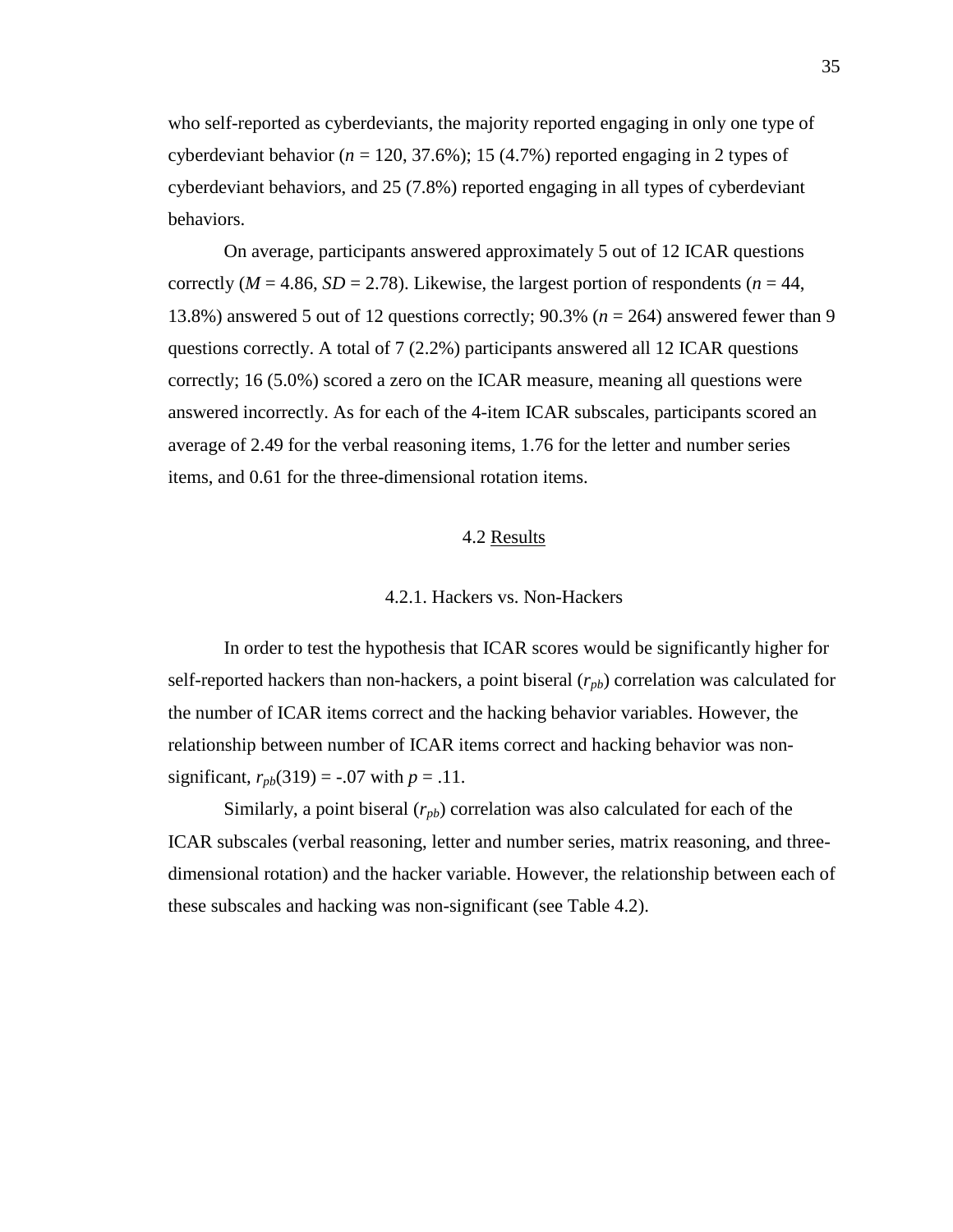who self-reported as cyberdeviants, the majority reported engaging in only one type of cyberdeviant behavior ( $n = 120, 37.6\%$ ); 15 (4.7%) reported engaging in 2 types of cyberdeviant behaviors, and 25 (7.8%) reported engaging in all types of cyberdeviant behaviors.

On average, participants answered approximately 5 out of 12 ICAR questions correctly ( $M = 4.86$ ,  $SD = 2.78$ ). Likewise, the largest portion of respondents ( $n = 44$ , 13.8%) answered 5 out of 12 questions correctly; 90.3% (*n* = 264) answered fewer than 9 questions correctly. A total of 7 (2.2%) participants answered all 12 ICAR questions correctly; 16 (5.0%) scored a zero on the ICAR measure, meaning all questions were answered incorrectly. As for each of the 4-item ICAR subscales, participants scored an average of 2.49 for the verbal reasoning items, 1.76 for the letter and number series items, and 0.61 for the three-dimensional rotation items.

### 4.2 Results

#### 4.2.1. Hackers vs. Non-Hackers

In order to test the hypothesis that ICAR scores would be significantly higher for self-reported hackers than non-hackers, a point biseral  $(r_{pb})$  correlation was calculated for the number of ICAR items correct and the hacking behavior variables. However, the relationship between number of ICAR items correct and hacking behavior was nonsignificant,  $r_{pb}(319) = -.07$  with  $p = .11$ .

Similarly, a point biseral  $(r_{pb})$  correlation was also calculated for each of the ICAR subscales (verbal reasoning, letter and number series, matrix reasoning, and threedimensional rotation) and the hacker variable. However, the relationship between each of these subscales and hacking was non-significant (see Table 4.2).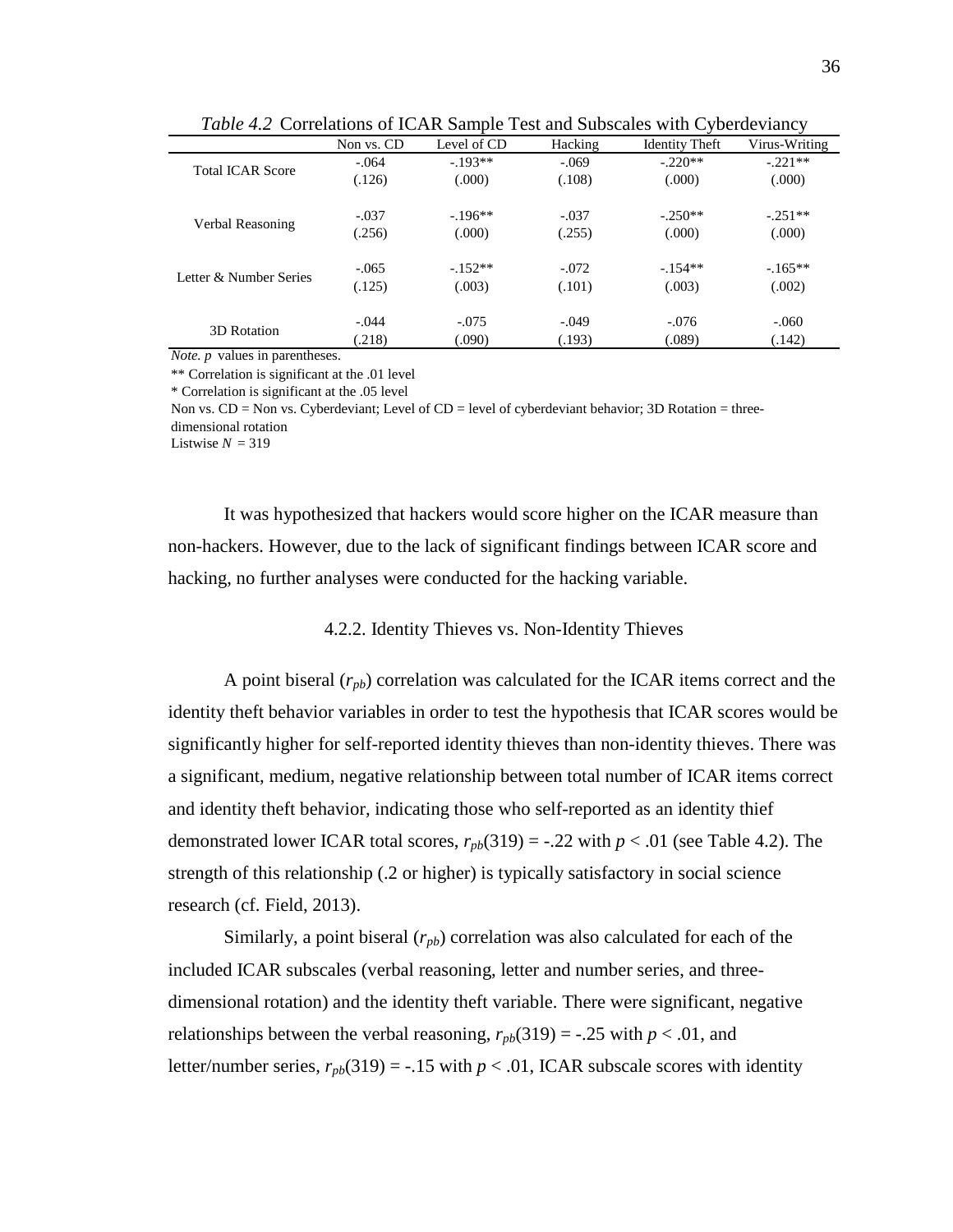|                         |            |             |         |                       | ╯             |
|-------------------------|------------|-------------|---------|-----------------------|---------------|
|                         | Non vs. CD | Level of CD | Hacking | <b>Identity Theft</b> | Virus-Writing |
| <b>Total ICAR Score</b> | $-.064$    | $-193**$    | $-.069$ | $-220**$              | $-221**$      |
|                         | (.126)     | (000)       | (.108)  | (.000)                | (.000)        |
| Verbal Reasoning        | $-.037$    | $-196**$    | $-.037$ | $-.250**$             | $-.251**$     |
|                         | (.256)     | (000)       | (.255)  | (.000)                | (.000)        |
| Letter & Number Series  | $-.065$    | $-.152**$   | $-.072$ | $-.154**$             | $-165**$      |
|                         | (.125)     | (.003)      | (.101)  | (.003)                | (.002)        |
| 3D Rotation             | $-.044$    | $-.075$     | $-.049$ | $-.076$               | $-.060$       |
|                         | (218)      | (.090)      | (.193)  | (.089)                | (.142)        |

*Table 4.2* Correlations of ICAR Sample Test and Subscales with Cyberdeviancy

*Note. p* values in parentheses.

\*\* Correlation is significant at the .01 level

\* Correlation is significant at the .05 level

Non vs. CD = Non vs. Cyberdeviant; Level of CD = level of cyberdeviant behavior; 3D Rotation = threedimensional rotation

Listwise  $N = 319$ 

It was hypothesized that hackers would score higher on the ICAR measure than non-hackers. However, due to the lack of significant findings between ICAR score and hacking, no further analyses were conducted for the hacking variable.

# 4.2.2. Identity Thieves vs. Non-Identity Thieves

A point biseral (*rpb*) correlation was calculated for the ICAR items correct and the identity theft behavior variables in order to test the hypothesis that ICAR scores would be significantly higher for self-reported identity thieves than non-identity thieves. There was a significant, medium, negative relationship between total number of ICAR items correct and identity theft behavior, indicating those who self-reported as an identity thief demonstrated lower ICAR total scores,  $r_{pb}(319) = -.22$  with  $p < .01$  (see Table 4.2). The strength of this relationship (.2 or higher) is typically satisfactory in social science research (cf. Field, 2013).

Similarly, a point biseral  $(r_{pb})$  correlation was also calculated for each of the included ICAR subscales (verbal reasoning, letter and number series, and threedimensional rotation) and the identity theft variable. There were significant, negative relationships between the verbal reasoning,  $r_{pb}(319) = -.25$  with  $p < .01$ , and letter/number series,  $r_{pb}(319) = -.15$  with  $p < .01$ , ICAR subscale scores with identity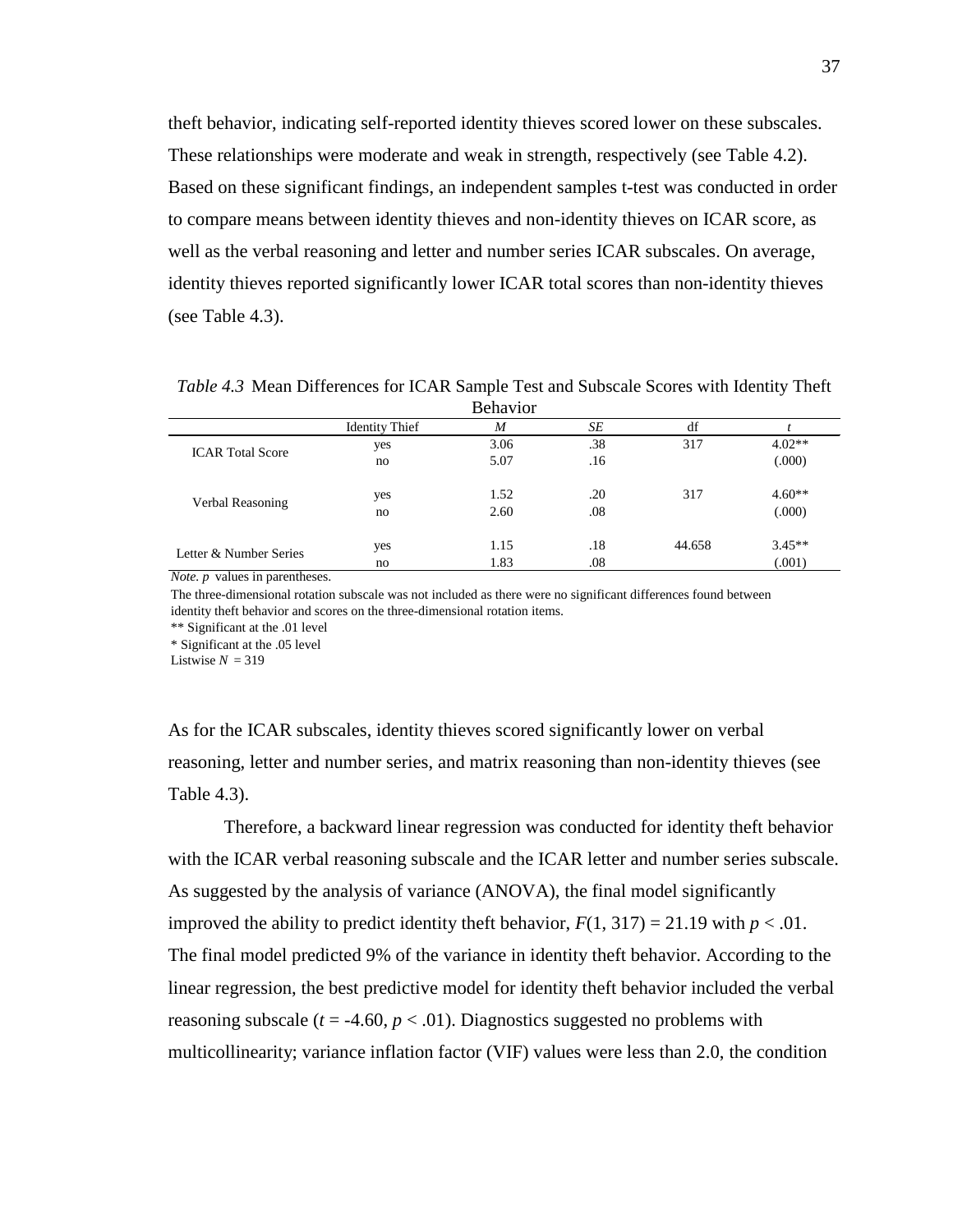theft behavior, indicating self-reported identity thieves scored lower on these subscales. These relationships were moderate and weak in strength, respectively (see Table 4.2). Based on these significant findings, an independent samples t-test was conducted in order to compare means between identity thieves and non-identity thieves on ICAR score, as well as the verbal reasoning and letter and number series ICAR subscales. On average, identity thieves reported significantly lower ICAR total scores than non-identity thieves (see Table 4.3).

Identity Thief *M SE* df *t* yes 3.06 .38 317 4.02<sup>\*\*</sup> no 5.07 .16 (.000) yes 1.52 .20 317 4.60<sup>\*\*</sup> no 2.60 .08 (.000) yes 1.15 .18 44.658 3.45<sup>\*\*</sup> no 1.83 .08 (.001) ICAR Total Score Verbal Reasoning Letter & Number Series Behavior

*Table 4.3* Mean Differences for ICAR Sample Test and Subscale Scores with Identity Theft

*Note. p* values in parentheses.

The three-dimensional rotation subscale was not included as there were no significant differences found between identity theft behavior and scores on the three-dimensional rotation items.

\*\* Significant at the .01 level

\* Significant at the .05 level

Listwise  $N = 319$ 

As for the ICAR subscales, identity thieves scored significantly lower on verbal reasoning, letter and number series, and matrix reasoning than non-identity thieves (see Table 4.3).

Therefore, a backward linear regression was conducted for identity theft behavior with the ICAR verbal reasoning subscale and the ICAR letter and number series subscale. As suggested by the analysis of variance (ANOVA), the final model significantly improved the ability to predict identity theft behavior,  $F(1, 317) = 21.19$  with  $p < .01$ . The final model predicted 9% of the variance in identity theft behavior. According to the linear regression, the best predictive model for identity theft behavior included the verbal reasoning subscale ( $t = -4.60$ ,  $p < .01$ ). Diagnostics suggested no problems with multicollinearity; variance inflation factor (VIF) values were less than 2.0, the condition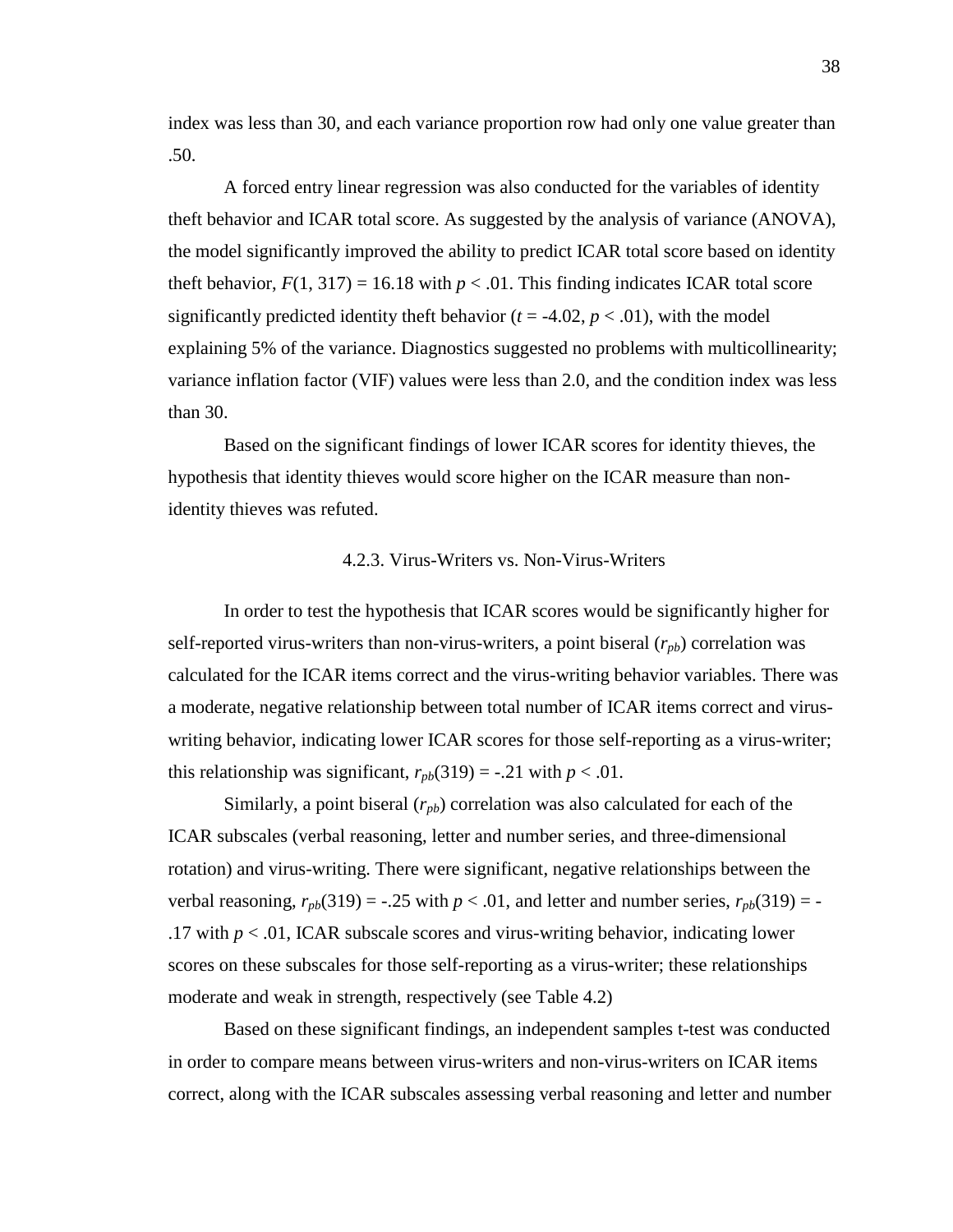index was less than 30, and each variance proportion row had only one value greater than .50.

A forced entry linear regression was also conducted for the variables of identity theft behavior and ICAR total score. As suggested by the analysis of variance (ANOVA), the model significantly improved the ability to predict ICAR total score based on identity theft behavior,  $F(1, 317) = 16.18$  with  $p < .01$ . This finding indicates ICAR total score significantly predicted identity theft behavior  $(t = -4.02, p < .01)$ , with the model explaining 5% of the variance. Diagnostics suggested no problems with multicollinearity; variance inflation factor (VIF) values were less than 2.0, and the condition index was less than 30.

Based on the significant findings of lower ICAR scores for identity thieves, the hypothesis that identity thieves would score higher on the ICAR measure than nonidentity thieves was refuted.

#### 4.2.3. Virus-Writers vs. Non-Virus-Writers

In order to test the hypothesis that ICAR scores would be significantly higher for self-reported virus-writers than non-virus-writers, a point biseral  $(r_{pb})$  correlation was calculated for the ICAR items correct and the virus-writing behavior variables. There was a moderate, negative relationship between total number of ICAR items correct and viruswriting behavior, indicating lower ICAR scores for those self-reporting as a virus-writer; this relationship was significant,  $r_{pb}(319) = -.21$  with  $p < .01$ .

Similarly, a point biseral  $(r_{pb})$  correlation was also calculated for each of the ICAR subscales (verbal reasoning, letter and number series, and three-dimensional rotation) and virus-writing. There were significant, negative relationships between the verbal reasoning,  $r_{ph}(319) = -.25$  with  $p < .01$ , and letter and number series,  $r_{ph}(319) = -$ .17 with *p* < .01, ICAR subscale scores and virus-writing behavior, indicating lower scores on these subscales for those self-reporting as a virus-writer; these relationships moderate and weak in strength, respectively (see Table 4.2)

Based on these significant findings, an independent samples t-test was conducted in order to compare means between virus-writers and non-virus-writers on ICAR items correct, along with the ICAR subscales assessing verbal reasoning and letter and number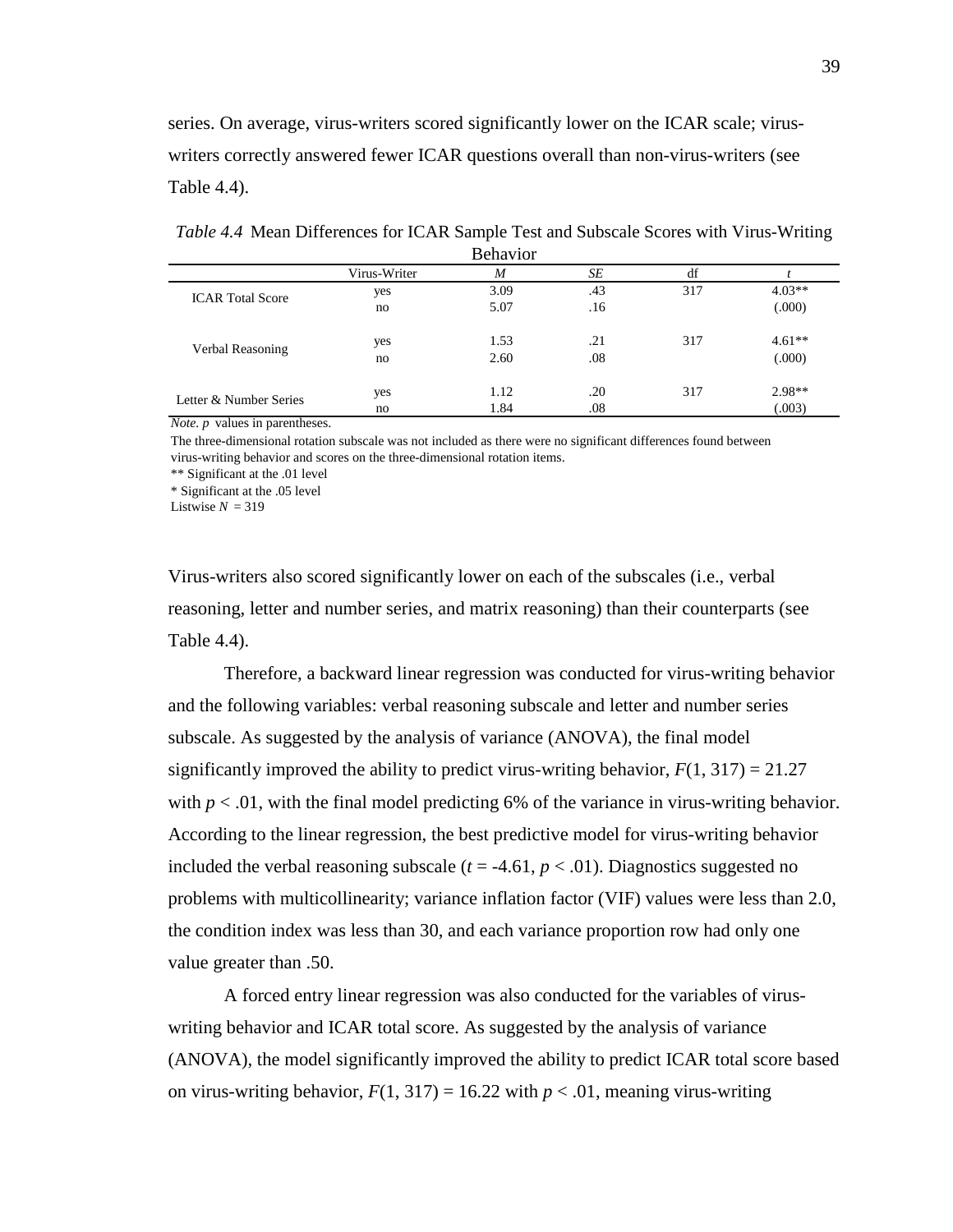series. On average, virus-writers scored significantly lower on the ICAR scale; viruswriters correctly answered fewer ICAR questions overall than non-virus-writers (see Table 4.4).

| <b>Behavior</b>         |              |      |     |     |          |  |  |
|-------------------------|--------------|------|-----|-----|----------|--|--|
|                         | Virus-Writer | M    | SE  | df  |          |  |  |
| <b>ICAR</b> Total Score | yes          | 3.09 | .43 | 317 | $4.03**$ |  |  |
|                         | no           | 5.07 | .16 |     | (.000)   |  |  |
| Verbal Reasoning        | yes          | 1.53 | .21 | 317 | $4.61**$ |  |  |
|                         | no           | 2.60 | .08 |     | (.000)   |  |  |
| Letter & Number Series  | yes          | 1.12 | .20 | 317 | $2.98**$ |  |  |
|                         | no           | 1.84 | .08 |     | (.003)   |  |  |

*Table 4.4* Mean Differences for ICAR Sample Test and Subscale Scores with Virus-Writing

*Note. p* values in parentheses.

The three-dimensional rotation subscale was not included as there were no significant differences found between virus-writing behavior and scores on the three-dimensional rotation items.

\*\* Significant at the .01 level

\* Significant at the .05 level

Listwise  $N = 319$ 

Virus-writers also scored significantly lower on each of the subscales (i.e., verbal reasoning, letter and number series, and matrix reasoning) than their counterparts (see Table 4.4).

Therefore, a backward linear regression was conducted for virus-writing behavior and the following variables: verbal reasoning subscale and letter and number series subscale. As suggested by the analysis of variance (ANOVA), the final model significantly improved the ability to predict virus-writing behavior,  $F(1, 317) = 21.27$ with  $p < .01$ , with the final model predicting 6% of the variance in virus-writing behavior. According to the linear regression, the best predictive model for virus-writing behavior included the verbal reasoning subscale  $(t = -4.61, p < .01)$ . Diagnostics suggested no problems with multicollinearity; variance inflation factor (VIF) values were less than 2.0, the condition index was less than 30, and each variance proportion row had only one value greater than .50.

A forced entry linear regression was also conducted for the variables of viruswriting behavior and ICAR total score. As suggested by the analysis of variance (ANOVA), the model significantly improved the ability to predict ICAR total score based on virus-writing behavior,  $F(1, 317) = 16.22$  with  $p < .01$ , meaning virus-writing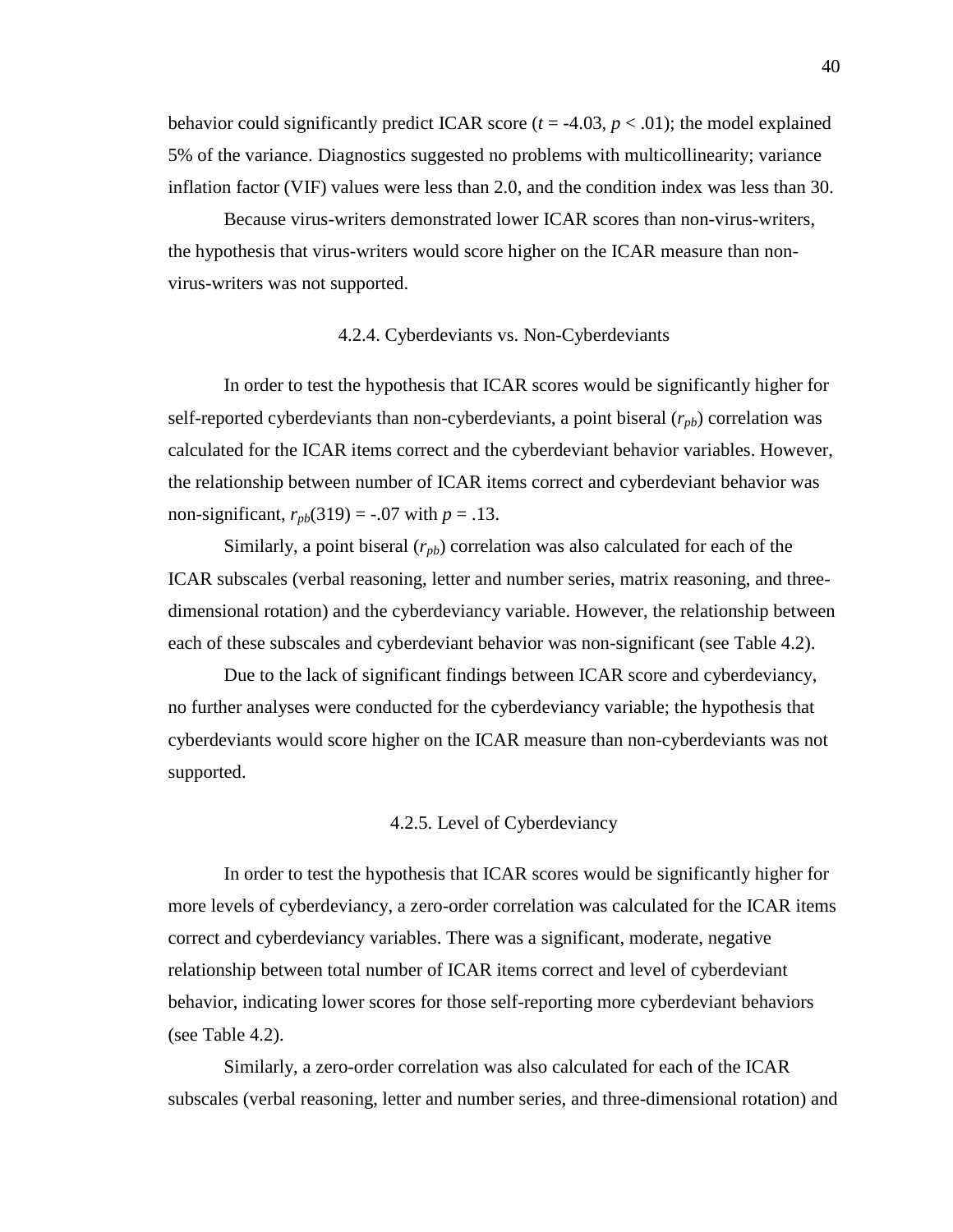behavior could significantly predict ICAR score  $(t = -4.03, p < .01)$ ; the model explained 5% of the variance. Diagnostics suggested no problems with multicollinearity; variance inflation factor (VIF) values were less than 2.0, and the condition index was less than 30.

Because virus-writers demonstrated lower ICAR scores than non-virus-writers, the hypothesis that virus-writers would score higher on the ICAR measure than nonvirus-writers was not supported.

### 4.2.4. Cyberdeviants vs. Non-Cyberdeviants

In order to test the hypothesis that ICAR scores would be significantly higher for self-reported cyberdeviants than non-cyberdeviants, a point biseral  $(r_{pb})$  correlation was calculated for the ICAR items correct and the cyberdeviant behavior variables. However, the relationship between number of ICAR items correct and cyberdeviant behavior was non-significant,  $r_{pb}(319) = -.07$  with  $p = .13$ .

Similarly, a point biseral  $(r_{pb})$  correlation was also calculated for each of the ICAR subscales (verbal reasoning, letter and number series, matrix reasoning, and threedimensional rotation) and the cyberdeviancy variable. However, the relationship between each of these subscales and cyberdeviant behavior was non-significant (see Table 4.2).

Due to the lack of significant findings between ICAR score and cyberdeviancy, no further analyses were conducted for the cyberdeviancy variable; the hypothesis that cyberdeviants would score higher on the ICAR measure than non-cyberdeviants was not supported.

### 4.2.5. Level of Cyberdeviancy

In order to test the hypothesis that ICAR scores would be significantly higher for more levels of cyberdeviancy, a zero-order correlation was calculated for the ICAR items correct and cyberdeviancy variables. There was a significant, moderate, negative relationship between total number of ICAR items correct and level of cyberdeviant behavior, indicating lower scores for those self-reporting more cyberdeviant behaviors (see Table 4.2).

Similarly, a zero-order correlation was also calculated for each of the ICAR subscales (verbal reasoning, letter and number series, and three-dimensional rotation) and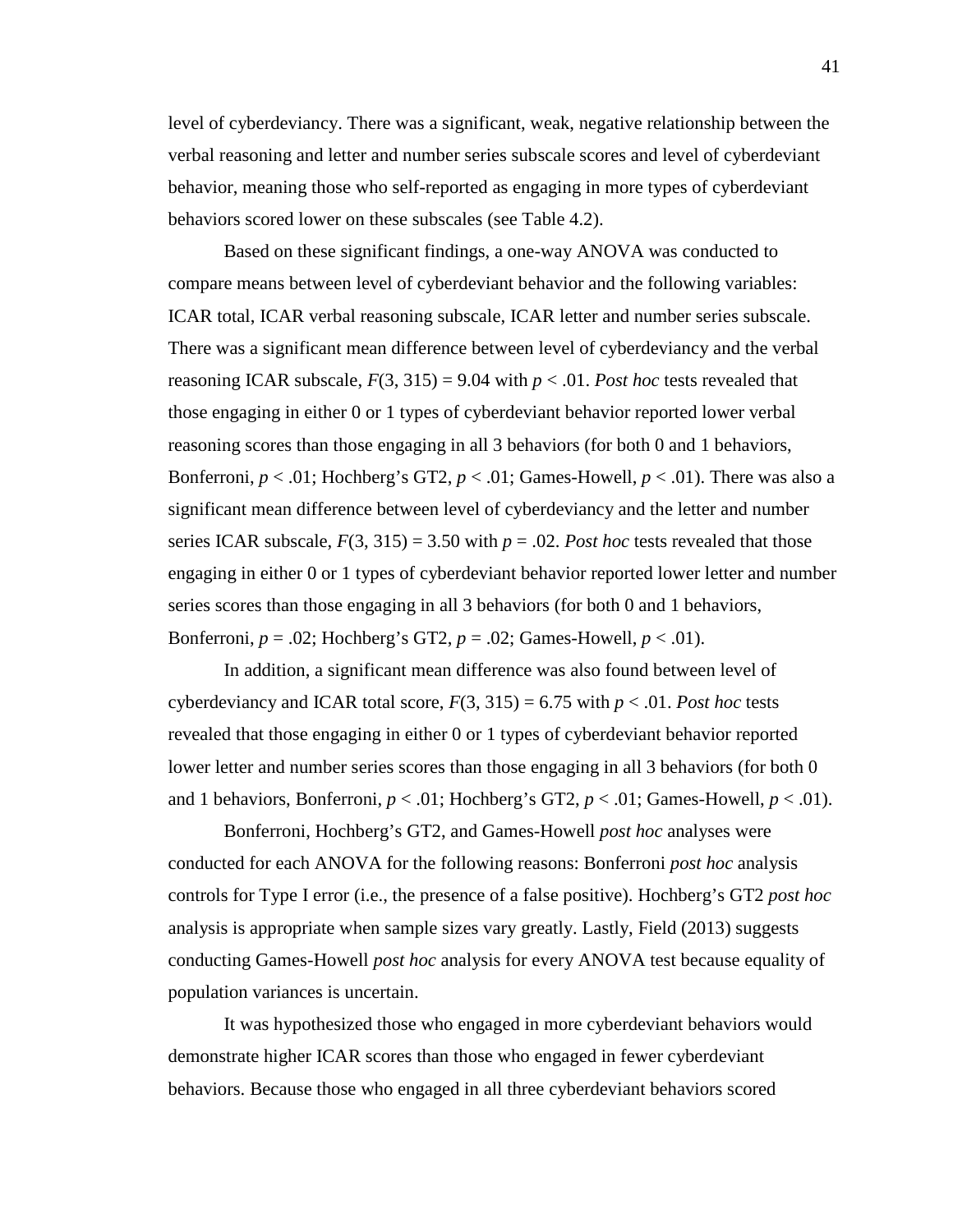level of cyberdeviancy. There was a significant, weak, negative relationship between the verbal reasoning and letter and number series subscale scores and level of cyberdeviant behavior, meaning those who self-reported as engaging in more types of cyberdeviant behaviors scored lower on these subscales (see Table 4.2).

Based on these significant findings, a one-way ANOVA was conducted to compare means between level of cyberdeviant behavior and the following variables: ICAR total, ICAR verbal reasoning subscale, ICAR letter and number series subscale. There was a significant mean difference between level of cyberdeviancy and the verbal reasoning ICAR subscale,  $F(3, 315) = 9.04$  with  $p < .01$ . *Post hoc* tests revealed that those engaging in either 0 or 1 types of cyberdeviant behavior reported lower verbal reasoning scores than those engaging in all 3 behaviors (for both 0 and 1 behaviors, Bonferroni,  $p < .01$ ; Hochberg's GT2,  $p < .01$ ; Games-Howell,  $p < .01$ ). There was also a significant mean difference between level of cyberdeviancy and the letter and number series ICAR subscale,  $F(3, 315) = 3.50$  with  $p = .02$ . Post hoc tests revealed that those engaging in either 0 or 1 types of cyberdeviant behavior reported lower letter and number series scores than those engaging in all 3 behaviors (for both 0 and 1 behaviors, Bonferroni,  $p = .02$ ; Hochberg's GT2,  $p = .02$ ; Games-Howell,  $p < .01$ ).

In addition, a significant mean difference was also found between level of cyberdeviancy and ICAR total score,  $F(3, 315) = 6.75$  with  $p < .01$ . Post hoc tests revealed that those engaging in either 0 or 1 types of cyberdeviant behavior reported lower letter and number series scores than those engaging in all 3 behaviors (for both 0 and 1 behaviors, Bonferroni,  $p < .01$ ; Hochberg's GT2,  $p < .01$ ; Games-Howell,  $p < .01$ ).

Bonferroni, Hochberg's GT2, and Games-Howell *post hoc* analyses were conducted for each ANOVA for the following reasons: Bonferroni *post hoc* analysis controls for Type I error (i.e., the presence of a false positive). Hochberg's GT2 *post hoc*  analysis is appropriate when sample sizes vary greatly. Lastly, Field (2013) suggests conducting Games-Howell *post hoc* analysis for every ANOVA test because equality of population variances is uncertain.

It was hypothesized those who engaged in more cyberdeviant behaviors would demonstrate higher ICAR scores than those who engaged in fewer cyberdeviant behaviors. Because those who engaged in all three cyberdeviant behaviors scored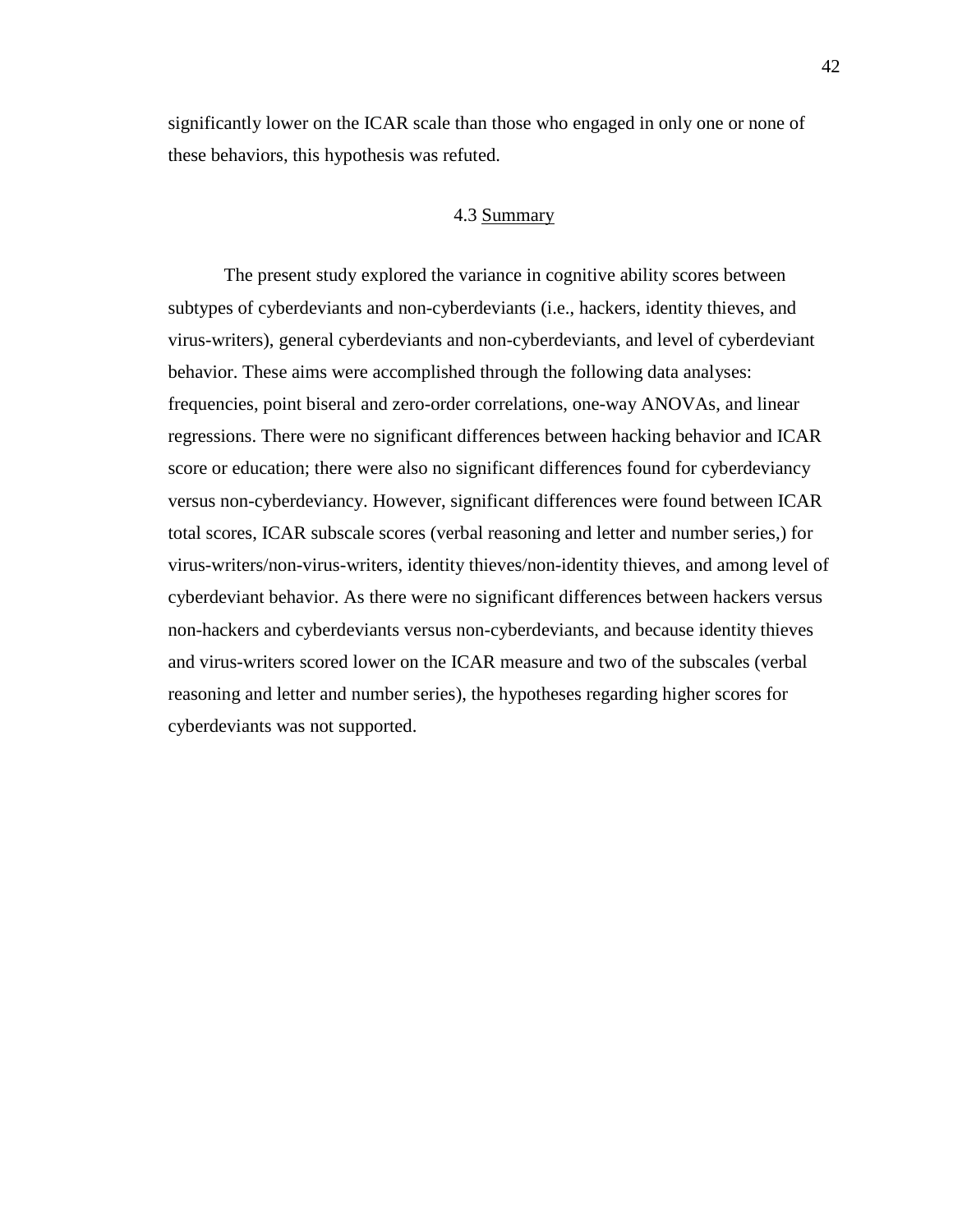significantly lower on the ICAR scale than those who engaged in only one or none of these behaviors, this hypothesis was refuted.

# 4.3 Summary

The present study explored the variance in cognitive ability scores between subtypes of cyberdeviants and non-cyberdeviants (i.e., hackers, identity thieves, and virus-writers), general cyberdeviants and non-cyberdeviants, and level of cyberdeviant behavior. These aims were accomplished through the following data analyses: frequencies, point biseral and zero-order correlations, one-way ANOVAs, and linear regressions. There were no significant differences between hacking behavior and ICAR score or education; there were also no significant differences found for cyberdeviancy versus non-cyberdeviancy. However, significant differences were found between ICAR total scores, ICAR subscale scores (verbal reasoning and letter and number series,) for virus-writers/non-virus-writers, identity thieves/non-identity thieves, and among level of cyberdeviant behavior. As there were no significant differences between hackers versus non-hackers and cyberdeviants versus non-cyberdeviants, and because identity thieves and virus-writers scored lower on the ICAR measure and two of the subscales (verbal reasoning and letter and number series), the hypotheses regarding higher scores for cyberdeviants was not supported.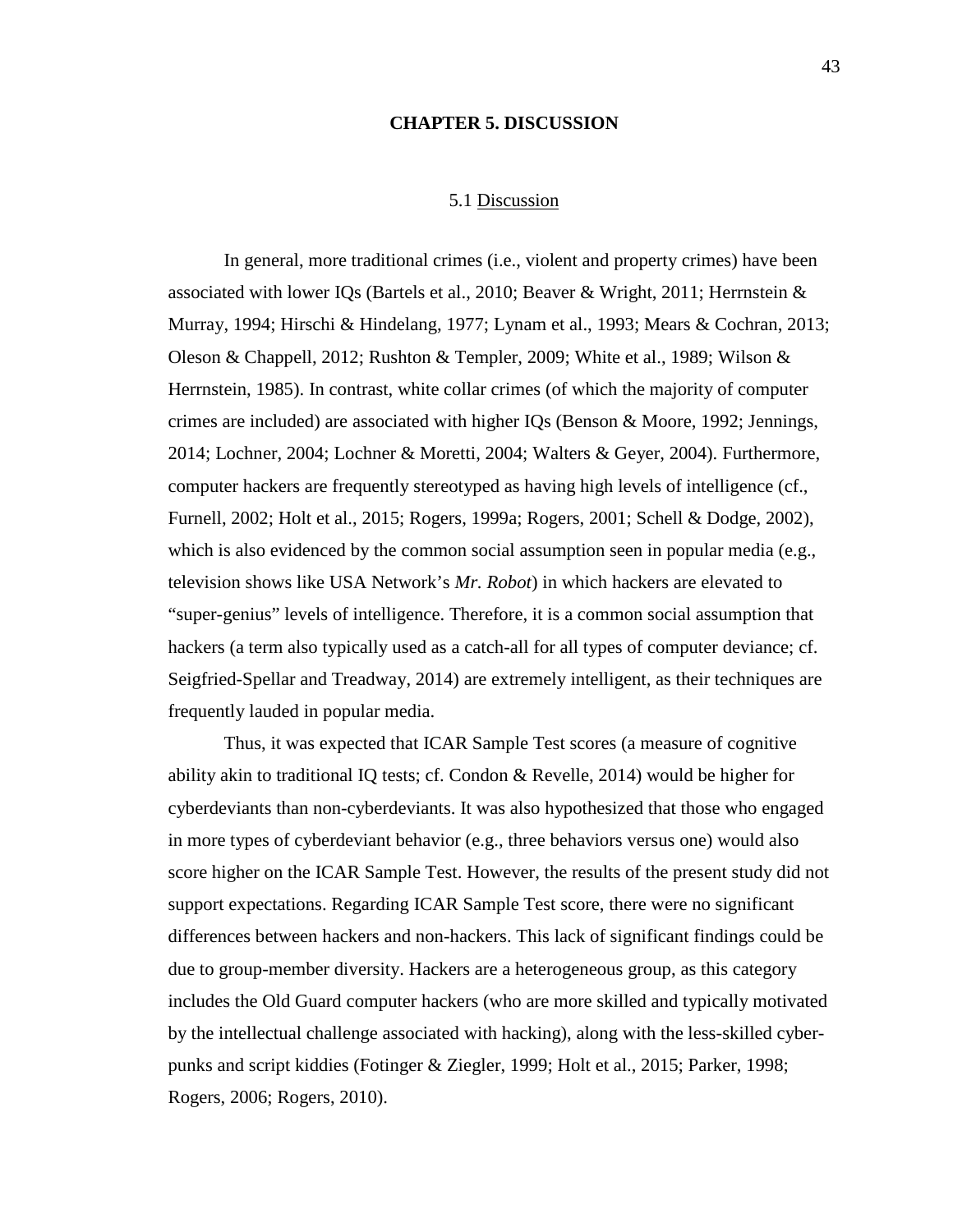#### **CHAPTER 5. DISCUSSION**

### 5.1 Discussion

In general, more traditional crimes (i.e., violent and property crimes) have been associated with lower IQs (Bartels et al., 2010; Beaver & Wright, 2011; Herrnstein & Murray, 1994; Hirschi & Hindelang, 1977; Lynam et al., 1993; Mears & Cochran, 2013; Oleson & Chappell, 2012; Rushton & Templer, 2009; White et al., 1989; Wilson & Herrnstein, 1985). In contrast, white collar crimes (of which the majority of computer crimes are included) are associated with higher IQs (Benson & Moore, 1992; Jennings, 2014; Lochner, 2004; Lochner & Moretti, 2004; Walters & Geyer, 2004). Furthermore, computer hackers are frequently stereotyped as having high levels of intelligence (cf., Furnell, 2002; Holt et al., 2015; Rogers, 1999a; Rogers, 2001; Schell & Dodge, 2002), which is also evidenced by the common social assumption seen in popular media (e.g., television shows like USA Network's *Mr. Robot*) in which hackers are elevated to "super-genius" levels of intelligence. Therefore, it is a common social assumption that hackers (a term also typically used as a catch-all for all types of computer deviance; cf. Seigfried-Spellar and Treadway, 2014) are extremely intelligent, as their techniques are frequently lauded in popular media.

Thus, it was expected that ICAR Sample Test scores (a measure of cognitive ability akin to traditional IQ tests; cf. Condon & Revelle, 2014) would be higher for cyberdeviants than non-cyberdeviants. It was also hypothesized that those who engaged in more types of cyberdeviant behavior (e.g., three behaviors versus one) would also score higher on the ICAR Sample Test. However, the results of the present study did not support expectations. Regarding ICAR Sample Test score, there were no significant differences between hackers and non-hackers. This lack of significant findings could be due to group-member diversity. Hackers are a heterogeneous group, as this category includes the Old Guard computer hackers (who are more skilled and typically motivated by the intellectual challenge associated with hacking), along with the less-skilled cyberpunks and script kiddies (Fotinger & Ziegler, 1999; Holt et al., 2015; Parker, 1998; Rogers, 2006; Rogers, 2010).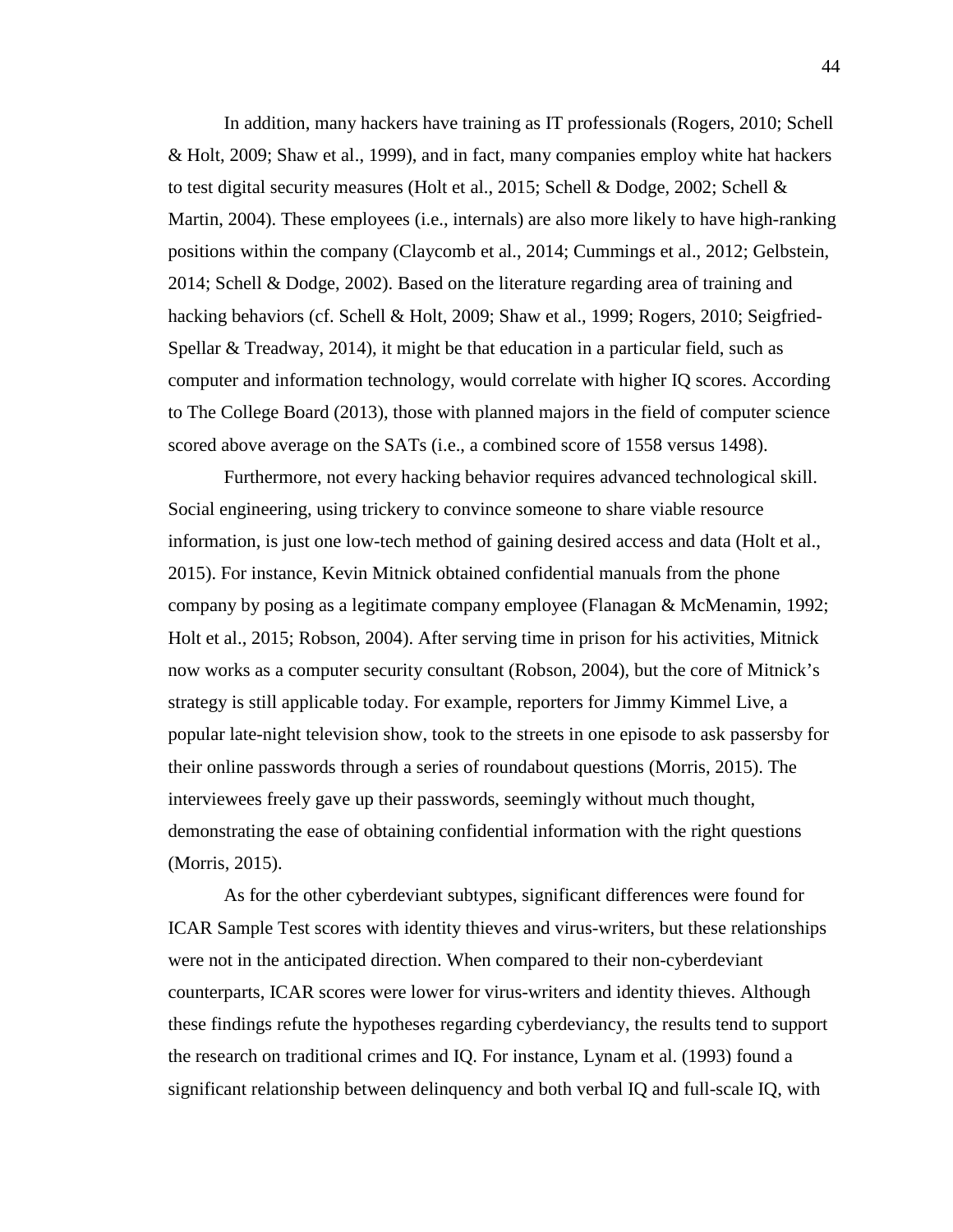In addition, many hackers have training as IT professionals (Rogers, 2010; Schell & Holt, 2009; Shaw et al., 1999), and in fact, many companies employ white hat hackers to test digital security measures (Holt et al., 2015; Schell & Dodge, 2002; Schell & Martin, 2004). These employees (i.e., internals) are also more likely to have high-ranking positions within the company (Claycomb et al., 2014; Cummings et al., 2012; Gelbstein, 2014; Schell & Dodge, 2002). Based on the literature regarding area of training and hacking behaviors (cf. Schell & Holt, 2009; Shaw et al., 1999; Rogers, 2010; Seigfried-Spellar & Treadway, 2014), it might be that education in a particular field, such as computer and information technology, would correlate with higher IQ scores. According to The College Board (2013), those with planned majors in the field of computer science scored above average on the SATs (i.e., a combined score of 1558 versus 1498).

Furthermore, not every hacking behavior requires advanced technological skill. Social engineering, using trickery to convince someone to share viable resource information, is just one low-tech method of gaining desired access and data (Holt et al., 2015). For instance, Kevin Mitnick obtained confidential manuals from the phone company by posing as a legitimate company employee (Flanagan & McMenamin, 1992; Holt et al., 2015; Robson, 2004). After serving time in prison for his activities, Mitnick now works as a computer security consultant (Robson, 2004), but the core of Mitnick's strategy is still applicable today. For example, reporters for Jimmy Kimmel Live, a popular late-night television show, took to the streets in one episode to ask passersby for their online passwords through a series of roundabout questions (Morris, 2015). The interviewees freely gave up their passwords, seemingly without much thought, demonstrating the ease of obtaining confidential information with the right questions (Morris, 2015).

As for the other cyberdeviant subtypes, significant differences were found for ICAR Sample Test scores with identity thieves and virus-writers, but these relationships were not in the anticipated direction. When compared to their non-cyberdeviant counterparts, ICAR scores were lower for virus-writers and identity thieves. Although these findings refute the hypotheses regarding cyberdeviancy, the results tend to support the research on traditional crimes and IQ. For instance, Lynam et al. (1993) found a significant relationship between delinquency and both verbal IQ and full-scale IQ, with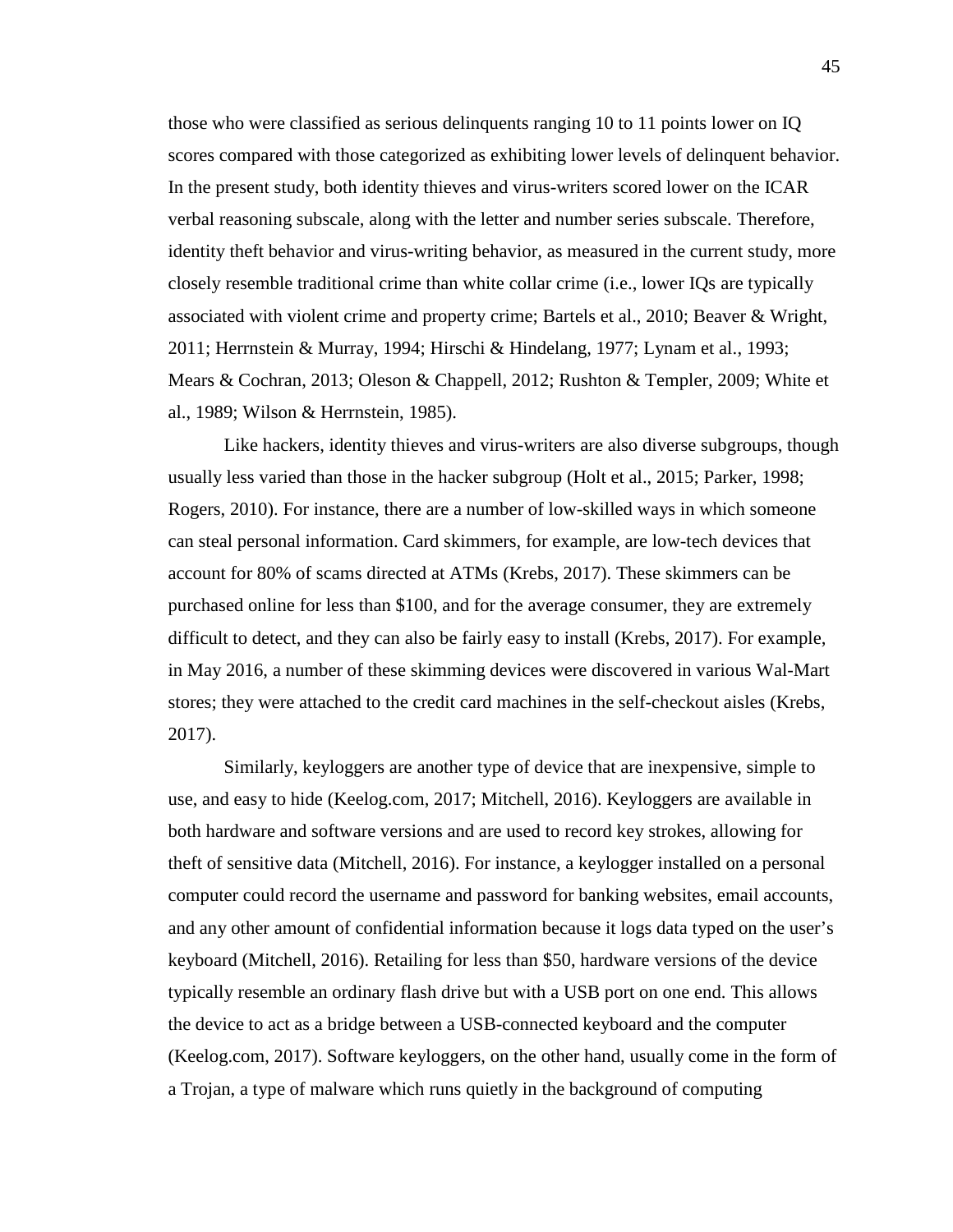those who were classified as serious delinquents ranging 10 to 11 points lower on IQ scores compared with those categorized as exhibiting lower levels of delinquent behavior. In the present study, both identity thieves and virus-writers scored lower on the ICAR verbal reasoning subscale, along with the letter and number series subscale. Therefore, identity theft behavior and virus-writing behavior, as measured in the current study, more closely resemble traditional crime than white collar crime (i.e., lower IQs are typically associated with violent crime and property crime; Bartels et al., 2010; Beaver & Wright, 2011; Herrnstein & Murray, 1994; Hirschi & Hindelang, 1977; Lynam et al., 1993; Mears & Cochran, 2013; Oleson & Chappell, 2012; Rushton & Templer, 2009; White et al., 1989; Wilson & Herrnstein, 1985).

Like hackers, identity thieves and virus-writers are also diverse subgroups, though usually less varied than those in the hacker subgroup (Holt et al., 2015; Parker, 1998; Rogers, 2010). For instance, there are a number of low-skilled ways in which someone can steal personal information. Card skimmers, for example, are low-tech devices that account for 80% of scams directed at ATMs (Krebs, 2017). These skimmers can be purchased online for less than \$100, and for the average consumer, they are extremely difficult to detect, and they can also be fairly easy to install (Krebs, 2017). For example, in May 2016, a number of these skimming devices were discovered in various Wal-Mart stores; they were attached to the credit card machines in the self-checkout aisles (Krebs, 2017).

Similarly, keyloggers are another type of device that are inexpensive, simple to use, and easy to hide (Keelog.com, 2017; Mitchell, 2016). Keyloggers are available in both hardware and software versions and are used to record key strokes, allowing for theft of sensitive data (Mitchell, 2016). For instance, a keylogger installed on a personal computer could record the username and password for banking websites, email accounts, and any other amount of confidential information because it logs data typed on the user's keyboard (Mitchell, 2016). Retailing for less than \$50, hardware versions of the device typically resemble an ordinary flash drive but with a USB port on one end. This allows the device to act as a bridge between a USB-connected keyboard and the computer (Keelog.com, 2017). Software keyloggers, on the other hand, usually come in the form of a Trojan, a type of malware which runs quietly in the background of computing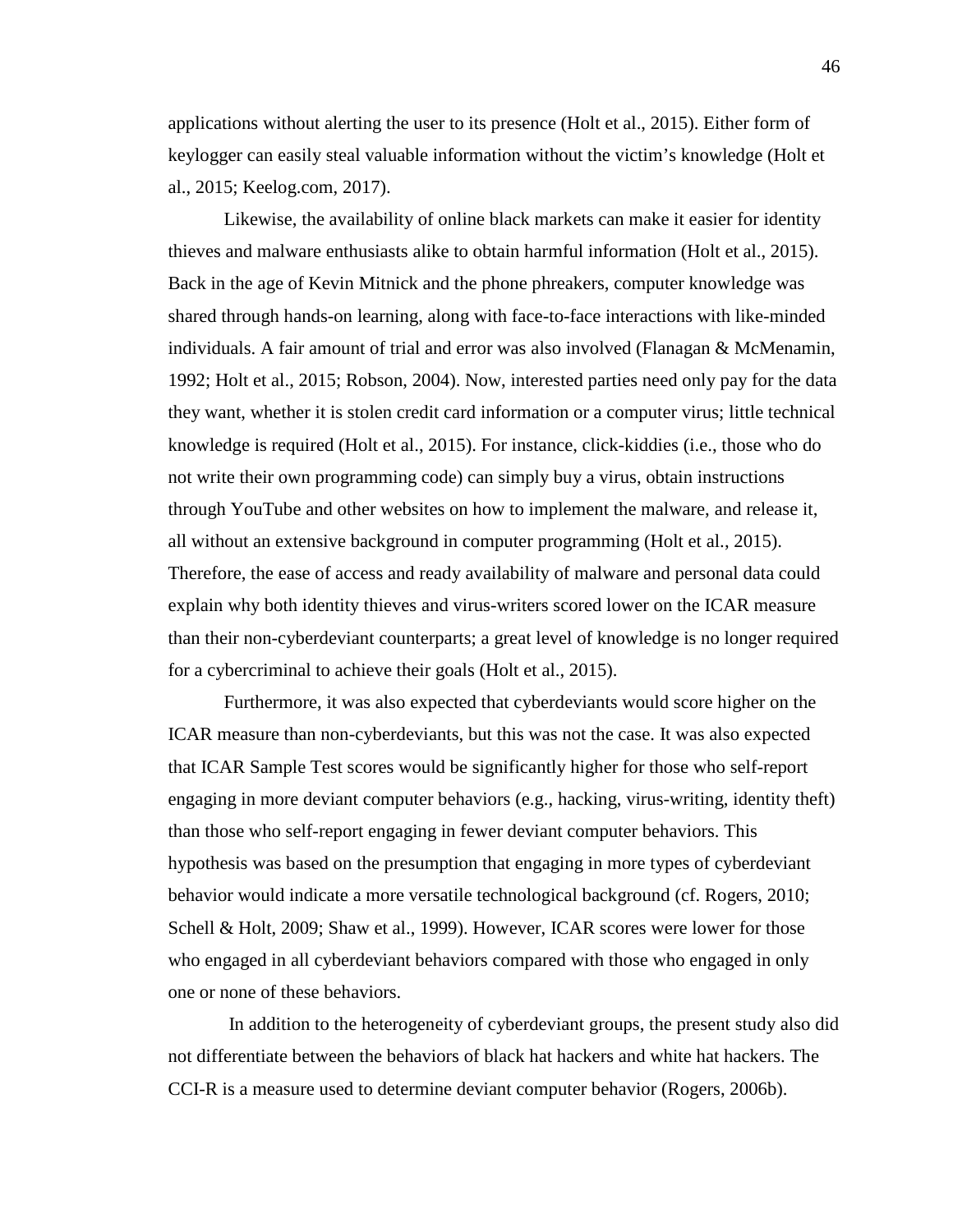applications without alerting the user to its presence (Holt et al., 2015). Either form of keylogger can easily steal valuable information without the victim's knowledge (Holt et al., 2015; Keelog.com, 2017).

Likewise, the availability of online black markets can make it easier for identity thieves and malware enthusiasts alike to obtain harmful information (Holt et al., 2015). Back in the age of Kevin Mitnick and the phone phreakers, computer knowledge was shared through hands-on learning, along with face-to-face interactions with like-minded individuals. A fair amount of trial and error was also involved (Flanagan  $\&$  McMenamin, 1992; Holt et al., 2015; Robson, 2004). Now, interested parties need only pay for the data they want, whether it is stolen credit card information or a computer virus; little technical knowledge is required (Holt et al., 2015). For instance, click-kiddies (i.e., those who do not write their own programming code) can simply buy a virus, obtain instructions through YouTube and other websites on how to implement the malware, and release it, all without an extensive background in computer programming (Holt et al., 2015). Therefore, the ease of access and ready availability of malware and personal data could explain why both identity thieves and virus-writers scored lower on the ICAR measure than their non-cyberdeviant counterparts; a great level of knowledge is no longer required for a cybercriminal to achieve their goals (Holt et al., 2015).

Furthermore, it was also expected that cyberdeviants would score higher on the ICAR measure than non-cyberdeviants, but this was not the case. It was also expected that ICAR Sample Test scores would be significantly higher for those who self-report engaging in more deviant computer behaviors (e.g., hacking, virus-writing, identity theft) than those who self-report engaging in fewer deviant computer behaviors. This hypothesis was based on the presumption that engaging in more types of cyberdeviant behavior would indicate a more versatile technological background (cf. Rogers, 2010; Schell & Holt, 2009; Shaw et al., 1999). However, ICAR scores were lower for those who engaged in all cyberdeviant behaviors compared with those who engaged in only one or none of these behaviors.

In addition to the heterogeneity of cyberdeviant groups, the present study also did not differentiate between the behaviors of black hat hackers and white hat hackers. The CCI-R is a measure used to determine deviant computer behavior (Rogers, 2006b).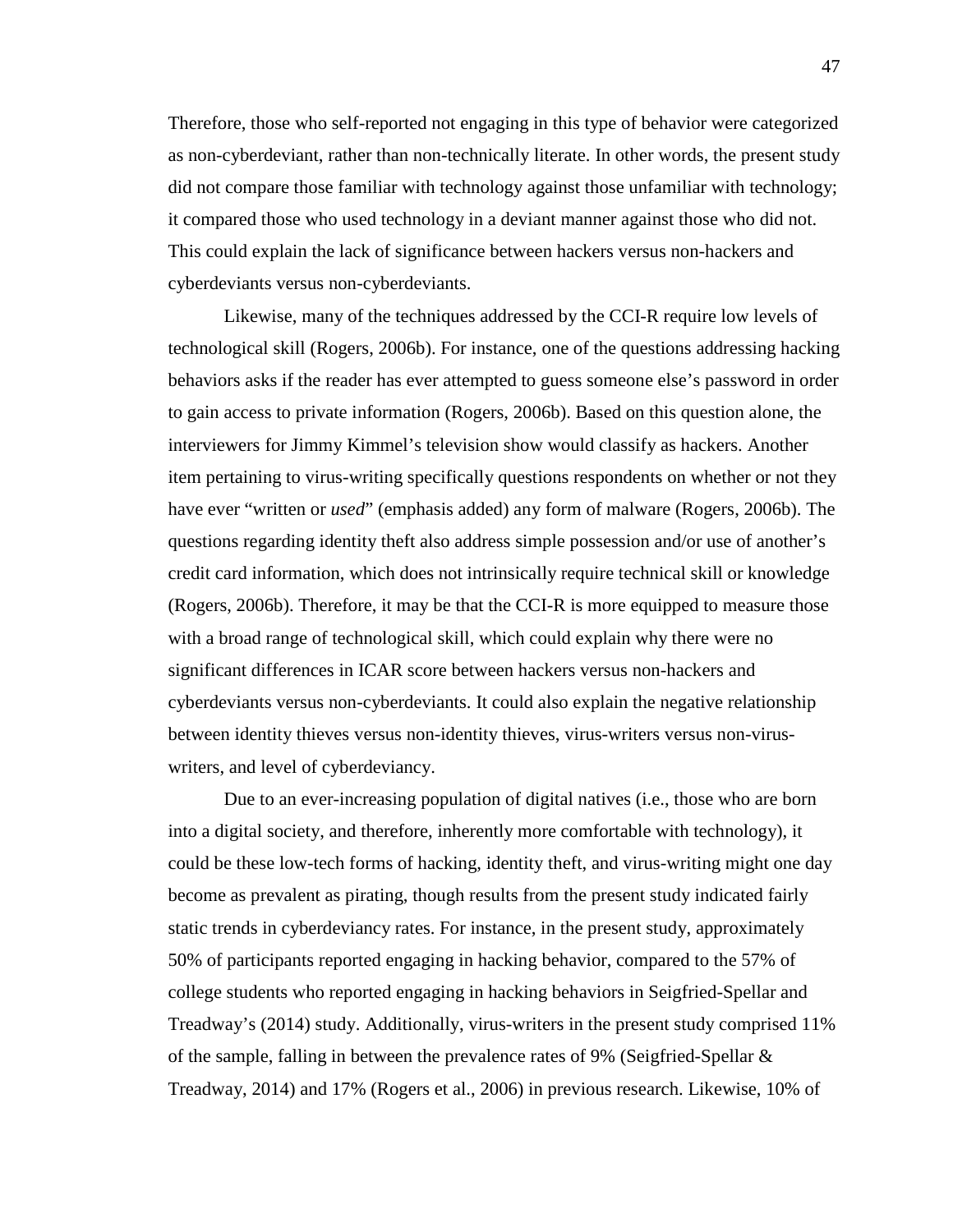Therefore, those who self-reported not engaging in this type of behavior were categorized as non-cyberdeviant, rather than non-technically literate. In other words, the present study did not compare those familiar with technology against those unfamiliar with technology; it compared those who used technology in a deviant manner against those who did not. This could explain the lack of significance between hackers versus non-hackers and cyberdeviants versus non-cyberdeviants.

Likewise, many of the techniques addressed by the CCI-R require low levels of technological skill (Rogers, 2006b). For instance, one of the questions addressing hacking behaviors asks if the reader has ever attempted to guess someone else's password in order to gain access to private information (Rogers, 2006b). Based on this question alone, the interviewers for Jimmy Kimmel's television show would classify as hackers. Another item pertaining to virus-writing specifically questions respondents on whether or not they have ever "written or *used*" (emphasis added) any form of malware (Rogers, 2006b). The questions regarding identity theft also address simple possession and/or use of another's credit card information, which does not intrinsically require technical skill or knowledge (Rogers, 2006b). Therefore, it may be that the CCI-R is more equipped to measure those with a broad range of technological skill, which could explain why there were no significant differences in ICAR score between hackers versus non-hackers and cyberdeviants versus non-cyberdeviants. It could also explain the negative relationship between identity thieves versus non-identity thieves, virus-writers versus non-viruswriters, and level of cyberdeviancy.

Due to an ever-increasing population of digital natives (i.e., those who are born into a digital society, and therefore, inherently more comfortable with technology), it could be these low-tech forms of hacking, identity theft, and virus-writing might one day become as prevalent as pirating, though results from the present study indicated fairly static trends in cyberdeviancy rates. For instance, in the present study, approximately 50% of participants reported engaging in hacking behavior, compared to the 57% of college students who reported engaging in hacking behaviors in Seigfried-Spellar and Treadway's (2014) study. Additionally, virus-writers in the present study comprised 11% of the sample, falling in between the prevalence rates of 9% (Seigfried-Spellar & Treadway, 2014) and 17% (Rogers et al., 2006) in previous research. Likewise, 10% of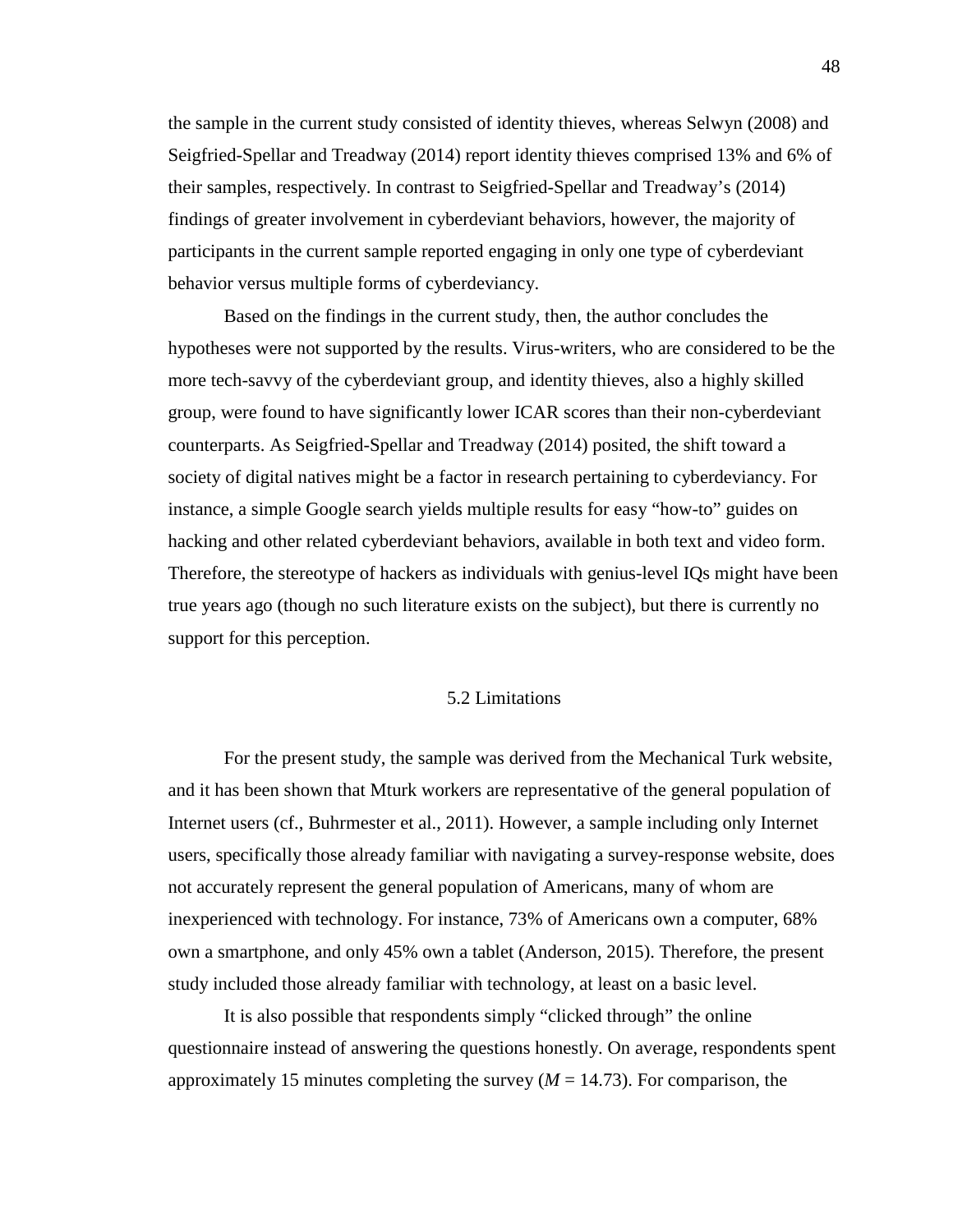the sample in the current study consisted of identity thieves, whereas Selwyn (2008) and Seigfried-Spellar and Treadway (2014) report identity thieves comprised 13% and 6% of their samples, respectively. In contrast to Seigfried-Spellar and Treadway's (2014) findings of greater involvement in cyberdeviant behaviors, however, the majority of participants in the current sample reported engaging in only one type of cyberdeviant behavior versus multiple forms of cyberdeviancy.

Based on the findings in the current study, then, the author concludes the hypotheses were not supported by the results. Virus-writers, who are considered to be the more tech-savvy of the cyberdeviant group, and identity thieves, also a highly skilled group, were found to have significantly lower ICAR scores than their non-cyberdeviant counterparts. As Seigfried-Spellar and Treadway (2014) posited, the shift toward a society of digital natives might be a factor in research pertaining to cyberdeviancy. For instance, a simple Google search yields multiple results for easy "how-to" guides on hacking and other related cyberdeviant behaviors, available in both text and video form. Therefore, the stereotype of hackers as individuals with genius-level IQs might have been true years ago (though no such literature exists on the subject), but there is currently no support for this perception.

### 5.2 Limitations

For the present study, the sample was derived from the Mechanical Turk website, and it has been shown that Mturk workers are representative of the general population of Internet users (cf., Buhrmester et al., 2011). However, a sample including only Internet users, specifically those already familiar with navigating a survey-response website, does not accurately represent the general population of Americans, many of whom are inexperienced with technology. For instance, 73% of Americans own a computer, 68% own a smartphone, and only 45% own a tablet (Anderson, 2015). Therefore, the present study included those already familiar with technology, at least on a basic level.

It is also possible that respondents simply "clicked through" the online questionnaire instead of answering the questions honestly. On average, respondents spent approximately 15 minutes completing the survey  $(M = 14.73)$ . For comparison, the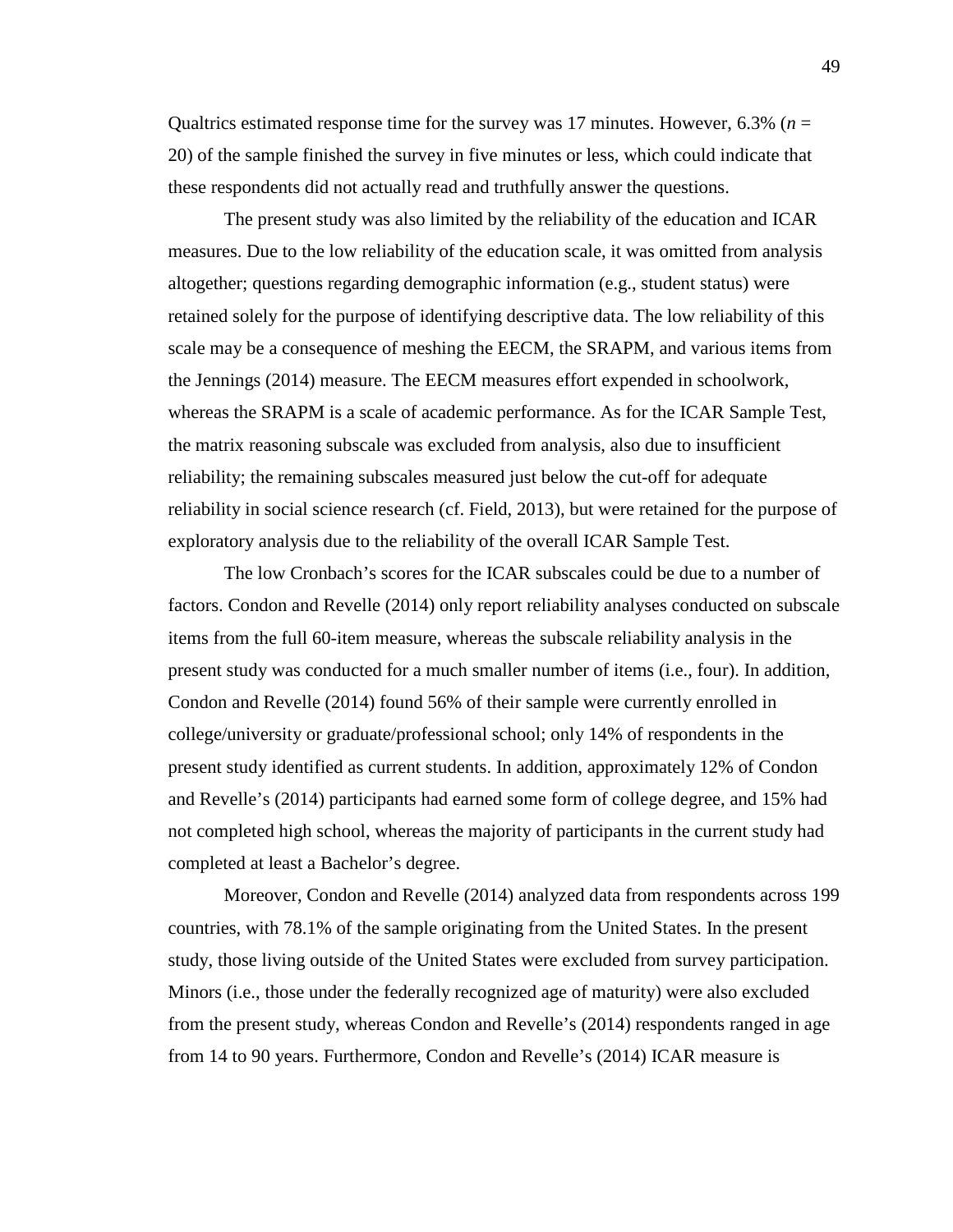Qualtrics estimated response time for the survey was 17 minutes. However, 6.3% (*n* = 20) of the sample finished the survey in five minutes or less, which could indicate that these respondents did not actually read and truthfully answer the questions.

The present study was also limited by the reliability of the education and ICAR measures. Due to the low reliability of the education scale, it was omitted from analysis altogether; questions regarding demographic information (e.g., student status) were retained solely for the purpose of identifying descriptive data. The low reliability of this scale may be a consequence of meshing the EECM, the SRAPM, and various items from the Jennings (2014) measure. The EECM measures effort expended in schoolwork, whereas the SRAPM is a scale of academic performance. As for the ICAR Sample Test, the matrix reasoning subscale was excluded from analysis, also due to insufficient reliability; the remaining subscales measured just below the cut-off for adequate reliability in social science research (cf. Field, 2013), but were retained for the purpose of exploratory analysis due to the reliability of the overall ICAR Sample Test.

The low Cronbach's scores for the ICAR subscales could be due to a number of factors. Condon and Revelle (2014) only report reliability analyses conducted on subscale items from the full 60-item measure, whereas the subscale reliability analysis in the present study was conducted for a much smaller number of items (i.e., four). In addition, Condon and Revelle (2014) found 56% of their sample were currently enrolled in college/university or graduate/professional school; only 14% of respondents in the present study identified as current students. In addition, approximately 12% of Condon and Revelle's (2014) participants had earned some form of college degree, and 15% had not completed high school, whereas the majority of participants in the current study had completed at least a Bachelor's degree.

Moreover, Condon and Revelle (2014) analyzed data from respondents across 199 countries, with 78.1% of the sample originating from the United States. In the present study, those living outside of the United States were excluded from survey participation. Minors (i.e., those under the federally recognized age of maturity) were also excluded from the present study, whereas Condon and Revelle's (2014) respondents ranged in age from 14 to 90 years. Furthermore, Condon and Revelle's (2014) ICAR measure is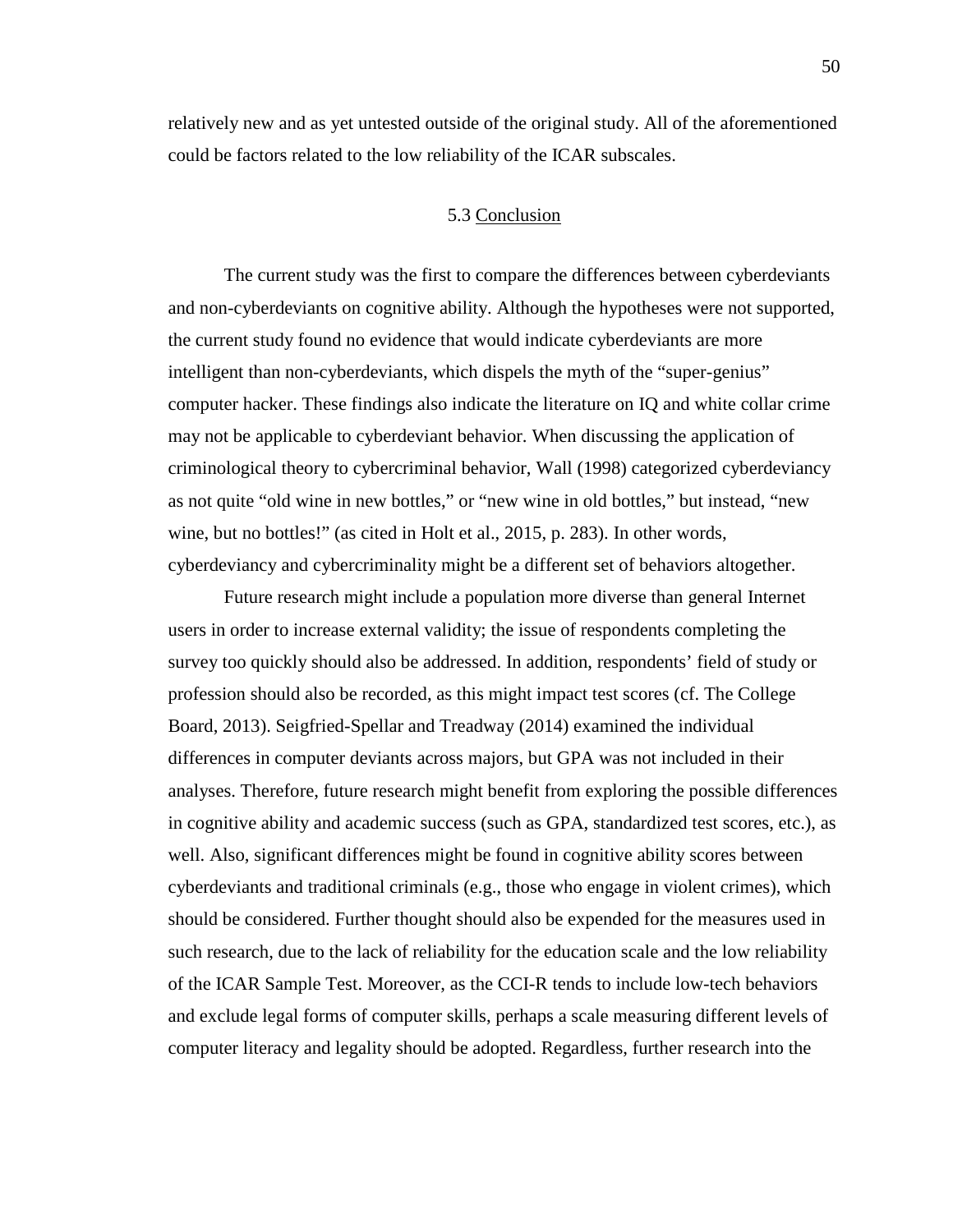relatively new and as yet untested outside of the original study. All of the aforementioned could be factors related to the low reliability of the ICAR subscales.

## 5.3 Conclusion

The current study was the first to compare the differences between cyberdeviants and non-cyberdeviants on cognitive ability. Although the hypotheses were not supported, the current study found no evidence that would indicate cyberdeviants are more intelligent than non-cyberdeviants, which dispels the myth of the "super-genius" computer hacker. These findings also indicate the literature on IQ and white collar crime may not be applicable to cyberdeviant behavior. When discussing the application of criminological theory to cybercriminal behavior, Wall (1998) categorized cyberdeviancy as not quite "old wine in new bottles," or "new wine in old bottles," but instead, "new wine, but no bottles!" (as cited in Holt et al., 2015, p. 283). In other words, cyberdeviancy and cybercriminality might be a different set of behaviors altogether.

Future research might include a population more diverse than general Internet users in order to increase external validity; the issue of respondents completing the survey too quickly should also be addressed. In addition, respondents' field of study or profession should also be recorded, as this might impact test scores (cf. The College Board, 2013). Seigfried-Spellar and Treadway (2014) examined the individual differences in computer deviants across majors, but GPA was not included in their analyses. Therefore, future research might benefit from exploring the possible differences in cognitive ability and academic success (such as GPA, standardized test scores, etc.), as well. Also, significant differences might be found in cognitive ability scores between cyberdeviants and traditional criminals (e.g., those who engage in violent crimes), which should be considered. Further thought should also be expended for the measures used in such research, due to the lack of reliability for the education scale and the low reliability of the ICAR Sample Test. Moreover, as the CCI-R tends to include low-tech behaviors and exclude legal forms of computer skills, perhaps a scale measuring different levels of computer literacy and legality should be adopted. Regardless, further research into the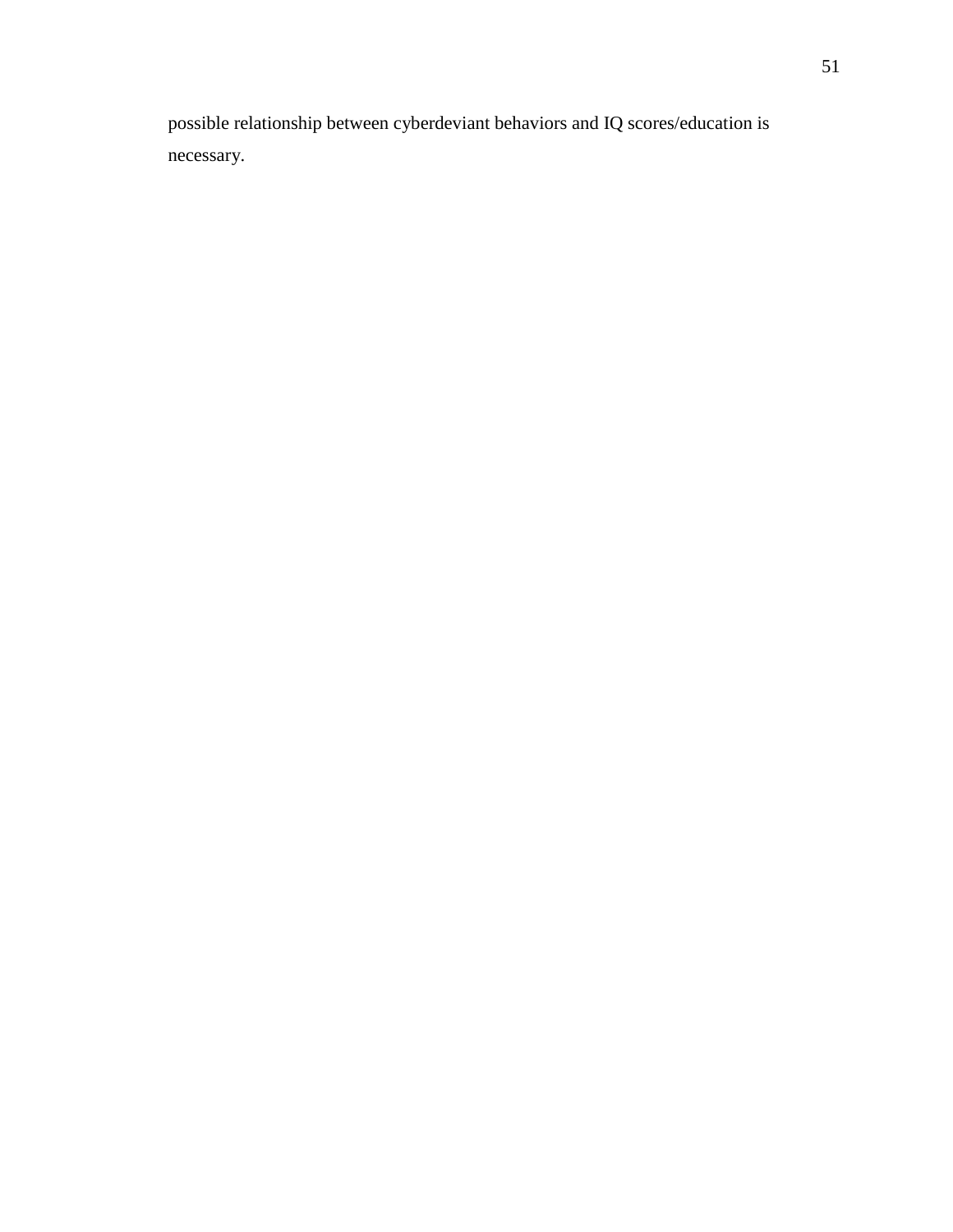possible relationship between cyberdeviant behaviors and IQ scores/education is necessary.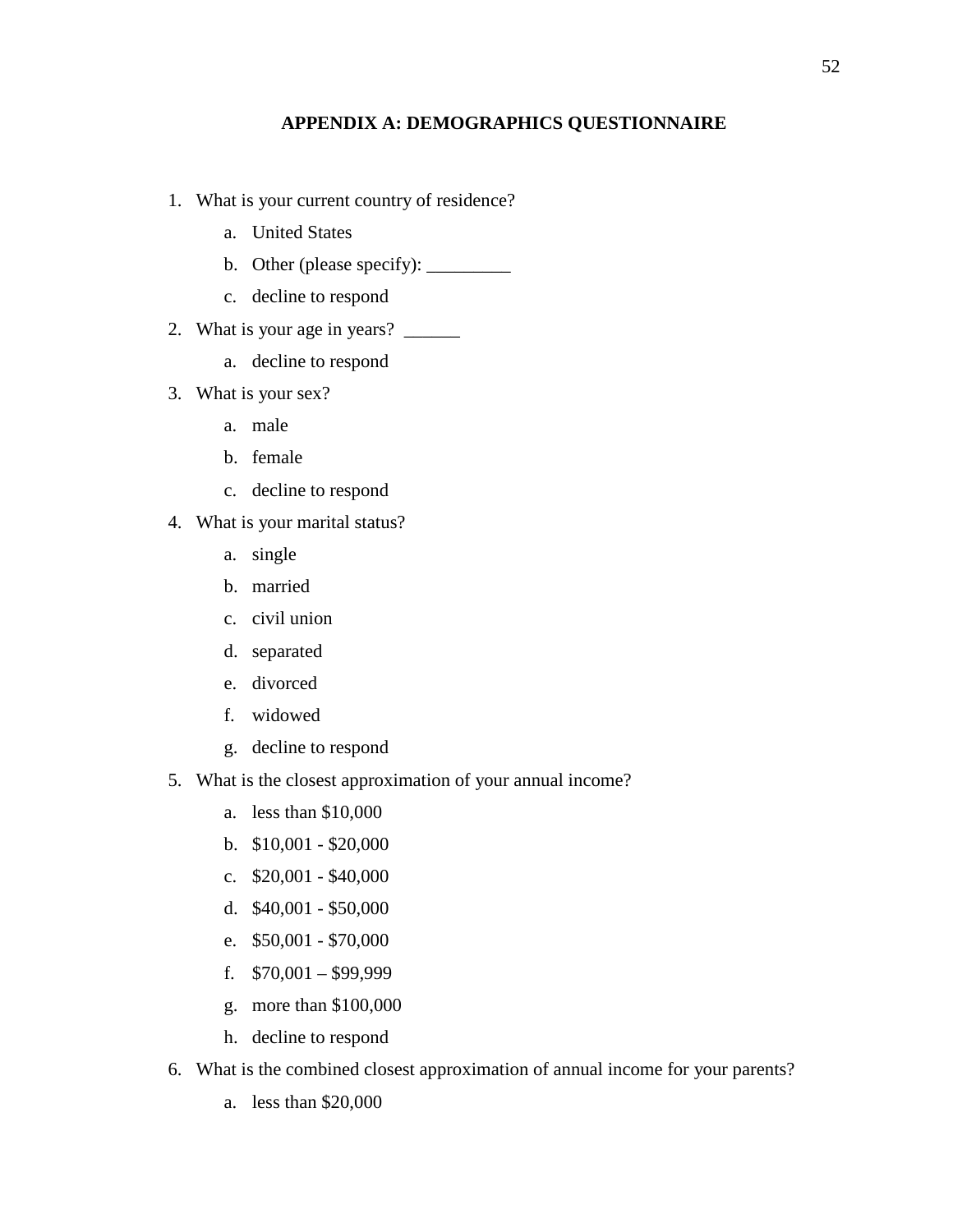# **APPENDIX A: DEMOGRAPHICS QUESTIONNAIRE**

- 1. What is your current country of residence?
	- a. United States
	- b. Other (please specify):  $\_\_\_\_\_\_\_\_\_\_\_\_\_\_\_\_$
	- c. decline to respond
- 2. What is your age in years? \_\_\_\_\_\_
	- a. decline to respond
- 3. What is your sex?
	- a. male
	- b. female
	- c. decline to respond
- 4. What is your marital status?
	- a. single
	- b. married
	- c. civil union
	- d. separated
	- e. divorced
	- f. widowed
	- g. decline to respond
- 5. What is the closest approximation of your annual income?
	- a. less than \$10,000
	- b. \$10,001 \$20,000
	- c. \$20,001 \$40,000
	- d. \$40,001 \$50,000
	- e. \$50,001 \$70,000
	- f.  $$70,001 $99,999$
	- g. more than \$100,000
	- h. decline to respond
- 6. What is the combined closest approximation of annual income for your parents?
	- a. less than \$20,000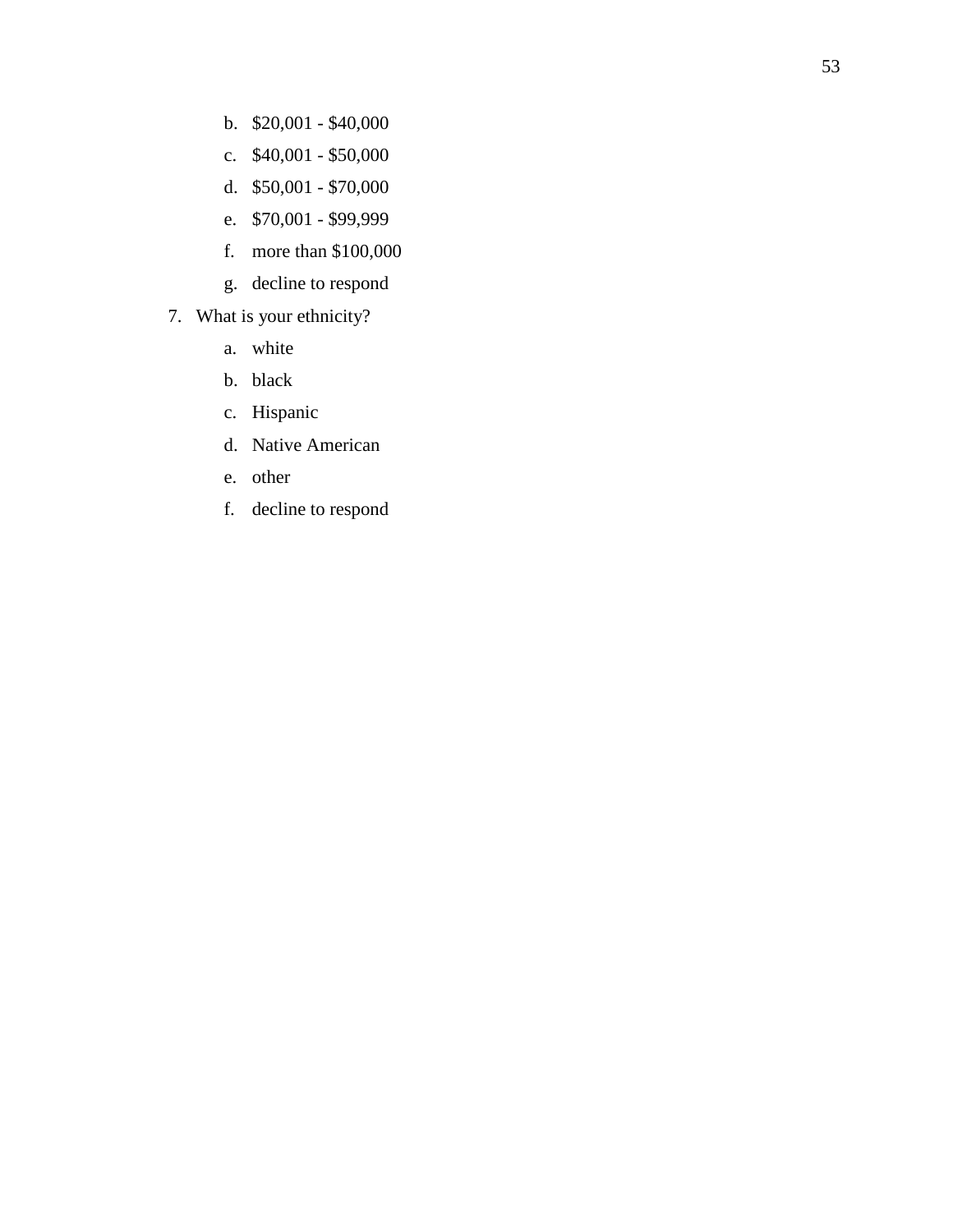- b. \$20,001 \$40,000
- c. \$40,001 \$50,000
- d. \$50,001 \$70,000
- e. \$70,001 \$99,999
- f. more than \$100,000
- g. decline to respond
- 7. What is your ethnicity?
	- a. white
	- b. black
	- c. Hispanic
	- d. Native American
	- e. other
	- f. decline to respond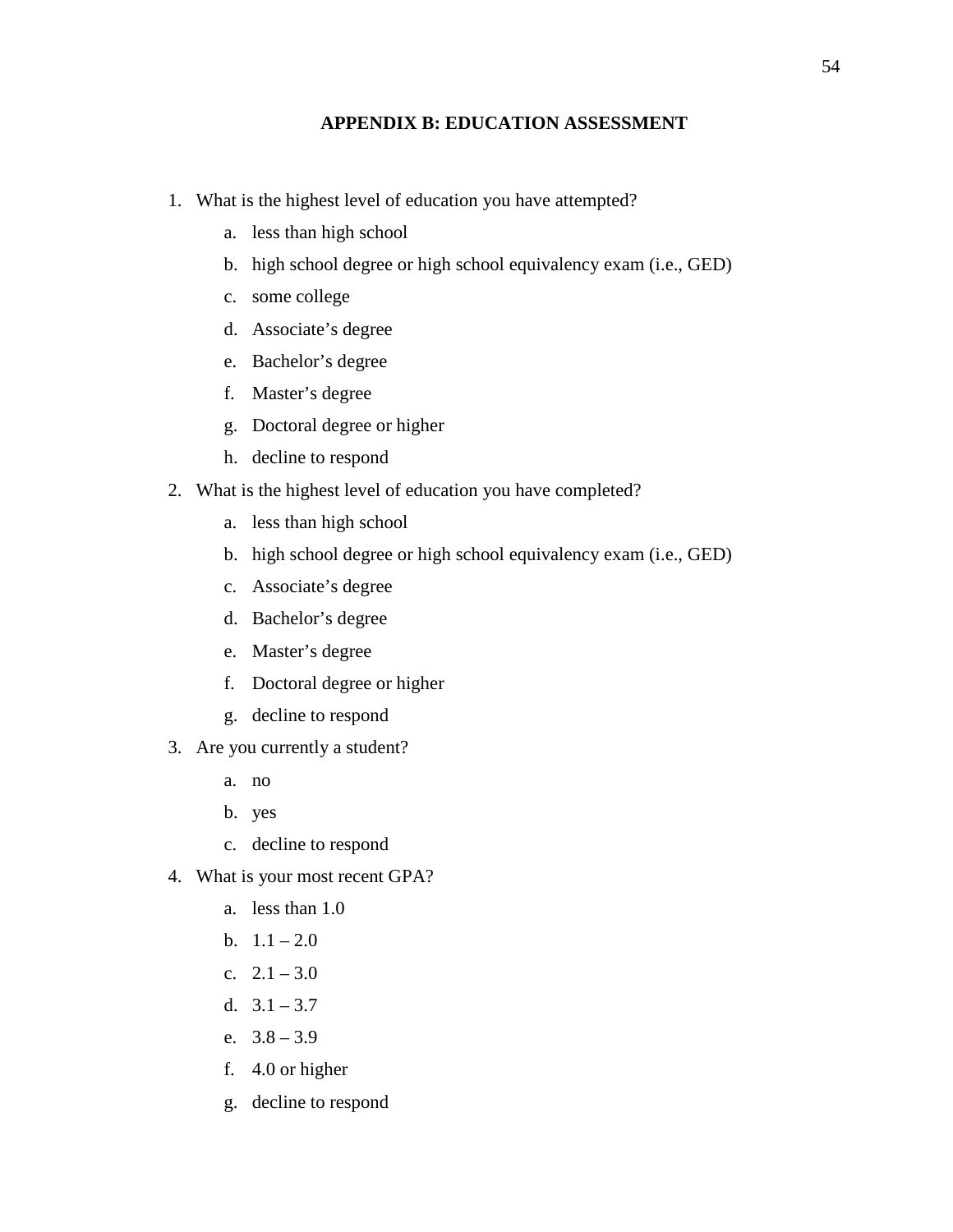### **APPENDIX B: EDUCATION ASSESSMENT**

- 1. What is the highest level of education you have attempted?
	- a. less than high school
	- b. high school degree or high school equivalency exam (i.e., GED)
	- c. some college
	- d. Associate's degree
	- e. Bachelor's degree
	- f. Master's degree
	- g. Doctoral degree or higher
	- h. decline to respond
- 2. What is the highest level of education you have completed?
	- a. less than high school
	- b. high school degree or high school equivalency exam (i.e., GED)
	- c. Associate's degree
	- d. Bachelor's degree
	- e. Master's degree
	- f. Doctoral degree or higher
	- g. decline to respond
- 3. Are you currently a student?
	- a. no
	- b. yes
	- c. decline to respond
- 4. What is your most recent GPA?
	- a. less than 1.0
	- b.  $1.1 2.0$
	- c.  $2.1 3.0$
	- d.  $3.1 3.7$
	- e.  $3.8 3.9$
	- f. 4.0 or higher
	- g. decline to respond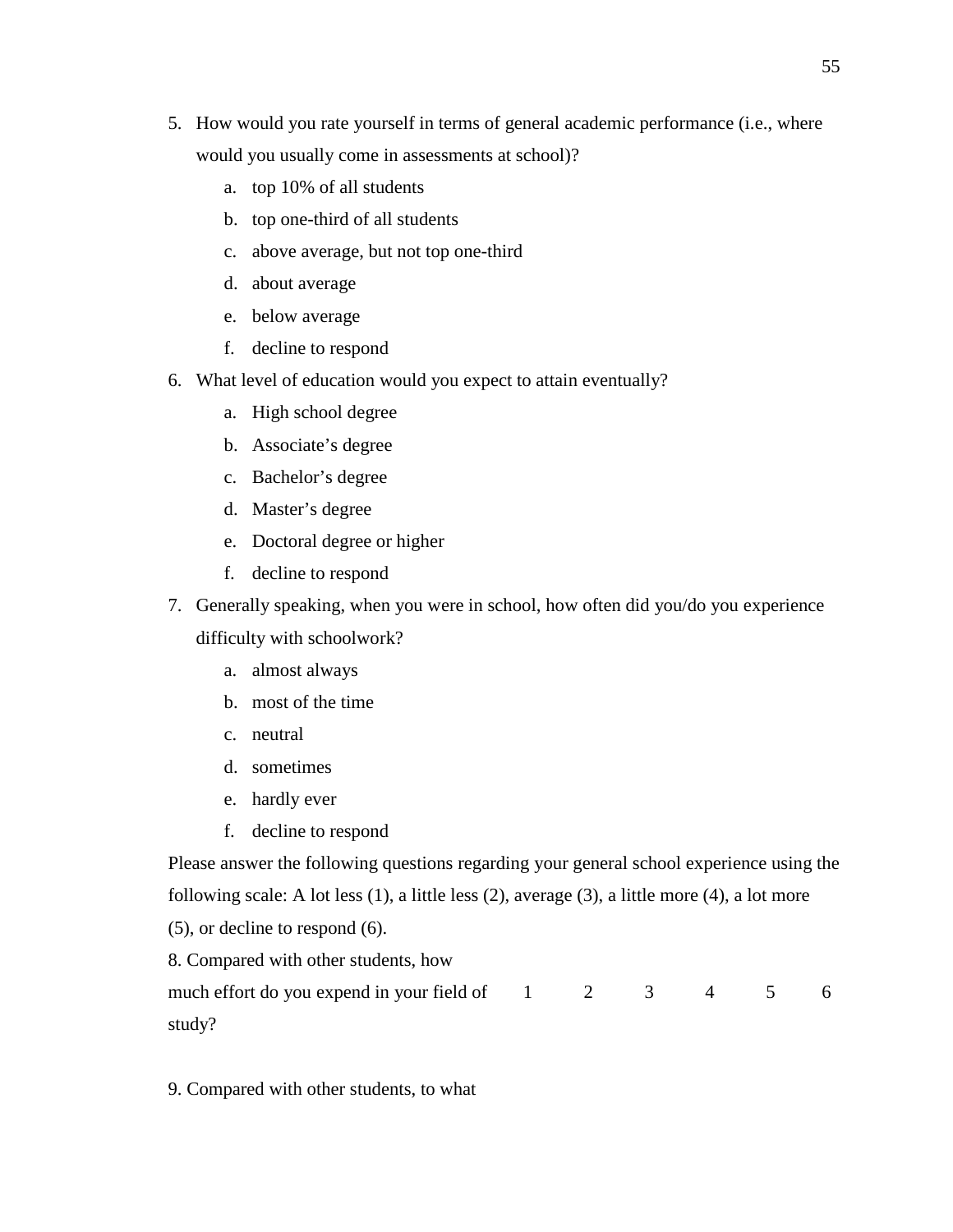- 5. How would you rate yourself in terms of general academic performance (i.e., where would you usually come in assessments at school)?
	- a. top 10% of all students
	- b. top one-third of all students
	- c. above average, but not top one-third
	- d. about average
	- e. below average
	- f. decline to respond
- 6. What level of education would you expect to attain eventually?
	- a. High school degree
	- b. Associate's degree
	- c. Bachelor's degree
	- d. Master's degree
	- e. Doctoral degree or higher
	- f. decline to respond
- 7. Generally speaking, when you were in school, how often did you/do you experience

difficulty with schoolwork?

- a. almost always
- b. most of the time
- c. neutral
- d. sometimes
- e. hardly ever
- f. decline to respond

Please answer the following questions regarding your general school experience using the following scale: A lot less (1), a little less (2), average (3), a little more (4), a lot more

(5), or decline to respond (6).

8. Compared with other students, how

| much effort do you expend in your field of $1 \t 2 \t 3 \t 4 \t 5 \t 6$ |  |  |  |
|-------------------------------------------------------------------------|--|--|--|
| study?                                                                  |  |  |  |

9. Compared with other students, to what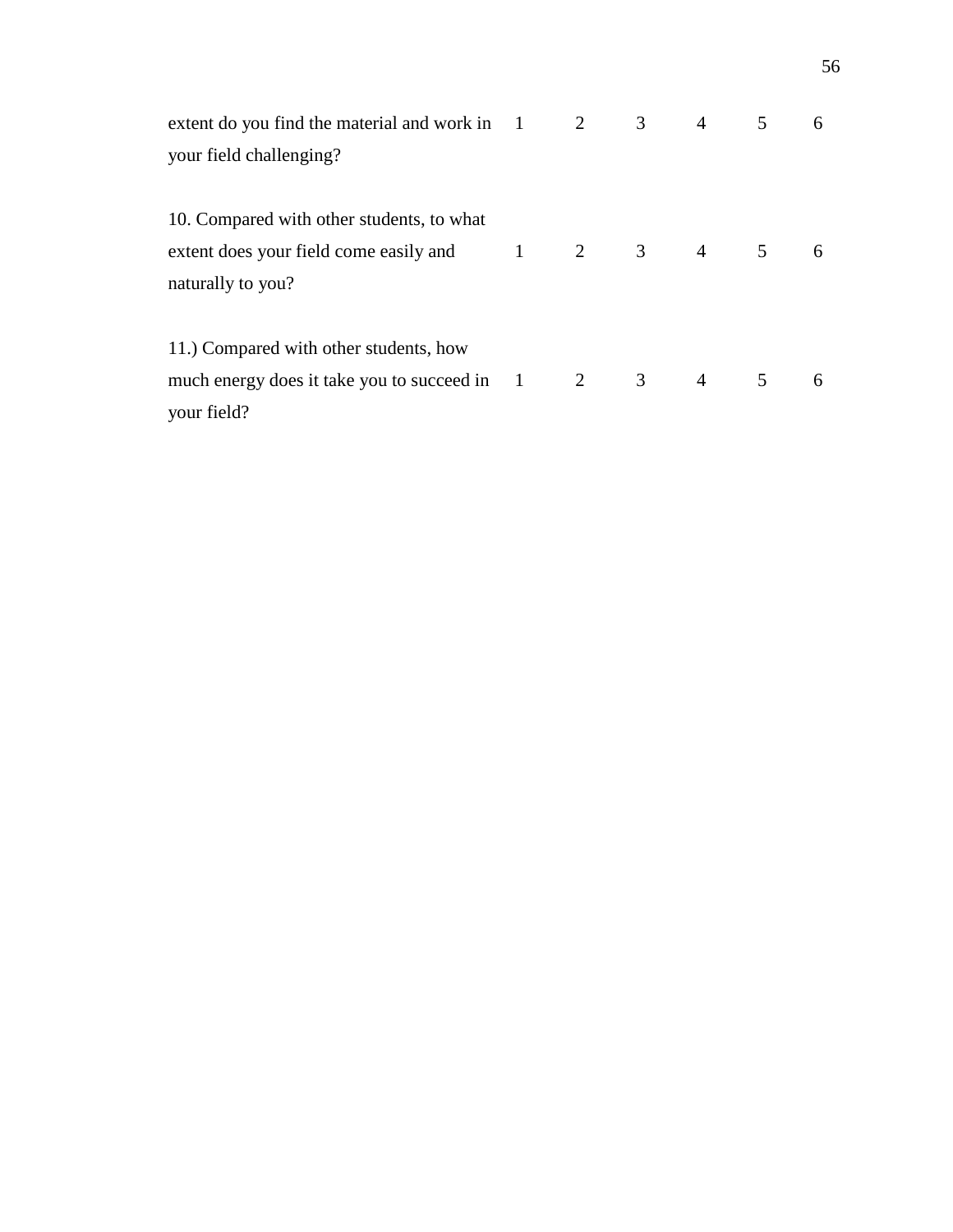| extent do you find the material and work in $1$ $2$ $3$ $4$ $5$                               |  |  | 6 |
|-----------------------------------------------------------------------------------------------|--|--|---|
| your field challenging?                                                                       |  |  |   |
| 10. Compared with other students, to what<br>extent does your field come easily and 1 2 3 4 5 |  |  | 6 |
| naturally to you?<br>11.) Compared with other students, how                                   |  |  |   |
| much energy does it take you to succeed in 1 2 3 4 5<br>your field?                           |  |  | 6 |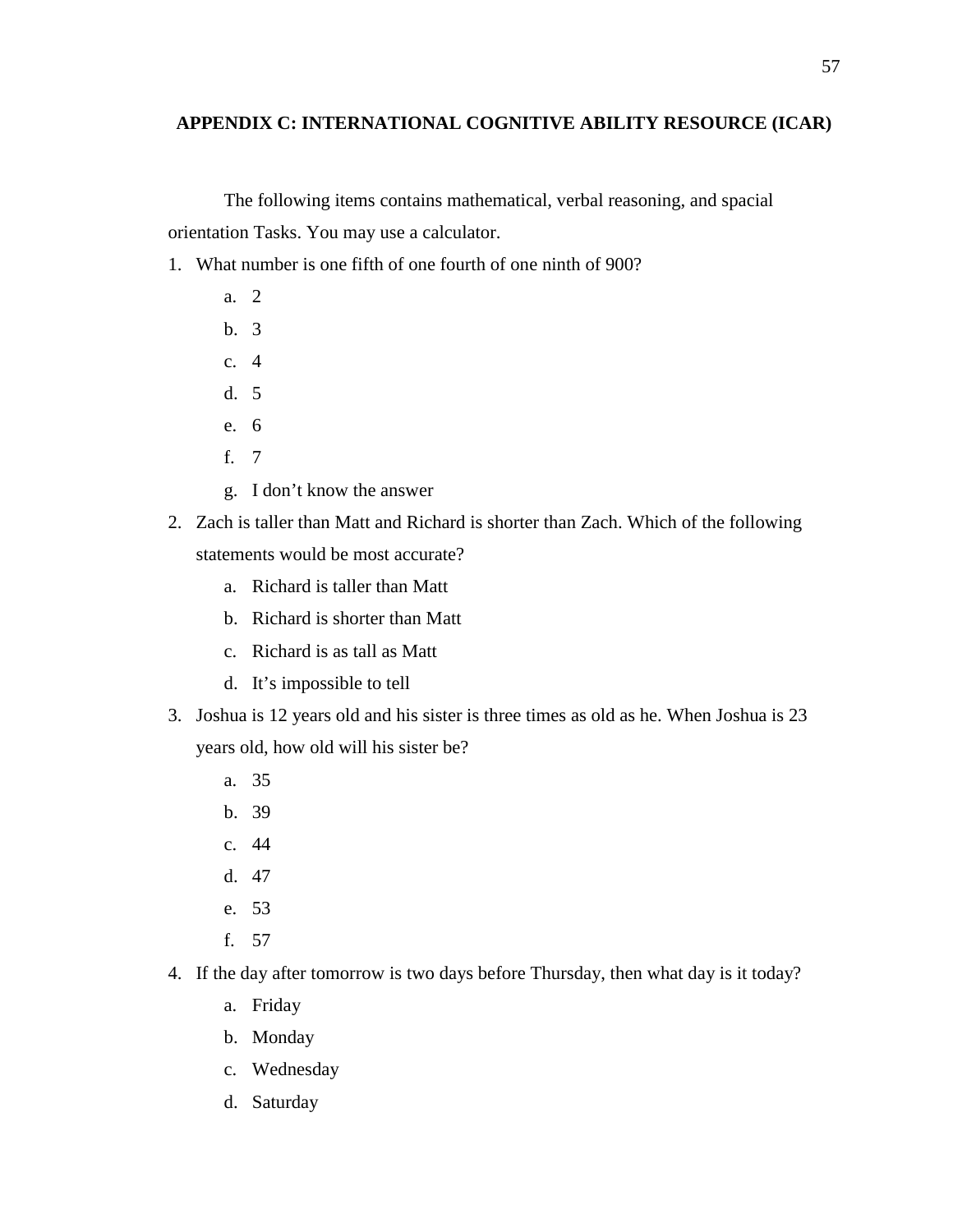# **APPENDIX C: INTERNATIONAL COGNITIVE ABILITY RESOURCE (ICAR)**

The following items contains mathematical, verbal reasoning, and spacial orientation Tasks. You may use a calculator.

- 1. What number is one fifth of one fourth of one ninth of 900?
	- a. 2
	- b. 3
	- c. 4
	- d. 5
	- e. 6
	- f. 7
	- g. I don't know the answer
- 2. Zach is taller than Matt and Richard is shorter than Zach. Which of the following statements would be most accurate?
	- a. Richard is taller than Matt
	- b. Richard is shorter than Matt
	- c. Richard is as tall as Matt
	- d. It's impossible to tell
- 3. Joshua is 12 years old and his sister is three times as old as he. When Joshua is 23 years old, how old will his sister be?
	- a. 35
	- b. 39
	- c. 44
	- d. 47
	- e. 53
	- f. 57
- 4. If the day after tomorrow is two days before Thursday, then what day is it today?
	- a. Friday
	- b. Monday
	- c. Wednesday
	- d. Saturday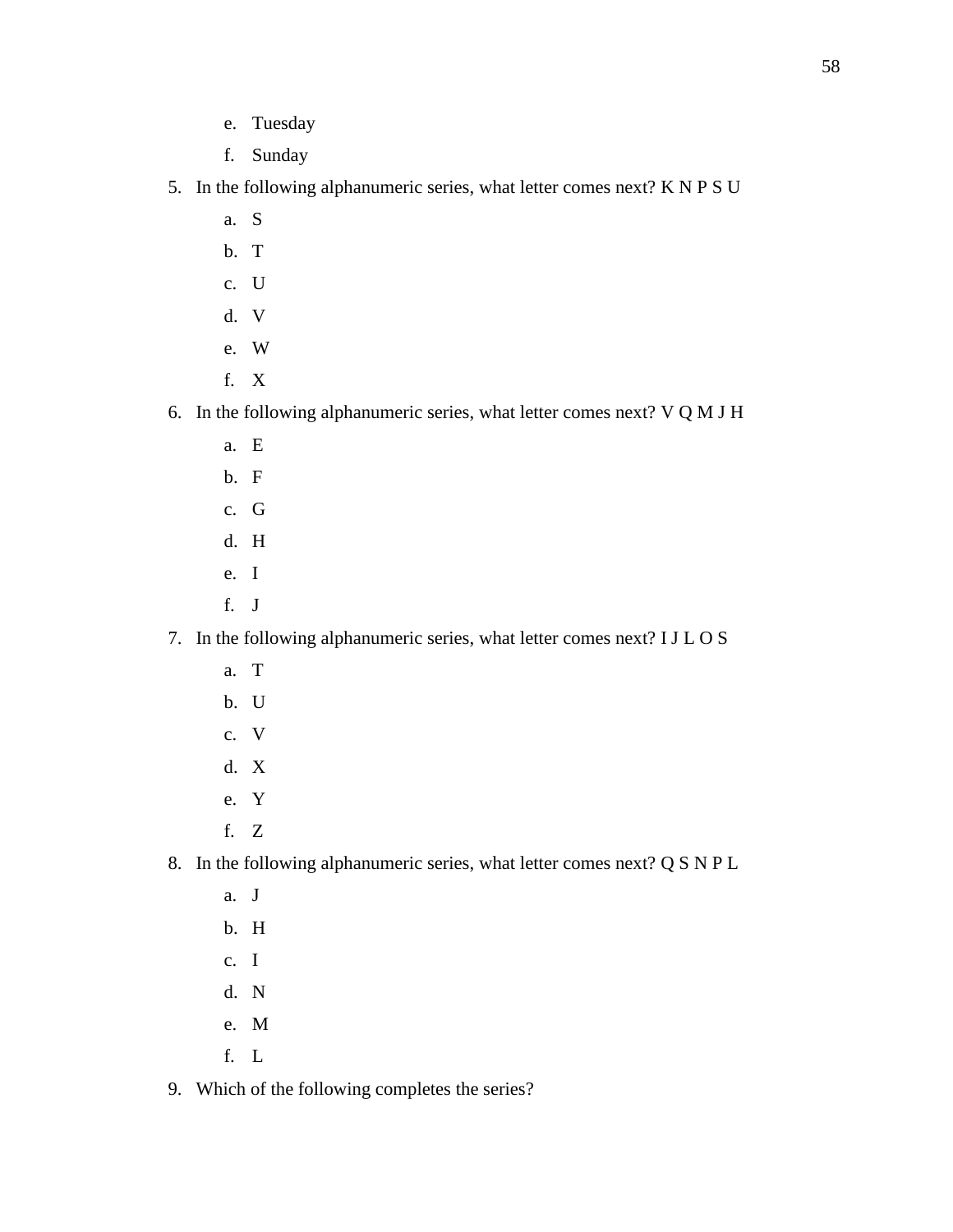- e. Tuesday
- f. Sunday
- 5. In the following alphanumeric series, what letter comes next? K N P S U
	- a. S
	- b. T
	- c. U
	- d. V
	- e. W
	- f. X
- 6. In the following alphanumeric series, what letter comes next? V Q M J H
	- a. E
	- b. F
	- c. G
	- d. H
	- e. I
	- f. J

# 7. In the following alphanumeric series, what letter comes next? I J L O S

- a. T
- b. U
- c. V
- d. X
- e. Y
- f. Z

# 8. In the following alphanumeric series, what letter comes next? Q S N P L

- a. J b. H
- c. I
- d. N
- e. M
- f. L
- 9. Which of the following completes the series?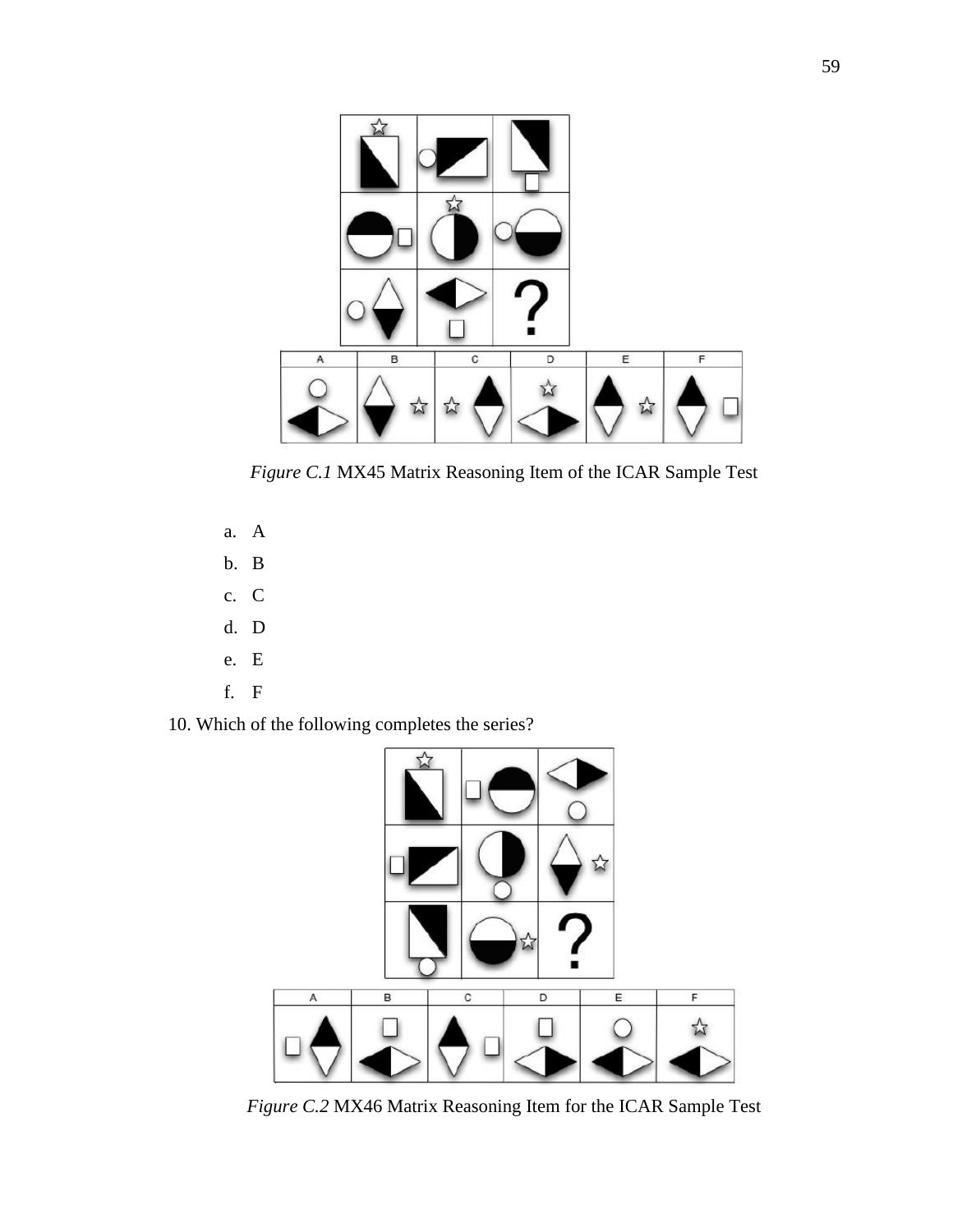

*Figure C.1* MX45 Matrix Reasoning Item of the ICAR Sample Test

- a. A
- b. B
- c. C
- d. D
- e. E
- f. F
- 10. Which of the following completes the series?



*Figure C.2* MX46 Matrix Reasoning Item for the ICAR Sample Test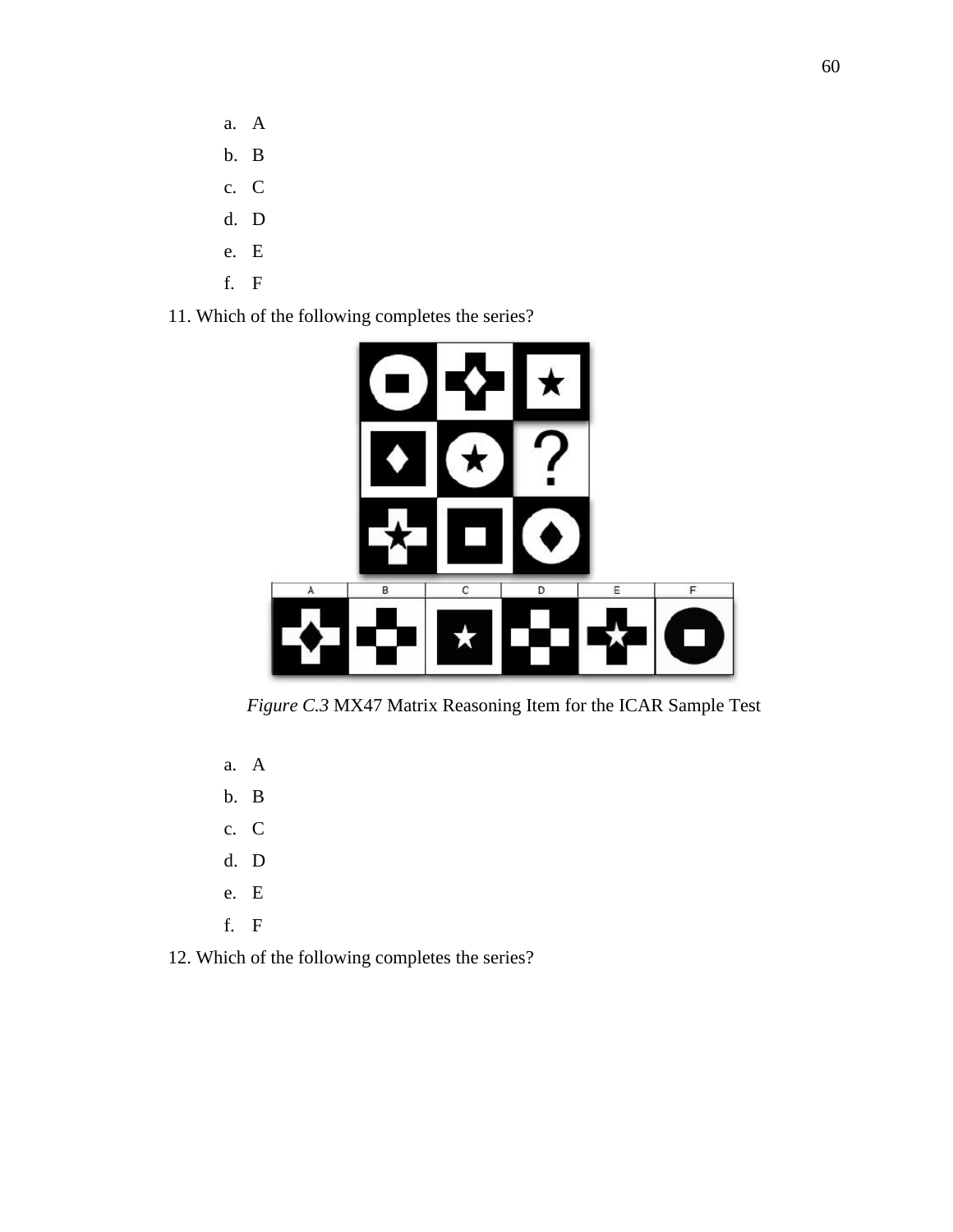- a. A
- b. B
- c. C
- d. D
- e. E
- f. F
- 11. Which of the following completes the series?



*Figure C.3* MX47 Matrix Reasoning Item for the ICAR Sample Test

- a. A
- b. B
- c. C
- d. D
- e. E
- f. F
- 12. Which of the following completes the series?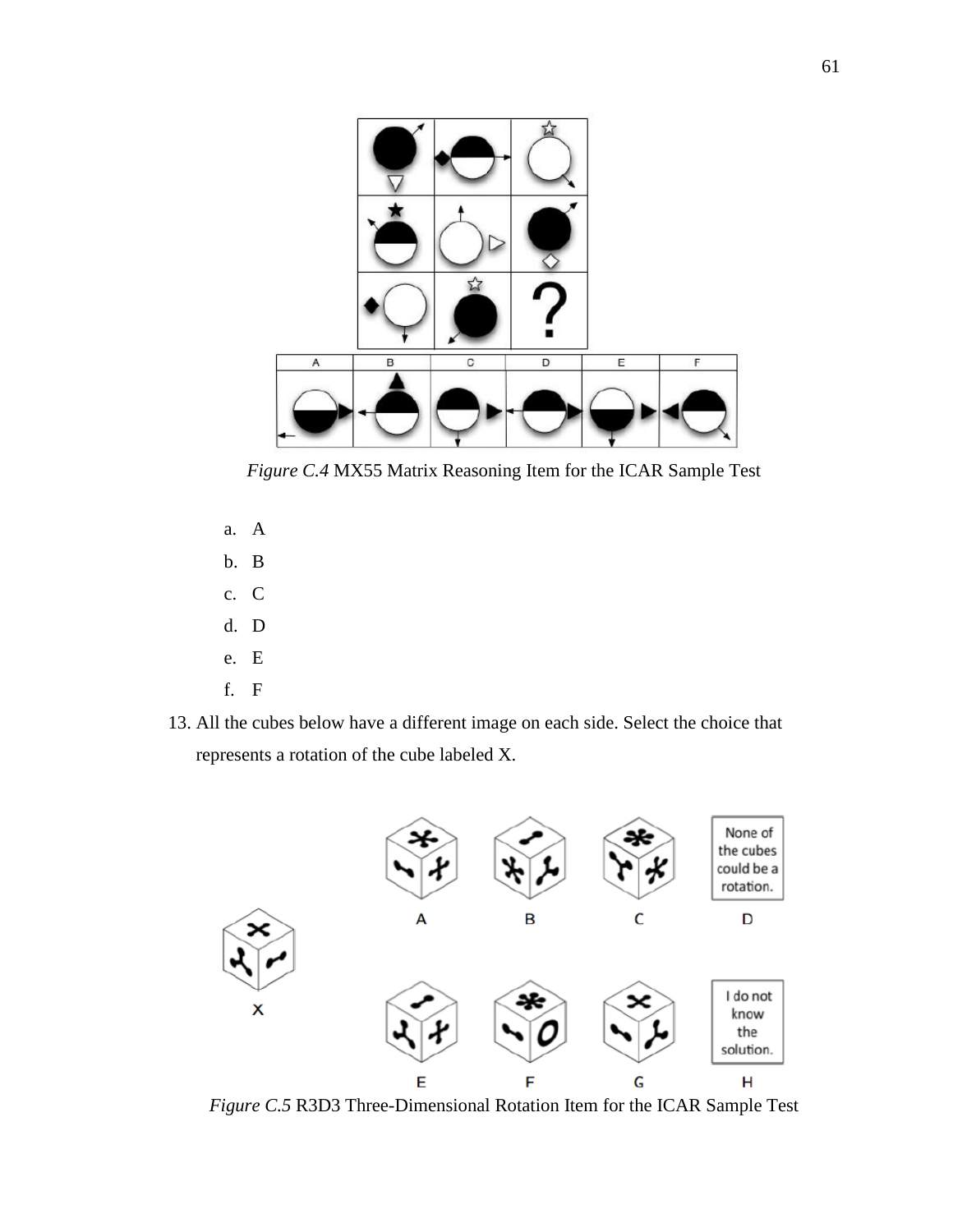

*Figure C.4* MX55 Matrix Reasoning Item for the ICAR Sample Test

- a. A
- b. B
- c. C
- d. D
- e. E
- f. F
- 13. All the cubes below have a different image on each side. Select the choice that represents a rotation of the cube labeled X.



*Figure C.5* R3D3 Three-Dimensional Rotation Item for the ICAR Sample Test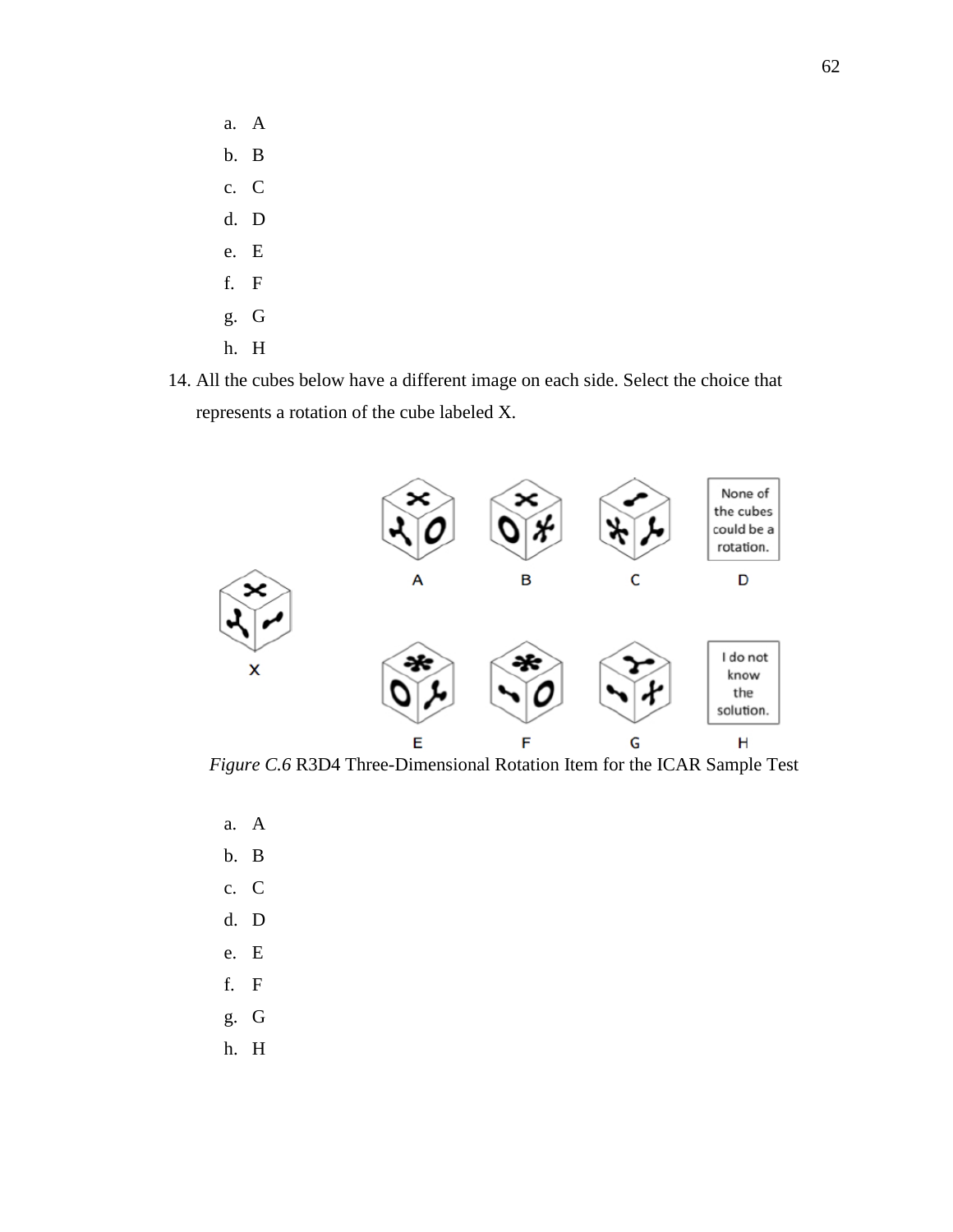- a. A b. B c. C d. D e. E f. F g. G
- h. H
- 14. All the cubes below have a different image on each side. Select the choice that represents a rotation of the cube labeled X.



*Figure C.6* R3D4 Three-Dimensional Rotation Item for the ICAR Sample Test

a. A b. B c. C d. D e. E f. F g. G h. H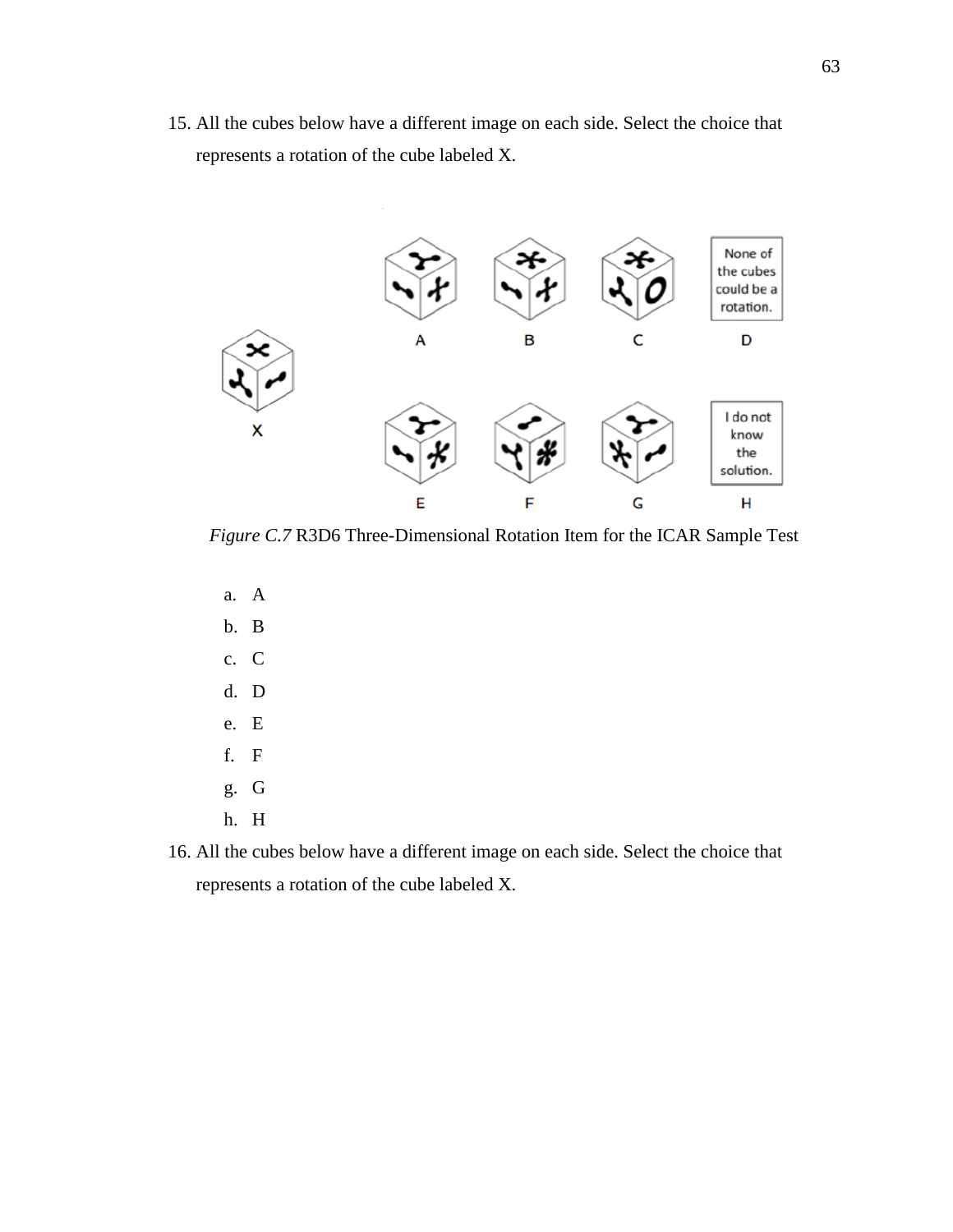15. All the cubes below have a different image on each side. Select the choice that represents a rotation of the cube labeled X.



*Figure C.7* R3D6 Three-Dimensional Rotation Item for the ICAR Sample Test

a. A b. B c. C d. D e. E f. F g. G h. H

16. All the cubes below have a different image on each side. Select the choice that represents a rotation of the cube labeled X.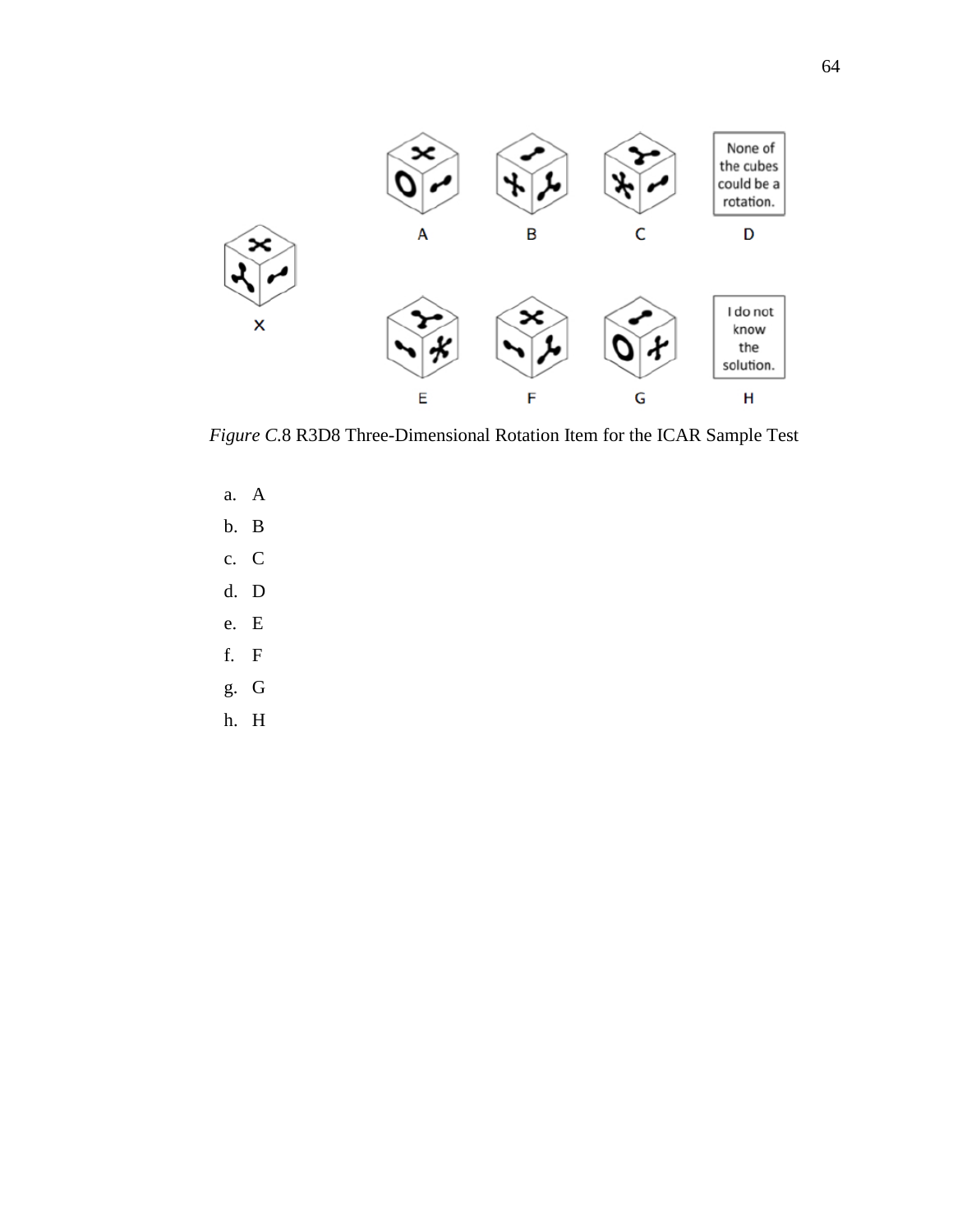

*Figure C.*8 R3D8 Three-Dimensional Rotation Item for the ICAR Sample Test

- a. A b. B c. C d. D e. E f. F g. G
- h. H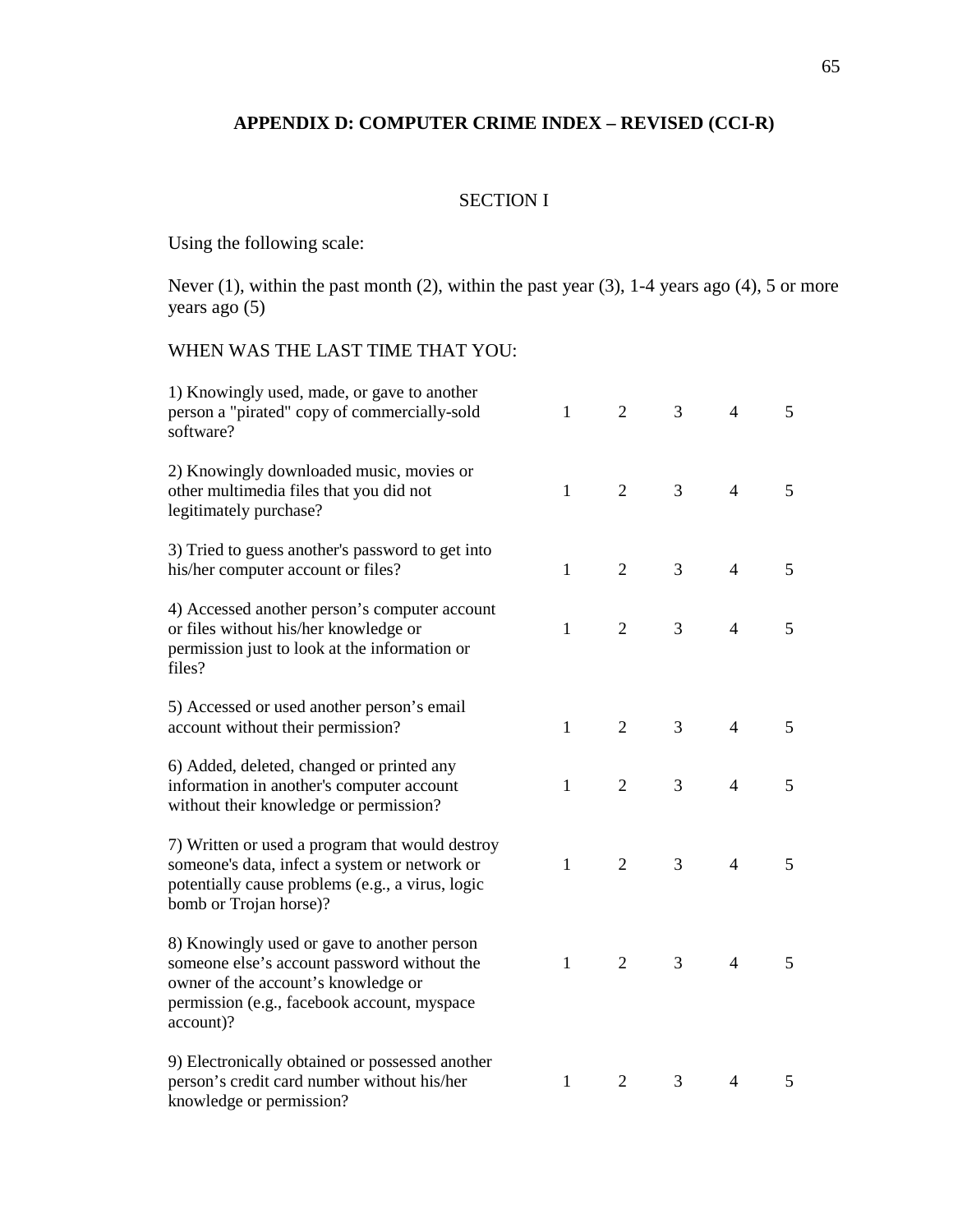## **APPENDIX D: COMPUTER CRIME INDEX – REVISED (CCI-R)**

## SECTION I

Using the following scale:

Never (1), within the past month (2), within the past year (3), 1-4 years ago (4), 5 or more years ago (5)

#### WHEN WAS THE LAST TIME THAT YOU:

| 1) Knowingly used, made, or gave to another<br>person a "pirated" copy of commercially-sold<br>software?                                                                                      | $\mathbf{1}$ | $\overline{2}$ | 3              | 4              | 5 |
|-----------------------------------------------------------------------------------------------------------------------------------------------------------------------------------------------|--------------|----------------|----------------|----------------|---|
| 2) Knowingly downloaded music, movies or<br>other multimedia files that you did not<br>legitimately purchase?                                                                                 | $\mathbf{1}$ | $\overline{2}$ | $\overline{3}$ | $\overline{4}$ | 5 |
| 3) Tried to guess another's password to get into<br>his/her computer account or files?                                                                                                        | $\mathbf{1}$ | $\overline{2}$ | 3              | $\overline{4}$ | 5 |
| 4) Accessed another person's computer account<br>or files without his/her knowledge or<br>permission just to look at the information or<br>files?                                             | $\mathbf{1}$ | $\mathfrak{2}$ | 3              | $\overline{4}$ | 5 |
| 5) Accessed or used another person's email<br>account without their permission?                                                                                                               | $\mathbf{1}$ | $\overline{2}$ | 3              | $\overline{4}$ | 5 |
| 6) Added, deleted, changed or printed any<br>information in another's computer account<br>without their knowledge or permission?                                                              | $\mathbf{1}$ | $\overline{2}$ | $\overline{3}$ | $\overline{4}$ | 5 |
| 7) Written or used a program that would destroy<br>someone's data, infect a system or network or<br>potentially cause problems (e.g., a virus, logic<br>bomb or Trojan horse)?                | $\mathbf{1}$ | $\mathfrak{2}$ | 3              | $\overline{4}$ | 5 |
| 8) Knowingly used or gave to another person<br>someone else's account password without the<br>owner of the account's knowledge or<br>permission (e.g., facebook account, myspace<br>account)? | 1            | 2              | 3              | $\overline{4}$ | 5 |
| 9) Electronically obtained or possessed another<br>person's credit card number without his/her<br>knowledge or permission?                                                                    | $\mathbf{1}$ | $\overline{2}$ | 3              | $\overline{4}$ | 5 |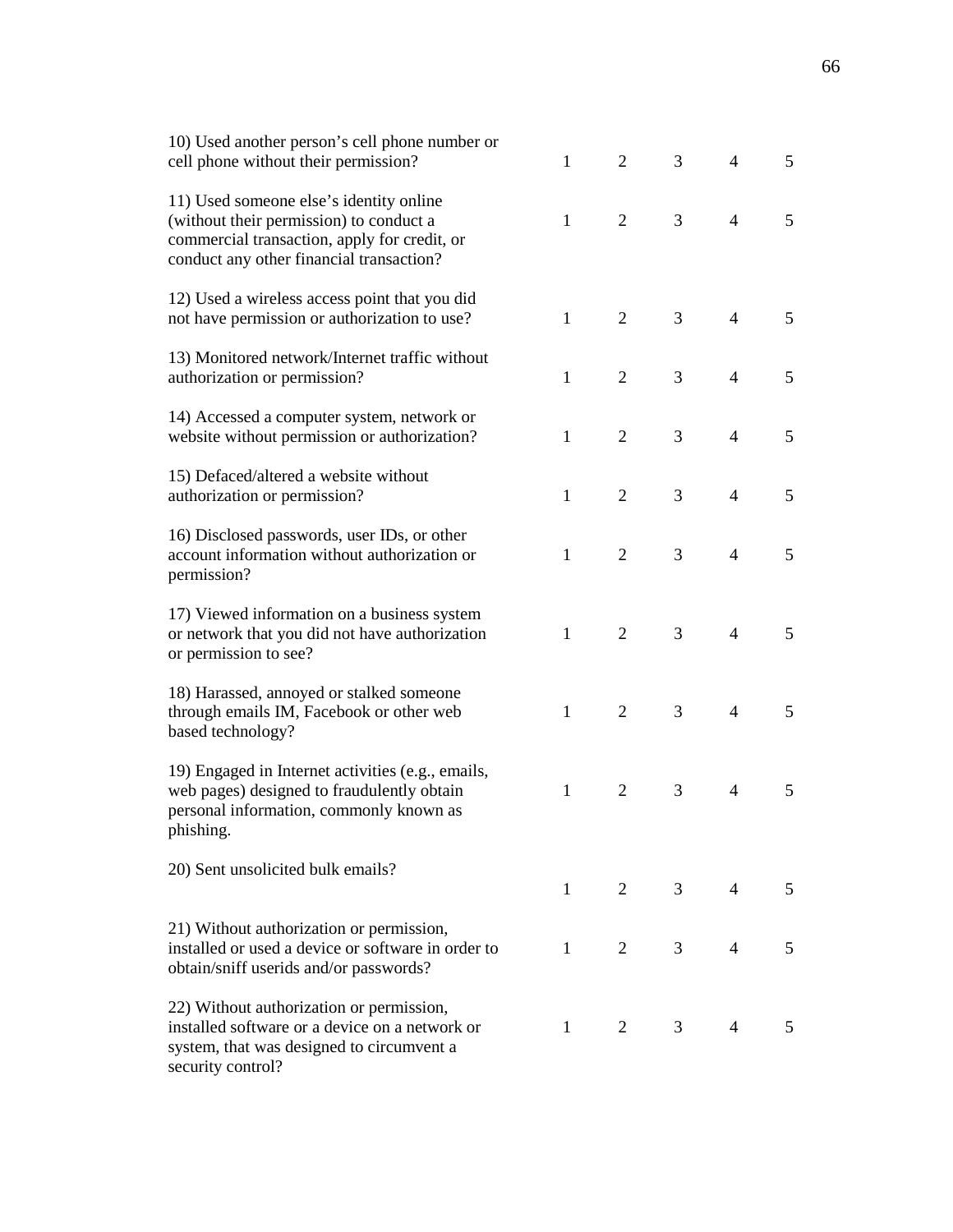| 10) Used another person's cell phone number or<br>cell phone without their permission?                                                                                         | $\mathbf{1}$ | $\overline{2}$ | 3              | $\overline{4}$ | 5 |
|--------------------------------------------------------------------------------------------------------------------------------------------------------------------------------|--------------|----------------|----------------|----------------|---|
| 11) Used someone else's identity online<br>(without their permission) to conduct a<br>commercial transaction, apply for credit, or<br>conduct any other financial transaction? | $\mathbf{1}$ | $\overline{2}$ | 3              | $\overline{4}$ | 5 |
| 12) Used a wireless access point that you did<br>not have permission or authorization to use?                                                                                  | $\mathbf{1}$ | $\overline{2}$ | 3              | $\overline{4}$ | 5 |
| 13) Monitored network/Internet traffic without<br>authorization or permission?                                                                                                 | $\mathbf{1}$ | $\overline{2}$ | 3              | $\overline{4}$ | 5 |
| 14) Accessed a computer system, network or<br>website without permission or authorization?                                                                                     | $\mathbf{1}$ | $\overline{2}$ | 3              | $\overline{4}$ | 5 |
| 15) Defaced/altered a website without<br>authorization or permission?                                                                                                          | $\mathbf{1}$ | $\overline{2}$ | 3              | $\overline{4}$ | 5 |
| 16) Disclosed passwords, user IDs, or other<br>account information without authorization or<br>permission?                                                                     | $\mathbf{1}$ | $\overline{2}$ | 3              | $\overline{4}$ | 5 |
| 17) Viewed information on a business system<br>or network that you did not have authorization<br>or permission to see?                                                         | $\mathbf{1}$ | $\overline{2}$ | 3              | $\overline{4}$ | 5 |
| 18) Harassed, annoyed or stalked someone<br>through emails IM, Facebook or other web<br>based technology?                                                                      | $\mathbf{1}$ | $\overline{2}$ | 3              | $\overline{4}$ | 5 |
| 19) Engaged in Internet activities (e.g., emails,<br>web pages) designed to fraudulently obtain<br>personal information, commonly known as<br>phishing.                        | $\mathbf{1}$ | $\overline{2}$ | 3              | $\overline{4}$ | 5 |
| 20) Sent unsolicited bulk emails?                                                                                                                                              | $\mathbf{1}$ | 2              | 3 <sup>7</sup> | 4              | 5 |
| 21) Without authorization or permission,<br>installed or used a device or software in order to<br>obtain/sniff userids and/or passwords?                                       | $\mathbf{1}$ | 2              | 3 <sup>7</sup> | $\overline{4}$ | 5 |
| 22) Without authorization or permission,<br>installed software or a device on a network or<br>system, that was designed to circumvent a<br>security control?                   | $\mathbf{1}$ | 2              | 3              | $\overline{4}$ | 5 |
|                                                                                                                                                                                |              |                |                |                |   |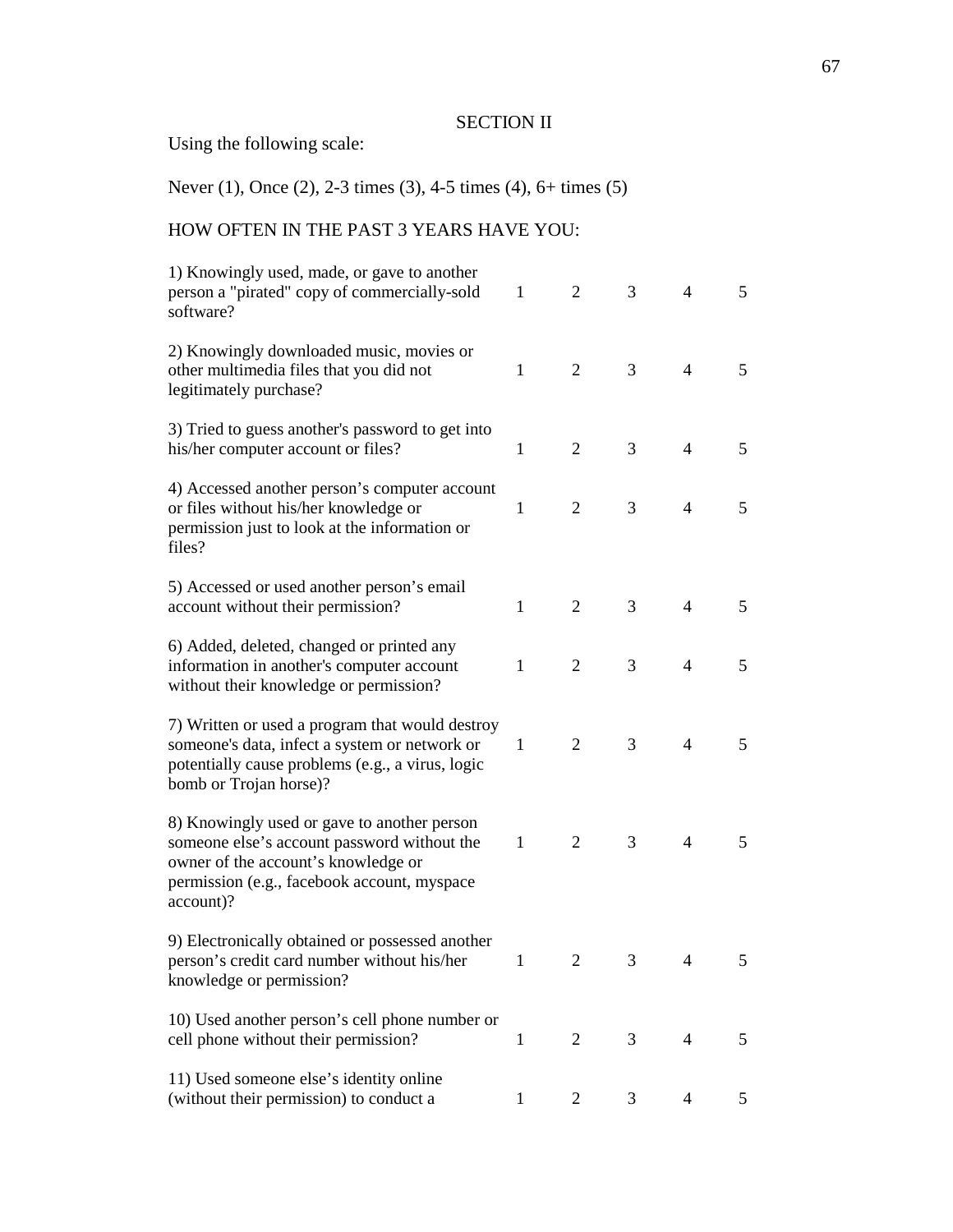#### SECTION II

Using the following scale:

Never (1), Once (2), 2-3 times (3), 4-5 times (4), 6+ times (5)

## HOW OFTEN IN THE PAST 3 YEARS HAVE YOU:

| 1) Knowingly used, made, or gave to another<br>person a "pirated" copy of commercially-sold<br>software?                                                                                      | 1            | 2              | 3 | 4              | 5 |
|-----------------------------------------------------------------------------------------------------------------------------------------------------------------------------------------------|--------------|----------------|---|----------------|---|
| 2) Knowingly downloaded music, movies or<br>other multimedia files that you did not<br>legitimately purchase?                                                                                 | 1            | $\overline{2}$ | 3 | $\overline{4}$ | 5 |
| 3) Tried to guess another's password to get into<br>his/her computer account or files?                                                                                                        | 1            | $\overline{2}$ | 3 | $\overline{4}$ | 5 |
| 4) Accessed another person's computer account<br>or files without his/her knowledge or<br>permission just to look at the information or<br>files?                                             | 1            | 2              | 3 | $\overline{4}$ | 5 |
| 5) Accessed or used another person's email<br>account without their permission?                                                                                                               | $\mathbf{1}$ | $\overline{2}$ | 3 | $\overline{4}$ | 5 |
| 6) Added, deleted, changed or printed any<br>information in another's computer account<br>without their knowledge or permission?                                                              | $\mathbf{1}$ | $\overline{2}$ | 3 | $\overline{4}$ | 5 |
| 7) Written or used a program that would destroy<br>someone's data, infect a system or network or<br>potentially cause problems (e.g., a virus, logic<br>bomb or Trojan horse)?                | 1            | $\overline{2}$ | 3 | $\overline{4}$ | 5 |
| 8) Knowingly used or gave to another person<br>someone else's account password without the<br>owner of the account's knowledge or<br>permission (e.g., facebook account, myspace<br>account)? | $\mathbf{1}$ | $\overline{2}$ | 3 | $\overline{4}$ | 5 |
| 9) Electronically obtained or possessed another<br>person's credit card number without his/her<br>knowledge or permission?                                                                    | $\mathbf{I}$ | 2              | 3 | 4              | 5 |
| 10) Used another person's cell phone number or<br>cell phone without their permission?                                                                                                        | 1            | $\overline{2}$ | 3 | 4              | 5 |
| 11) Used someone else's identity online<br>(without their permission) to conduct a                                                                                                            | 1            | 2              | 3 | 4              | 5 |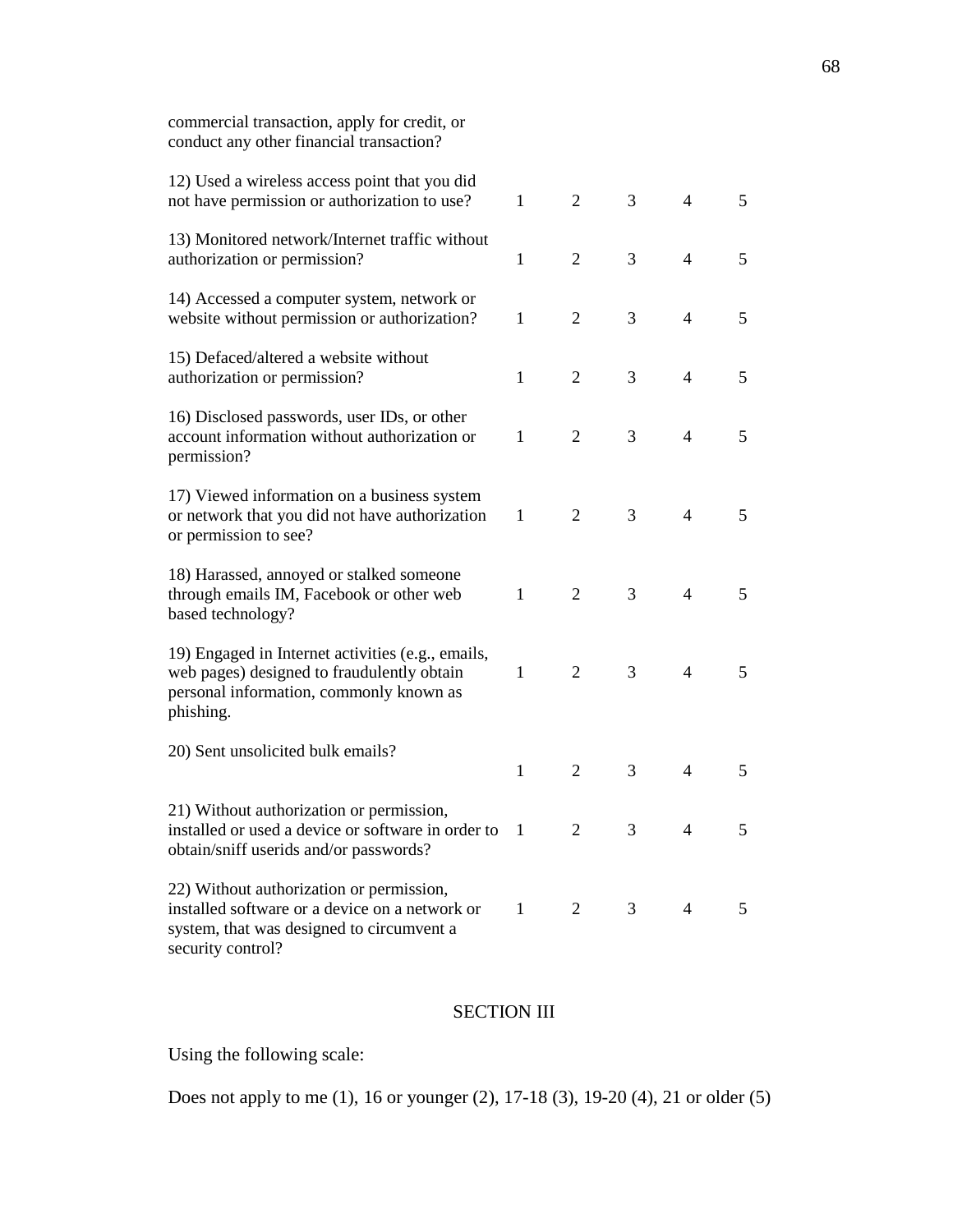| commercial transaction, apply for credit, or<br>conduct any other financial transaction?                                                                     |              |                |   |                |   |
|--------------------------------------------------------------------------------------------------------------------------------------------------------------|--------------|----------------|---|----------------|---|
| 12) Used a wireless access point that you did<br>not have permission or authorization to use?                                                                | $\mathbf{1}$ | 2              | 3 | $\overline{4}$ | 5 |
| 13) Monitored network/Internet traffic without<br>authorization or permission?                                                                               | $\mathbf{1}$ | $\overline{2}$ | 3 | $\overline{4}$ | 5 |
| 14) Accessed a computer system, network or<br>website without permission or authorization?                                                                   | $\mathbf{1}$ | $\overline{2}$ | 3 | $\overline{4}$ | 5 |
| 15) Defaced/altered a website without<br>authorization or permission?                                                                                        | $\mathbf{1}$ | 2              | 3 | $\overline{4}$ | 5 |
| 16) Disclosed passwords, user IDs, or other<br>account information without authorization or<br>permission?                                                   | 1            | 2              | 3 | $\overline{4}$ | 5 |
| 17) Viewed information on a business system<br>or network that you did not have authorization<br>or permission to see?                                       | 1            | 2              | 3 | $\overline{4}$ | 5 |
| 18) Harassed, annoyed or stalked someone<br>through emails IM, Facebook or other web<br>based technology?                                                    | $\mathbf{1}$ | 2              | 3 | $\overline{4}$ | 5 |
| 19) Engaged in Internet activities (e.g., emails,<br>web pages) designed to fraudulently obtain<br>personal information, commonly known as<br>phishing.      | $\mathbf{1}$ | 2              | 3 | $\overline{4}$ | 5 |
| 20) Sent unsolicited bulk emails?                                                                                                                            | $\mathbf{1}$ | 2              | 3 | $\overline{4}$ | 5 |
| 21) Without authorization or permission,<br>installed or used a device or software in order to<br>obtain/sniff userids and/or passwords?                     | 1            | 2              | 3 | 4              | 5 |
| 22) Without authorization or permission,<br>installed software or a device on a network or<br>system, that was designed to circumvent a<br>security control? | 1            | 2              | 3 | $\overline{4}$ | 5 |

# SECTION III

Using the following scale:

Does not apply to me (1), 16 or younger (2), 17-18 (3), 19-20 (4), 21 or older (5)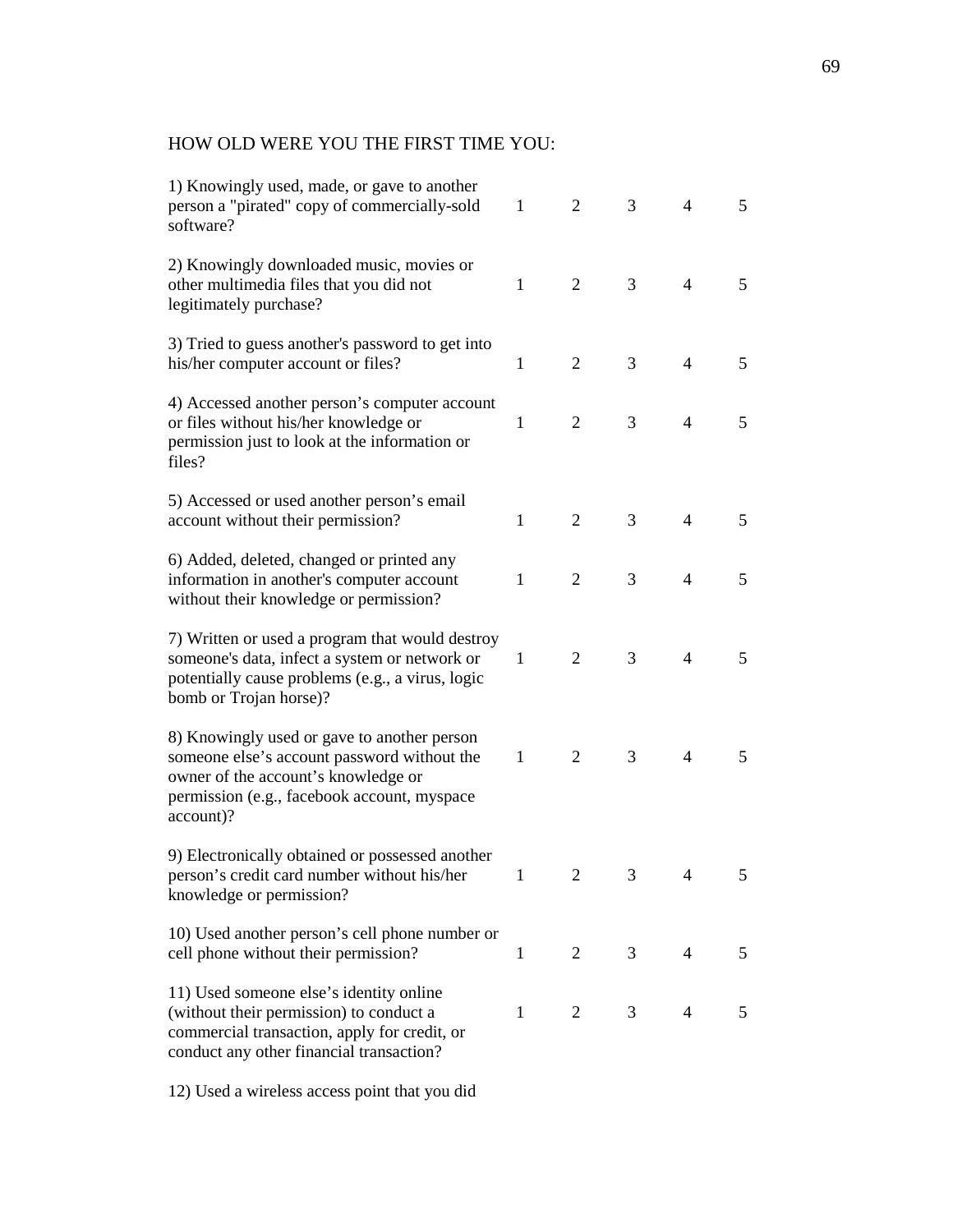## HOW OLD WERE YOU THE FIRST TIME YOU:

| 1) Knowingly used, made, or gave to another<br>person a "pirated" copy of commercially-sold<br>software?                                                                                      | 1            | 2              | 3              | $\overline{4}$ | 5 |
|-----------------------------------------------------------------------------------------------------------------------------------------------------------------------------------------------|--------------|----------------|----------------|----------------|---|
| 2) Knowingly downloaded music, movies or<br>other multimedia files that you did not<br>legitimately purchase?                                                                                 | 1            | $\overline{2}$ | 3              | $\overline{4}$ | 5 |
| 3) Tried to guess another's password to get into<br>his/her computer account or files?                                                                                                        | 1            | $\overline{2}$ | 3              | $\overline{4}$ | 5 |
| 4) Accessed another person's computer account<br>or files without his/her knowledge or<br>permission just to look at the information or<br>files?                                             | 1            | $\overline{2}$ | 3              | $\overline{4}$ | 5 |
| 5) Accessed or used another person's email<br>account without their permission?                                                                                                               | $\mathbf{1}$ | $\overline{2}$ | 3              | $\overline{4}$ | 5 |
| 6) Added, deleted, changed or printed any<br>information in another's computer account<br>without their knowledge or permission?                                                              | 1            | 2              | 3              | $\overline{4}$ | 5 |
| 7) Written or used a program that would destroy<br>someone's data, infect a system or network or<br>potentially cause problems (e.g., a virus, logic<br>bomb or Trojan horse)?                | 1            | $\overline{2}$ | 3              | $\overline{4}$ | 5 |
| 8) Knowingly used or gave to another person<br>someone else's account password without the<br>owner of the account's knowledge or<br>permission (e.g., facebook account, myspace<br>account)? | $\mathbf{1}$ | $\overline{2}$ | 3              | $\overline{4}$ | 5 |
| 9) Electronically obtained or possessed another<br>person's credit card number without his/her<br>knowledge or permission?                                                                    | $\mathbf{1}$ | 2              | 3              | $\overline{4}$ | 5 |
| 10) Used another person's cell phone number or<br>cell phone without their permission?                                                                                                        | 1            | $\overline{2}$ | 3 <sup>7</sup> | $\overline{4}$ | 5 |
| 11) Used someone else's identity online<br>(without their permission) to conduct a<br>commercial transaction, apply for credit, or<br>conduct any other financial transaction?                | $\mathbf{1}$ | 2              | 3              | $\overline{4}$ | 5 |
|                                                                                                                                                                                               |              |                |                |                |   |

12) Used a wireless access point that you did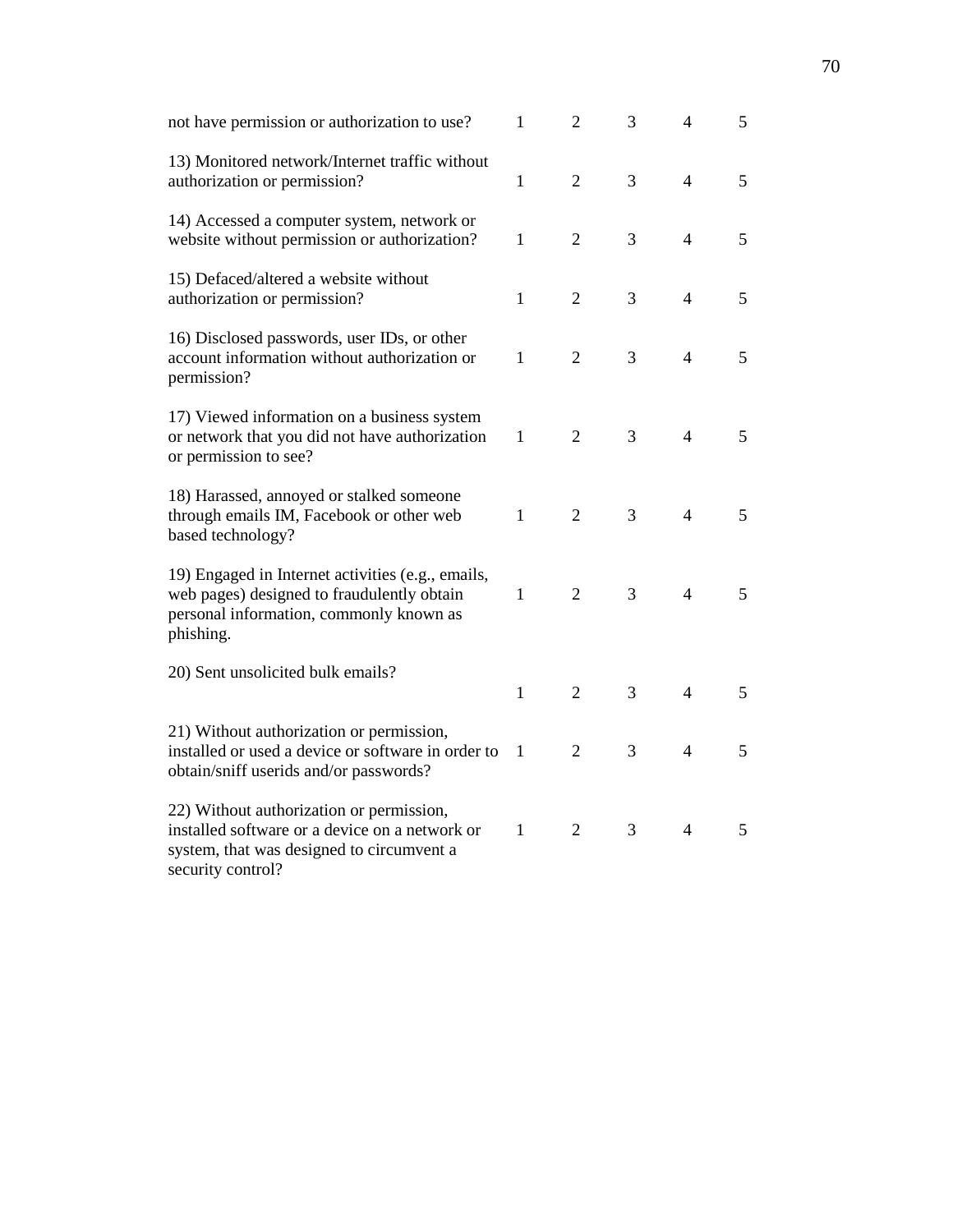| not have permission or authorization to use?                                                                                                                 | $\mathbf{1}$ | $\overline{2}$ | 3 | $\overline{4}$ | 5              |
|--------------------------------------------------------------------------------------------------------------------------------------------------------------|--------------|----------------|---|----------------|----------------|
| 13) Monitored network/Internet traffic without<br>authorization or permission?                                                                               | $\mathbf{1}$ | $\overline{2}$ | 3 | $\overline{4}$ | 5              |
| 14) Accessed a computer system, network or<br>website without permission or authorization?                                                                   | $\mathbf{1}$ | $\overline{2}$ | 3 | $\overline{4}$ | 5              |
| 15) Defaced/altered a website without<br>authorization or permission?                                                                                        | $\mathbf{1}$ | $\overline{2}$ | 3 | $\overline{4}$ | 5              |
| 16) Disclosed passwords, user IDs, or other<br>account information without authorization or<br>permission?                                                   | $\mathbf{1}$ | $\overline{2}$ | 3 | $\overline{4}$ | 5              |
| 17) Viewed information on a business system<br>or network that you did not have authorization<br>or permission to see?                                       | 1            | $\overline{2}$ | 3 | $\overline{4}$ | 5              |
| 18) Harassed, annoyed or stalked someone<br>through emails IM, Facebook or other web<br>based technology?                                                    | $\mathbf{1}$ | $\overline{2}$ | 3 | $\overline{4}$ | 5              |
| 19) Engaged in Internet activities (e.g., emails,<br>web pages) designed to fraudulently obtain<br>personal information, commonly known as<br>phishing.      | 1            | $\overline{2}$ | 3 | $\overline{4}$ | 5 <sup>5</sup> |
| 20) Sent unsolicited bulk emails?                                                                                                                            | $\mathbf{1}$ | $\overline{2}$ | 3 | $\overline{4}$ | 5              |
| 21) Without authorization or permission,<br>installed or used a device or software in order to<br>obtain/sniff userids and/or passwords?                     | $\mathbf{1}$ | $\overline{2}$ | 3 | $\overline{4}$ | 5              |
| 22) Without authorization or permission,<br>installed software or a device on a network or<br>system, that was designed to circumvent a<br>security control? | $\mathbf{1}$ | $\overline{2}$ | 3 | $\overline{4}$ | 5              |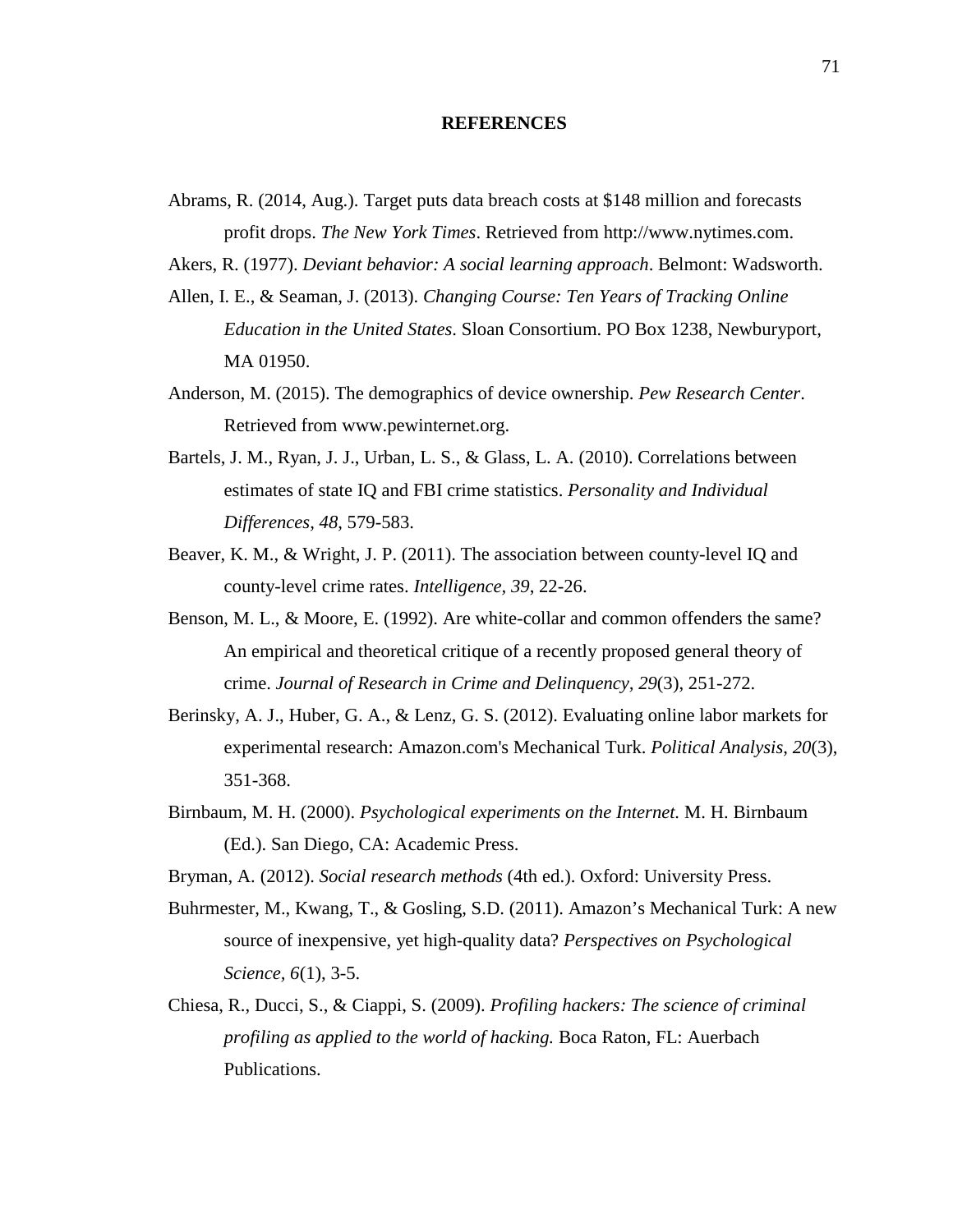#### **REFERENCES**

Abrams, R. (2014, Aug.). Target puts data breach costs at \$148 million and forecasts profit drops. *The New York Times*. Retrieved from http://www.nytimes.com.

Akers, R. (1977). *Deviant behavior: A social learning approach*. Belmont: Wadsworth.

- Allen, I. E., & Seaman, J. (2013). *Changing Course: Ten Years of Tracking Online Education in the United States*. Sloan Consortium. PO Box 1238, Newburyport, MA 01950.
- Anderson, M. (2015). The demographics of device ownership. *Pew Research Center*. Retrieved from www.pewinternet.org.
- Bartels, J. M., Ryan, J. J., Urban, L. S., & Glass, L. A. (2010). Correlations between estimates of state IQ and FBI crime statistics. *Personality and Individual Differences, 48*, 579-583.
- Beaver, K. M., & Wright, J. P. (2011). The association between county-level IQ and county-level crime rates. *Intelligence, 39*, 22-26.
- Benson, M. L., & Moore, E. (1992). Are white-collar and common offenders the same? An empirical and theoretical critique of a recently proposed general theory of crime. *Journal of Research in Crime and Delinquency, 29*(3), 251-272.
- Berinsky, A. J., Huber, G. A., & Lenz, G. S. (2012). Evaluating online labor markets for experimental research: Amazon.com's Mechanical Turk. *Political Analysis*, *20*(3), 351-368.
- Birnbaum, M. H. (2000). *Psychological experiments on the Internet.* M. H. Birnbaum (Ed.). San Diego, CA: Academic Press.
- Bryman, A. (2012). *Social research methods* (4th ed.). Oxford: University Press.
- Buhrmester, M., Kwang, T., & Gosling, S.D. (2011). Amazon's Mechanical Turk: A new source of inexpensive, yet high-quality data? *Perspectives on Psychological Science, 6*(1), 3-5.
- Chiesa, R., Ducci, S., & Ciappi, S. (2009). *Profiling hackers: The science of criminal profiling as applied to the world of hacking.* Boca Raton, FL: Auerbach Publications.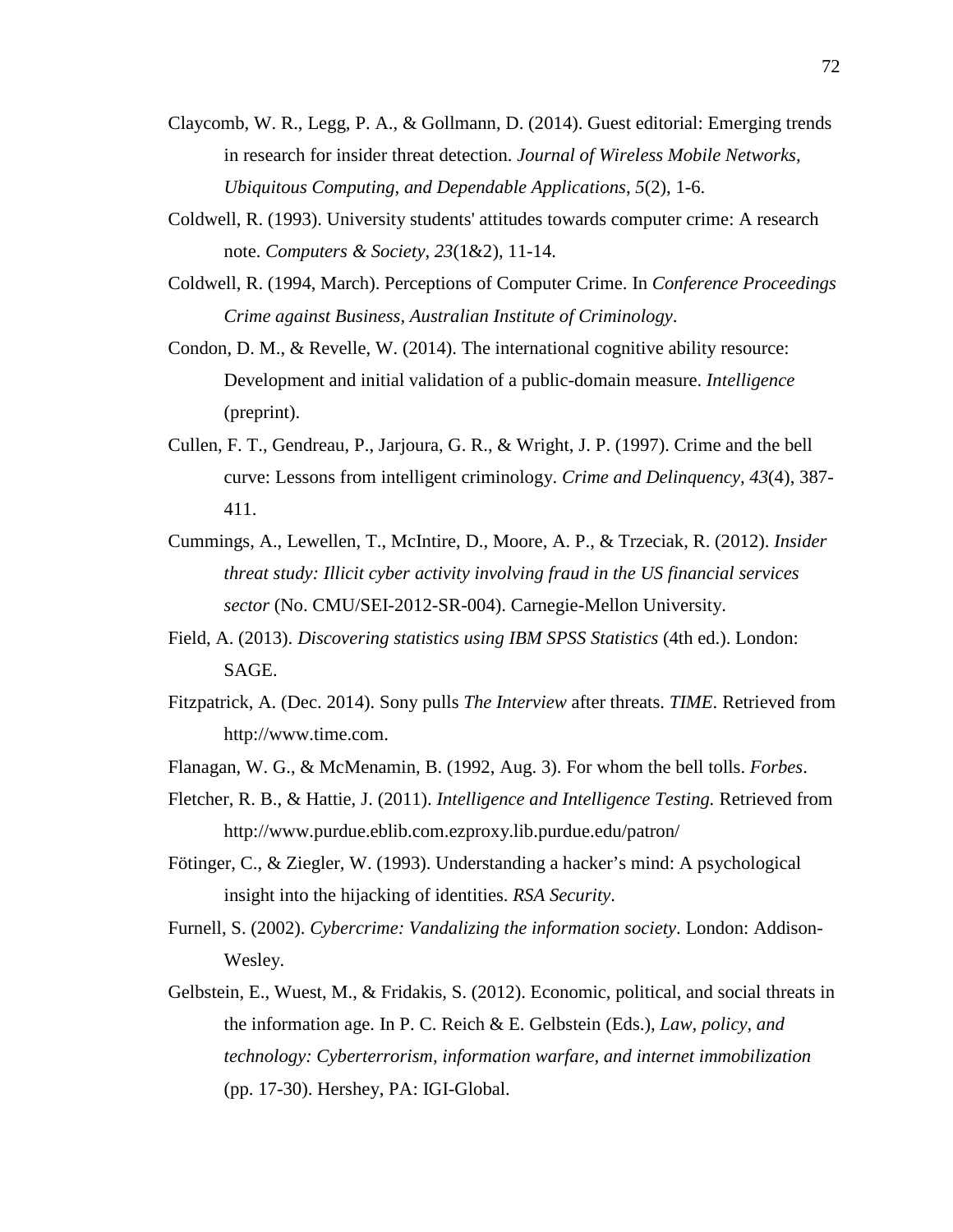- Claycomb, W. R., Legg, P. A., & Gollmann, D. (2014). Guest editorial: Emerging trends in research for insider threat detection. *Journal of Wireless Mobile Networks, Ubiquitous Computing, and Dependable Applications*, *5*(2), 1-6.
- Coldwell, R. (1993). University students' attitudes towards computer crime: A research note. *Computers & Society, 23*(1&2), 11-14.
- Coldwell, R. (1994, March). Perceptions of Computer Crime. In *Conference Proceedings Crime against Business, Australian Institute of Criminology*.
- Condon, D. M., & Revelle, W. (2014). The international cognitive ability resource: Development and initial validation of a public-domain measure. *Intelligence* (preprint).
- Cullen, F. T., Gendreau, P., Jarjoura, G. R., & Wright, J. P. (1997). Crime and the bell curve: Lessons from intelligent criminology. *Crime and Delinquency, 43*(4), 387- 411.
- Cummings, A., Lewellen, T., McIntire, D., Moore, A. P., & Trzeciak, R. (2012). *Insider threat study: Illicit cyber activity involving fraud in the US financial services sector* (No. CMU/SEI-2012-SR-004). Carnegie-Mellon University.
- Field, A. (2013). *Discovering statistics using IBM SPSS Statistics* (4th ed.). London: SAGE.
- Fitzpatrick, A. (Dec. 2014). Sony pulls *The Interview* after threats. *TIME*. Retrieved from http://www.time.com.
- Flanagan, W. G., & McMenamin, B. (1992, Aug. 3). For whom the bell tolls. *Forbes*.
- Fletcher, R. B., & Hattie, J. (2011). *Intelligence and Intelligence Testing.* Retrieved from http://www.purdue.eblib.com.ezproxy.lib.purdue.edu/patron/
- Fötinger, C., & Ziegler, W. (1993). Understanding a hacker's mind: A psychological insight into the hijacking of identities. *RSA Security*.
- Furnell, S. (2002). *Cybercrime: Vandalizing the information society*. London: Addison-Wesley.
- Gelbstein, E., Wuest, M., & Fridakis, S. (2012). Economic, political, and social threats in the information age. In P. C. Reich & E. Gelbstein (Eds.), *Law, policy, and technology: Cyberterrorism, information warfare, and internet immobilization* (pp. 17-30). Hershey, PA: IGI-Global.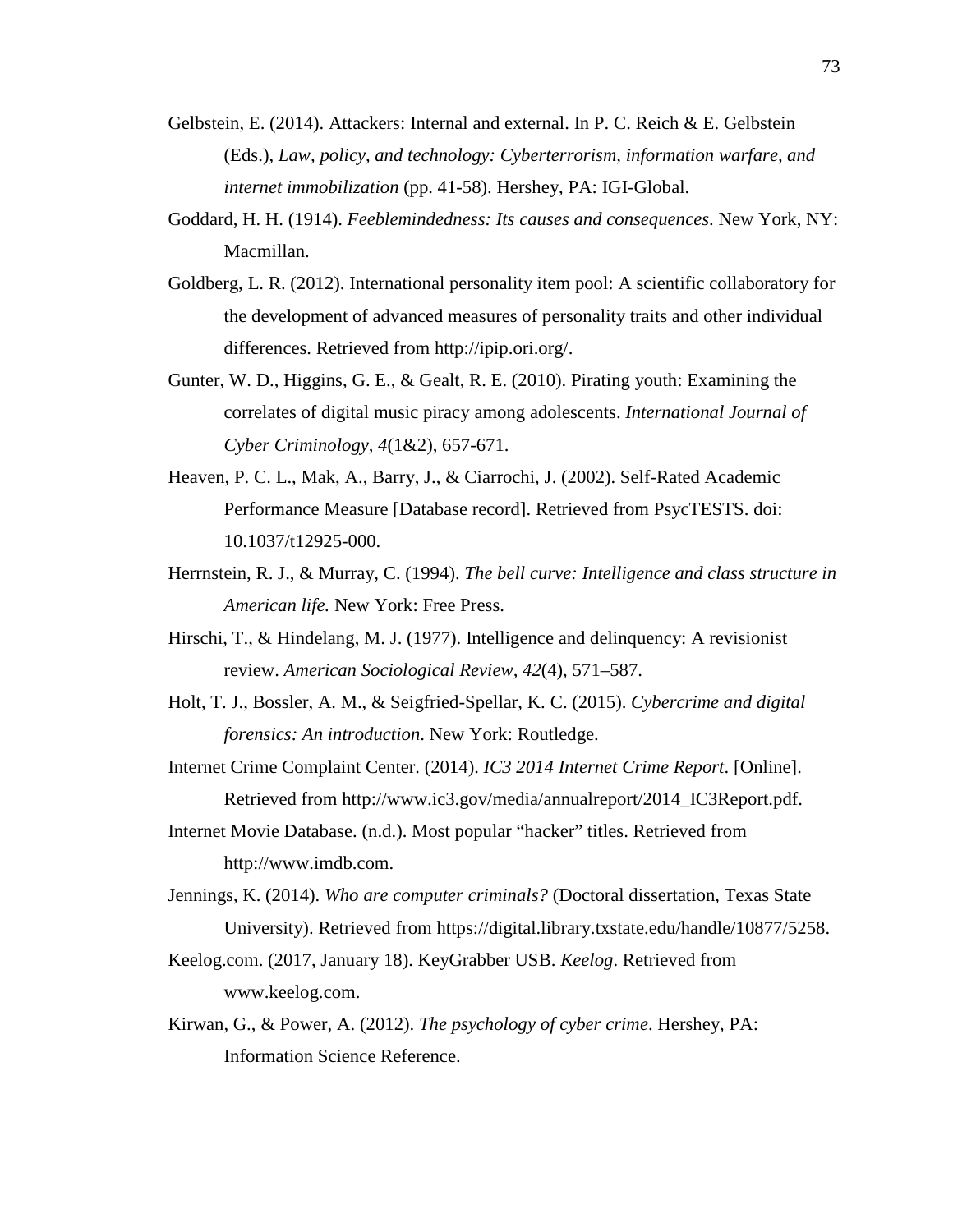- Gelbstein, E. (2014). Attackers: Internal and external. In P. C. Reich & E. Gelbstein (Eds.), *Law, policy, and technology: Cyberterrorism, information warfare, and internet immobilization* (pp. 41-58). Hershey, PA: IGI-Global.
- Goddard, H. H. (1914). *Feeblemindedness: Its causes and consequences*. New York, NY: Macmillan.
- Goldberg, L. R. (2012). International personality item pool: A scientific collaboratory for the development of advanced measures of personality traits and other individual differences. Retrieved from http://ipip.ori.org/.
- Gunter, W. D., Higgins, G. E., & Gealt, R. E. (2010). Pirating youth: Examining the correlates of digital music piracy among adolescents. *International Journal of Cyber Criminology, 4*(1&2), 657-671.
- Heaven, P. C. L., Mak, A., Barry, J., & Ciarrochi, J. (2002). Self-Rated Academic Performance Measure [Database record]. Retrieved from PsycTESTS. doi: 10.1037/t12925-000.
- Herrnstein, R. J., & Murray, C. (1994). *The bell curve: Intelligence and class structure in American life.* New York: Free Press.
- Hirschi, T., & Hindelang, M. J. (1977). Intelligence and delinquency: A revisionist review. *American Sociological Review, 42*(4), 571–587.
- Holt, T. J., Bossler, A. M., & Seigfried-Spellar, K. C. (2015). *Cybercrime and digital forensics: An introduction*. New York: Routledge.
- Internet Crime Complaint Center. (2014). *IC3 2014 Internet Crime Report*. [Online]. Retrieved from http://www.ic3.gov/media/annualreport/2014\_IC3Report.pdf.
- Internet Movie Database. (n.d.). Most popular "hacker" titles. Retrieved from http://www.imdb.com.
- Jennings, K. (2014). *Who are computer criminals?* (Doctoral dissertation, Texas State University). Retrieved from https://digital.library.txstate.edu/handle/10877/5258.
- Keelog.com. (2017, January 18). KeyGrabber USB. *Keelog*. Retrieved from www.keelog.com.
- Kirwan, G., & Power, A. (2012). *The psychology of cyber crime*. Hershey, PA: Information Science Reference.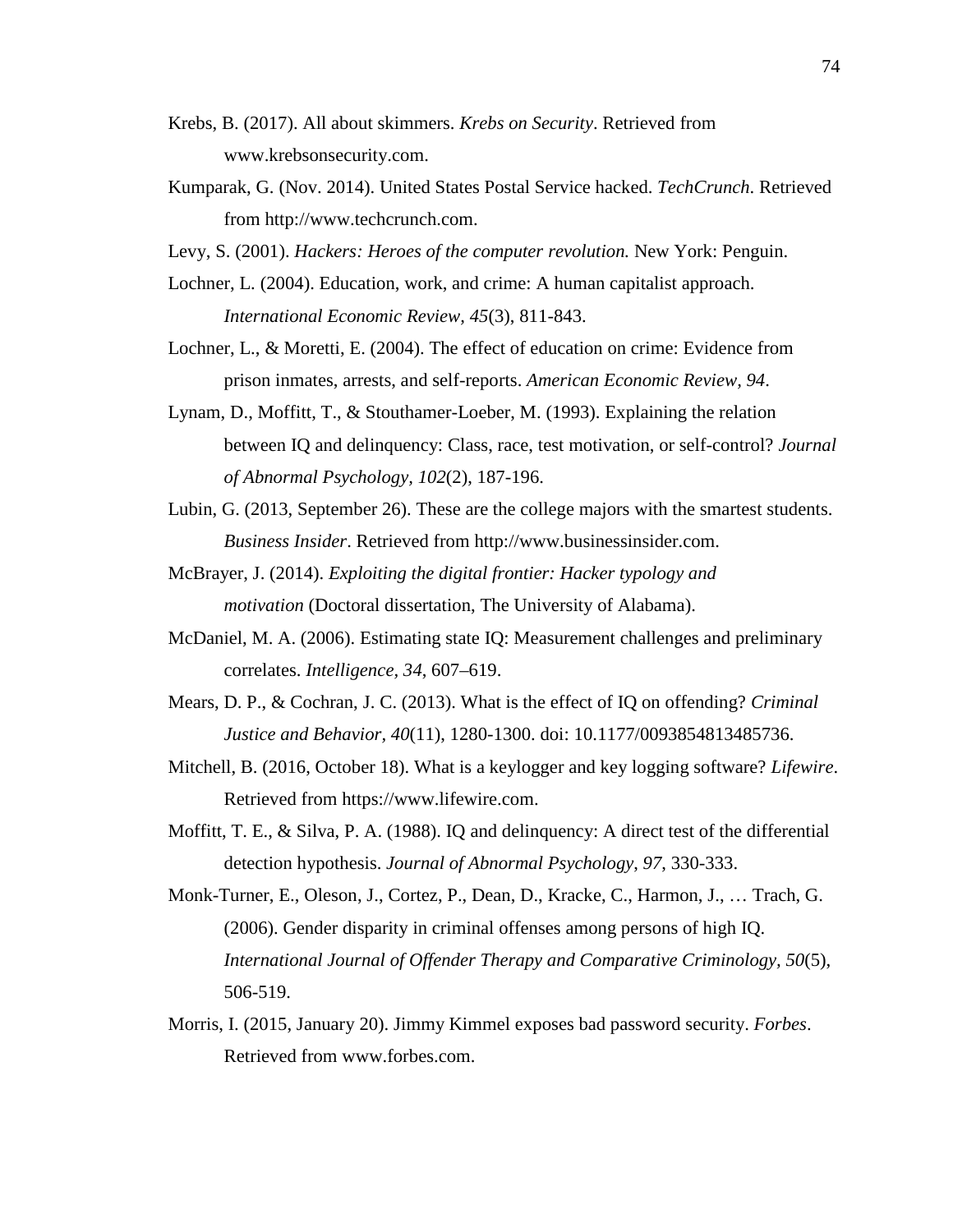- Krebs, B. (2017). All about skimmers. *Krebs on Security*. Retrieved from www.krebsonsecurity.com.
- Kumparak, G. (Nov. 2014). United States Postal Service hacked. *TechCrunch*. Retrieved from http://www.techcrunch.com.
- Levy, S. (2001). *Hackers: Heroes of the computer revolution.* New York: Penguin.
- Lochner, L. (2004). Education, work, and crime: A human capitalist approach. *International Economic Review, 45*(3), 811-843.
- Lochner, L., & Moretti, E. (2004). The effect of education on crime: Evidence from prison inmates, arrests, and self-reports. *American Economic Review, 94*.
- Lynam, D., Moffitt, T., & Stouthamer-Loeber, M. (1993). Explaining the relation between IQ and delinquency: Class, race, test motivation, or self-control? *Journal of Abnormal Psychology, 102*(2), 187-196.
- Lubin, G. (2013, September 26). These are the college majors with the smartest students. *Business Insider*. Retrieved from http://www.businessinsider.com.
- McBrayer, J. (2014). *Exploiting the digital frontier: Hacker typology and motivation* (Doctoral dissertation, The University of Alabama).
- McDaniel, M. A. (2006). Estimating state IQ: Measurement challenges and preliminary correlates. *Intelligence, 34*, 607–619.
- Mears, D. P., & Cochran, J. C. (2013). What is the effect of IQ on offending? *Criminal Justice and Behavior, 40*(11), 1280-1300. doi: 10.1177/0093854813485736.
- Mitchell, B. (2016, October 18). What is a keylogger and key logging software? *Lifewire*. Retrieved from https://www.lifewire.com.
- Moffitt, T. E., & Silva, P. A. (1988). IQ and delinquency: A direct test of the differential detection hypothesis. *Journal of Abnormal Psychology*, *97*, 330-333.
- Monk-Turner, E., Oleson, J., Cortez, P., Dean, D., Kracke, C., Harmon, J., … Trach, G. (2006). Gender disparity in criminal offenses among persons of high IQ. *International Journal of Offender Therapy and Comparative Criminology, 50*(5), 506-519.
- Morris, I. (2015, January 20). Jimmy Kimmel exposes bad password security. *Forbes*. Retrieved from www.forbes.com.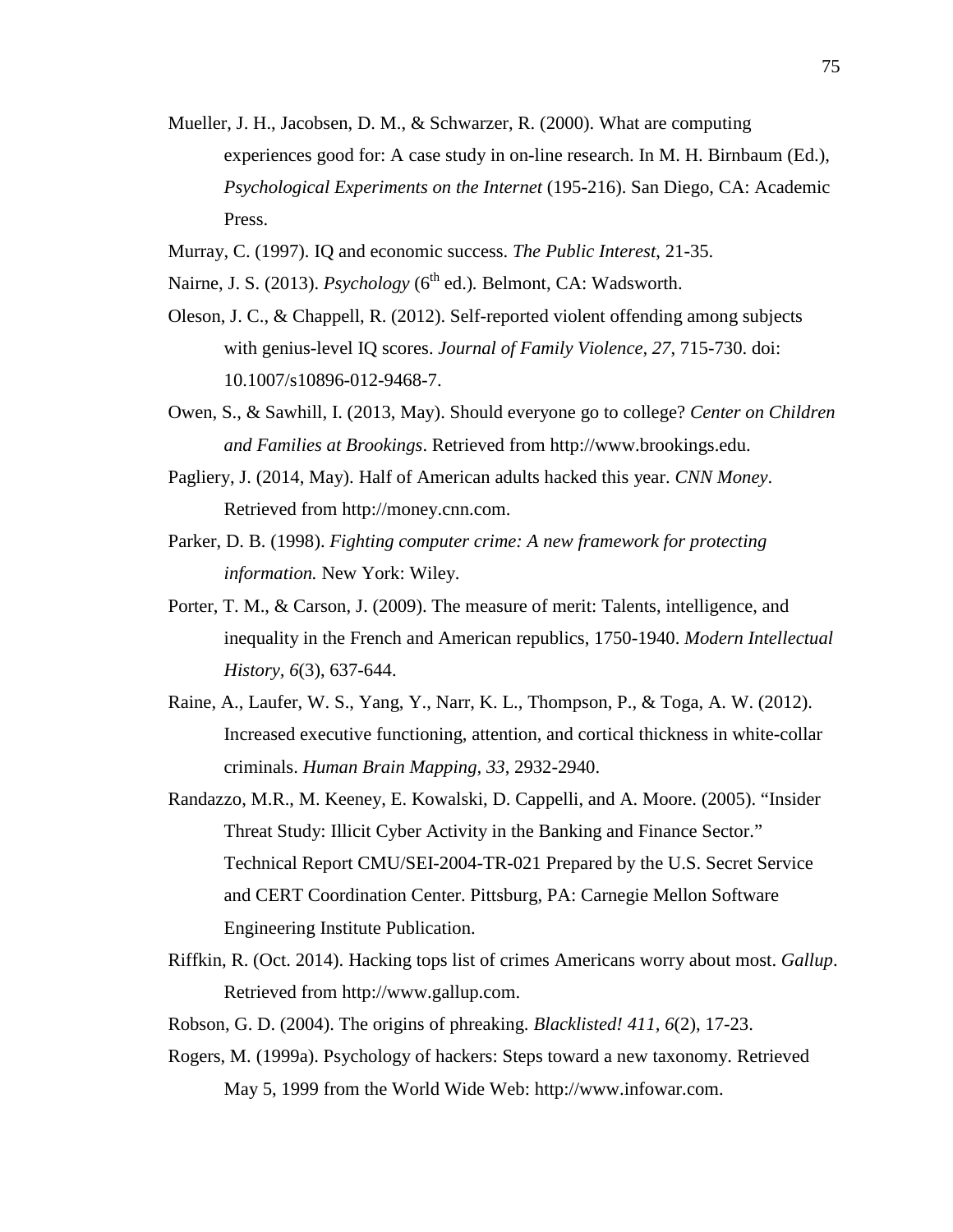- Mueller, J. H., Jacobsen, D. M., & Schwarzer, R. (2000). What are computing experiences good for: A case study in on-line research. In M. H. Birnbaum (Ed.), *Psychological Experiments on the Internet* (195-216). San Diego, CA: Academic Press.
- Murray, C. (1997). IQ and economic success. *The Public Interest*, 21-35.
- Nairne, J. S. (2013). *Psychology* (6<sup>th</sup> ed.). Belmont, CA: Wadsworth.
- Oleson, J. C., & Chappell, R. (2012). Self-reported violent offending among subjects with genius-level IQ scores. *Journal of Family Violence, 27*, 715-730. doi: 10.1007/s10896-012-9468-7.
- Owen, S., & Sawhill, I. (2013, May). Should everyone go to college? *Center on Children and Families at Brookings*. Retrieved from http://www.brookings.edu.
- Pagliery, J. (2014, May). Half of American adults hacked this year. *CNN Money*. Retrieved from http://money.cnn.com.
- Parker, D. B. (1998). *Fighting computer crime: A new framework for protecting information.* New York: Wiley.
- Porter, T. M., & Carson, J. (2009). The measure of merit: Talents, intelligence, and inequality in the French and American republics, 1750-1940. *Modern Intellectual History, 6*(3), 637-644.
- Raine, A., Laufer, W. S., Yang, Y., Narr, K. L., Thompson, P., & Toga, A. W. (2012). Increased executive functioning, attention, and cortical thickness in white-collar criminals. *Human Brain Mapping, 33*, 2932-2940.
- Randazzo, M.R., M. Keeney, E. Kowalski, D. Cappelli, and A. Moore. (2005). "Insider Threat Study: Illicit Cyber Activity in the Banking and Finance Sector." Technical Report CMU/SEI-2004-TR-021 Prepared by the U.S. Secret Service and CERT Coordination Center. Pittsburg, PA: Carnegie Mellon Software Engineering Institute Publication.
- Riffkin, R. (Oct. 2014). Hacking tops list of crimes Americans worry about most. *Gallup*. Retrieved from http://www.gallup.com.
- Robson, G. D. (2004). The origins of phreaking. *Blacklisted! 411, 6*(2), 17-23.
- Rogers, M. (1999a). Psychology of hackers: Steps toward a new taxonomy. Retrieved May 5, 1999 from the World Wide Web: http://www.infowar.com.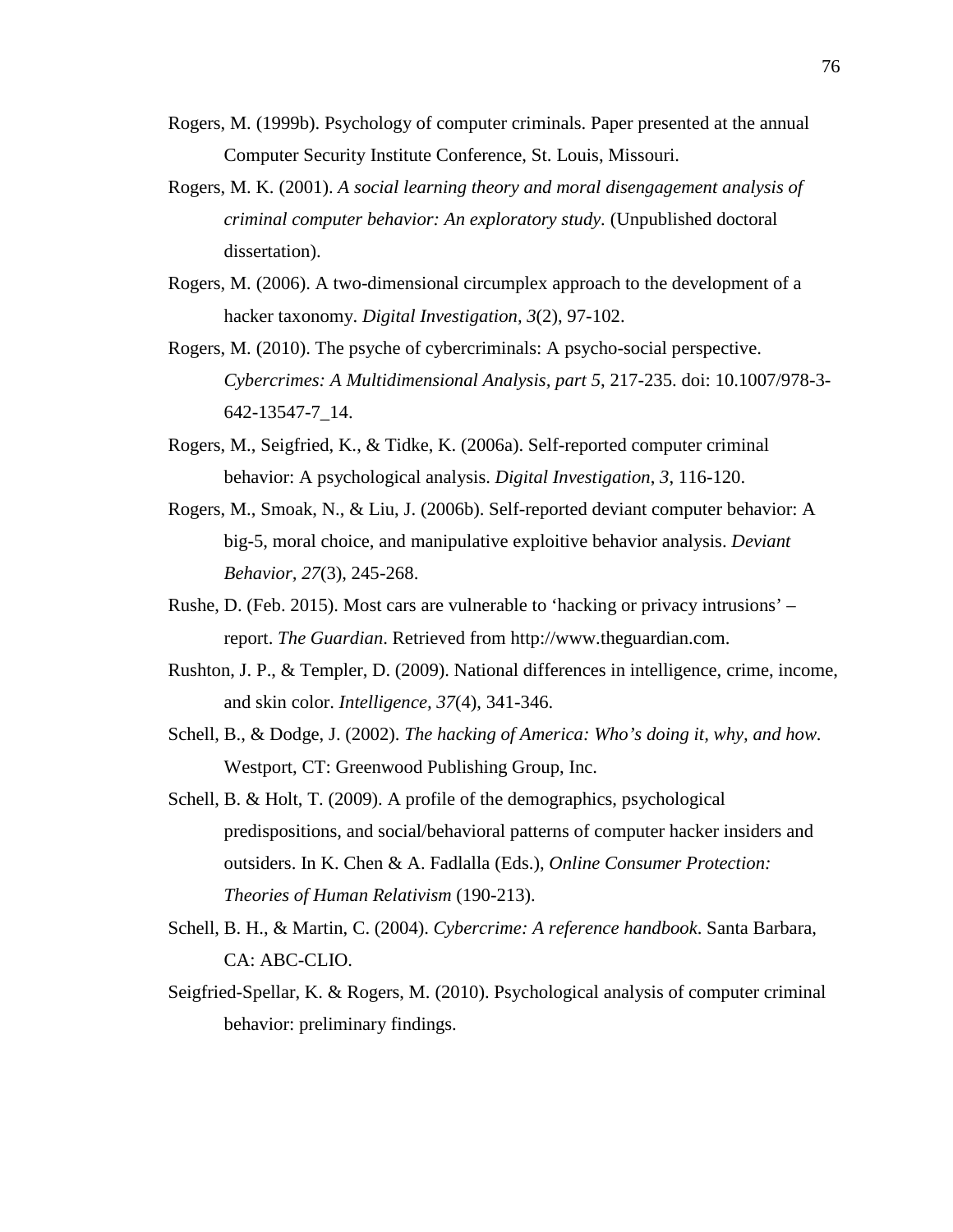- Rogers, M. (1999b). Psychology of computer criminals. Paper presented at the annual Computer Security Institute Conference, St. Louis, Missouri.
- Rogers, M. K. (2001). *A social learning theory and moral disengagement analysis of criminal computer behavior: An exploratory study.* (Unpublished doctoral dissertation).
- Rogers, M. (2006). A two-dimensional circumplex approach to the development of a hacker taxonomy. *Digital Investigation, 3*(2), 97-102.
- Rogers, M. (2010). The psyche of cybercriminals: A psycho-social perspective. *Cybercrimes: A Multidimensional Analysis, part 5*, 217-235. doi: 10.1007/978-3- 642-13547-7\_14.
- Rogers, M., Seigfried, K., & Tidke, K. (2006a). Self-reported computer criminal behavior: A psychological analysis. *Digital Investigation*, *3*, 116-120.
- Rogers, M., Smoak, N., & Liu, J. (2006b). Self-reported deviant computer behavior: A big-5, moral choice, and manipulative exploitive behavior analysis. *Deviant Behavior, 27*(3), 245-268.
- Rushe, D. (Feb. 2015). Most cars are vulnerable to 'hacking or privacy intrusions' report. *The Guardian*. Retrieved from http://www.theguardian.com.
- Rushton, J. P., & Templer, D. (2009). National differences in intelligence, crime, income, and skin color. *Intelligence, 37*(4), 341-346.
- Schell, B., & Dodge, J. (2002). *The hacking of America: Who's doing it, why, and how.* Westport, CT: Greenwood Publishing Group, Inc.
- Schell, B. & Holt, T. (2009). A profile of the demographics, psychological predispositions, and social/behavioral patterns of computer hacker insiders and outsiders. In K. Chen & A. Fadlalla (Eds.), *Online Consumer Protection: Theories of Human Relativism* (190-213).
- Schell, B. H., & Martin, C. (2004). *Cybercrime: A reference handbook*. Santa Barbara, CA: ABC-CLIO.
- Seigfried-Spellar, K. & Rogers, M. (2010). Psychological analysis of computer criminal behavior: preliminary findings.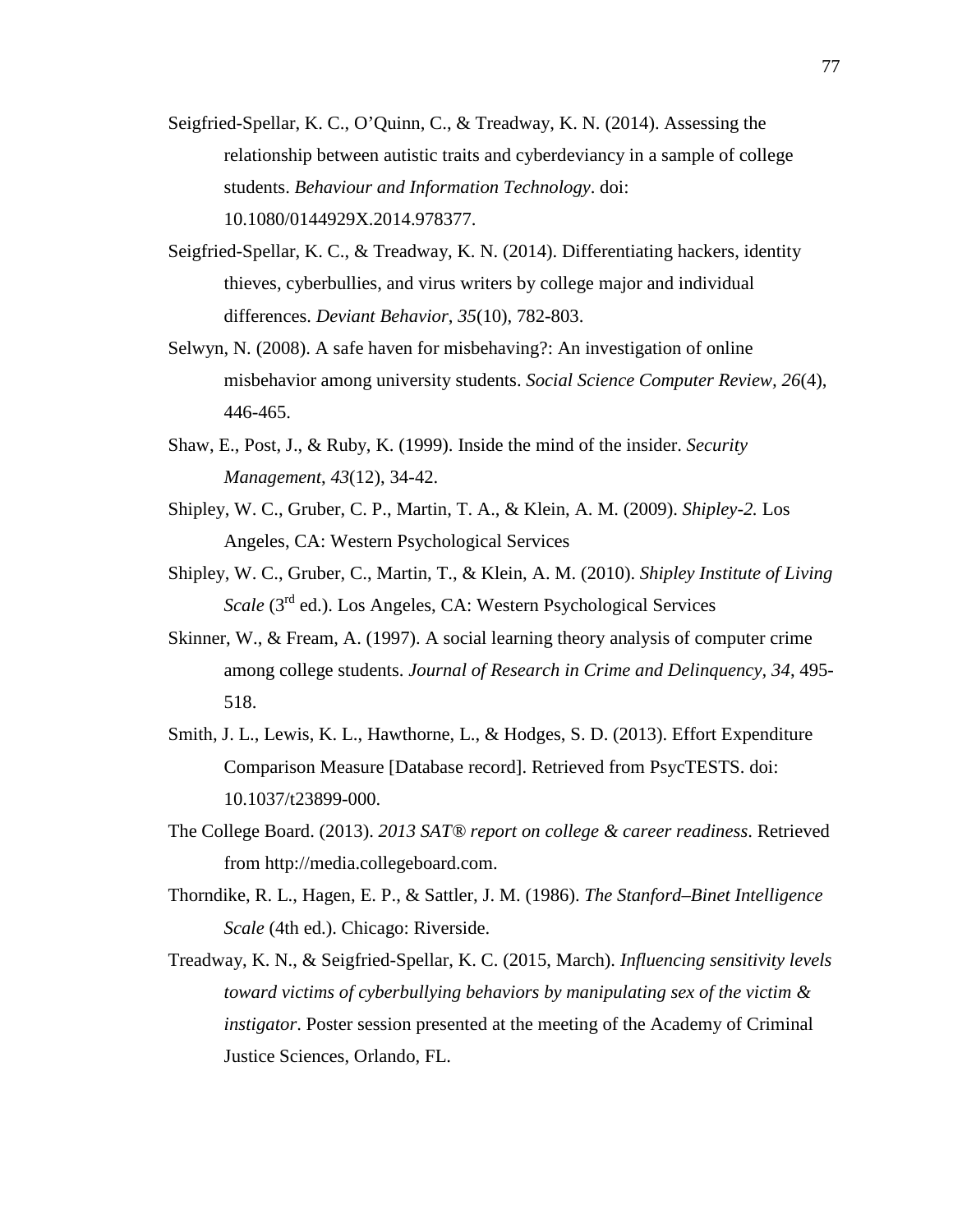- Seigfried-Spellar, K. C., O'Quinn, C., & Treadway, K. N. (2014). Assessing the relationship between autistic traits and cyberdeviancy in a sample of college students. *Behaviour and Information Technology*. doi: 10.1080/0144929X.2014.978377.
- Seigfried-Spellar, K. C., & Treadway, K. N. (2014). Differentiating hackers, identity thieves, cyberbullies, and virus writers by college major and individual differences. *Deviant Behavior*, *35*(10), 782-803.
- Selwyn, N. (2008). A safe haven for misbehaving?: An investigation of online misbehavior among university students. *Social Science Computer Review, 26*(4), 446-465.
- Shaw, E., Post, J., & Ruby, K. (1999). Inside the mind of the insider. *Security Management*, *43*(12), 34-42.
- Shipley, W. C., Gruber, C. P., Martin, T. A., & Klein, A. M. (2009). *Shipley-2.* Los Angeles, CA: Western Psychological Services
- Shipley, W. C., Gruber, C., Martin, T., & Klein, A. M. (2010). *Shipley Institute of Living Scale* (3rd ed.). Los Angeles, CA: Western Psychological Services
- Skinner, W., & Fream, A. (1997). A social learning theory analysis of computer crime among college students. *Journal of Research in Crime and Delinquency, 34*, 495- 518.
- Smith, J. L., Lewis, K. L., Hawthorne, L., & Hodges, S. D. (2013). Effort Expenditure Comparison Measure [Database record]. Retrieved from PsycTESTS. doi: 10.1037/t23899-000.
- The College Board. (2013). *2013 SAT® report on college & career readiness*. Retrieved from http://media.collegeboard.com.
- Thorndike, R. L., Hagen, E. P., & Sattler, J. M. (1986). *The Stanford–Binet Intelligence Scale* (4th ed.). Chicago: Riverside.
- Treadway, K. N., & Seigfried-Spellar, K. C. (2015, March). *Influencing sensitivity levels toward victims of cyberbullying behaviors by manipulating sex of the victim & instigator*. Poster session presented at the meeting of the Academy of Criminal Justice Sciences, Orlando, FL.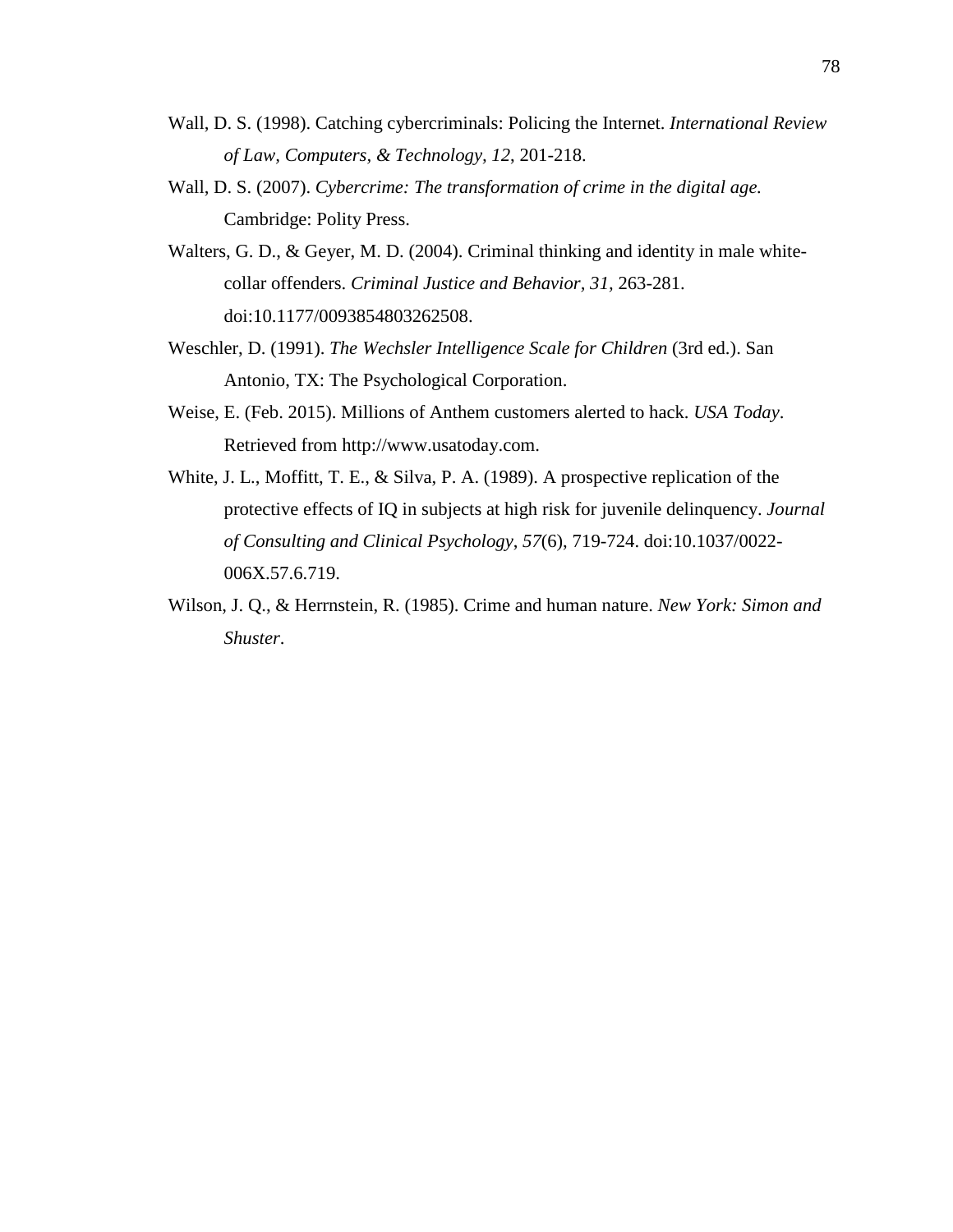- Wall, D. S. (1998). Catching cybercriminals: Policing the Internet. *International Review of Law, Computers, & Technology, 12*, 201-218.
- Wall, D. S. (2007). *Cybercrime: The transformation of crime in the digital age.* Cambridge: Polity Press.
- Walters, G. D., & Geyer, M. D. (2004). Criminal thinking and identity in male whitecollar offenders. *Criminal Justice and Behavior, 31,* 263-281. doi:10.1177/0093854803262508.
- Weschler, D. (1991). *The Wechsler Intelligence Scale for Children* (3rd ed.). San Antonio, TX: The Psychological Corporation.
- Weise, E. (Feb. 2015). Millions of Anthem customers alerted to hack. *USA Today*. Retrieved from http://www.usatoday.com.
- White, J. L., Moffitt, T. E., & Silva, P. A. (1989). A prospective replication of the protective effects of IQ in subjects at high risk for juvenile delinquency. *Journal of Consulting and Clinical Psychology*, *57*(6), 719-724. doi:10.1037/0022- 006X.57.6.719.
- Wilson, J. Q., & Herrnstein, R. (1985). Crime and human nature. *New York: Simon and Shuster*.